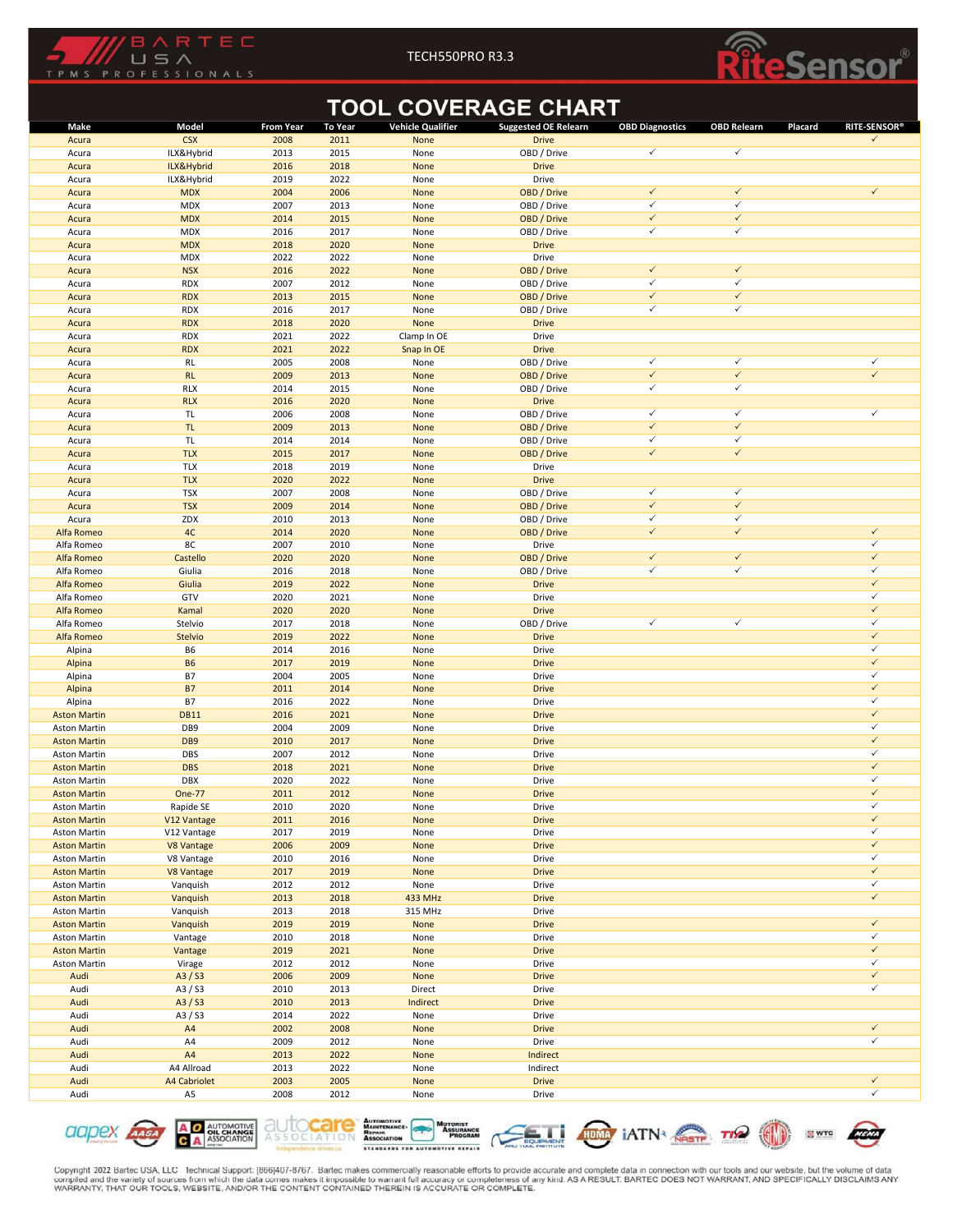



|                                     | BARTEC<br>USA              |                  |                | TECH550PRO R3.3          |                                                           |                              |                              |                                |
|-------------------------------------|----------------------------|------------------|----------------|--------------------------|-----------------------------------------------------------|------------------------------|------------------------------|--------------------------------|
| TPMS<br>P                           | <b>ROFESSIONALS</b>        |                  |                |                          |                                                           |                              |                              | ensor                          |
| Make                                | Model                      | <b>From Year</b> | <b>To Year</b> | <b>Vehicle Qualifier</b> | <b>TOOL COVERAGE CHART</b><br><b>Suggested OE Relearn</b> | <b>OBD Diagnostics</b>       | <b>OBD Relearn</b>           | <b>RITE-SENSOR®</b><br>Placard |
| Acura<br>Acura                      | <b>CSX</b><br>ILX&Hybrid   | 2008<br>2013     | 2011<br>2015   | None<br>None             | <b>Drive</b><br>OBD / Drive                               | $\checkmark$                 | $\checkmark$                 | $\checkmark$                   |
| Acura                               | ILX&Hybrid                 | 2016             | 2018           | None                     | <b>Drive</b>                                              |                              |                              |                                |
| Acura<br>Acura                      | ILX&Hybrid<br><b>MDX</b>   | 2019<br>2004     | 2022<br>2006   | None<br>None             | Drive<br>OBD / Drive                                      | $\checkmark$                 | $\checkmark$                 | $\checkmark$                   |
| Acura                               | <b>MDX</b>                 | 2007             | 2013           | None                     | OBD / Drive                                               | $\checkmark$<br>$\checkmark$ | $\checkmark$<br>$\checkmark$ |                                |
| Acura<br>Acura                      | <b>MDX</b><br><b>MDX</b>   | 2014<br>2016     | 2015<br>2017   | None<br>None             | OBD / Drive<br>OBD / Drive                                | $\checkmark$                 | $\checkmark$                 |                                |
| Acura<br>Acura                      | <b>MDX</b><br><b>MDX</b>   | 2018<br>2022     | 2020<br>2022   | None<br>None             | <b>Drive</b><br>Drive                                     |                              |                              |                                |
| Acura                               | <b>NSX</b>                 | 2016             | 2022           | None                     | OBD / Drive                                               | $\checkmark$                 | $\checkmark$                 |                                |
| Acura<br>Acura                      | <b>RDX</b><br><b>RDX</b>   | 2007<br>2013     | 2012<br>2015   | None<br>None             | OBD / Drive<br>OBD / Drive                                | $\checkmark$<br>$\checkmark$ | $\checkmark$<br>$\checkmark$ |                                |
| Acura                               | <b>RDX</b><br><b>RDX</b>   | 2016<br>2018     | 2017<br>2020   | None                     | OBD / Drive<br><b>Drive</b>                               | $\checkmark$                 | $\checkmark$                 |                                |
| Acura<br>Acura                      | <b>RDX</b>                 | 2021             | 2022           | None<br>Clamp In OE      | Drive                                                     |                              |                              |                                |
| Acura<br>Acura                      | <b>RDX</b><br>RL           | 2021<br>2005     | 2022<br>2008   | Snap In OE<br>None       | <b>Drive</b><br>OBD / Drive                               | $\checkmark$                 | $\checkmark$                 | $\checkmark$                   |
| Acura                               | RL                         | 2009             | 2013           | None                     | OBD / Drive                                               | $\checkmark$                 | $\checkmark$                 | $\checkmark$                   |
| Acura<br>Acura                      | <b>RLX</b><br><b>RLX</b>   | 2014<br>2016     | 2015<br>2020   | None<br>None             | OBD / Drive<br><b>Drive</b>                               | $\checkmark$                 | $\checkmark$                 |                                |
| Acura                               | TL                         | 2006             | 2008           | None                     | OBD / Drive<br>OBD / Drive                                | $\checkmark$<br>$\checkmark$ | $\checkmark$<br>$\checkmark$ | $\checkmark$                   |
| Acura<br>Acura                      | $\mathsf{TL}$<br>TL        | 2009<br>2014     | 2013<br>2014   | None<br>None             | OBD / Drive                                               | $\checkmark$                 | $\checkmark$                 |                                |
| Acura<br>Acura                      | <b>TLX</b><br><b>TLX</b>   | 2015<br>2018     | 2017<br>2019   | None<br>None             | OBD / Drive<br>Drive                                      | $\checkmark$                 | $\checkmark$                 |                                |
| Acura                               | <b>TLX</b>                 | 2020             | 2022           | None                     | <b>Drive</b>                                              |                              |                              |                                |
| Acura<br>Acura                      | <b>TSX</b><br><b>TSX</b>   | 2007<br>2009     | 2008<br>2014   | None<br>None             | OBD / Drive<br>OBD / Drive                                | $\checkmark$<br>$\checkmark$ | $\checkmark$<br>$\checkmark$ |                                |
| Acura<br>Alfa Romeo                 | ZDX<br>$4\mathrm{C}$       | 2010<br>2014     | 2013<br>2020   | None<br>None             | OBD / Drive<br>OBD / Drive                                | $\checkmark$<br>$\checkmark$ | $\checkmark$<br>$\checkmark$ | $\checkmark$                   |
| Alfa Romeo                          | 8C                         | 2007             | 2010           | None                     | Drive                                                     |                              |                              | $\checkmark$                   |
| Alfa Romeo<br>Alfa Romeo            | Castello<br>Giulia         | 2020<br>2016     | 2020<br>2018   | None<br>None             | OBD / Drive<br>OBD / Drive                                | $\checkmark$<br>$\checkmark$ | $\checkmark$<br>$\checkmark$ | $\checkmark$<br>$\checkmark$   |
| Alfa Romeo                          | Giulia<br>GTV              | 2019             | 2022           | None                     | <b>Drive</b>                                              |                              |                              | $\checkmark$<br>$\checkmark$   |
| Alfa Romeo<br>Alfa Romeo            | Kamal                      | 2020<br>2020     | 2021<br>2020   | None<br>None             | Drive<br><b>Drive</b>                                     |                              |                              | $\checkmark$                   |
| Alfa Romeo<br>Alfa Romeo            | Stelvio<br>Stelvio         | 2017<br>2019     | 2018<br>2022   | None<br>None             | OBD / Drive<br><b>Drive</b>                               | $\checkmark$                 | $\checkmark$                 | $\checkmark$<br>$\checkmark$   |
| Alpina                              | B <sub>6</sub>             | 2014             | 2016           | None                     | Drive                                                     |                              |                              | $\checkmark$                   |
| Alpina<br>Alpina                    | <b>B6</b><br><b>B7</b>     | 2017<br>2004     | 2019<br>2005   | None<br>None             | <b>Drive</b><br>Drive                                     |                              |                              | $\checkmark$<br>$\checkmark$   |
| Alpina<br>Alpina                    | <b>B7</b><br><b>B7</b>     | 2011<br>2016     | 2014<br>2022   | None<br>None             | <b>Drive</b><br>Drive                                     |                              |                              | $\checkmark$<br>$\checkmark$   |
| <b>Aston Martin</b>                 | <b>DB11</b>                | 2016             | 2021           | None                     | <b>Drive</b>                                              |                              |                              | $\checkmark$                   |
| Aston Martin<br><b>Aston Martin</b> | DB9<br>DB9                 | 2004<br>2010     | 2009<br>2017   | None<br>None             | Drive<br><b>Drive</b>                                     |                              |                              | $\checkmark$<br>$\checkmark$   |
| Aston Martin                        | DBS                        | 2007             | 2012           | None                     | Drive                                                     |                              |                              | $\checkmark$<br>$\checkmark$   |
| <b>Aston Martin</b><br>Aston Martin | <b>DBS</b><br>DBX          | 2018<br>2020     | 2021<br>2022   | None<br>None             | <b>Drive</b><br>Drive                                     |                              |                              | $\checkmark$                   |
| <b>Aston Martin</b><br>Aston Martin | One-77<br>Rapide SE        | 2011<br>2010     | 2012<br>2020   | None<br>None             | <b>Drive</b><br>Drive                                     |                              |                              | $\checkmark$<br>$\checkmark$   |
| <b>Aston Martin</b>                 | V12 Vantage                | 2011             | 2016           | None                     | <b>Drive</b>                                              |                              |                              | $\checkmark$                   |
| Aston Martin<br><b>Aston Martin</b> | V12 Vantage<br>V8 Vantage  | 2017<br>2006     | 2019<br>2009   | None<br>None             | Drive<br><b>Drive</b>                                     |                              |                              | $\checkmark$<br>$\checkmark$   |
| Aston Martin                        | V8 Vantage                 | 2010             | 2016           | None                     | Drive                                                     |                              |                              | $\checkmark$                   |
| <b>Aston Martin</b><br>Aston Martin | V8 Vantage<br>Vanquish     | 2017<br>2012     | 2019<br>2012   | None<br>None             | <b>Drive</b><br>Drive                                     |                              |                              | $\checkmark$<br>$\checkmark$   |
| <b>Aston Martin</b>                 | Vanquish                   | 2013             | 2018           | 433 MHz                  | <b>Drive</b>                                              |                              |                              | $\checkmark$                   |
| Aston Martin<br><b>Aston Martin</b> | Vanquish<br>Vanquish       | 2013<br>2019     | 2018<br>2019   | 315 MHz<br>None          | Drive<br><b>Drive</b>                                     |                              |                              | $\checkmark$                   |
| Aston Martin                        | Vantage                    | 2010             | 2018           | None                     | Drive                                                     |                              |                              | $\checkmark$                   |
| <b>Aston Martin</b><br>Aston Martin | Vantage<br>Virage          | 2019<br>2012     | 2021<br>2012   | None<br>None             | <b>Drive</b><br>Drive                                     |                              |                              | $\checkmark$<br>$\checkmark$   |
| Audi                                | A3 / S3                    | 2006             | 2009           | None                     | <b>Drive</b>                                              |                              |                              | $\checkmark$                   |
| Audi<br>Audi                        | A3/S3<br>A3/S3             | 2010<br>2010     | 2013<br>2013   | Direct<br>Indirect       | Drive<br><b>Drive</b>                                     |                              |                              | $\checkmark$                   |
| Audi                                | A3/S3                      | 2014             | 2022           | None                     | Drive                                                     |                              |                              |                                |
| Audi<br>Audi                        | A4<br>A4                   | 2002<br>2009     | 2008<br>2012   | None<br>None             | <b>Drive</b><br>Drive                                     |                              |                              | $\checkmark$<br>$\checkmark$   |
| Audi                                | A4                         | 2013             | 2022           | None                     | Indirect                                                  |                              |                              |                                |
| Audi<br>Audi                        | A4 Allroad<br>A4 Cabriolet | 2013<br>2003     | 2022<br>2005   | None<br>None             | Indirect<br><b>Drive</b>                                  |                              |                              | $\checkmark$                   |
| Audi                                | A5                         | 2008             | 2012           | None                     | Drive                                                     |                              |                              | $\checkmark$                   |
|                                     |                            |                  |                |                          |                                                           |                              |                              |                                |

**A O AUTOMOTIVE**<br>**C** A MSSOCIATION aapex AASA





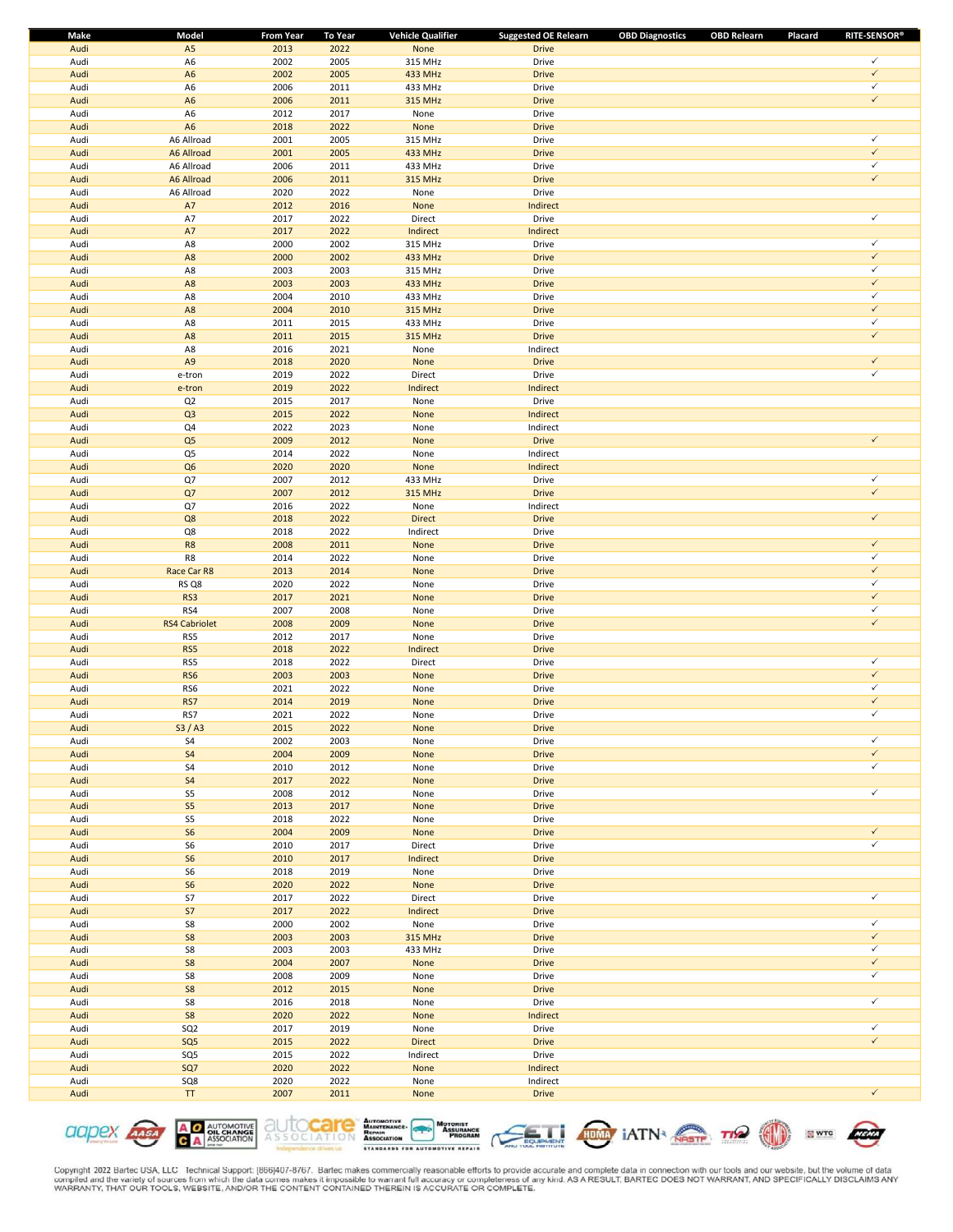| Make         | Model            | <b>From Year</b> | To Year      | <b>Vehicle Qualifier</b> | <b>Suggested OE Relearn</b> | <b>OBD Diagnostics</b><br><b>OBD Relearn</b> | <b>RITE-SENSOR®</b><br>Placard |
|--------------|------------------|------------------|--------------|--------------------------|-----------------------------|----------------------------------------------|--------------------------------|
| Audi         | A <sub>5</sub>   | 2013             | 2022         | None                     | <b>Drive</b>                |                                              |                                |
| Audi         | A6               | 2002             | 2005         | 315 MHz                  | Drive                       |                                              | $\checkmark$                   |
| Audi         | A <sub>6</sub>   | 2002             | 2005         | <b>433 MHz</b>           | <b>Drive</b>                |                                              | $\checkmark$                   |
| Audi         | A <sub>6</sub>   | 2006             | 2011         | 433 MHz                  | Drive                       |                                              | $\checkmark$                   |
| Audi         | A <sub>6</sub>   | 2006             | 2011         | 315 MHz                  | <b>Drive</b>                |                                              | $\checkmark$                   |
| Audi         | A <sub>6</sub>   | 2012             | 2017         | None                     | Drive                       |                                              |                                |
| Audi         | A <sub>6</sub>   | 2018             | 2022         | None                     | <b>Drive</b>                |                                              |                                |
| Audi         | A6 Allroad       | 2001             | 2005         | 315 MHz                  | Drive                       |                                              | $\checkmark$                   |
| Audi         | A6 Allroad       | 2001             | 2005         | 433 MHz                  | <b>Drive</b>                |                                              | $\checkmark$                   |
| Audi         | A6 Allroad       | 2006             | 2011         | 433 MHz                  | Drive                       |                                              | $\checkmark$                   |
| Audi         | A6 Allroad       | 2006             | 2011         | 315 MHz                  | <b>Drive</b>                |                                              | $\checkmark$                   |
| Audi         | A6 Allroad       | 2020             | 2022         | None                     | Drive                       |                                              |                                |
| Audi         | $\mathsf{A7}$    | 2012             | 2016         | None                     | Indirect                    |                                              |                                |
| Audi         | A7               | 2017             | 2022         | Direct                   | Drive                       |                                              | $\checkmark$                   |
| Audi         | A7               | 2017             | 2022         | Indirect                 | Indirect                    |                                              |                                |
| Audi         | A8               | 2000             | 2002         | 315 MHz                  | Drive                       |                                              | $\checkmark$                   |
| Audi         | A8               | 2000             | 2002         | 433 MHz                  | <b>Drive</b>                |                                              | $\checkmark$                   |
| Audi         | A8               | 2003             | 2003         | 315 MHz                  | Drive                       |                                              | $\checkmark$                   |
| Audi         | A8               | 2003             | 2003         | 433 MHz                  | <b>Drive</b>                |                                              | $\checkmark$                   |
| Audi         | A8               | 2004             | 2010         | 433 MHz                  | Drive                       |                                              | $\checkmark$                   |
| Audi         | A8               | 2004             | 2010         | 315 MHz                  | <b>Drive</b>                |                                              | $\checkmark$                   |
| Audi         | A8               | 2011             | 2015         | 433 MHz                  | Drive                       |                                              | $\checkmark$                   |
| Audi         | A8               | 2011             | 2015         | 315 MHz                  | <b>Drive</b>                |                                              | $\checkmark$                   |
| Audi         | A8               | 2016             | 2021         | None                     | Indirect                    |                                              |                                |
| Audi         | A <sub>9</sub>   | 2018             | 2020         | None                     | <b>Drive</b>                |                                              | $\checkmark$                   |
| Audi         | e-tron           | 2019             | 2022         | Direct                   | Drive                       |                                              | $\checkmark$                   |
| Audi         | e-tron           | 2019             | 2022         | Indirect                 | Indirect                    |                                              |                                |
| Audi         | Q <sub>2</sub>   | 2015             | 2017         | None                     | Drive                       |                                              |                                |
| Audi         | Q <sub>3</sub>   | 2015             | 2022         | None                     | Indirect                    |                                              |                                |
| Audi         | Q4               | 2022             | 2023         | None                     | Indirect                    |                                              |                                |
| Audi         | Q <sub>5</sub>   | 2009             | 2012         | None                     | <b>Drive</b>                |                                              | $\checkmark$                   |
| Audi         | Q5               | 2014             | 2022         | None                     | Indirect                    |                                              |                                |
| Audi         | Q <sub>6</sub>   | 2020             | 2020         | None                     | Indirect                    |                                              |                                |
| Audi         | Q7               | 2007             | 2012         | 433 MHz                  | Drive                       |                                              | $\checkmark$                   |
| Audi         | Q7               | 2007             | 2012         | 315 MHz                  | <b>Drive</b>                |                                              | $\checkmark$                   |
| Audi         | Q7               | 2016             | 2022         | None                     | Indirect                    |                                              |                                |
| Audi         | Q8               | 2018             | 2022         | <b>Direct</b>            | <b>Drive</b>                |                                              | $\checkmark$                   |
| Audi         | Q8               | 2018             | 2022         | Indirect                 | Drive                       |                                              |                                |
| Audi         | R8               | 2008             | 2011         | None                     | <b>Drive</b>                |                                              | $\checkmark$                   |
| Audi         | R8               | 2014             | 2022         | None                     | Drive                       |                                              | $\checkmark$                   |
| Audi         | Race Car R8      | 2013             | 2014         | None                     | <b>Drive</b>                |                                              | $\checkmark$<br>$\checkmark$   |
| Audi         | RS Q8            | 2020             | 2022         | None                     | Drive                       |                                              |                                |
| Audi         | RS3              | 2017             | 2021         | None                     | <b>Drive</b>                |                                              | $\checkmark$<br>$\checkmark$   |
| Audi         | RS4              | 2007             | 2008         | None                     | Drive                       |                                              |                                |
| Audi         | RS4 Cabriolet    | 2008             | 2009         | None                     | <b>Drive</b>                |                                              | $\checkmark$                   |
| Audi         | RS5              | 2012             | 2017         | None                     | Drive                       |                                              |                                |
| Audi         | RS5              | 2018             | 2022         | Indirect                 | <b>Drive</b>                |                                              | $\checkmark$                   |
| Audi         | RS5              | 2018             | 2022         | Direct                   | Drive                       |                                              | $\checkmark$                   |
| Audi         | RS6              | 2003             | 2003         | None                     | <b>Drive</b>                |                                              | $\checkmark$                   |
| Audi         | RS6              | 2021             | 2022         | None                     | Drive                       |                                              | $\checkmark$                   |
| Audi         | RS7              | 2014             | 2019         | None                     | <b>Drive</b>                |                                              | $\checkmark$                   |
| Audi         | RS7              | 2021<br>2015     | 2022<br>2022 | None                     | Drive                       |                                              |                                |
| Audi         | S3/AS            |                  |              | <b>None</b>              | <b>Drive</b>                |                                              | $\checkmark$                   |
| Audi         | S <sub>4</sub>   | 2002             | 2003         | None                     | Drive                       |                                              | $\checkmark$                   |
| Audi         | S <sub>4</sub>   | 2004             | 2009         | None                     | <b>Drive</b>                |                                              | $\checkmark$                   |
| Audi         | S4<br>${\sf S4}$ | 2010             | 2012         | None                     | Drive                       |                                              |                                |
| Audi<br>Audi | S5               | 2017             | 2022         | None                     | <b>Drive</b><br>Drive       |                                              | $\checkmark$                   |
| Audi         | $S5\,$           | 2008<br>2013     | 2012<br>2017 | None<br>None             | <b>Drive</b>                |                                              |                                |
| Audi         | S5               | 2018             | 2022         | None                     | Drive                       |                                              |                                |
| Audi         | S <sub>6</sub>   | 2004             | 2009         | None                     | <b>Drive</b>                |                                              | $\checkmark$                   |
| Audi         | ${\sf S6}$       | 2010             | 2017         | Direct                   | Drive                       |                                              | $\checkmark$                   |
| Audi         | ${\sf S6}$       | 2010             | 2017         | Indirect                 | <b>Drive</b>                |                                              |                                |
| Audi         | S6               | 2018             | 2019         | None                     | Drive                       |                                              |                                |
| Audi         | ${\sf S6}$       | 2020             | 2022         | None                     | <b>Drive</b>                |                                              |                                |
| Audi         | S7               | 2017             | 2022         | Direct                   | Drive                       |                                              | $\checkmark$                   |
| Audi         | ${\sf S7}$       | 2017             | 2022         | Indirect                 | <b>Drive</b>                |                                              |                                |
| Audi         | S8               | 2000             | 2002         | None                     | Drive                       |                                              | $\checkmark$                   |
| Audi         | ${\sf S8}$       | 2003             | 2003         | 315 MHz                  | <b>Drive</b>                |                                              | $\checkmark$                   |
| Audi         | S8               | 2003             | 2003         | 433 MHz                  | Drive                       |                                              | $\checkmark$                   |
| Audi         | S8               | 2004             | 2007         | None                     | <b>Drive</b>                |                                              | $\checkmark$                   |
| Audi         | S8               | 2008             | 2009         | None                     | Drive                       |                                              | $\checkmark$                   |
| Audi         | ${\sf S8}$       | 2012             | 2015         | None                     | <b>Drive</b>                |                                              |                                |
| Audi         | S8               | 2016             | 2018         | None                     | Drive                       |                                              | $\checkmark$                   |
| Audi         | S8               | 2020             | 2022         | None                     | Indirect                    |                                              |                                |
| Audi         | SQ <sub>2</sub>  | 2017             | 2019         | None                     | Drive                       |                                              | $\checkmark$                   |
| Audi         | SQ5              | 2015             | 2022         | <b>Direct</b>            | <b>Drive</b>                |                                              | $\checkmark$                   |
| Audi         | SQ5              | 2015             | 2022         | Indirect                 | Drive                       |                                              |                                |
| Audi         | SQ7              | 2020             | 2022         | None                     | Indirect                    |                                              |                                |
| Audi         | SQ8              | 2020             | 2022         | None                     | Indirect                    |                                              |                                |
| Audi         | TT               | 2007             | 2011         | None                     | <b>Drive</b>                |                                              | $\checkmark$                   |
|              |                  |                  |              |                          |                             |                                              |                                |











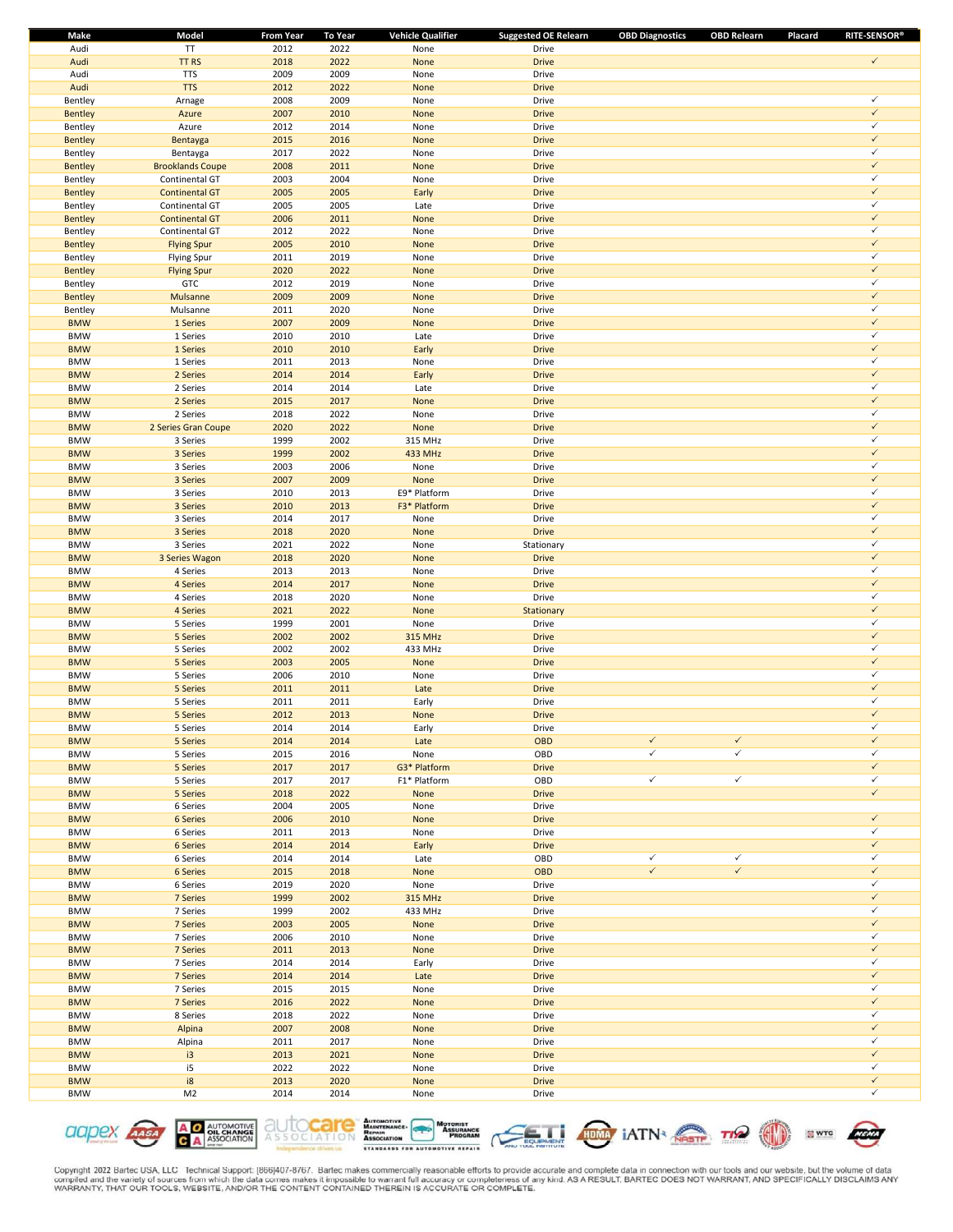| Make           | Model                   | From Year | <b>To Year</b> | <b>Vehicle Qualifier</b> | <b>Suggested OE Relearn</b> | <b>OBD Diagnostics</b> | <b>OBD Relearn</b> | <b>RITE-SENSOR®</b><br>Placard |  |
|----------------|-------------------------|-----------|----------------|--------------------------|-----------------------------|------------------------|--------------------|--------------------------------|--|
| Audi           | TT                      | 2012      | 2022           | None                     | Drive                       |                        |                    |                                |  |
| Audi           | TT <sub>RS</sub>        | 2018      | 2022           | None                     | <b>Drive</b>                |                        |                    | $\checkmark$                   |  |
| Audi           | <b>TTS</b>              | 2009      | 2009           | None                     | Drive                       |                        |                    |                                |  |
| Audi           | <b>TTS</b>              | 2012      | 2022           | None                     | <b>Drive</b>                |                        |                    |                                |  |
| Bentley        | Arnage                  | 2008      | 2009           | None                     | Drive                       |                        |                    | ✓                              |  |
| <b>Bentley</b> | Azure                   | 2007      | 2010           | None                     | <b>Drive</b>                |                        |                    | $\checkmark$                   |  |
| Bentley        | Azure                   | 2012      | 2014           | None                     | Drive                       |                        |                    | ✓                              |  |
| <b>Bentley</b> | Bentayga                | 2015      | 2016           | None                     | <b>Drive</b>                |                        |                    | $\checkmark$                   |  |
| Bentley        | Bentayga                | 2017      | 2022           | None                     | Drive                       |                        |                    | ✓                              |  |
| <b>Bentley</b> | <b>Brooklands Coupe</b> | 2008      | 2011           | None                     | <b>Drive</b>                |                        |                    | $\checkmark$                   |  |
| Bentley        | Continental GT          | 2003      | 2004           | None                     | Drive                       |                        |                    | ✓                              |  |
| <b>Bentley</b> | <b>Continental GT</b>   | 2005      | 2005           | Early                    | <b>Drive</b>                |                        |                    | $\checkmark$                   |  |
|                |                         |           |                |                          |                             |                        |                    | ✓                              |  |
| Bentley        | Continental GT          | 2005      | 2005           | Late                     | Drive                       |                        |                    | $\checkmark$                   |  |
| <b>Bentley</b> | <b>Continental GT</b>   | 2006      | 2011           | None                     | <b>Drive</b>                |                        |                    |                                |  |
| Bentley        | Continental GT          | 2012      | 2022           | None                     | Drive                       |                        |                    | ✓                              |  |
| <b>Bentley</b> | <b>Flying Spur</b>      | 2005      | 2010           | None                     | <b>Drive</b>                |                        |                    | $\checkmark$                   |  |
| Bentley        | <b>Flying Spur</b>      | 2011      | 2019           | None                     | Drive                       |                        |                    | ✓                              |  |
| <b>Bentley</b> | <b>Flying Spur</b>      | 2020      | 2022           | None                     | <b>Drive</b>                |                        |                    | $\checkmark$                   |  |
| Bentley        | GTC                     | 2012      | 2019           | None                     | Drive                       |                        |                    | ✓                              |  |
| <b>Bentley</b> | Mulsanne                | 2009      | 2009           | None                     | <b>Drive</b>                |                        |                    | $\checkmark$                   |  |
| Bentley        | Mulsanne                | 2011      | 2020           | None                     | Drive                       |                        |                    | ✓                              |  |
| <b>BMW</b>     | 1 Series                | 2007      | 2009           | None                     | <b>Drive</b>                |                        |                    | $\checkmark$                   |  |
| <b>BMW</b>     | 1 Series                | 2010      | 2010           | Late                     | Drive                       |                        |                    | ✓                              |  |
| <b>BMW</b>     | 1 Series                | 2010      | 2010           | Early                    | <b>Drive</b>                |                        |                    | $\checkmark$                   |  |
| <b>BMW</b>     | 1 Series                | 2011      | 2013           | None                     | Drive                       |                        |                    | ✓                              |  |
| <b>BMW</b>     | 2 Series                | 2014      | 2014           | Early                    | <b>Drive</b>                |                        |                    | $\checkmark$                   |  |
| <b>BMW</b>     | 2 Series                | 2014      | 2014           | Late                     | Drive                       |                        |                    | ✓                              |  |
| <b>BMW</b>     | 2 Series                | 2015      | 2017           | None                     | <b>Drive</b>                |                        |                    | $\checkmark$                   |  |
| <b>BMW</b>     | 2 Series                | 2018      | 2022           | None                     | Drive                       |                        |                    | ✓                              |  |
| <b>BMW</b>     | 2 Series Gran Coupe     | 2020      | 2022           | None                     | <b>Drive</b>                |                        |                    | $\checkmark$                   |  |
|                |                         |           |                |                          |                             |                        |                    | ✓                              |  |
| <b>BMW</b>     | 3 Series                | 1999      | 2002           | 315 MHz                  | Drive                       |                        |                    | $\checkmark$                   |  |
| <b>BMW</b>     | 3 Series                | 1999      | 2002           | 433 MHz                  | <b>Drive</b>                |                        |                    |                                |  |
| <b>BMW</b>     | 3 Series                | 2003      | 2006           | None                     | Drive                       |                        |                    | ✓                              |  |
| <b>BMW</b>     | 3 Series                | 2007      | 2009           | None                     | <b>Drive</b>                |                        |                    | $\checkmark$                   |  |
| <b>BMW</b>     | 3 Series                | 2010      | 2013           | E9* Platform             | Drive                       |                        |                    | ✓                              |  |
| <b>BMW</b>     | 3 Series                | 2010      | 2013           | F3* Platform             | <b>Drive</b>                |                        |                    | $\checkmark$                   |  |
| <b>BMW</b>     | 3 Series                | 2014      | 2017           | None                     | Drive                       |                        |                    | ✓                              |  |
| <b>BMW</b>     | 3 Series                | 2018      | 2020           | None                     | <b>Drive</b>                |                        |                    | $\checkmark$                   |  |
| <b>BMW</b>     | 3 Series                | 2021      | 2022           | None                     | Stationary                  |                        |                    | $\checkmark$                   |  |
| <b>BMW</b>     | 3 Series Wagon          | 2018      | 2020           | None                     | <b>Drive</b>                |                        |                    | $\checkmark$                   |  |
| <b>BMW</b>     | 4 Series                | 2013      | 2013           | None                     | Drive                       |                        |                    | ✓                              |  |
| <b>BMW</b>     | 4 Series                | 2014      | 2017           | None                     | <b>Drive</b>                |                        |                    | $\checkmark$                   |  |
| <b>BMW</b>     | 4 Series                | 2018      | 2020           | None                     | Drive                       |                        |                    | ✓                              |  |
| <b>BMW</b>     | 4 Series                | 2021      | 2022           | None                     | Stationary                  |                        |                    | $\checkmark$                   |  |
| <b>BMW</b>     | 5 Series                | 1999      | 2001           | None                     | Drive                       |                        |                    | ✓                              |  |
| <b>BMW</b>     | 5 Series                | 2002      | 2002           | 315 MHz                  | <b>Drive</b>                |                        |                    | $\checkmark$                   |  |
| <b>BMW</b>     | 5 Series                | 2002      | 2002           | 433 MHz                  | Drive                       |                        |                    | ✓                              |  |
| <b>BMW</b>     | 5 Series                | 2003      | 2005           | None                     | <b>Drive</b>                |                        |                    | $\checkmark$                   |  |
| <b>BMW</b>     | 5 Series                | 2006      | 2010           | None                     | Drive                       |                        |                    | ✓                              |  |
| <b>BMW</b>     | 5 Series                | 2011      | 2011           | Late                     | <b>Drive</b>                |                        |                    | $\checkmark$                   |  |
| <b>BMW</b>     | 5 Series                | 2011      | 2011           | Early                    | Drive                       |                        |                    | ✓                              |  |
| <b>BMW</b>     | 5 Series                | 2012      | 2013           | None                     | <b>Drive</b>                |                        |                    | $\checkmark$                   |  |
|                |                         |           |                |                          |                             |                        |                    | ✓                              |  |
| <b>BMW</b>     | 5 Series                | 2014      | 2014           | Early                    | <b>Drive</b>                | $\checkmark$           | $\checkmark$       | $\checkmark$                   |  |
| <b>BMW</b>     | 5 Series                | 2014      | 2014           | Late                     | OBD                         | ✓                      | $\checkmark$       | ✓                              |  |
| <b>BMW</b>     | 5 Series                | 2015      | 2016           | None                     | OBD                         |                        |                    |                                |  |
| <b>BMW</b>     | 5 Series                | 2017      | 2017           | G3* Platform             | <b>Drive</b>                |                        |                    | $\checkmark$                   |  |
| <b>BMW</b>     | 5 Series                | 2017      | 2017           | F1* Platform             | OBD                         | $\checkmark$           | $\checkmark$       | ✓                              |  |
| <b>BMW</b>     | 5 Series                | 2018      | 2022           | None                     | <b>Drive</b>                |                        |                    | $\checkmark$                   |  |
| <b>BMW</b>     | 6 Series                | 2004      | 2005           | None                     | Drive                       |                        |                    |                                |  |
| <b>BMW</b>     | 6 Series                | 2006      | 2010           | None                     | <b>Drive</b>                |                        |                    | $\checkmark$                   |  |
| <b>BMW</b>     | 6 Series                | 2011      | 2013           | None                     | Drive                       |                        |                    | ✓                              |  |
| <b>BMW</b>     | 6 Series                | 2014      | 2014           | Early                    | <b>Drive</b>                |                        |                    | $\checkmark$                   |  |
| <b>BMW</b>     | 6 Series                | 2014      | 2014           | Late                     | OBD                         | $\checkmark$           | $\checkmark$       | ✓                              |  |
| <b>BMW</b>     | 6 Series                | 2015      | 2018           | None                     | <b>OBD</b>                  | $\checkmark$           | $\checkmark$       | $\checkmark$                   |  |
| <b>BMW</b>     | 6 Series                | 2019      | 2020           | None                     | Drive                       |                        |                    | ✓                              |  |
| <b>BMW</b>     | 7 Series                | 1999      | 2002           | 315 MHz                  | <b>Drive</b>                |                        |                    | $\checkmark$                   |  |
| <b>BMW</b>     | 7 Series                | 1999      | 2002           | 433 MHz                  | Drive                       |                        |                    | ✓                              |  |
| <b>BMW</b>     | 7 Series                | 2003      | 2005           | None                     | <b>Drive</b>                |                        |                    | $\checkmark$                   |  |
| <b>BMW</b>     | 7 Series                | 2006      | 2010           | None                     | Drive                       |                        |                    | ✓                              |  |
| <b>BMW</b>     | 7 Series                | 2011      | 2013           | None                     | <b>Drive</b>                |                        |                    | $\checkmark$                   |  |
| <b>BMW</b>     | 7 Series                | 2014      | 2014           | Early                    | Drive                       |                        |                    | ✓                              |  |
| <b>BMW</b>     | 7 Series                | 2014      | 2014           | Late                     | <b>Drive</b>                |                        |                    | $\checkmark$                   |  |
| <b>BMW</b>     | 7 Series                | 2015      | 2015           | None                     | Drive                       |                        |                    | ✓                              |  |
| <b>BMW</b>     | 7 Series                | 2016      | 2022           | None                     | <b>Drive</b>                |                        |                    | $\checkmark$                   |  |
| <b>BMW</b>     | 8 Series                | 2018      | 2022           | None                     | Drive                       |                        |                    | ✓                              |  |
| <b>BMW</b>     |                         | 2007      | 2008           |                          | <b>Drive</b>                |                        |                    | $\checkmark$                   |  |
|                | Alpina                  |           |                | None                     |                             |                        |                    | ✓                              |  |
| <b>BMW</b>     | Alpina                  | 2011      | 2017           | None                     | Drive                       |                        |                    | $\checkmark$                   |  |
| <b>BMW</b>     | i3                      | 2013      | 2021           | None                     | <b>Drive</b>                |                        |                    | ✓                              |  |
| <b>BMW</b>     | i5                      | 2022      | 2022           | None                     | Drive                       |                        |                    |                                |  |
| <b>BMW</b>     | i8                      | 2013      | 2020           | None                     | <b>Drive</b>                |                        |                    | $\checkmark$                   |  |
| <b>BMW</b>     | M <sub>2</sub>          | 2014      | 2014           | None                     | Drive                       |                        |                    | ✓                              |  |











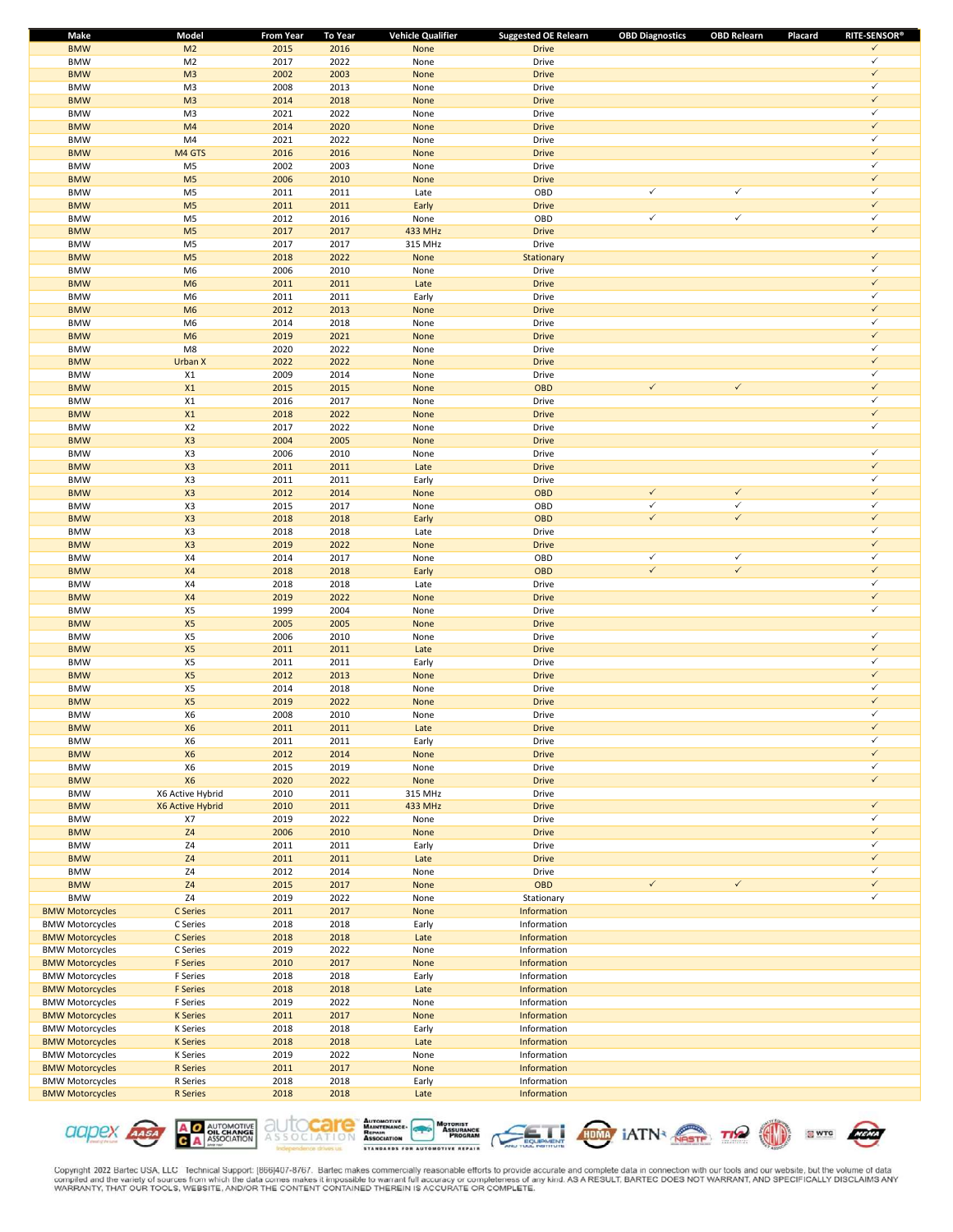| <b>Make</b>            | Model            | <b>From Year</b> | <b>To Year</b> | <b>Vehicle Qualifier</b> | <b>Suggested OE Relearn</b> | <b>OBD Diagnostics</b> | <b>OBD Relearn</b> | Placard | <b>RITE-SENSOR®</b> |
|------------------------|------------------|------------------|----------------|--------------------------|-----------------------------|------------------------|--------------------|---------|---------------------|
| <b>BMW</b>             | M <sub>2</sub>   | 2015             | 2016           | None                     | <b>Drive</b>                |                        |                    |         | $\checkmark$        |
| <b>BMW</b>             | M <sub>2</sub>   | 2017             | 2022           | None                     | Drive                       |                        |                    |         | $\checkmark$        |
| <b>BMW</b>             | M <sub>3</sub>   | 2002             | 2003           | None                     | <b>Drive</b>                |                        |                    |         | $\checkmark$        |
| <b>BMW</b>             | M3               | 2008             | 2013           | None                     | Drive                       |                        |                    |         | $\checkmark$        |
| <b>BMW</b>             | M <sub>3</sub>   | 2014             | 2018           | None                     | <b>Drive</b>                |                        |                    |         | $\checkmark$        |
| <b>BMW</b>             | M3               | 2021             | 2022           | None                     | Drive                       |                        |                    |         | $\checkmark$        |
| <b>BMW</b>             | M4               | 2014             | 2020           | None                     | <b>Drive</b>                |                        |                    |         | $\checkmark$        |
| <b>BMW</b>             | M4               | 2021             | 2022           | None                     | Drive                       |                        |                    |         | $\checkmark$        |
| <b>BMW</b>             | M4 GTS           | 2016             | 2016           | None                     | <b>Drive</b>                |                        |                    |         | $\checkmark$        |
| <b>BMW</b>             | M <sub>5</sub>   | 2002             | 2003           | None                     | Drive                       |                        |                    |         | $\checkmark$        |
|                        |                  |                  |                |                          |                             |                        |                    |         | $\checkmark$        |
| <b>BMW</b>             | M <sub>5</sub>   | 2006             | 2010           | None                     | <b>Drive</b>                |                        |                    |         | $\checkmark$        |
| <b>BMW</b>             | M <sub>5</sub>   | 2011             | 2011           | Late                     | OBD                         | $\checkmark$           | $\checkmark$       |         |                     |
| <b>BMW</b>             | M <sub>5</sub>   | 2011             | 2011           | Early                    | <b>Drive</b>                |                        |                    |         | $\checkmark$        |
| <b>BMW</b>             | M <sub>5</sub>   | 2012             | 2016           | None                     | OBD                         | $\checkmark$           | $\checkmark$       |         | $\checkmark$        |
| <b>BMW</b>             | M <sub>5</sub>   | 2017             | 2017           | 433 MHz                  | <b>Drive</b>                |                        |                    |         | $\checkmark$        |
| <b>BMW</b>             | M <sub>5</sub>   | 2017             | 2017           | 315 MHz                  | Drive                       |                        |                    |         |                     |
| <b>BMW</b>             | M <sub>5</sub>   | 2018             | 2022           | None                     | Stationary                  |                        |                    |         | $\checkmark$        |
| <b>BMW</b>             | M <sub>6</sub>   | 2006             | 2010           | None                     | Drive                       |                        |                    |         | $\checkmark$        |
| <b>BMW</b>             | M <sub>6</sub>   | 2011             | 2011           | Late                     | <b>Drive</b>                |                        |                    |         | $\checkmark$        |
| <b>BMW</b>             | M <sub>6</sub>   | 2011             | 2011           | Early                    | Drive                       |                        |                    |         | $\checkmark$        |
| <b>BMW</b>             | M <sub>6</sub>   | 2012             | 2013           | None                     | <b>Drive</b>                |                        |                    |         | $\checkmark$        |
| <b>BMW</b>             | M <sub>6</sub>   | 2014             | 2018           | None                     | Drive                       |                        |                    |         | $\checkmark$        |
| <b>BMW</b>             | M <sub>6</sub>   | 2019             | 2021           | None                     | <b>Drive</b>                |                        |                    |         | $\checkmark$        |
| <b>BMW</b>             | M8               | 2020             | 2022           | None                     | Drive                       |                        |                    |         | $\checkmark$        |
|                        |                  |                  |                |                          |                             |                        |                    |         | $\checkmark$        |
| <b>BMW</b>             | Urban X          | 2022             | 2022           | None                     | <b>Drive</b>                |                        |                    |         | $\checkmark$        |
| <b>BMW</b>             | X1               | 2009             | 2014           | None                     | Drive                       |                        |                    |         |                     |
| <b>BMW</b>             | X1               | 2015             | 2015           | None                     | OBD                         | $\checkmark$           | $\checkmark$       |         | $\checkmark$        |
| <b>BMW</b>             | X1               | 2016             | 2017           | None                     | Drive                       |                        |                    |         | $\checkmark$        |
| <b>BMW</b>             | X1               | 2018             | 2022           | None                     | <b>Drive</b>                |                        |                    |         | $\checkmark$        |
| <b>BMW</b>             | X2               | 2017             | 2022           | None                     | Drive                       |                        |                    |         | $\checkmark$        |
| <b>BMW</b>             | X3               | 2004             | 2005           | None                     | <b>Drive</b>                |                        |                    |         |                     |
| <b>BMW</b>             | X3               | 2006             | 2010           | None                     | Drive                       |                        |                    |         | $\checkmark$        |
| <b>BMW</b>             | X3               | 2011             | 2011           | Late                     | <b>Drive</b>                |                        |                    |         | $\checkmark$        |
| <b>BMW</b>             | X3               | 2011             | 2011           | Early                    | Drive                       |                        |                    |         | $\checkmark$        |
| <b>BMW</b>             | X3               | 2012             | 2014           | None                     | <b>OBD</b>                  | $\checkmark$           | $\checkmark$       |         | $\checkmark$        |
| <b>BMW</b>             | X3               | 2015             | 2017           | None                     | OBD                         | $\checkmark$           | $\checkmark$       |         | $\checkmark$        |
| <b>BMW</b>             | X3               | 2018             | 2018           | Early                    | OBD                         | $\checkmark$           | $\checkmark$       |         | $\checkmark$        |
|                        |                  |                  |                |                          |                             |                        |                    |         | $\checkmark$        |
| <b>BMW</b>             | X3               | 2018             | 2018           | Late                     | Drive                       |                        |                    |         | $\checkmark$        |
| <b>BMW</b>             | X3               | 2019             | 2022           | None                     | <b>Drive</b>                |                        |                    |         |                     |
| <b>BMW</b>             | X4               | 2014             | 2017           | None                     | OBD                         | $\checkmark$           | $\checkmark$       |         | $\checkmark$        |
| <b>BMW</b>             | X <sub>4</sub>   | 2018             | 2018           | Early                    | OBD                         | $\checkmark$           | $\checkmark$       |         | $\checkmark$        |
| <b>BMW</b>             | X4               | 2018             | 2018           | Late                     | Drive                       |                        |                    |         | $\checkmark$        |
| <b>BMW</b>             | X <sub>4</sub>   | 2019             | 2022           | None                     | <b>Drive</b>                |                        |                    |         | $\checkmark$        |
| <b>BMW</b>             | X5               | 1999             | 2004           | None                     | Drive                       |                        |                    |         | $\checkmark$        |
| <b>BMW</b>             | X5               | 2005             | 2005           | None                     | <b>Drive</b>                |                        |                    |         |                     |
| <b>BMW</b>             | X5               | 2006             | 2010           | None                     | Drive                       |                        |                    |         | $\checkmark$        |
| <b>BMW</b>             | X5               | 2011             | 2011           | Late                     | <b>Drive</b>                |                        |                    |         | $\checkmark$        |
| <b>BMW</b>             | X5               | 2011             | 2011           | Early                    | Drive                       |                        |                    |         | $\checkmark$        |
| <b>BMW</b>             | X5               | 2012             | 2013           | None                     | <b>Drive</b>                |                        |                    |         | $\checkmark$        |
| <b>BMW</b>             | X5               | 2014             | 2018           | None                     | Drive                       |                        |                    |         | $\checkmark$        |
| <b>BMW</b>             | X5               | 2019             | 2022           | None                     | <b>Drive</b>                |                        |                    |         | $\checkmark$        |
| <b>BMW</b>             | X <sub>6</sub>   | 2008             | 2010           | None                     | Drive                       |                        |                    |         | $\checkmark$        |
|                        |                  |                  |                |                          |                             |                        |                    |         | $\checkmark$        |
| <b>BMW</b>             | <b>X6</b>        | 2011             | 2011           | Late                     | <b>Drive</b>                |                        |                    |         | $\checkmark$        |
| <b>BMW</b>             | X6               | 2011             | 2011           | Early                    | Drive                       |                        |                    |         |                     |
| <b>BMW</b>             | <b>X6</b>        | 2012             | 2014           | None                     | <b>Drive</b>                |                        |                    |         | $\checkmark$        |
| <b>BMW</b>             | X6               | 2015             | 2019           | None                     | Drive                       |                        |                    |         | $\checkmark$        |
| <b>BMW</b>             | <b>X6</b>        | 2020             | 2022           | None                     | <b>Drive</b>                |                        |                    |         | $\checkmark$        |
| <b>BMW</b>             | X6 Active Hybrid | 2010             | 2011           | 315 MHz                  | Drive                       |                        |                    |         |                     |
| <b>BMW</b>             | X6 Active Hybrid | 2010             | 2011           | 433 MHz                  | <b>Drive</b>                |                        |                    |         | $\checkmark$        |
| <b>BMW</b>             | X7               | 2019             | 2022           | None                     | Drive                       |                        |                    |         | $\checkmark$        |
| <b>BMW</b>             | Z <sub>4</sub>   | 2006             | 2010           | None                     | <b>Drive</b>                |                        |                    |         | $\checkmark$        |
| <b>BMW</b>             | Z4               | 2011             | 2011           | Early                    | Drive                       |                        |                    |         | $\checkmark$        |
| <b>BMW</b>             | <b>Z4</b>        | 2011             | 2011           | Late                     | <b>Drive</b>                |                        |                    |         | $\checkmark$        |
| <b>BMW</b>             | Z4               | 2012             | 2014           | None                     | Drive                       |                        |                    |         | $\checkmark$        |
| <b>BMW</b>             | Z <sub>4</sub>   | 2015             | 2017           | None                     | <b>OBD</b>                  | $\checkmark$           | $\checkmark$       |         | $\checkmark$        |
| <b>BMW</b>             | $\mathsf{Z}4$    | 2019             | 2022           | None                     | Stationary                  |                        |                    |         | $\checkmark$        |
| <b>BMW Motorcycles</b> | C Series         | 2011             | 2017           | None                     | Information                 |                        |                    |         |                     |
| <b>BMW Motorcycles</b> | C Series         | 2018             | 2018           | Early                    | Information                 |                        |                    |         |                     |
| <b>BMW Motorcycles</b> | C Series         | 2018             | 2018           | Late                     | Information                 |                        |                    |         |                     |
| <b>BMW Motorcycles</b> | C Series         | 2019             | 2022           | None                     | Information                 |                        |                    |         |                     |
|                        |                  |                  |                |                          |                             |                        |                    |         |                     |
| <b>BMW Motorcycles</b> | <b>F</b> Series  | 2010             | 2017           | None                     | Information                 |                        |                    |         |                     |
| <b>BMW Motorcycles</b> | F Series         | 2018             | 2018           | Early                    | Information                 |                        |                    |         |                     |
| <b>BMW Motorcycles</b> | <b>F</b> Series  | 2018             | 2018           | Late                     | Information                 |                        |                    |         |                     |
| <b>BMW Motorcycles</b> | F Series         | 2019             | 2022           | None                     | Information                 |                        |                    |         |                     |
| <b>BMW Motorcycles</b> | <b>K</b> Series  | 2011             | 2017           | None                     | Information                 |                        |                    |         |                     |
| <b>BMW Motorcycles</b> | K Series         | 2018             | 2018           | Early                    | Information                 |                        |                    |         |                     |
| <b>BMW Motorcycles</b> | <b>K</b> Series  | 2018             | 2018           | Late                     | Information                 |                        |                    |         |                     |
| <b>BMW Motorcycles</b> | K Series         | 2019             | 2022           | None                     | Information                 |                        |                    |         |                     |
| <b>BMW Motorcycles</b> | R Series         | 2011             | 2017           | None                     | Information                 |                        |                    |         |                     |
| <b>BMW Motorcycles</b> | R Series         | 2018             | 2018           | Early                    | Information                 |                        |                    |         |                     |
| <b>BMW Motorcycles</b> | R Series         | 2018             | 2018           | Late                     | Information                 |                        |                    |         |                     |
|                        |                  |                  |                |                          |                             |                        |                    |         |                     |

**A O AUTOMOTIVE**<br>**C A** ASSOCIATION aapex Assa





**SWTC** 

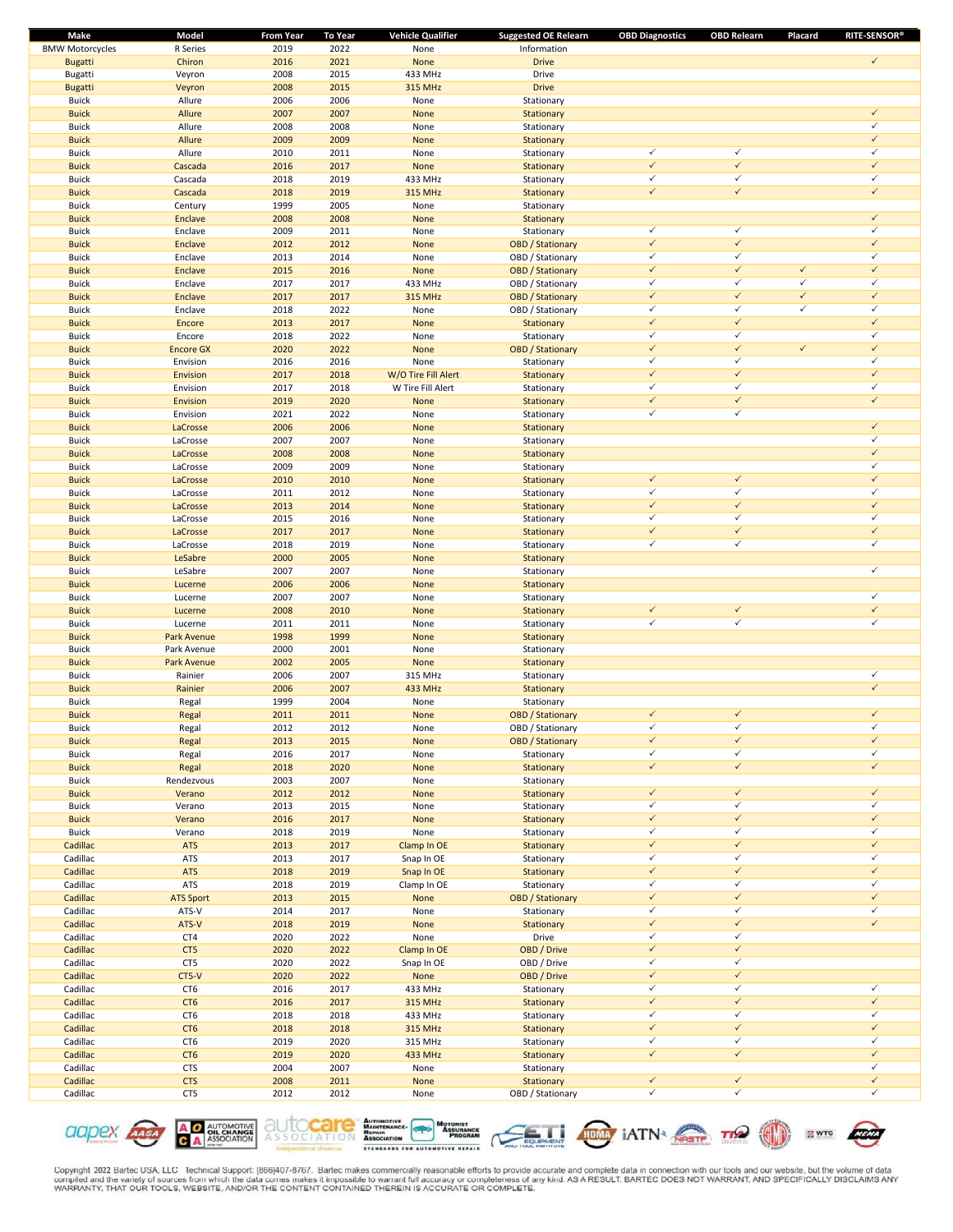| Make                   | Model            | <b>From Year</b> | To Year | <b>Vehicle Qualifier</b> | <b>Suggested OE Relearn</b> | <b>OBD Diagnostics</b> | <b>OBD Relearn</b> | Placard      | <b>RITE-SENSOR®</b> |
|------------------------|------------------|------------------|---------|--------------------------|-----------------------------|------------------------|--------------------|--------------|---------------------|
| <b>BMW Motorcycles</b> | R Series         | 2019             | 2022    | None                     | Information                 |                        |                    |              |                     |
| <b>Bugatti</b>         | Chiron           | 2016             | 2021    | None                     | <b>Drive</b>                |                        |                    |              | $\checkmark$        |
| Bugatti                | Veyron           | 2008             | 2015    | 433 MHz                  | Drive                       |                        |                    |              |                     |
| <b>Bugatti</b>         | Veyron           | 2008             | 2015    | 315 MHz                  | <b>Drive</b>                |                        |                    |              |                     |
| <b>Buick</b>           | Allure           | 2006             | 2006    | None                     | Stationary                  |                        |                    |              |                     |
| <b>Buick</b>           | Allure           | 2007             | 2007    | None                     | Stationary                  |                        |                    |              | $\checkmark$        |
| <b>Buick</b>           | Allure           | 2008             | 2008    | None                     | Stationary                  |                        |                    |              | $\checkmark$        |
| <b>Buick</b>           | Allure           | 2009             | 2009    | None                     | Stationary                  |                        |                    |              | $\checkmark$        |
| <b>Buick</b>           | Allure           | 2010             | 2011    | None                     | Stationary                  | $\checkmark$           | $\checkmark$       |              | $\checkmark$        |
| <b>Buick</b>           | Cascada          | 2016             | 2017    | None                     | Stationary                  | $\checkmark$           | $\checkmark$       |              | $\checkmark$        |
| <b>Buick</b>           | Cascada          | 2018             | 2019    | 433 MHz                  | Stationary                  | $\checkmark$           | $\checkmark$       |              | $\checkmark$        |
| <b>Buick</b>           | Cascada          | 2018             | 2019    | 315 MHz                  | Stationary                  | $\checkmark$           | $\checkmark$       |              | $\checkmark$        |
| <b>Buick</b>           | Century          | 1999             | 2005    | None                     | Stationary                  |                        |                    |              |                     |
| <b>Buick</b>           | Enclave          | 2008             | 2008    | None                     | Stationary                  |                        |                    |              | $\checkmark$        |
| <b>Buick</b>           | Enclave          | 2009             | 2011    | None                     | Stationary                  | $\checkmark$           | $\checkmark$       |              | $\checkmark$        |
| <b>Buick</b>           | Enclave          | 2012             | 2012    | None                     | <b>OBD</b> / Stationary     | $\checkmark$           | $\checkmark$       |              | $\checkmark$        |
| <b>Buick</b>           | Enclave          | 2013             | 2014    | None                     | OBD / Stationary            | $\checkmark$           | $\checkmark$       |              | $\checkmark$        |
| <b>Buick</b>           | <b>Enclave</b>   | 2015             | 2016    | None                     | <b>OBD</b> / Stationary     | $\checkmark$           | $\checkmark$       | $\checkmark$ | $\checkmark$        |
| <b>Buick</b>           | Enclave          | 2017             | 2017    | 433 MHz                  | OBD / Stationary            | $\checkmark$           | $\checkmark$       | $\checkmark$ | $\checkmark$        |
| <b>Buick</b>           | Enclave          | 2017             | 2017    | 315 MHz                  | <b>OBD</b> / Stationary     | $\checkmark$           | $\checkmark$       | $\checkmark$ | $\checkmark$        |
| <b>Buick</b>           | Enclave          | 2018             | 2022    | None                     | OBD / Stationary            | $\checkmark$           | $\checkmark$       | $\checkmark$ | $\checkmark$        |
| <b>Buick</b>           | Encore           | 2013             | 2017    | None                     | Stationary                  | $\checkmark$           | $\checkmark$       |              | $\checkmark$        |
|                        |                  |                  | 2022    |                          |                             | $\checkmark$           | $\checkmark$       |              | $\checkmark$        |
| <b>Buick</b>           | Encore           | 2018             |         | None                     | Stationary                  | $\checkmark$           | $\checkmark$       | $\checkmark$ | $\checkmark$        |
| <b>Buick</b>           | <b>Encore GX</b> | 2020             | 2022    | None                     | <b>OBD</b> / Stationary     |                        |                    |              |                     |
| <b>Buick</b>           | Envision         | 2016             | 2016    | None                     | Stationary                  | $\checkmark$           | $\checkmark$       |              | $\checkmark$        |
| <b>Buick</b>           | Envision         | 2017             | 2018    | W/O Tire Fill Alert      | Stationary                  | $\checkmark$           | $\checkmark$       |              | $\checkmark$        |
| <b>Buick</b>           | Envision         | 2017             | 2018    | W Tire Fill Alert        | Stationary                  | $\checkmark$           | $\checkmark$       |              | $\checkmark$        |
| <b>Buick</b>           | Envision         | 2019             | 2020    | None                     | Stationary                  | $\checkmark$           | $\checkmark$       |              | $\checkmark$        |
| <b>Buick</b>           | Envision         | 2021             | 2022    | None                     | Stationary                  | $\checkmark$           | $\checkmark$       |              |                     |
| <b>Buick</b>           | LaCrosse         | 2006             | 2006    | None                     | Stationary                  |                        |                    |              | $\checkmark$        |
| <b>Buick</b>           | LaCrosse         | 2007             | 2007    | None                     | Stationary                  |                        |                    |              | $\checkmark$        |
| <b>Buick</b>           | LaCrosse         | 2008             | 2008    | None                     | Stationary                  |                        |                    |              | $\checkmark$        |
| <b>Buick</b>           | LaCrosse         | 2009             | 2009    | None                     | Stationary                  |                        |                    |              | $\checkmark$        |
| <b>Buick</b>           | LaCrosse         | 2010             | 2010    | None                     | Stationary                  | $\checkmark$           | $\checkmark$       |              | $\checkmark$        |
| <b>Buick</b>           | LaCrosse         | 2011             | 2012    | None                     | Stationary                  | $\checkmark$           | $\checkmark$       |              | $\checkmark$        |
| <b>Buick</b>           | LaCrosse         | 2013             | 2014    | None                     | Stationary                  | $\checkmark$           | $\checkmark$       |              | $\checkmark$        |
| <b>Buick</b>           | LaCrosse         | 2015             | 2016    | None                     | Stationary                  | $\checkmark$           | $\checkmark$       |              | $\checkmark$        |
| <b>Buick</b>           | LaCrosse         | 2017             | 2017    | None                     | Stationary                  | $\checkmark$           | $\checkmark$       |              | $\checkmark$        |
| <b>Buick</b>           | LaCrosse         | 2018             | 2019    | None                     | Stationary                  | $\checkmark$           | $\checkmark$       |              | $\checkmark$        |
| <b>Buick</b>           | LeSabre          | 2000             | 2005    | None                     | Stationary                  |                        |                    |              |                     |
| <b>Buick</b>           | LeSabre          | 2007             | 2007    | None                     | Stationary                  |                        |                    |              | $\checkmark$        |
| <b>Buick</b>           | Lucerne          | 2006             | 2006    | None                     | Stationary                  |                        |                    |              |                     |
| <b>Buick</b>           | Lucerne          | 2007             | 2007    | None                     | Stationary                  |                        |                    |              | $\checkmark$        |
| <b>Buick</b>           | Lucerne          | 2008             | 2010    | None                     | Stationary                  | $\checkmark$           | $\checkmark$       |              | $\checkmark$        |
| <b>Buick</b>           | Lucerne          | 2011             | 2011    | None                     | Stationary                  | $\checkmark$           | $\checkmark$       |              | $\checkmark$        |
| <b>Buick</b>           | Park Avenue      | 1998             | 1999    | None                     | Stationary                  |                        |                    |              |                     |
| <b>Buick</b>           | Park Avenue      | 2000             | 2001    | None                     | Stationary                  |                        |                    |              |                     |
| <b>Buick</b>           |                  | 2002             | 2005    |                          |                             |                        |                    |              |                     |
|                        | Park Avenue      |                  |         | None                     | Stationary                  |                        |                    |              | $\checkmark$        |
| <b>Buick</b>           | Rainier          | 2006             | 2007    | 315 MHz                  | Stationary                  |                        |                    |              | $\checkmark$        |
| <b>Buick</b>           | Rainier          | 2006             | 2007    | 433 MHz                  | Stationary                  |                        |                    |              |                     |
| <b>Buick</b>           | Regal            | 1999             | 2004    | None                     | Stationary                  |                        |                    |              |                     |
| <b>Buick</b>           | Regal            | 2011             | 2011    | None                     | <b>OBD</b> / Stationary     | $\checkmark$           | $\checkmark$       |              | $\checkmark$        |
| <b>Buick</b>           | Regal            | 2012             | 2012    | None                     | OBD / Stationary            | ✓                      | ✓                  |              | ✓                   |
| <b>Buick</b>           | Regal            | 2013             | 2015    | None                     | <b>OBD</b> / Stationary     | $\checkmark$           | $\checkmark$       |              | $\checkmark$        |
| <b>Buick</b>           | Regal            | 2016             | 2017    | None                     | Stationary                  | $\checkmark$           | $\checkmark$       |              | $\checkmark$        |
| <b>Buick</b>           | Regal            | 2018             | 2020    | None                     | Stationary                  | $\checkmark$           | $\checkmark$       |              | $\checkmark$        |
| <b>Buick</b>           | Rendezvous       | 2003             | 2007    | None                     | Stationary                  |                        |                    |              |                     |
| <b>Buick</b>           | Verano           | 2012             | 2012    | None                     | Stationary                  | $\checkmark$           | $\checkmark$       |              | $\checkmark$        |
| Buick                  | Verano           | 2013             | 2015    | None                     | Stationary                  | $\checkmark$           | $\checkmark$       |              | $\checkmark$        |
| <b>Buick</b>           | Verano           | 2016             | 2017    | None                     | Stationary                  | $\checkmark$           | $\checkmark$       |              | $\checkmark$        |
| <b>Buick</b>           | Verano           | 2018             | 2019    | None                     | Stationary                  | $\checkmark$           | $\checkmark$       |              | $\checkmark$        |
| Cadillac               | ATS              | 2013             | 2017    | Clamp In OE              | Stationary                  | $\checkmark$           | $\checkmark$       |              | $\checkmark$        |
| Cadillac               | ATS              | 2013             | 2017    | Snap In OE               | Stationary                  | $\checkmark$           | $\checkmark$       |              | $\checkmark$        |
| Cadillac               | ATS              | 2018             | 2019    | Snap In OE               | Stationary                  | $\checkmark$           | $\checkmark$       |              | $\checkmark$        |
| Cadillac               | ATS              | 2018             | 2019    | Clamp In OE              | Stationary                  | $\checkmark$           | $\checkmark$       |              | $\checkmark$        |
| Cadillac               | <b>ATS Sport</b> | 2013             | 2015    | None                     | <b>OBD</b> / Stationary     | $\checkmark$           | $\checkmark$       |              | $\checkmark$        |
| Cadillac               | ATS-V            | 2014             | 2017    | None                     | Stationary                  | $\checkmark$           | $\checkmark$       |              | $\checkmark$        |
| Cadillac               | ATS-V            | 2018             | 2019    | None                     | Stationary                  | $\checkmark$           | $\checkmark$       |              | $\checkmark$        |
| Cadillac               | CT4              | 2020             | 2022    | None                     | Drive                       | $\checkmark$           | $\checkmark$       |              |                     |
| Cadillac               | CT5              | 2020             | 2022    | Clamp In OE              | OBD / Drive                 | $\checkmark$           | $\checkmark$       |              |                     |
| Cadillac               | CT5              | 2020             | 2022    | Snap In OE               | OBD / Drive                 | $\checkmark$           | $\checkmark$       |              |                     |
| Cadillac               | CT5-V            | 2020             | 2022    | None                     | OBD / Drive                 | $\checkmark$           | $\checkmark$       |              |                     |
| Cadillac               | CT6              | 2016             | 2017    | 433 MHz                  | Stationary                  | $\checkmark$           | $\checkmark$       |              | $\checkmark$        |
| Cadillac               | CT <sub>6</sub>  | 2016             | 2017    | 315 MHz                  | Stationary                  | $\checkmark$           | $\checkmark$       |              | $\checkmark$        |
| Cadillac               | CT6              | 2018             | 2018    |                          |                             | $\checkmark$           | $\checkmark$       |              | $\checkmark$        |
| Cadillac               | CT <sub>6</sub>  | 2018             | 2018    | 433 MHz                  | Stationary<br>Stationary    | $\checkmark$           | $\checkmark$       |              | $\checkmark$        |
|                        |                  |                  | 2020    | 315 MHz                  |                             | $\checkmark$           | $\checkmark$       |              | $\checkmark$        |
| Cadillac               | CT6              | 2019             |         | 315 MHz                  | Stationary                  | $\checkmark$           | $\checkmark$       |              | $\checkmark$        |
| Cadillac               | CT <sub>6</sub>  | 2019             | 2020    | 433 MHz                  | Stationary                  |                        |                    |              | $\checkmark$        |
| Cadillac               | <b>CTS</b>       | 2004             | 2007    | None                     | Stationary                  |                        |                    |              |                     |
| Cadillac               | <b>CTS</b>       | 2008             | 2011    | None                     | Stationary                  | $\checkmark$           | $\checkmark$       |              | $\checkmark$        |
| Cadillac               | <b>CTS</b>       | 2012             | 2012    | None                     | OBD / Stationary            | $\checkmark$           | $\checkmark$       |              | $\checkmark$        |











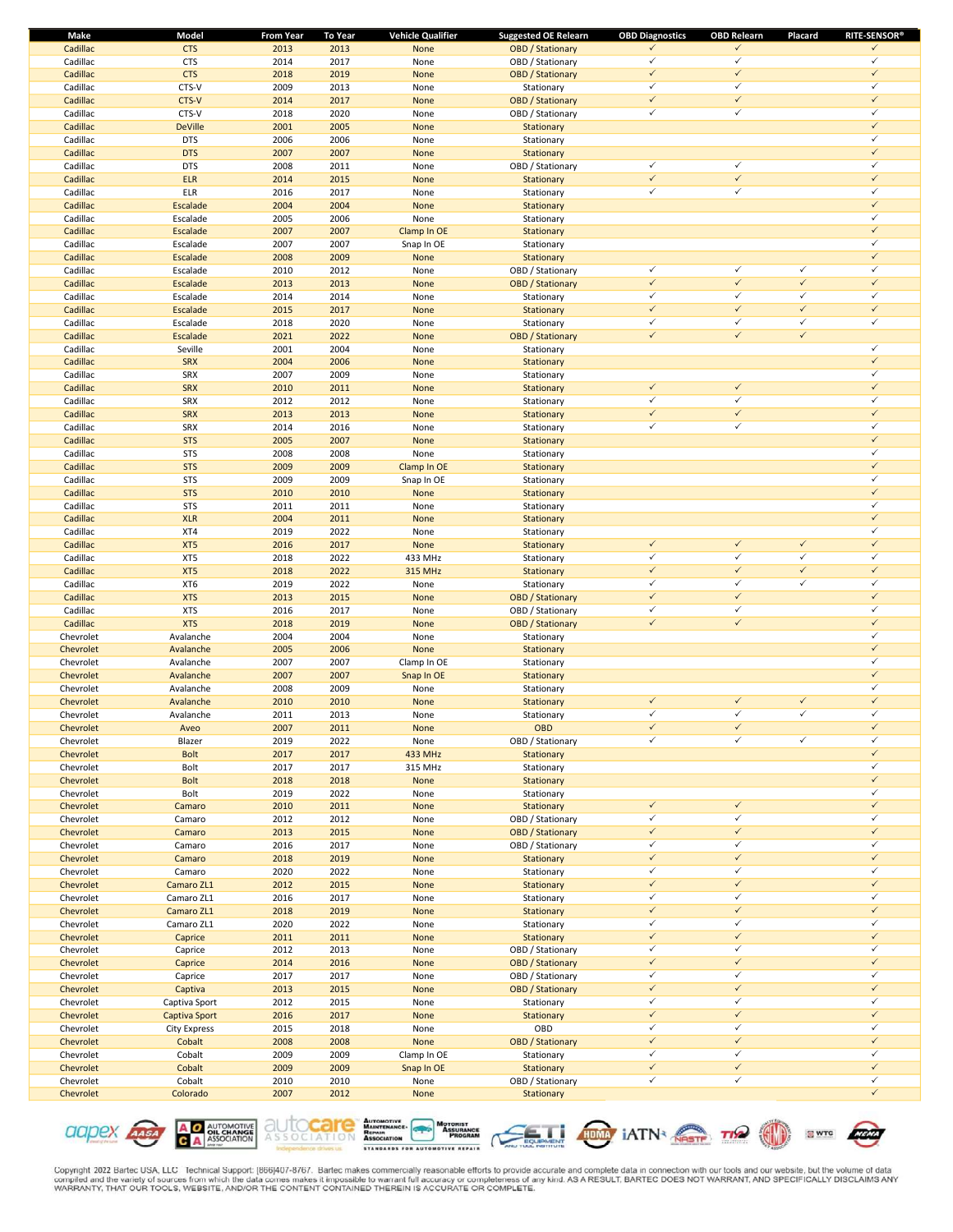| Make      | Model          | <b>From Year</b> | <b>To Year</b> | <b>Vehicle Qualifier</b> | <b>Suggested OE Relearn</b> | <b>OBD Diagnostics</b> | <b>OBD Relearn</b> | Placard      | <b>RITE-SENSOR®</b> |
|-----------|----------------|------------------|----------------|--------------------------|-----------------------------|------------------------|--------------------|--------------|---------------------|
| Cadillac  | <b>CTS</b>     | 2013             | 2013           | None                     | <b>OBD</b> / Stationary     | ✓                      | $\checkmark$       |              | $\checkmark$        |
| Cadillac  | <b>CTS</b>     | 2014             | 2017           | None                     | OBD / Stationary            | $\checkmark$           | $\checkmark$       |              | $\checkmark$        |
| Cadillac  | <b>CTS</b>     | 2018             | 2019           | None                     | <b>OBD</b> / Stationary     | $\checkmark$           | $\checkmark$       |              | $\checkmark$        |
| Cadillac  | CTS-V          | 2009             | 2013           | None                     | Stationary                  | $\checkmark$           | $\checkmark$       |              | $\checkmark$        |
| Cadillac  | CTS-V          | 2014             | 2017           | None                     | <b>OBD</b> / Stationary     | $\checkmark$           | $\checkmark$       |              | $\checkmark$        |
| Cadillac  | CTS-V          | 2018             | 2020           | None                     | OBD / Stationary            | ✓                      | $\checkmark$       |              | $\checkmark$        |
| Cadillac  | <b>DeVille</b> | 2001             | 2005           | None                     | Stationary                  |                        |                    |              | $\checkmark$        |
| Cadillac  | <b>DTS</b>     | 2006             | 2006           | None                     | Stationary                  |                        |                    |              | $\checkmark$        |
| Cadillac  | <b>DTS</b>     | 2007             | 2007           | None                     | Stationary                  |                        |                    |              | $\checkmark$        |
| Cadillac  | <b>DTS</b>     | 2008             | 2011           | None                     | OBD / Stationary            | $\checkmark$           | $\checkmark$       |              | $\checkmark$        |
| Cadillac  | <b>ELR</b>     | 2014             | 2015           | None                     | Stationary                  | $\checkmark$           | $\checkmark$       |              | $\checkmark$        |
| Cadillac  | ELR            | 2016             | 2017           | None                     | Stationary                  | $\checkmark$           | $\checkmark$       |              | ✓                   |
| Cadillac  | Escalade       | 2004             | 2004           | None                     | Stationary                  |                        |                    |              | $\checkmark$        |
| Cadillac  | Escalade       | 2005             | 2006           | None                     | Stationary                  |                        |                    |              | $\checkmark$        |
| Cadillac  | Escalade       | 2007             | 2007           | Clamp In OE              | Stationary                  |                        |                    |              | $\checkmark$        |
| Cadillac  | Escalade       | 2007             | 2007           | Snap In OE               | Stationary                  |                        |                    |              | $\checkmark$        |
| Cadillac  | Escalade       | 2008             | 2009           | None                     | Stationary                  |                        |                    |              | $\checkmark$        |
| Cadillac  | Escalade       | 2010             | 2012           | None                     | OBD / Stationary            | $\checkmark$           | $\checkmark$       | $\checkmark$ | $\checkmark$        |
| Cadillac  | Escalade       | 2013             | 2013           | None                     | <b>OBD</b> / Stationary     | $\checkmark$           | $\checkmark$       | $\checkmark$ | $\checkmark$        |
| Cadillac  | Escalade       | 2014             | 2014           |                          |                             | $\checkmark$           | $\checkmark$       | $\checkmark$ | $\checkmark$        |
|           |                |                  |                | None                     | Stationary                  | $\checkmark$           | $\checkmark$       | $\checkmark$ | $\checkmark$        |
| Cadillac  | Escalade       | 2015             | 2017           | None                     | Stationary                  | $\checkmark$           | $\checkmark$       | $\checkmark$ | ✓                   |
| Cadillac  | Escalade       | 2018             | 2020           | None                     | Stationary                  | $\checkmark$           | $\checkmark$       | $\checkmark$ |                     |
| Cadillac  | Escalade       | 2021             | 2022           | None                     | <b>OBD</b> / Stationary     |                        |                    |              | $\checkmark$        |
| Cadillac  | Seville        | 2001             | 2004           | None                     | Stationary                  |                        |                    |              |                     |
| Cadillac  | <b>SRX</b>     | 2004             | 2006           | None                     | Stationary                  |                        |                    |              | $\checkmark$        |
| Cadillac  | SRX            | 2007             | 2009           | None                     | Stationary                  |                        |                    |              | $\checkmark$        |
| Cadillac  | <b>SRX</b>     | 2010             | 2011           | None                     | Stationary                  | $\checkmark$           | $\checkmark$       |              | $\checkmark$        |
| Cadillac  | SRX            | 2012             | 2012           | None                     | Stationary                  | $\checkmark$           | $\checkmark$       |              | $\checkmark$        |
| Cadillac  | <b>SRX</b>     | 2013             | 2013           | None                     | Stationary                  | $\checkmark$           | $\checkmark$       |              | $\checkmark$        |
| Cadillac  | SRX            | 2014             | 2016           | None                     | Stationary                  | $\checkmark$           | $\checkmark$       |              | $\checkmark$        |
| Cadillac  | <b>STS</b>     | 2005             | 2007           | <b>None</b>              | Stationary                  |                        |                    |              | $\checkmark$        |
| Cadillac  | <b>STS</b>     | 2008             | 2008           | None                     | Stationary                  |                        |                    |              | ✓                   |
| Cadillac  | <b>STS</b>     | 2009             | 2009           | Clamp In OE              | Stationary                  |                        |                    |              | $\checkmark$        |
| Cadillac  | <b>STS</b>     | 2009             | 2009           | Snap In OE               | Stationary                  |                        |                    |              | $\checkmark$        |
| Cadillac  | <b>STS</b>     | 2010             | 2010           | None                     | Stationary                  |                        |                    |              | $\checkmark$        |
| Cadillac  | <b>STS</b>     | 2011             | 2011           | None                     | Stationary                  |                        |                    |              | $\checkmark$        |
| Cadillac  | <b>XLR</b>     | 2004             | 2011           | None                     | Stationary                  |                        |                    |              | $\checkmark$        |
| Cadillac  | XT4            | 2019             | 2022           | None                     | Stationary                  |                        |                    |              | $\checkmark$        |
| Cadillac  | XT5            | 2016             | 2017           | None                     | Stationary                  | $\checkmark$           | $\checkmark$       | $\checkmark$ | $\checkmark$        |
| Cadillac  | XT5            | 2018             | 2022           | 433 MHz                  | Stationary                  | $\checkmark$           | $\checkmark$       | $\checkmark$ | $\checkmark$        |
| Cadillac  | XT5            | 2018             | 2022           | <b>315 MHz</b>           | Stationary                  | $\checkmark$           | $\checkmark$       | $\checkmark$ | $\checkmark$        |
| Cadillac  | XT6            | 2019             | 2022           | None                     | Stationary                  | $\checkmark$           | $\checkmark$       | $\checkmark$ | ✓                   |
| Cadillac  | <b>XTS</b>     | 2013             | 2015           | None                     | <b>OBD</b> / Stationary     | $\checkmark$           | $\checkmark$       |              | $\checkmark$        |
| Cadillac  | <b>XTS</b>     | 2016             | 2017           | None                     | OBD / Stationary            | $\checkmark$           | $\checkmark$       |              | $\checkmark$        |
| Cadillac  | <b>XTS</b>     | 2018             | 2019           | None                     | <b>OBD</b> / Stationary     | $\checkmark$           | $\checkmark$       |              | $\checkmark$        |
| Chevrolet | Avalanche      | 2004             | 2004           | None                     | Stationary                  |                        |                    |              | $\checkmark$        |
| Chevrolet | Avalanche      | 2005             | 2006           | None                     |                             |                        |                    |              | $\checkmark$        |
|           |                |                  |                |                          | Stationary                  |                        |                    |              | $\checkmark$        |
| Chevrolet | Avalanche      | 2007             | 2007           | Clamp In OE              | Stationary                  |                        |                    |              | $\checkmark$        |
| Chevrolet | Avalanche      | 2007             | 2007           | Snap In OE               | Stationary                  |                        |                    |              | $\checkmark$        |
| Chevrolet | Avalanche      | 2008             | 2009           | None                     | Stationary                  |                        |                    |              |                     |
| Chevrolet | Avalanche      | 2010             | 2010           | None                     | Stationary                  | $\checkmark$           | $\checkmark$       | $\checkmark$ | $\checkmark$        |
| Chevrolet | Avalanche      | 2011             | 2013           | None                     | Stationary                  | $\checkmark$           | $\checkmark$       | $\checkmark$ | ✓                   |
| Chevrolet | Aveo           | 2007             | 2011           | None                     | <b>OBD</b>                  | $\checkmark$           | $\checkmark$       |              | ✓                   |
| Chevrolet | Blazer         | 2019             | 2022           | None                     | OBD / Stationary            | $\checkmark$           | $\checkmark$       | $\checkmark$ | $\checkmark$        |
| Chevrolet | <b>Bolt</b>    | 2017             | 2017           | 433 MHz                  | Stationary                  |                        |                    |              | $\checkmark$        |
| Chevrolet | Bolt           | 2017             | 2017           | 315 MHz                  | Stationary                  |                        |                    |              | $\checkmark$        |
| Chevrolet | <b>Bolt</b>    | 2018             | 2018           | None                     | Stationary                  |                        |                    |              | $\checkmark$        |
| Chevrolet | Bolt           | 2019             | 2022           | None                     | Stationary                  |                        |                    |              | $\checkmark$        |
| Chevrolet | Camaro         | 2010             | 2011           | None                     | Stationary                  | $\checkmark$           | $\checkmark$       |              | $\checkmark$        |
| Chevrolet | Camaro         | 2012             | 2012           | None                     | OBD / Stationary            | $\checkmark$           | $\checkmark$       |              | $\checkmark$        |
| Chevrolet | Camaro         | 2013             | 2015           | None                     | <b>OBD</b> / Stationary     | $\checkmark$           | $\checkmark$       |              | $\checkmark$        |
| Chevrolet | Camaro         | 2016             | 2017           | None                     | OBD / Stationary            | $\checkmark$           | $\checkmark$       |              | $\checkmark$        |
| Chevrolet | Camaro         | 2018             | 2019           | None                     | Stationary                  | $\checkmark$           | $\checkmark$       |              | $\checkmark$        |
| Chevrolet | Camaro         | 2020             | 2022           | None                     | Stationary                  | $\checkmark$           | $\checkmark$       |              | $\checkmark$        |
| Chevrolet | Camaro ZL1     | 2012             | 2015           | None                     | Stationary                  | $\checkmark$           | $\checkmark$       |              | $\checkmark$        |
| Chevrolet | Camaro ZL1     | 2016             | 2017           | None                     | Stationary                  | $\checkmark$           | $\checkmark$       |              | $\checkmark$        |
| Chevrolet | Camaro ZL1     | 2018             | 2019           | None                     | Stationary                  | $\checkmark$           | $\checkmark$       |              | $\checkmark$        |
| Chevrolet | Camaro ZL1     | 2020             | 2022           | None                     | Stationary                  | $\checkmark$           | $\checkmark$       |              | $\checkmark$        |
| Chevrolet | Caprice        | 2011             | 2011           | None                     | Stationary                  | $\checkmark$           | $\checkmark$       |              | $\checkmark$        |
| Chevrolet | Caprice        | 2012             | 2013           | None                     | OBD / Stationary            | $\checkmark$           | $\checkmark$       |              | $\checkmark$        |
| Chevrolet | Caprice        | 2014             | 2016           | None                     | <b>OBD</b> / Stationary     | $\checkmark$           | $\checkmark$       |              | $\checkmark$        |
| Chevrolet | Caprice        | 2017             | 2017           | None                     | OBD / Stationary            | $\checkmark$           | $\checkmark$       |              | $\checkmark$        |
| Chevrolet | Captiva        | 2013             | 2015           | None                     | <b>OBD</b> / Stationary     | $\checkmark$           | $\checkmark$       |              | $\checkmark$        |
| Chevrolet | Captiva Sport  | 2012             | 2015           | None                     | Stationary                  | $\checkmark$           | $\checkmark$       |              | $\checkmark$        |
| Chevrolet |                | 2016             | 2017           |                          |                             | $\checkmark$           | $\checkmark$       |              | $\checkmark$        |
|           | Captiva Sport  |                  |                | None                     | Stationary                  | $\checkmark$           | $\checkmark$       |              | $\checkmark$        |
| Chevrolet | City Express   | 2015             | 2018           | None                     | OBD                         |                        | $\checkmark$       |              | $\checkmark$        |
| Chevrolet | Cobalt         | 2008             | 2008           | None                     | <b>OBD</b> / Stationary     | $\checkmark$           |                    |              |                     |
| Chevrolet | Cobalt         | 2009             | 2009           | Clamp In OE              | Stationary                  | $\checkmark$           | $\checkmark$       |              | $\checkmark$        |
| Chevrolet | Cobalt         | 2009             | 2009           | Snap In OE               | Stationary                  | $\checkmark$           | $\checkmark$       |              | $\checkmark$        |
| Chevrolet | Cobalt         | 2010             | 2010           | None                     | OBD / Stationary            | $\checkmark$           | $\checkmark$       |              | $\checkmark$        |
| Chevrolet | Colorado       | 2007             | 2012           | None                     | Stationary                  |                        |                    |              | $\checkmark$        |











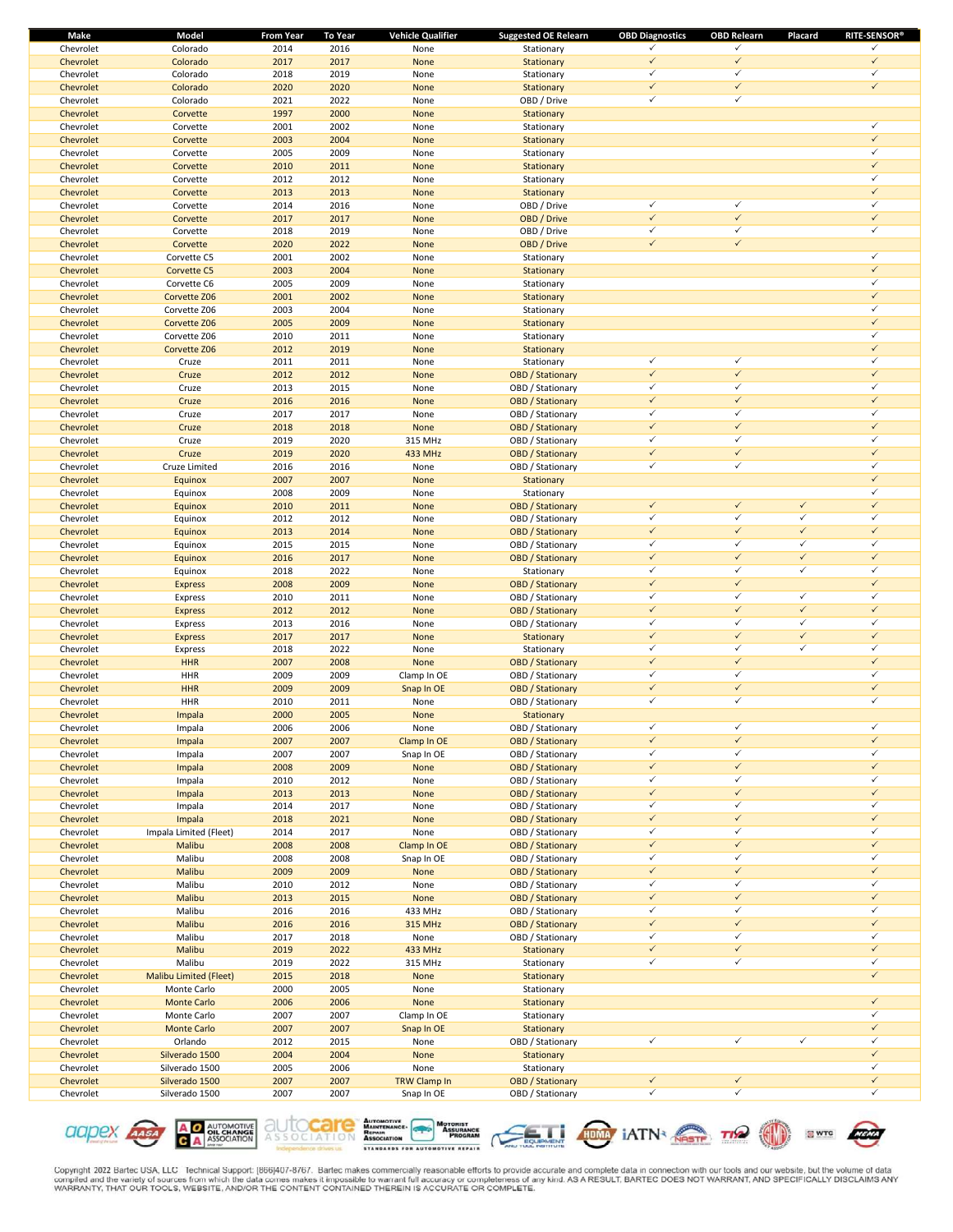| Make      | Model                         | From Year | <b>To Year</b> | <b>Vehicle Qualifier</b> | <b>Suggested OE Relearn</b> | <b>OBD Diagnostics</b>       | <b>OBD Relearn</b> | Placard      | <b>RITE-SENSOR®</b> |
|-----------|-------------------------------|-----------|----------------|--------------------------|-----------------------------|------------------------------|--------------------|--------------|---------------------|
| Chevrolet | Colorado                      | 2014      | 2016           | None                     | Stationary                  | ✓                            | $\checkmark$       |              | ✓                   |
| Chevrolet | Colorado                      | 2017      | 2017           | None                     | Stationary                  | $\checkmark$                 | $\checkmark$       |              | $\checkmark$        |
| Chevrolet | Colorado                      | 2018      | 2019           | None                     | Stationary                  | $\checkmark$                 | $\checkmark$       |              | ✓                   |
| Chevrolet | Colorado                      | 2020      | 2020           | None                     | Stationary                  | $\checkmark$                 | $\checkmark$       |              | $\checkmark$        |
| Chevrolet | Colorado                      | 2021      | 2022           | None                     | OBD / Drive                 | $\checkmark$                 | $\checkmark$       |              |                     |
| Chevrolet | Corvette                      | 1997      | 2000           | None                     | Stationary                  |                              |                    |              |                     |
| Chevrolet | Corvette                      | 2001      | 2002           | None                     | Stationary                  |                              |                    |              | $\checkmark$        |
| Chevrolet | Corvette                      | 2003      | 2004           | None                     | Stationary                  |                              |                    |              | $\checkmark$        |
| Chevrolet | Corvette                      | 2005      | 2009           | None                     |                             |                              |                    |              | ✓                   |
|           |                               |           |                |                          | Stationary                  |                              |                    |              | $\checkmark$        |
| Chevrolet | Corvette                      | 2010      | 2011           | None                     | Stationary                  |                              |                    |              |                     |
| Chevrolet | Corvette                      | 2012      | 2012           | None                     | Stationary                  |                              |                    |              | $\checkmark$        |
| Chevrolet | Corvette                      | 2013      | 2013           | None                     | Stationary                  |                              |                    |              | $\checkmark$        |
| Chevrolet | Corvette                      | 2014      | 2016           | None                     | OBD / Drive                 | $\checkmark$                 | $\checkmark$       |              | $\checkmark$        |
| Chevrolet | Corvette                      | 2017      | 2017           | None                     | OBD / Drive                 | $\checkmark$                 | $\checkmark$       |              | $\checkmark$        |
| Chevrolet | Corvette                      | 2018      | 2019           | None                     | OBD / Drive                 | $\checkmark$                 | $\checkmark$       |              | $\checkmark$        |
| Chevrolet | Corvette                      | 2020      | 2022           | None                     | OBD / Drive                 | $\checkmark$                 | $\checkmark$       |              |                     |
| Chevrolet | Corvette C5                   | 2001      | 2002           | None                     | Stationary                  |                              |                    |              | $\checkmark$        |
| Chevrolet | Corvette C5                   | 2003      | 2004           | None                     | Stationary                  |                              |                    |              | $\checkmark$        |
| Chevrolet | Corvette C6                   | 2005      | 2009           | None                     | Stationary                  |                              |                    |              | $\checkmark$        |
| Chevrolet | Corvette Z06                  | 2001      | 2002           | None                     |                             |                              |                    |              | $\checkmark$        |
|           |                               |           |                |                          | Stationary                  |                              |                    |              | $\checkmark$        |
| Chevrolet | Corvette Z06                  | 2003      | 2004           | None                     | Stationary                  |                              |                    |              | $\checkmark$        |
| Chevrolet | Corvette Z06                  | 2005      | 2009           | None                     | Stationary                  |                              |                    |              |                     |
| Chevrolet | Corvette Z06                  | 2010      | 2011           | None                     | Stationary                  |                              |                    |              | ✓                   |
| Chevrolet | Corvette Z06                  | 2012      | 2019           | None                     | Stationary                  |                              |                    |              | $\checkmark$        |
| Chevrolet | Cruze                         | 2011      | 2011           | None                     | Stationary                  | $\checkmark$                 | $\checkmark$       |              | $\checkmark$        |
| Chevrolet | Cruze                         | 2012      | 2012           | None                     | <b>OBD / Stationary</b>     | $\checkmark$                 | $\checkmark$       |              | $\checkmark$        |
| Chevrolet | Cruze                         | 2013      | 2015           | None                     | OBD / Stationary            | $\checkmark$                 | $\checkmark$       |              | $\checkmark$        |
| Chevrolet | Cruze                         | 2016      | 2016           | None                     | <b>OBD</b> / Stationary     | $\checkmark$                 | $\checkmark$       |              | $\checkmark$        |
| Chevrolet | Cruze                         | 2017      | 2017           | None                     | OBD / Stationary            | $\checkmark$                 | $\checkmark$       |              | $\checkmark$        |
| Chevrolet | Cruze                         | 2018      | 2018           | None                     | <b>OBD</b> / Stationary     | $\checkmark$                 | $\checkmark$       |              | $\checkmark$        |
| Chevrolet | Cruze                         | 2019      | 2020           | 315 MHz                  | OBD / Stationary            | $\checkmark$                 | $\checkmark$       |              | $\checkmark$        |
| Chevrolet | Cruze                         | 2019      | 2020           | 433 MHz                  |                             | $\checkmark$                 | $\checkmark$       |              | $\checkmark$        |
|           |                               |           |                |                          | <b>OBD</b> / Stationary     | $\checkmark$                 | $\checkmark$       |              | $\checkmark$        |
| Chevrolet | Cruze Limited                 | 2016      | 2016           | None                     | OBD / Stationary            |                              |                    |              |                     |
| Chevrolet | Equinox                       | 2007      | 2007           | None                     | Stationary                  |                              |                    |              | $\checkmark$        |
| Chevrolet | Equinox                       | 2008      | 2009           | None                     | Stationary                  |                              |                    |              | $\checkmark$        |
| Chevrolet | Equinox                       | 2010      | 2011           | None                     | <b>OBD</b> / Stationary     | $\checkmark$                 | $\checkmark$       | $\checkmark$ | $\checkmark$        |
| Chevrolet | Equinox                       | 2012      | 2012           | None                     | OBD / Stationary            | $\checkmark$                 | $\checkmark$       | $\checkmark$ | ✓                   |
| Chevrolet | Equinox                       | 2013      | 2014           | None                     | <b>OBD</b> / Stationary     | $\checkmark$                 | $\checkmark$       | $\checkmark$ | $\checkmark$        |
| Chevrolet | Equinox                       | 2015      | 2015           | None                     | OBD / Stationary            | $\checkmark$                 | $\checkmark$       | $\checkmark$ | $\checkmark$        |
| Chevrolet | Equinox                       | 2016      | 2017           | None                     | <b>OBD</b> / Stationary     | $\checkmark$                 | $\checkmark$       | $\checkmark$ | $\checkmark$        |
| Chevrolet | Equinox                       | 2018      | 2022           | None                     | Stationary                  | $\checkmark$                 | $\checkmark$       | $\checkmark$ | $\checkmark$        |
| Chevrolet | <b>Express</b>                | 2008      | 2009           | None                     | <b>OBD</b> / Stationary     | $\checkmark$                 | $\checkmark$       |              | $\checkmark$        |
| Chevrolet | Express                       | 2010      | 2011           | None                     | OBD / Stationary            | $\checkmark$                 | $\checkmark$       | $\checkmark$ | $\checkmark$        |
| Chevrolet |                               | 2012      | 2012           | None                     | <b>OBD</b> / Stationary     | $\checkmark$                 | $\checkmark$       | $\checkmark$ | $\checkmark$        |
|           | <b>Express</b>                |           |                |                          |                             | $\checkmark$                 | $\checkmark$       | $\checkmark$ | $\checkmark$        |
| Chevrolet | Express                       | 2013      | 2016           | None                     | OBD / Stationary            |                              |                    |              |                     |
| Chevrolet | <b>Express</b>                | 2017      | 2017           | None                     | Stationary                  | $\checkmark$                 | $\checkmark$       | $\checkmark$ | $\checkmark$        |
| Chevrolet | <b>Express</b>                | 2018      | 2022           | None                     | Stationary                  | $\checkmark$                 | $\checkmark$       | $\checkmark$ | $\checkmark$        |
| Chevrolet | <b>HHR</b>                    | 2007      | 2008           | None                     | <b>OBD</b> / Stationary     | $\checkmark$                 | $\checkmark$       |              | $\checkmark$        |
| Chevrolet | <b>HHR</b>                    | 2009      | 2009           | Clamp In OE              | OBD / Stationary            | ✓                            | $\checkmark$       |              | $\checkmark$        |
| Chevrolet | <b>HHR</b>                    | 2009      | 2009           | Snap In OE               | <b>OBD</b> / Stationary     | $\checkmark$                 | $\checkmark$       |              | $\checkmark$        |
| Chevrolet | HHR                           | 2010      | 2011           | None                     | OBD / Stationary            | $\checkmark$                 | $\checkmark$       |              | ✓                   |
| Chevrolet | Impala                        | 2000      | 2005           | None                     | Stationary                  |                              |                    |              |                     |
| Chevrolet | Impala                        | 2006      | 2006           | None                     | OBD / Stationary            | $\checkmark$                 | ✓                  |              | $\checkmark$        |
| Chevrolet | Impala                        | 2007      | 2007           | Clamp In OE              | <b>OBD</b> / Stationary     | $\checkmark$                 | $\checkmark$       |              | $\checkmark$        |
| Chevrolet |                               | 2007      | 2007           |                          | OBD / Stationary            | $\checkmark$                 | $\checkmark$       |              | $\checkmark$        |
| Chevrolet | Impala                        |           |                | Snap In OE<br>None       |                             | $\checkmark$                 | $\checkmark$       |              | $\checkmark$        |
|           | Impala                        | 2008      | 2009           |                          | <b>OBD</b> / Stationary     | $\checkmark$                 | $\checkmark$       |              | $\checkmark$        |
| Chevrolet | Impala                        | 2010      | 2012           | None                     | OBD / Stationary            |                              | $\checkmark$       |              |                     |
| Chevrolet | Impala                        | 2013      | 2013           | None                     | <b>OBD</b> / Stationary     | $\checkmark$                 |                    |              | $\checkmark$        |
| Chevrolet | Impala                        | 2014      | 2017           | None                     | OBD / Stationary            | $\checkmark$                 | $\checkmark$       |              | $\checkmark$        |
| Chevrolet | Impala                        | 2018      | 2021           | None                     | <b>OBD</b> / Stationary     | $\checkmark$                 | $\checkmark$       |              | $\checkmark$        |
| Chevrolet | Impala Limited (Fleet)        | 2014      | 2017           | None                     | OBD / Stationary            | $\checkmark$                 | $\checkmark$       |              | $\checkmark$        |
| Chevrolet | Malibu                        | 2008      | 2008           | Clamp In OE              | <b>OBD</b> / Stationary     | $\checkmark$                 | $\checkmark$       |              | $\checkmark$        |
| Chevrolet | Malibu                        | 2008      | 2008           | Snap In OE               | OBD / Stationary            | $\checkmark$                 | $\checkmark$       |              | $\checkmark$        |
| Chevrolet | Malibu                        | 2009      | 2009           | None                     | <b>OBD</b> / Stationary     | $\checkmark$                 | $\checkmark$       |              | $\checkmark$        |
| Chevrolet | Malibu                        | 2010      | 2012           | None                     | OBD / Stationary            | $\checkmark$                 | $\checkmark$       |              | $\checkmark$        |
| Chevrolet | Malibu                        | 2013      | 2015           | None                     | <b>OBD</b> / Stationary     | $\checkmark$                 | $\checkmark$       |              | $\checkmark$        |
| Chevrolet | Malibu                        | 2016      | 2016           | 433 MHz                  | OBD / Stationary            | $\checkmark$                 | $\checkmark$       |              | $\checkmark$        |
| Chevrolet | Malibu                        | 2016      | 2016           | 315 MHz                  | <b>OBD</b> / Stationary     | $\checkmark$                 | $\checkmark$       |              | $\checkmark$        |
| Chevrolet | Malibu                        | 2017      |                |                          |                             | $\checkmark$                 | $\checkmark$       |              | ✓                   |
|           |                               |           | 2018           | None                     | OBD / Stationary            |                              |                    |              | $\checkmark$        |
| Chevrolet | Malibu                        | 2019      | 2022           | 433 MHz                  | Stationary                  | $\checkmark$                 | $\checkmark$       |              |                     |
| Chevrolet | Malibu                        | 2019      | 2022           | 315 MHz                  | Stationary                  | $\checkmark$                 | $\checkmark$       |              | $\checkmark$        |
| Chevrolet | <b>Malibu Limited (Fleet)</b> | 2015      | 2018           | None                     | Stationary                  |                              |                    |              | $\checkmark$        |
| Chevrolet | Monte Carlo                   | 2000      | 2005           | None                     | Stationary                  |                              |                    |              |                     |
| Chevrolet | <b>Monte Carlo</b>            | 2006      | 2006           | None                     | Stationary                  |                              |                    |              | $\checkmark$        |
| Chevrolet | Monte Carlo                   | 2007      | 2007           | Clamp In OE              | Stationary                  |                              |                    |              | ✓                   |
| Chevrolet | <b>Monte Carlo</b>            | 2007      | 2007           | Snap In OE               | Stationary                  |                              |                    |              | $\checkmark$        |
| Chevrolet | Orlando                       | 2012      | 2015           | None                     | OBD / Stationary            | $\checkmark$                 | $\checkmark$       | $\checkmark$ | $\checkmark$        |
| Chevrolet | Silverado 1500                | 2004      | 2004           | None                     | Stationary                  |                              |                    |              | $\checkmark$        |
| Chevrolet | Silverado 1500                | 2005      | 2006           | None                     | Stationary                  |                              |                    |              | $\checkmark$        |
| Chevrolet |                               |           |                |                          |                             |                              | $\checkmark$       |              | $\checkmark$        |
|           | Silverado 1500                | 2007      | 2007           | TRW Clamp In             | <b>OBD</b> / Stationary     | $\checkmark$<br>$\checkmark$ | $\checkmark$       |              | $\checkmark$        |
| Chevrolet | Silverado 1500                | 2007      | 2007           | Snap In OE               | OBD / Stationary            |                              |                    |              |                     |









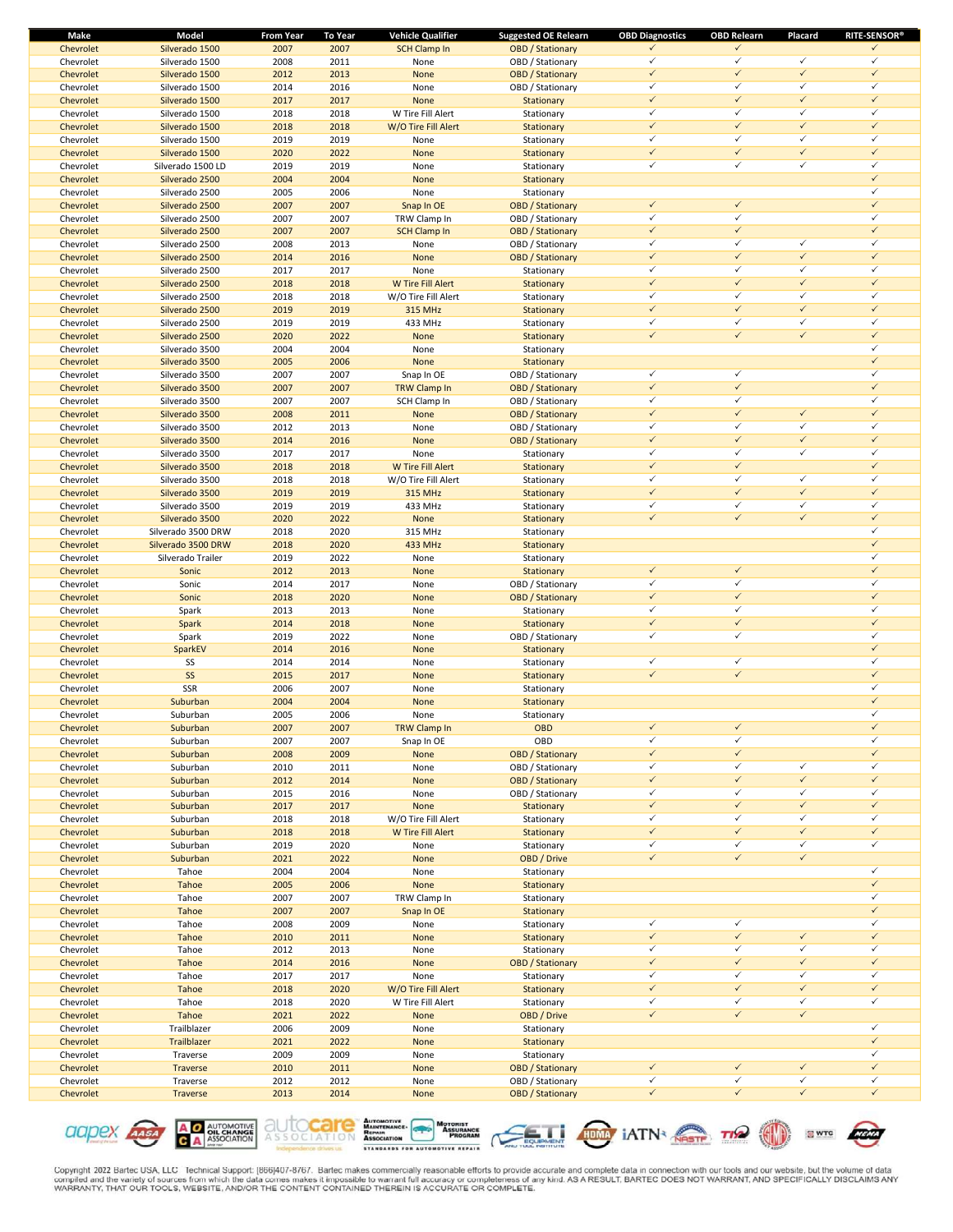| Make      | Model              | <b>From Year</b> | To Year | <b>Vehicle Qualifier</b> | <b>Suggested OE Relearn</b> | <b>OBD Diagnostics</b> | <b>OBD Relearn</b> | Placard      | <b>RITE-SENSOR®</b> |
|-----------|--------------------|------------------|---------|--------------------------|-----------------------------|------------------------|--------------------|--------------|---------------------|
| Chevrolet | Silverado 1500     | 2007             | 2007    | <b>SCH Clamp In</b>      | <b>OBD</b> / Stationary     | ✓                      | ✓                  |              | $\checkmark$        |
| Chevrolet | Silverado 1500     | 2008             | 2011    | None                     | OBD / Stationary            | $\checkmark$           | $\checkmark$       | $\checkmark$ | ✓                   |
| Chevrolet | Silverado 1500     | 2012             | 2013    | None                     | <b>OBD</b> / Stationary     | $\checkmark$           | $\checkmark$       | $\checkmark$ | $\checkmark$        |
| Chevrolet | Silverado 1500     | 2014             | 2016    | None                     | OBD / Stationary            | ✓                      | $\checkmark$       | $\checkmark$ | $\checkmark$        |
| Chevrolet | Silverado 1500     | 2017             | 2017    | None                     | Stationary                  | $\checkmark$           | $\checkmark$       | $\checkmark$ | $\checkmark$        |
| Chevrolet | Silverado 1500     | 2018             | 2018    | W Tire Fill Alert        | Stationary                  | ✓                      | $\checkmark$       | $\checkmark$ | ✓                   |
| Chevrolet | Silverado 1500     | 2018             | 2018    | W/O Tire Fill Alert      | Stationary                  | $\checkmark$           | $\checkmark$       | $\checkmark$ | $\checkmark$        |
| Chevrolet | Silverado 1500     | 2019             | 2019    | None                     |                             | ✓                      | $\checkmark$       | $\checkmark$ | $\checkmark$        |
|           |                    |                  |         |                          | Stationary                  | $\checkmark$           | $\checkmark$       | $\checkmark$ | $\checkmark$        |
| Chevrolet | Silverado 1500     | 2020             | 2022    | None                     | Stationary                  |                        |                    |              |                     |
| Chevrolet | Silverado 1500 LD  | 2019             | 2019    | None                     | Stationary                  | ✓                      | $\checkmark$       | $\checkmark$ | ✓                   |
| Chevrolet | Silverado 2500     | 2004             | 2004    | None                     | Stationary                  |                        |                    |              | $\checkmark$        |
| Chevrolet | Silverado 2500     | 2005             | 2006    | None                     | Stationary                  |                        |                    |              | ✓                   |
| Chevrolet | Silverado 2500     | 2007             | 2007    | Snap In OE               | <b>OBD</b> / Stationary     | $\checkmark$           | $\checkmark$       |              | $\checkmark$        |
| Chevrolet | Silverado 2500     | 2007             | 2007    | TRW Clamp In             | OBD / Stationary            | ✓                      | $\checkmark$       |              | $\checkmark$        |
| Chevrolet | Silverado 2500     | 2007             | 2007    | <b>SCH Clamp In</b>      | <b>OBD</b> / Stationary     | $\checkmark$           | $\checkmark$       |              | $\checkmark$        |
| Chevrolet | Silverado 2500     | 2008             | 2013    | None                     | OBD / Stationary            | ✓                      | $\checkmark$       | $\checkmark$ | ✓                   |
| Chevrolet | Silverado 2500     | 2014             | 2016    | None                     | <b>OBD</b> / Stationary     | $\checkmark$           | $\checkmark$       | $\checkmark$ | $\checkmark$        |
| Chevrolet | Silverado 2500     | 2017             | 2017    | None                     | Stationary                  | ✓                      | $\checkmark$       | $\checkmark$ | $\checkmark$        |
| Chevrolet | Silverado 2500     | 2018             | 2018    | W Tire Fill Alert        | Stationary                  | $\checkmark$           | $\checkmark$       | $\checkmark$ | $\checkmark$        |
|           |                    | 2018             |         |                          |                             | ✓                      | $\checkmark$       | $\checkmark$ | ✓                   |
| Chevrolet | Silverado 2500     |                  | 2018    | W/O Tire Fill Alert      | Stationary                  | $\checkmark$           | $\checkmark$       | $\checkmark$ | $\checkmark$        |
| Chevrolet | Silverado 2500     | 2019             | 2019    | <b>315 MHz</b>           | Stationary                  |                        |                    |              |                     |
| Chevrolet | Silverado 2500     | 2019             | 2019    | 433 MHz                  | Stationary                  | ✓                      | $\checkmark$       | $\checkmark$ | $\checkmark$        |
| Chevrolet | Silverado 2500     | 2020             | 2022    | None                     | Stationary                  | $\checkmark$           | $\checkmark$       | $\checkmark$ | $\checkmark$        |
| Chevrolet | Silverado 3500     | 2004             | 2004    | None                     | Stationary                  |                        |                    |              | $\checkmark$        |
| Chevrolet | Silverado 3500     | 2005             | 2006    | None                     | Stationary                  |                        |                    |              | $\checkmark$        |
| Chevrolet | Silverado 3500     | 2007             | 2007    | Snap In OE               | OBD / Stationary            | ✓                      | $\checkmark$       |              | ✓                   |
| Chevrolet | Silverado 3500     | 2007             | 2007    | TRW Clamp In             | <b>OBD</b> / Stationary     | $\checkmark$           | $\checkmark$       |              | $\checkmark$        |
| Chevrolet | Silverado 3500     | 2007             | 2007    | SCH Clamp In             | OBD / Stationary            | ✓                      | $\checkmark$       |              | ✓                   |
| Chevrolet | Silverado 3500     | 2008             | 2011    | None                     | <b>OBD</b> / Stationary     | $\checkmark$           | $\checkmark$       | $\checkmark$ | $\checkmark$        |
| Chevrolet | Silverado 3500     | 2012             | 2013    | None                     | OBD / Stationary            | ✓                      | $\checkmark$       | $\checkmark$ | ✓                   |
| Chevrolet | Silverado 3500     | 2014             | 2016    | None                     | <b>OBD</b> / Stationary     | $\checkmark$           | $\checkmark$       | $\checkmark$ | $\checkmark$        |
| Chevrolet | Silverado 3500     |                  |         |                          |                             | ✓                      | $\checkmark$       | $\checkmark$ | $\checkmark$        |
|           |                    | 2017             | 2017    | None                     | Stationary                  |                        |                    |              |                     |
| Chevrolet | Silverado 3500     | 2018             | 2018    | W Tire Fill Alert        | Stationary                  | $\checkmark$           | $\checkmark$       |              | $\checkmark$        |
| Chevrolet | Silverado 3500     | 2018             | 2018    | W/O Tire Fill Alert      | Stationary                  | ✓                      | $\checkmark$       | $\checkmark$ | $\checkmark$        |
| Chevrolet | Silverado 3500     | 2019             | 2019    | <b>315 MHz</b>           | Stationary                  | $\checkmark$           | $\checkmark$       | $\checkmark$ | $\checkmark$        |
| Chevrolet | Silverado 3500     | 2019             | 2019    | 433 MHz                  | Stationary                  | ✓                      | $\checkmark$       | $\checkmark$ | $\checkmark$        |
| Chevrolet | Silverado 3500     | 2020             | 2022    | None                     | Stationary                  | $\checkmark$           | $\checkmark$       | $\checkmark$ | $\checkmark$        |
| Chevrolet | Silverado 3500 DRW | 2018             | 2020    | 315 MHz                  | Stationary                  |                        |                    |              | ✓                   |
| Chevrolet | Silverado 3500 DRW | 2018             | 2020    | 433 MHz                  | Stationary                  |                        |                    |              | $\checkmark$        |
| Chevrolet | Silverado Trailer  | 2019             | 2022    | None                     | Stationary                  |                        |                    |              | ✓                   |
| Chevrolet | Sonic              | 2012             | 2013    | None                     | Stationary                  | $\checkmark$           | $\checkmark$       |              | $\checkmark$        |
| Chevrolet | Sonic              | 2014             | 2017    | None                     | OBD / Stationary            | ✓                      | $\checkmark$       |              | ✓                   |
| Chevrolet | Sonic              | 2018             | 2020    | None                     | <b>OBD</b> / Stationary     | $\checkmark$           | $\checkmark$       |              | $\checkmark$        |
|           |                    |                  |         |                          |                             | ✓                      | $\checkmark$       |              | $\checkmark$        |
| Chevrolet | Spark              | 2013             | 2013    | None                     | Stationary                  |                        |                    |              |                     |
| Chevrolet | Spark              | 2014             | 2018    | None                     | Stationary                  | $\checkmark$           | $\checkmark$       |              | $\checkmark$        |
| Chevrolet | Spark              | 2019             | 2022    | None                     | OBD / Stationary            | $\checkmark$           | $\checkmark$       |              | ✓                   |
| Chevrolet | SparkEV            | 2014             | 2016    | None                     | Stationary                  |                        |                    |              | $\checkmark$        |
| Chevrolet | SS                 | 2014             | 2014    | None                     | Stationary                  | ✓                      | $\checkmark$       |              | ✓                   |
| Chevrolet | SS                 | 2015             | 2017    | None                     | Stationary                  | $\checkmark$           | $\checkmark$       |              | $\checkmark$        |
| Chevrolet | SSR                | 2006             | 2007    | None                     | Stationary                  |                        |                    |              | ✓                   |
| Chevrolet | Suburban           | 2004             | 2004    | None                     | Stationary                  |                        |                    |              | $\checkmark$        |
| Chevrolet | Suburban           | 2005             | 2006    | None                     | Stationary                  |                        |                    |              | ✓                   |
| Chevrolet | Suburban           | 2007             | 2007    | <b>TRW Clamp In</b>      | <b>OBD</b>                  | ✓                      | ✓                  |              | $\checkmark$        |
| Chevrolet | Suburban           | 2007             | 2007    | Snap In OE               | OBD                         | $\checkmark$           | $\checkmark$       |              | $\checkmark$        |
| Chevrolet | Suburban           | 2008             | 2009    | None                     | <b>OBD</b> / Stationary     | $\checkmark$           | $\checkmark$       |              | $\checkmark$        |
| Chevrolet | Suburban           | 2010             | 2011    | None                     | OBD / Stationary            | ✓                      | $\checkmark$       | $\checkmark$ | $\checkmark$        |
|           |                    |                  |         |                          |                             | $\checkmark$           | $\checkmark$       | $\checkmark$ | $\checkmark$        |
| Chevrolet | Suburban           | 2012             | 2014    | None                     | <b>OBD</b> / Stationary     |                        |                    |              |                     |
| Chevrolet | Suburban           | 2015             | 2016    | None                     | OBD / Stationary            | ✓                      | $\checkmark$       | $\checkmark$ | $\checkmark$        |
| Chevrolet | Suburban           | 2017             | 2017    | None                     | Stationary                  | $\checkmark$           | $\checkmark$       | $\checkmark$ | $\checkmark$        |
| Chevrolet | Suburban           | 2018             | 2018    | W/O Tire Fill Alert      | Stationary                  | ✓                      | $\checkmark$       | $\checkmark$ | $\checkmark$        |
| Chevrolet | Suburban           | 2018             | 2018    | W Tire Fill Alert        | Stationary                  | $\checkmark$           | $\checkmark$       | $\checkmark$ | $\checkmark$        |
| Chevrolet | Suburban           | 2019             | 2020    | None                     | Stationary                  | ✓                      | $\checkmark$       | $\checkmark$ | $\checkmark$        |
| Chevrolet | Suburban           | 2021             | 2022    | None                     | OBD / Drive                 | $\checkmark$           | $\checkmark$       | $\checkmark$ |                     |
| Chevrolet | Tahoe              | 2004             | 2004    | None                     | Stationary                  |                        |                    |              | ✓                   |
| Chevrolet | Tahoe              | 2005             | 2006    | None                     | Stationary                  |                        |                    |              | $\checkmark$        |
| Chevrolet | Tahoe              | 2007             | 2007    | TRW Clamp In             | Stationary                  |                        |                    |              | ✓                   |
| Chevrolet | Tahoe              | 2007             | 2007    | Snap In OE               | Stationary                  |                        |                    |              | $\checkmark$        |
| Chevrolet | Tahoe              | 2008             | 2009    | None                     | Stationary                  | ✓                      | $\checkmark$       |              | ✓                   |
| Chevrolet | Tahoe              |                  | 2011    | None                     |                             | $\checkmark$           | $\checkmark$       | $\checkmark$ | $\checkmark$        |
|           |                    | 2010             |         |                          | Stationary                  | ✓                      | $\checkmark$       | $\checkmark$ | $\checkmark$        |
| Chevrolet | Tahoe              | 2012             | 2013    | None                     | Stationary                  |                        |                    |              |                     |
| Chevrolet | Tahoe              | 2014             | 2016    | None                     | <b>OBD</b> / Stationary     | $\checkmark$           | $\checkmark$       | $\checkmark$ | $\checkmark$        |
| Chevrolet | Tahoe              | 2017             | 2017    | None                     | Stationary                  | ✓                      | $\checkmark$       | $\checkmark$ | $\checkmark$        |
| Chevrolet | Tahoe              | 2018             | 2020    | W/O Tire Fill Alert      | Stationary                  | $\checkmark$           | $\checkmark$       | $\checkmark$ | $\checkmark$        |
| Chevrolet | Tahoe              | 2018             | 2020    | W Tire Fill Alert        | Stationary                  | ✓                      | $\checkmark$       | $\checkmark$ | $\checkmark$        |
| Chevrolet | Tahoe              | 2021             | 2022    | None                     | OBD / Drive                 | $\checkmark$           | $\checkmark$       | $\checkmark$ |                     |
| Chevrolet | Trailblazer        | 2006             | 2009    | None                     | Stationary                  |                        |                    |              | $\checkmark$        |
| Chevrolet | Trailblazer        | 2021             | 2022    | None                     | Stationary                  |                        |                    |              | $\checkmark$        |
| Chevrolet | Traverse           | 2009             | 2009    | None                     | Stationary                  |                        |                    |              | $\checkmark$        |
| Chevrolet | Traverse           | 2010             | 2011    | None                     | <b>OBD</b> / Stationary     | $\checkmark$           | $\checkmark$       | $\checkmark$ | $\checkmark$        |
| Chevrolet | Traverse           | 2012             | 2012    | None                     | OBD / Stationary            | ✓                      | $\checkmark$       | $\checkmark$ | $\checkmark$        |
| Chevrolet |                    | 2013             |         |                          | <b>OBD</b> / Stationary     | $\checkmark$           | $\checkmark$       | $\checkmark$ | $\checkmark$        |
|           | Traverse           |                  | 2014    | None                     |                             |                        |                    |              |                     |











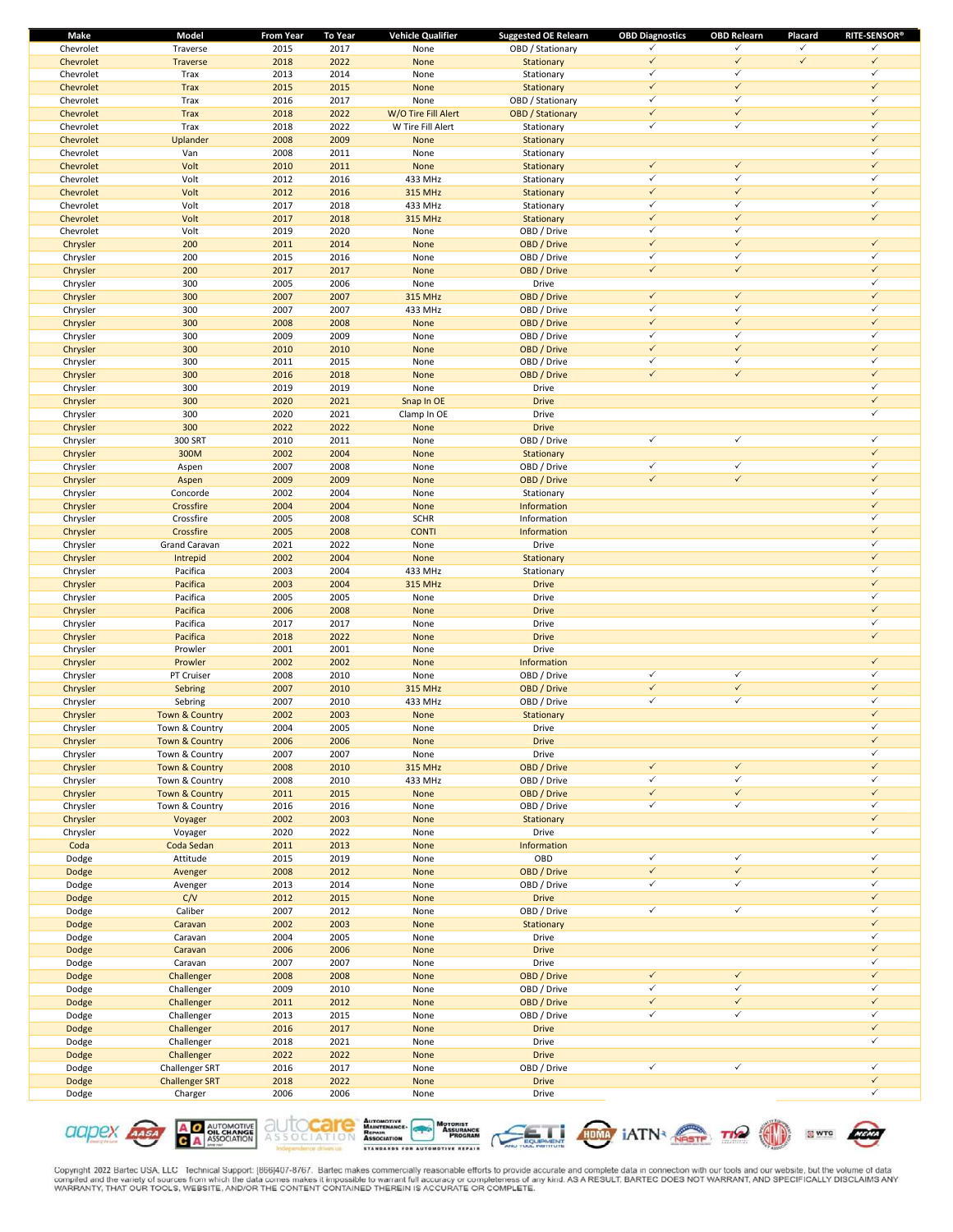| Make           | Model                     | <b>From Year</b> | <b>To Year</b> | <b>Vehicle Qualifier</b> | <b>Suggested OE Relearn</b> | <b>OBD Diagnostics</b> | <b>OBD Relearn</b> | Placard      | <b>RITE-SENSOR®</b> |
|----------------|---------------------------|------------------|----------------|--------------------------|-----------------------------|------------------------|--------------------|--------------|---------------------|
| Chevrolet      | Traverse                  | 2015             | 2017           | None                     | OBD / Stationary            | ✓                      | ✓                  | $\checkmark$ | ✓                   |
| Chevrolet      | Traverse                  | 2018             | 2022           | None                     | Stationary                  | $\checkmark$           | $\checkmark$       | $\checkmark$ | $\checkmark$        |
| Chevrolet      | Trax                      | 2013             | 2014           | None                     | Stationary                  | ✓                      | $\checkmark$       |              | $\checkmark$        |
| Chevrolet      | Trax                      | 2015             | 2015           | None                     | Stationary                  | $\checkmark$           | $\checkmark$       |              | $\checkmark$        |
| Chevrolet      | Trax                      | 2016             | 2017           | None                     | OBD / Stationary            | $\checkmark$           | $\checkmark$       |              | $\checkmark$        |
| Chevrolet      | <b>Trax</b>               | 2018             | 2022           | W/O Tire Fill Alert      | <b>OBD</b> / Stationary     | $\checkmark$           | $\checkmark$       |              | $\checkmark$        |
| Chevrolet      | Trax                      | 2018             | 2022           | W Tire Fill Alert        | Stationary                  | $\checkmark$           | $\checkmark$       |              | $\checkmark$        |
| Chevrolet      | Uplander                  | 2008             | 2009           | None                     | Stationary                  |                        |                    |              | $\checkmark$        |
| Chevrolet      | Van                       | 2008             | 2011           | None                     | Stationary                  |                        |                    |              | $\checkmark$        |
| Chevrolet      | Volt                      | 2010             | 2011           | None                     | Stationary                  | $\checkmark$           | $\checkmark$       |              | $\checkmark$        |
| Chevrolet      | Volt                      | 2012             | 2016           | 433 MHz                  | Stationary                  | ✓                      | $\checkmark$       |              | ✓                   |
| Chevrolet      | Volt                      | 2012             | 2016           | <b>315 MHz</b>           | Stationary                  | $\checkmark$           | $\checkmark$       |              | $\checkmark$        |
| Chevrolet      | Volt                      | 2017             | 2018           | 433 MHz                  | Stationary                  | ✓                      | $\checkmark$       |              | $\checkmark$        |
| Chevrolet      | Volt                      | 2017             | 2018           | <b>315 MHz</b>           | Stationary                  | $\checkmark$           | $\checkmark$       |              | $\checkmark$        |
| Chevrolet      | Volt                      | 2019             | 2020           | None                     | OBD / Drive                 | $\checkmark$           | $\checkmark$       |              |                     |
| Chrysler       | 200                       | 2011             | 2014           | None                     | OBD / Drive                 | $\checkmark$           | $\checkmark$       |              | $\checkmark$        |
| Chrysler       | 200                       | 2015             | 2016           | None                     | OBD / Drive                 | $\checkmark$           | $\checkmark$       |              | $\checkmark$        |
| Chrysler       | 200                       | 2017             | 2017           | None                     | OBD / Drive                 | $\checkmark$           | $\checkmark$       |              | $\checkmark$        |
| Chrysler       | 300                       | 2005             | 2006           | None                     | Drive                       |                        |                    |              | $\checkmark$        |
| Chrysler       | 300                       | 2007             | 2007           | <b>315 MHz</b>           | OBD / Drive                 | $\checkmark$           | $\checkmark$       |              | $\checkmark$        |
| Chrysler       | 300                       | 2007             | 2007           | 433 MHz                  | OBD / Drive                 | ✓                      | $\checkmark$       |              | ✓                   |
| Chrysler       | 300                       | 2008             | 2008           | None                     | OBD / Drive                 | $\checkmark$           | $\checkmark$       |              | $\checkmark$        |
| Chrysler       | 300                       | 2009             | 2009           | None                     | OBD / Drive                 | ✓                      | $\checkmark$       |              | $\checkmark$        |
| Chrysler       | 300                       | 2010             | 2010           | None                     | OBD / Drive                 | $\checkmark$           | $\checkmark$       |              | $\checkmark$        |
| Chrysler       | 300                       | 2011             | 2015           | None                     | OBD / Drive                 | $\checkmark$           | $\checkmark$       |              | $\checkmark$        |
| Chrysler       | 300                       | 2016             | 2018           | None                     | OBD / Drive                 | $\checkmark$           | $\checkmark$       |              | $\checkmark$        |
| Chrysler       | 300                       | 2019             | 2019           | None                     | Drive                       |                        |                    |              | $\checkmark$        |
| Chrysler       | 300                       | 2020             | 2021           | Snap In OE               | <b>Drive</b>                |                        |                    |              | $\checkmark$        |
| Chrysler       | 300                       | 2020             | 2021           | Clamp In OE              | Drive                       |                        |                    |              | $\checkmark$        |
| Chrysler       | 300                       | 2022             | 2022           | None                     | <b>Drive</b>                |                        |                    |              |                     |
| Chrysler       | 300 SRT                   | 2010             | 2011           | None                     | OBD / Drive                 | $\checkmark$           | $\checkmark$       |              | $\checkmark$        |
| Chrysler       | 300M                      | 2002             | 2004           | None                     | Stationary                  |                        |                    |              | $\checkmark$        |
| Chrysler       | Aspen                     | 2007             | 2008           | None                     | OBD / Drive                 | $\checkmark$           | $\checkmark$       |              | $\checkmark$        |
| Chrysler       | Aspen                     | 2009             | 2009           | None                     | OBD / Drive                 | $\checkmark$           | $\checkmark$       |              | $\checkmark$        |
| Chrysler       | Concorde                  | 2002             | 2004           | None                     | Stationary                  |                        |                    |              | ✓                   |
| Chrysler       | Crossfire                 | 2004             | 2004           | None                     | Information                 |                        |                    |              | $\checkmark$        |
| Chrysler       | Crossfire                 | 2005             | 2008           | <b>SCHR</b>              | Information                 |                        |                    |              | $\checkmark$        |
| Chrysler       | Crossfire                 | 2005             | 2008           | <b>CONTI</b>             | Information                 |                        |                    |              | $\checkmark$        |
| Chrysler       | Grand Caravan             | 2021             | 2022           | None                     | Drive                       |                        |                    |              | $\checkmark$        |
| Chrysler       | Intrepid                  | 2002             | 2004           | None                     | Stationary                  |                        |                    |              | $\checkmark$        |
| Chrysler       | Pacifica                  | 2003             | 2004           | 433 MHz                  | Stationary                  |                        |                    |              | ✓                   |
| Chrysler       | Pacifica                  | 2003             | 2004           | <b>315 MHz</b>           | <b>Drive</b>                |                        |                    |              | $\checkmark$        |
| Chrysler       | Pacifica                  | 2005             | 2005           | None                     | Drive                       |                        |                    |              | ✓                   |
| Chrysler       | Pacifica                  | 2006             | 2008           | None                     | <b>Drive</b>                |                        |                    |              | $\checkmark$        |
| Chrysler       | Pacifica                  | 2017             | 2017           | None                     | Drive                       |                        |                    |              | $\checkmark$        |
| Chrysler       | Pacifica                  | 2018             | 2022           | None                     | <b>Drive</b>                |                        |                    |              | $\checkmark$        |
| Chrysler       | Prowler                   | 2001             | 2001           | None                     | Drive                       |                        |                    |              |                     |
| Chrysler       | Prowler                   | 2002             | 2002           | None                     | Information                 |                        |                    |              | $\checkmark$        |
| Chrysler       | PT Cruiser                | 2008             | 2010           | None                     | OBD / Drive                 | $\checkmark$           | $\checkmark$       |              | $\checkmark$        |
| Chrysler       | Sebring                   | 2007             | 2010           | <b>315 MHz</b>           | OBD / Drive                 | $\checkmark$           | $\checkmark$       |              | $\checkmark$        |
| Chrysler       | Sebring                   | 2007             | 2010           | 433 MHz                  | OBD / Drive                 | ✓                      | $\checkmark$       |              | ✓                   |
| Chrysler       | Town & Country            | 2002             | 2003           | None                     | Stationary                  |                        |                    |              | $\checkmark$        |
| Chrysler       | Town & Country            | 2004             | 2005           | None                     | Drive                       |                        |                    |              | ✓                   |
| Chrysler       | Town & Country            | 2006             | 2006           | None                     | <b>Drive</b>                |                        |                    |              | $\checkmark$        |
| Chrysler       | Town & Country            | 2007             | 2007           | None                     | Drive                       |                        |                    |              | $\checkmark$        |
| Chrysler       | <b>Town &amp; Country</b> | 2008             | 2010           | <b>315 MHz</b>           | OBD / Drive                 | $\checkmark$           | $\checkmark$       |              | $\checkmark$        |
| Chrysler       | Town & Country            | 2008             | 2010           | 433 MHz                  | OBD / Drive                 | $\checkmark$           | $\checkmark$       |              | $\checkmark$        |
| Chrysler       | Town & Country            | 2011             | 2015           | None                     | OBD / Drive                 | $\checkmark$           | $\checkmark$       |              | $\checkmark$        |
| Chrysler       | Town & Country            | 2016             | 2016           | None                     | OBD / Drive                 | $\checkmark$           | $\checkmark$       |              | $\checkmark$        |
| Chrysler       | Voyager                   | 2002             | 2003           | None                     | Stationary                  |                        |                    |              | $\checkmark$        |
| Chrysler       | Voyager                   | 2020             | 2022           | None                     | Drive                       |                        |                    |              | $\checkmark$        |
| Coda           | Coda Sedan                | 2011             | 2013           | None                     | Information                 |                        |                    |              |                     |
| Dodge          | Attitude                  | 2015             | 2019           | None                     | OBD                         | $\checkmark$           | $\checkmark$       |              | $\checkmark$        |
| Dodge          | Avenger                   | 2008             | 2012           | None                     | OBD / Drive                 | $\checkmark$           | $\checkmark$       |              | $\checkmark$        |
| Dodge          | Avenger                   | 2013             | 2014           | None                     | OBD / Drive                 | $\checkmark$           | $\checkmark$       |              | $\checkmark$        |
| Dodge          | C/V                       | 2012             | 2015           | None                     | <b>Drive</b>                |                        |                    |              | $\checkmark$        |
| Dodge          | Caliber                   | 2007             | 2012           | None                     | OBD / Drive                 | $\checkmark$           | $\checkmark$       |              | $\checkmark$        |
| Dodge          | Caravan                   | 2002             | 2003           | None                     | Stationary                  |                        |                    |              | $\checkmark$        |
| Dodge          | Caravan                   | 2004             | 2005           | None                     | Drive                       |                        |                    |              | $\checkmark$        |
| Dodge          | Caravan                   | 2006             | 2006           | None                     | <b>Drive</b>                |                        |                    |              | $\checkmark$        |
| Dodge          | Caravan                   | 2007             | 2007           | None                     | Drive                       |                        |                    |              | ✓                   |
| Dodge          | Challenger                | 2008             | 2008           | None                     | OBD / Drive                 | $\checkmark$           | $\checkmark$       |              | $\checkmark$        |
|                | Challenger                |                  |                | None                     | OBD / Drive                 | $\checkmark$           | $\checkmark$       |              | $\checkmark$        |
| Dodge<br>Dodge | Challenger                | 2009<br>2011     | 2010<br>2012   | None                     | OBD / Drive                 | $\checkmark$           | $\checkmark$       |              | $\checkmark$        |
|                |                           | 2013             | 2015           |                          | OBD / Drive                 | $\checkmark$           | $\checkmark$       |              | $\checkmark$        |
| Dodge          | Challenger<br>Challenger  | 2016             | 2017           | None<br>None             | <b>Drive</b>                |                        |                    |              | $\checkmark$        |
| Dodge          |                           |                  |                |                          | Drive                       |                        |                    |              | $\checkmark$        |
| Dodge          | Challenger                | 2018             | 2021           | None                     |                             |                        |                    |              |                     |
| Dodge          | Challenger                | 2022             | 2022           | None                     | <b>Drive</b>                | $\checkmark$           | $\checkmark$       |              | $\checkmark$        |
| Dodge          | Challenger SRT            | 2016             | 2017           | None                     | OBD / Drive                 |                        |                    |              | $\checkmark$        |
| Dodge          | <b>Challenger SRT</b>     | 2018             | 2022           | None                     | <b>Drive</b>                |                        |                    |              | $\checkmark$        |
| Dodge          | Charger                   | 2006             | 2006           | None                     | Drive                       |                        |                    |              |                     |











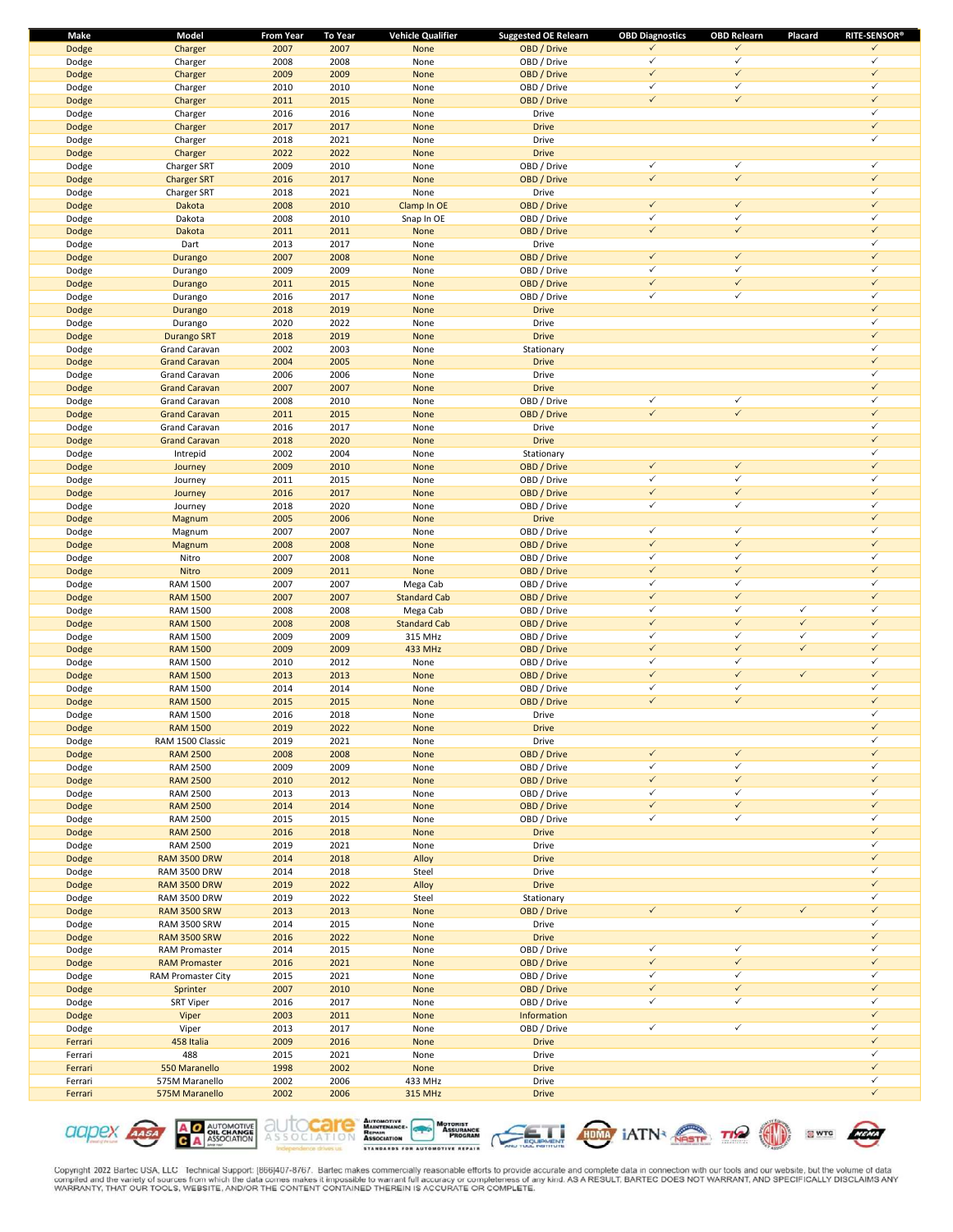| Make    | Model                | From Year | To Year | <b>Vehicle Qualifier</b> | <b>Suggested OE Relearn</b> | <b>OBD Diagnostics</b> | <b>OBD Relearn</b> | Placard      | <b>RITE-SENSOR®</b> |
|---------|----------------------|-----------|---------|--------------------------|-----------------------------|------------------------|--------------------|--------------|---------------------|
| Dodge   | Charger              | 2007      | 2007    | None                     | OBD / Drive                 | $\checkmark$           | $\checkmark$       |              | $\checkmark$        |
| Dodge   | Charger              | 2008      | 2008    | None                     | OBD / Drive                 | $\checkmark$           | $\checkmark$       |              | $\checkmark$        |
| Dodge   | Charger              | 2009      | 2009    | None                     | OBD / Drive                 | $\checkmark$           | $\checkmark$       |              | $\checkmark$        |
| Dodge   | Charger              | 2010      | 2010    | None                     | OBD / Drive                 | $\checkmark$           | $\checkmark$       |              | $\checkmark$        |
| Dodge   | Charger              | 2011      | 2015    | None                     | OBD / Drive                 | $\checkmark$           | $\checkmark$       |              | $\checkmark$        |
| Dodge   | Charger              | 2016      | 2016    | None                     | Drive                       |                        |                    |              | $\checkmark$        |
|         |                      |           |         |                          |                             |                        |                    |              | $\checkmark$        |
| Dodge   | Charger              | 2017      | 2017    | None                     | <b>Drive</b>                |                        |                    |              |                     |
| Dodge   | Charger              | 2018      | 2021    | None                     | Drive                       |                        |                    |              | $\checkmark$        |
| Dodge   | Charger              | 2022      | 2022    | None                     | <b>Drive</b>                |                        |                    |              |                     |
| Dodge   | Charger SRT          | 2009      | 2010    | None                     | OBD / Drive                 | $\checkmark$           | $\checkmark$       |              | $\checkmark$        |
| Dodge   | <b>Charger SRT</b>   | 2016      | 2017    | None                     | OBD / Drive                 | $\checkmark$           | $\checkmark$       |              | $\checkmark$        |
| Dodge   | Charger SRT          | 2018      | 2021    | None                     | Drive                       |                        |                    |              | $\checkmark$        |
| Dodge   | Dakota               | 2008      | 2010    | Clamp In OE              | OBD / Drive                 | $\checkmark$           | $\checkmark$       |              | $\checkmark$        |
| Dodge   | Dakota               | 2008      | 2010    | Snap In OE               | OBD / Drive                 | $\checkmark$           | $\checkmark$       |              | $\checkmark$        |
|         |                      |           |         |                          |                             |                        | $\checkmark$       |              | $\checkmark$        |
| Dodge   | Dakota               | 2011      | 2011    | None                     | OBD / Drive                 | $\checkmark$           |                    |              |                     |
| Dodge   | Dart                 | 2013      | 2017    | None                     | Drive                       |                        |                    |              | $\checkmark$        |
| Dodge   | Durango              | 2007      | 2008    | None                     | OBD / Drive                 | $\checkmark$           | $\checkmark$       |              | $\checkmark$        |
| Dodge   | Durango              | 2009      | 2009    | None                     | OBD / Drive                 | $\checkmark$           | $\checkmark$       |              | $\checkmark$        |
| Dodge   | Durango              | 2011      | 2015    | None                     | OBD / Drive                 | $\checkmark$           | $\checkmark$       |              | $\checkmark$        |
| Dodge   | Durango              | 2016      | 2017    | None                     | OBD / Drive                 | $\checkmark$           | $\checkmark$       |              | $\checkmark$        |
| Dodge   | Durango              | 2018      | 2019    | None                     | <b>Drive</b>                |                        |                    |              | $\checkmark$        |
|         |                      | 2020      | 2022    | None                     | Drive                       |                        |                    |              | $\checkmark$        |
| Dodge   | Durango              |           |         |                          |                             |                        |                    |              |                     |
| Dodge   | <b>Durango SRT</b>   | 2018      | 2019    | None                     | <b>Drive</b>                |                        |                    |              | $\checkmark$        |
| Dodge   | Grand Caravan        | 2002      | 2003    | None                     | Stationary                  |                        |                    |              | $\checkmark$        |
| Dodge   | <b>Grand Caravan</b> | 2004      | 2005    | None                     | <b>Drive</b>                |                        |                    |              | $\checkmark$        |
| Dodge   | Grand Caravan        | 2006      | 2006    | None                     | Drive                       |                        |                    |              | $\checkmark$        |
| Dodge   | <b>Grand Caravan</b> | 2007      | 2007    | None                     | <b>Drive</b>                |                        |                    |              | $\checkmark$        |
| Dodge   | Grand Caravan        | 2008      | 2010    | None                     | OBD / Drive                 | $\checkmark$           | $\checkmark$       |              | $\checkmark$        |
|         | <b>Grand Caravan</b> | 2011      | 2015    | None                     | OBD / Drive                 | $\checkmark$           | $\checkmark$       |              | $\checkmark$        |
| Dodge   |                      |           |         |                          |                             |                        |                    |              | $\checkmark$        |
| Dodge   | Grand Caravan        | 2016      | 2017    | None                     | Drive                       |                        |                    |              |                     |
| Dodge   | <b>Grand Caravan</b> | 2018      | 2020    | None                     | <b>Drive</b>                |                        |                    |              | $\checkmark$        |
| Dodge   | Intrepid             | 2002      | 2004    | None                     | Stationary                  |                        |                    |              | $\checkmark$        |
| Dodge   | Journey              | 2009      | 2010    | None                     | OBD / Drive                 | $\checkmark$           | $\checkmark$       |              | $\checkmark$        |
| Dodge   | Journey              | 2011      | 2015    | None                     | OBD / Drive                 | $\checkmark$           | $\checkmark$       |              | $\checkmark$        |
| Dodge   | Journey              | 2016      | 2017    | None                     | OBD / Drive                 | $\checkmark$           | $\checkmark$       |              | $\checkmark$        |
| Dodge   | Journey              | 2018      | 2020    | None                     | OBD / Drive                 | $\checkmark$           | $\checkmark$       |              | $\checkmark$        |
|         |                      | 2005      | 2006    | None                     | <b>Drive</b>                |                        |                    |              | $\checkmark$        |
| Dodge   | Magnum               |           |         |                          |                             |                        |                    |              |                     |
| Dodge   | Magnum               | 2007      | 2007    | None                     | OBD / Drive                 | $\checkmark$           | $\checkmark$       |              | $\checkmark$        |
| Dodge   | Magnum               | 2008      | 2008    | None                     | OBD / Drive                 | $\checkmark$           | $\checkmark$       |              | $\checkmark$        |
| Dodge   | Nitro                | 2007      | 2008    | None                     | OBD / Drive                 | $\checkmark$           | $\checkmark$       |              | $\checkmark$        |
| Dodge   | Nitro                | 2009      | 2011    | None                     | OBD / Drive                 | $\checkmark$           | $\checkmark$       |              | $\checkmark$        |
| Dodge   | <b>RAM 1500</b>      | 2007      | 2007    | Mega Cab                 | OBD / Drive                 | $\checkmark$           | $\checkmark$       |              | $\checkmark$        |
| Dodge   | <b>RAM 1500</b>      | 2007      | 2007    | <b>Standard Cab</b>      | OBD / Drive                 | $\checkmark$           | $\checkmark$       |              | $\checkmark$        |
| Dodge   | <b>RAM 1500</b>      | 2008      | 2008    | Mega Cab                 | OBD / Drive                 | $\checkmark$           | $\checkmark$       | $\checkmark$ | $\checkmark$        |
|         |                      | 2008      | 2008    |                          | OBD / Drive                 | $\checkmark$           | $\checkmark$       | $\checkmark$ | $\checkmark$        |
| Dodge   | <b>RAM 1500</b>      |           |         | <b>Standard Cab</b>      |                             | $\checkmark$           | $\checkmark$       | $\checkmark$ | $\checkmark$        |
| Dodge   | <b>RAM 1500</b>      | 2009      | 2009    | 315 MHz                  | OBD / Drive                 |                        |                    |              |                     |
| Dodge   | <b>RAM 1500</b>      | 2009      | 2009    | 433 MHz                  | OBD / Drive                 | $\checkmark$           | $\checkmark$       | $\checkmark$ | $\checkmark$        |
| Dodge   | <b>RAM 1500</b>      | 2010      | 2012    | None                     | OBD / Drive                 | $\checkmark$           | $\checkmark$       |              | $\checkmark$        |
| Dodge   | <b>RAM 1500</b>      | 2013      | 2013    | None                     | OBD / Drive                 | $\checkmark$           | $\checkmark$       | $\checkmark$ | $\checkmark$        |
| Dodge   | <b>RAM 1500</b>      | 2014      | 2014    | None                     | OBD / Drive                 | $\checkmark$           | $\checkmark$       |              | $\checkmark$        |
| Dodge   | <b>RAM 1500</b>      | 2015      | 2015    | None                     | OBD / Drive                 | $\checkmark$           | $\checkmark$       |              | $\checkmark$        |
| Dodge   | <b>RAM 1500</b>      | 2016      | 2018    | None                     | Drive                       |                        |                    |              | $\checkmark$        |
|         |                      | 2019      | 2022    | <b>None</b>              | <b>Drive</b>                |                        |                    |              | $\checkmark$        |
| Dodge   | <b>RAM 1500</b>      |           |         |                          |                             |                        |                    |              |                     |
| Dodge   | RAM 1500 Classic     | 2019      | 2021    | None                     | Drive                       |                        |                    |              | $\checkmark$        |
| Dodge   | <b>RAM 2500</b>      | 2008      | 2008    | None                     | OBD / Drive                 | $\checkmark$           | $\checkmark$       |              | $\checkmark$        |
| Dodge   | <b>RAM 2500</b>      | 2009      | 2009    | None                     | OBD / Drive                 | $\checkmark$           | $\checkmark$       |              | $\checkmark$        |
| Dodge   | <b>RAM 2500</b>      | 2010      | 2012    | None                     | OBD / Drive                 | $\checkmark$           | $\checkmark$       |              | $\checkmark$        |
| Dodge   | <b>RAM 2500</b>      | 2013      | 2013    | None                     | OBD / Drive                 | $\checkmark$           | $\checkmark$       |              | $\checkmark$        |
| Dodge   | <b>RAM 2500</b>      | 2014      | 2014    | None                     | OBD / Drive                 | $\checkmark$           | $\checkmark$       |              | $\checkmark$        |
| Dodge   | <b>RAM 2500</b>      | 2015      | 2015    | None                     | OBD / Drive                 | $\checkmark$           | $\checkmark$       |              | $\checkmark$        |
|         |                      |           |         |                          |                             |                        |                    |              | $\checkmark$        |
| Dodge   | <b>RAM 2500</b>      | 2016      | 2018    | None                     | <b>Drive</b>                |                        |                    |              |                     |
| Dodge   | <b>RAM 2500</b>      | 2019      | 2021    | None                     | Drive                       |                        |                    |              | $\checkmark$        |
| Dodge   | <b>RAM 3500 DRW</b>  | 2014      | 2018    | Alloy                    | <b>Drive</b>                |                        |                    |              | $\checkmark$        |
| Dodge   | <b>RAM 3500 DRW</b>  | 2014      | 2018    | Steel                    | Drive                       |                        |                    |              | $\checkmark$        |
| Dodge   | <b>RAM 3500 DRW</b>  | 2019      | 2022    | Alloy                    | <b>Drive</b>                |                        |                    |              | $\checkmark$        |
| Dodge   | <b>RAM 3500 DRW</b>  | 2019      | 2022    | Steel                    | Stationary                  |                        |                    |              | $\checkmark$        |
| Dodge   | <b>RAM 3500 SRW</b>  | 2013      | 2013    | None                     | OBD / Drive                 | $\checkmark$           | $\checkmark$       | $\checkmark$ | $\checkmark$        |
|         | <b>RAM 3500 SRW</b>  |           | 2015    |                          | Drive                       |                        |                    |              | $\checkmark$        |
| Dodge   |                      | 2014      |         | None                     |                             |                        |                    |              |                     |
| Dodge   | <b>RAM 3500 SRW</b>  | 2016      | 2022    | None                     | <b>Drive</b>                |                        |                    |              | $\checkmark$        |
| Dodge   | <b>RAM Promaster</b> | 2014      | 2015    | None                     | OBD / Drive                 | $\checkmark$           | $\checkmark$       |              | $\checkmark$        |
| Dodge   | <b>RAM Promaster</b> | 2016      | 2021    | None                     | OBD / Drive                 | $\checkmark$           | $\checkmark$       |              | $\checkmark$        |
| Dodge   | RAM Promaster City   | 2015      | 2021    | None                     | OBD / Drive                 | $\checkmark$           | $\checkmark$       |              | $\checkmark$        |
| Dodge   | Sprinter             | 2007      | 2010    | None                     | OBD / Drive                 | $\checkmark$           | $\checkmark$       |              | $\checkmark$        |
| Dodge   | <b>SRT Viper</b>     | 2016      | 2017    | None                     | OBD / Drive                 | $\checkmark$           | $\checkmark$       |              | $\checkmark$        |
| Dodge   | Viper                | 2003      | 2011    | None                     | Information                 |                        |                    |              | $\checkmark$        |
|         |                      |           |         |                          |                             | $\checkmark$           | $\checkmark$       |              | $\checkmark$        |
| Dodge   | Viper                | 2013      | 2017    | None                     | OBD / Drive                 |                        |                    |              | $\checkmark$        |
| Ferrari | 458 Italia           | 2009      | 2016    | None                     | <b>Drive</b>                |                        |                    |              |                     |
| Ferrari | 488                  | 2015      | 2021    | None                     | Drive                       |                        |                    |              | $\checkmark$        |
| Ferrari | 550 Maranello        | 1998      | 2002    | None                     | <b>Drive</b>                |                        |                    |              | $\checkmark$        |
| Ferrari | 575M Maranello       | 2002      | 2006    | 433 MHz                  | Drive                       |                        |                    |              | $\checkmark$        |
| Ferrari | 575M Maranello       | 2002      | 2006    | 315 MHz                  | <b>Drive</b>                |                        |                    |              | $\checkmark$        |
|         |                      |           |         |                          |                             |                        |                    |              |                     |











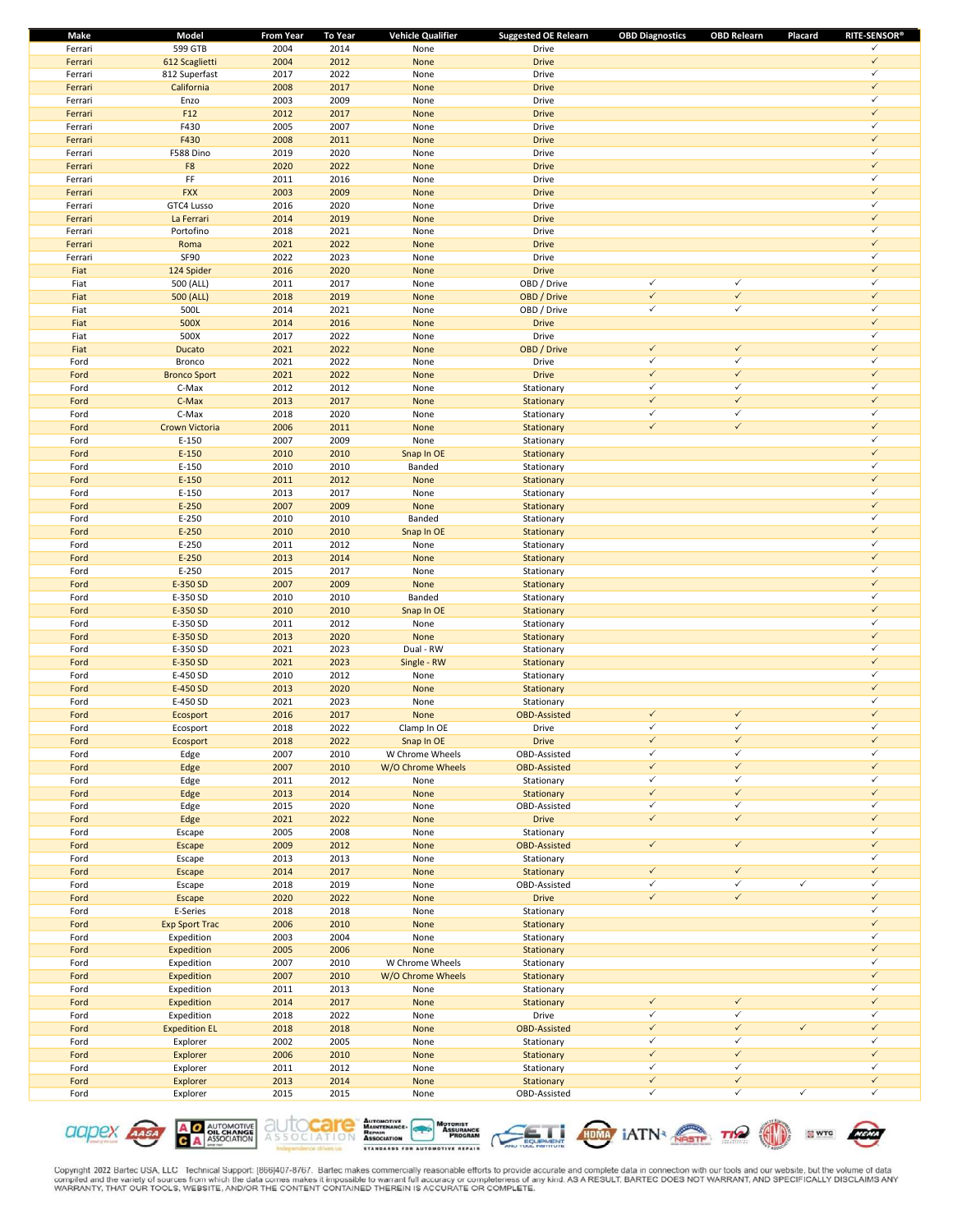| Make    | Model                 | <b>From Year</b> | <b>To Year</b> | <b>Vehicle Qualifier</b> | <b>Suggested OE Relearn</b> | <b>OBD Diagnostics</b> | <b>OBD Relearn</b> | Placard      | <b>RITE-SENSOR®</b> |
|---------|-----------------------|------------------|----------------|--------------------------|-----------------------------|------------------------|--------------------|--------------|---------------------|
| Ferrari | 599 GTB               | 2004             | 2014           | None                     | Drive                       |                        |                    |              | ✓                   |
| Ferrari | 612 Scaglietti        | 2004             | 2012           | None                     | <b>Drive</b>                |                        |                    |              | $\checkmark$        |
| Ferrari | 812 Superfast         | 2017             | 2022           | None                     | Drive                       |                        |                    |              | $\checkmark$        |
| Ferrari | California            | 2008             | 2017           | None                     | <b>Drive</b>                |                        |                    |              | $\checkmark$        |
| Ferrari | Enzo                  | 2003             | 2009           | None                     | Drive                       |                        |                    |              | $\checkmark$        |
| Ferrari | F12                   | 2012             | 2017           | None                     | <b>Drive</b>                |                        |                    |              | $\checkmark$        |
| Ferrari | F430                  | 2005             | 2007           | None                     | Drive                       |                        |                    |              | $\checkmark$        |
| Ferrari | F430                  | 2008             | 2011           | None                     | <b>Drive</b>                |                        |                    |              | $\checkmark$        |
| Ferrari | F588 Dino             | 2019             | 2020           | None                     | Drive                       |                        |                    |              | ✓                   |
| Ferrari | F8                    | 2020             | 2022           | None                     | <b>Drive</b>                |                        |                    |              | $\checkmark$        |
| Ferrari | FF                    | 2011             | 2016           | None                     | Drive                       |                        |                    |              | $\checkmark$        |
| Ferrari | <b>FXX</b>            | 2003             | 2009           | None                     | <b>Drive</b>                |                        |                    |              | $\checkmark$        |
| Ferrari | GTC4 Lusso            | 2016             | 2020           | None                     | Drive                       |                        |                    |              | $\checkmark$        |
| Ferrari | La Ferrari            | 2014             | 2019           | None                     | <b>Drive</b>                |                        |                    |              | $\checkmark$        |
| Ferrari | Portofino             | 2018             | 2021           | None                     | Drive                       |                        |                    |              | $\checkmark$        |
| Ferrari | Roma                  | 2021             | 2022           | None                     | <b>Drive</b>                |                        |                    |              | $\checkmark$        |
| Ferrari | SF90                  | 2022             | 2023           | None                     | Drive                       |                        |                    |              | $\checkmark$        |
| Fiat    | 124 Spider            | 2016             | 2020           | None                     | <b>Drive</b>                |                        |                    |              | $\checkmark$        |
| Fiat    | 500 (ALL)             | 2011             | 2017           | None                     | OBD / Drive                 | $\checkmark$           | $\checkmark$       |              | $\checkmark$        |
|         |                       |                  |                |                          |                             | $\checkmark$           | $\checkmark$       |              | $\checkmark$        |
| Fiat    | 500 (ALL)             | 2018             | 2019           | None                     | OBD / Drive                 | $\checkmark$           | $\checkmark$       |              | $\checkmark$        |
| Fiat    | 500L                  | 2014             | 2021           | None                     | OBD / Drive                 |                        |                    |              | $\checkmark$        |
| Fiat    | 500X                  | 2014             | 2016           | None                     | <b>Drive</b>                |                        |                    |              |                     |
| Fiat    | 500X                  | 2017             | 2022           | None                     | Drive                       |                        |                    |              | $\checkmark$        |
| Fiat    | Ducato                | 2021             | 2022           | None                     | OBD / Drive                 | $\checkmark$           | $\checkmark$       |              | $\checkmark$        |
| Ford    | Bronco                | 2021             | 2022           | None                     | Drive                       | $\checkmark$           | $\checkmark$       |              | $\checkmark$        |
| Ford    | <b>Bronco Sport</b>   | 2021             | 2022           | None                     | <b>Drive</b>                | $\checkmark$           | $\checkmark$       |              | $\checkmark$        |
| Ford    | C-Max                 | 2012             | 2012           | None                     | Stationary                  | $\checkmark$           | $\checkmark$       |              | $\checkmark$        |
| Ford    | C-Max                 | 2013             | 2017           | None                     | Stationary                  | $\checkmark$           | $\checkmark$       |              | $\checkmark$        |
| Ford    | C-Max                 | 2018             | 2020           | None                     | Stationary                  | ✓                      | $\checkmark$       |              | $\checkmark$        |
| Ford    | Crown Victoria        | 2006             | 2011           | None                     | Stationary                  | $\checkmark$           | $\checkmark$       |              | $\checkmark$        |
| Ford    | $E-150$               | 2007             | 2009           | None                     | Stationary                  |                        |                    |              | $\checkmark$        |
| Ford    | $E-150$               | 2010             | 2010           | Snap In OE               | Stationary                  |                        |                    |              | $\checkmark$        |
| Ford    | E-150                 | 2010             | 2010           | Banded                   | Stationary                  |                        |                    |              | $\checkmark$        |
| Ford    | $E-150$               | 2011             | 2012           | None                     | Stationary                  |                        |                    |              | $\checkmark$        |
| Ford    | E-150                 | 2013             | 2017           | None                     | Stationary                  |                        |                    |              | $\checkmark$        |
| Ford    | $E-250$               | 2007             | 2009           | None                     | Stationary                  |                        |                    |              | $\checkmark$        |
| Ford    | $E-250$               | 2010             | 2010           | Banded                   |                             |                        |                    |              | $\checkmark$        |
|         |                       |                  |                |                          | Stationary                  |                        |                    |              | $\checkmark$        |
| Ford    | $E-250$               | 2010             | 2010           | Snap In OE               | Stationary                  |                        |                    |              | $\checkmark$        |
| Ford    | $E-250$               | 2011             | 2012           | None                     | Stationary                  |                        |                    |              |                     |
| Ford    | $E-250$               | 2013             | 2014           | None                     | Stationary                  |                        |                    |              | $\checkmark$        |
| Ford    | E-250                 | 2015             | 2017           | None                     | Stationary                  |                        |                    |              | $\checkmark$        |
| Ford    | E-350 SD              | 2007             | 2009           | None                     | Stationary                  |                        |                    |              | $\checkmark$        |
| Ford    | E-350 SD              | 2010             | 2010           | Banded                   | Stationary                  |                        |                    |              | $\checkmark$        |
| Ford    | E-350 SD              | 2010             | 2010           | Snap In OE               | Stationary                  |                        |                    |              | $\checkmark$        |
| Ford    | E-350 SD              | 2011             | 2012           | None                     | Stationary                  |                        |                    |              | $\checkmark$        |
| Ford    | E-350 SD              | 2013             | 2020           | None                     | Stationary                  |                        |                    |              | $\checkmark$        |
| Ford    | E-350 SD              | 2021             | 2023           | Dual - RW                | Stationary                  |                        |                    |              | $\checkmark$        |
| Ford    | E-350 SD              | 2021             | 2023           | Single - RW              | Stationary                  |                        |                    |              | $\checkmark$        |
| Ford    | E-450 SD              | 2010             | 2012           | None                     | Stationary                  |                        |                    |              | ✓                   |
| Ford    | E-450 SD              | 2013             | 2020           | None                     | Stationary                  |                        |                    |              | $\checkmark$        |
| Ford    | E-450 SD              | 2021             | 2023           | None                     | Stationary                  |                        |                    |              | $\checkmark$        |
| Ford    | Ecosport              | 2016             | 2017           | None                     | <b>OBD-Assisted</b>         | $\checkmark$           | $\checkmark$       |              | $\checkmark$        |
| Ford    | Ecosport              | 2018             | 2022           | Clamp In OE              | Drive                       | ✓                      | ✓                  |              | ✓                   |
| Ford    | Ecosport              | 2018             | 2022           | Snap In OE               | <b>Drive</b>                | $\checkmark$           | $\checkmark$       |              | $\checkmark$        |
| Ford    | Edge                  | 2007             | 2010           | W Chrome Wheels          | OBD-Assisted                | ✓                      | $\checkmark$       |              | ✓                   |
| Ford    | Edge                  | 2007             | 2010           | W/O Chrome Wheels        | <b>OBD-Assisted</b>         | $\checkmark$           | $\checkmark$       |              | $\checkmark$        |
| Ford    | Edge                  | 2011             | 2012           | None                     | Stationary                  | $\checkmark$           | $\checkmark$       |              | $\checkmark$        |
| Ford    | Edge                  | 2013             | 2014           | None                     | Stationary                  | $\checkmark$           | $\checkmark$       |              | $\checkmark$        |
| Ford    | Edge                  | 2015             | 2020           | None                     | OBD-Assisted                | $\checkmark$           | $\checkmark$       |              | ✓                   |
| Ford    | Edge                  | 2021             | 2022           | None                     | <b>Drive</b>                | $\checkmark$           | $\checkmark$       |              | $\checkmark$        |
| Ford    |                       | 2005             | 2008           |                          | Stationary                  |                        |                    |              | $\checkmark$        |
|         | Escape                | 2009             | 2012           | None                     |                             | $\checkmark$           | $\checkmark$       |              | $\checkmark$        |
| Ford    | <b>Escape</b>         |                  |                | None                     | <b>OBD-Assisted</b>         |                        |                    |              | $\checkmark$        |
| Ford    | Escape                | 2013             | 2013           | None                     | Stationary                  | $\checkmark$           | $\checkmark$       |              | $\checkmark$        |
| Ford    | Escape                | 2014             | 2017           | None                     | Stationary                  |                        |                    |              |                     |
| Ford    | Escape                | 2018             | 2019           | None                     | OBD-Assisted                | $\checkmark$           | $\checkmark$       | $\checkmark$ | $\checkmark$        |
| Ford    | Escape                | 2020             | 2022           | None                     | <b>Drive</b>                | $\checkmark$           | $\checkmark$       |              | $\checkmark$        |
| Ford    | E-Series              | 2018             | 2018           | None                     | Stationary                  |                        |                    |              | $\checkmark$        |
| Ford    | <b>Exp Sport Trac</b> | 2006             | 2010           | None                     | Stationary                  |                        |                    |              | $\checkmark$        |
| Ford    | Expedition            | 2003             | 2004           | None                     | Stationary                  |                        |                    |              | ✓                   |
| Ford    | Expedition            | 2005             | 2006           | None                     | Stationary                  |                        |                    |              | $\checkmark$        |
| Ford    | Expedition            | 2007             | 2010           | W Chrome Wheels          | Stationary                  |                        |                    |              | $\checkmark$        |
| Ford    | Expedition            | 2007             | 2010           | W/O Chrome Wheels        | Stationary                  |                        |                    |              | $\checkmark$        |
| Ford    | Expedition            | 2011             | 2013           | None                     | Stationary                  |                        |                    |              | $\checkmark$        |
| Ford    | Expedition            | 2014             | 2017           | None                     | Stationary                  | $\checkmark$           | $\checkmark$       |              | $\checkmark$        |
| Ford    | Expedition            | 2018             | 2022           | None                     | Drive                       | $\checkmark$           | $\checkmark$       |              | $\checkmark$        |
| Ford    | <b>Expedition EL</b>  | 2018             | 2018           | None                     | <b>OBD-Assisted</b>         | $\checkmark$           | $\checkmark$       | $\checkmark$ | $\checkmark$        |
| Ford    | Explorer              | 2002             | 2005           | None                     | Stationary                  | $\checkmark$           | $\checkmark$       |              | $\checkmark$        |
| Ford    | Explorer              | 2006             | 2010           | None                     | Stationary                  | $\checkmark$           | $\checkmark$       |              | $\checkmark$        |
| Ford    | Explorer              | 2011             | 2012           | None                     | Stationary                  | $\checkmark$           | $\checkmark$       |              | ✓                   |
| Ford    | Explorer              | 2013             | 2014           | None                     | Stationary                  | $\checkmark$           | $\checkmark$       |              | $\checkmark$        |
| Ford    | Explorer              | 2015             | 2015           | None                     | OBD-Assisted                | $\checkmark$           | $\checkmark$       | $\checkmark$ | $\checkmark$        |
|         |                       |                  |                |                          |                             |                        |                    |              |                     |







**SWTC** 

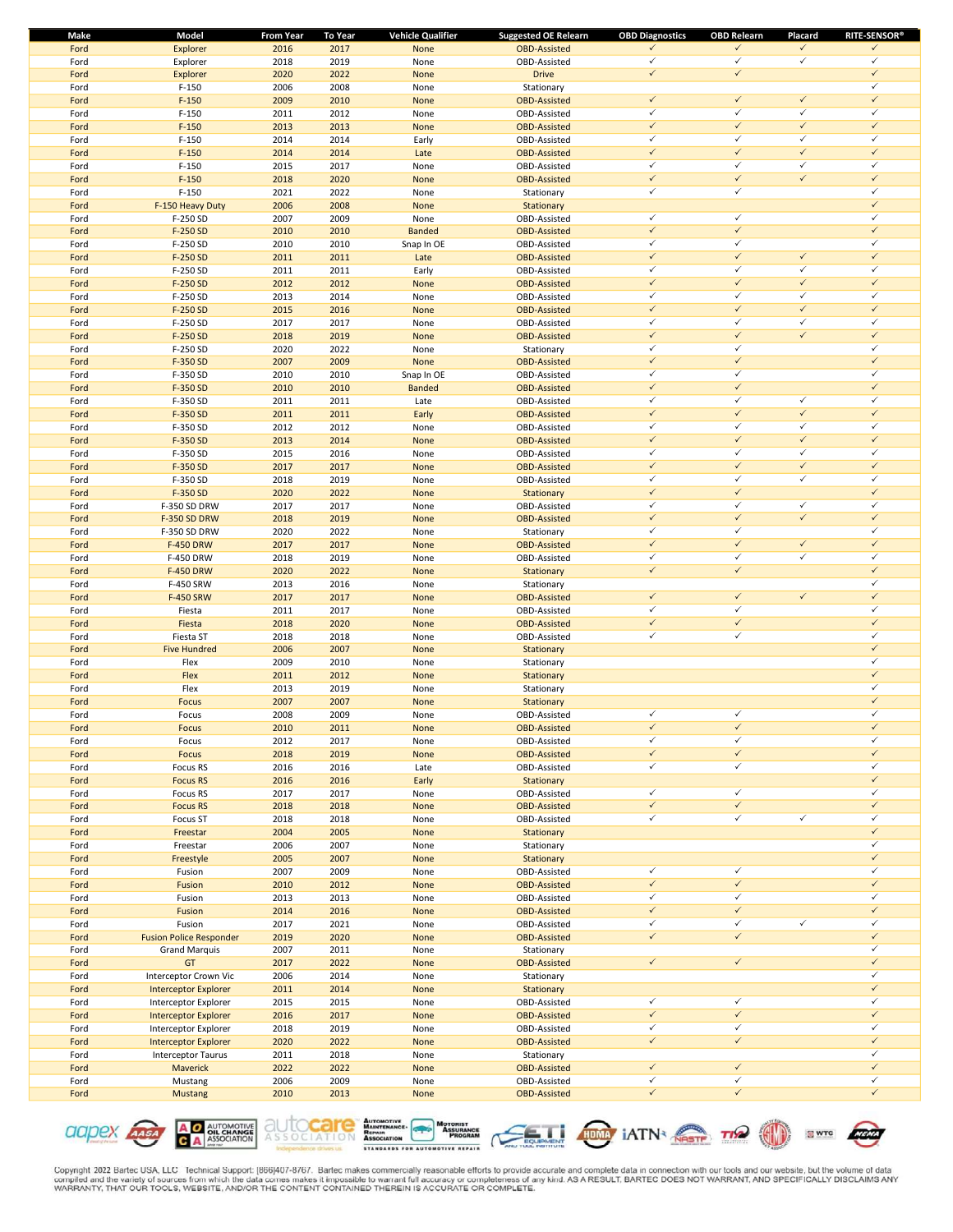| <b>Make</b> | Model                          | <b>From Year</b> | <b>To Year</b> | <b>Vehicle Qualifier</b> | <b>Suggested OE Relearn</b> | <b>OBD Diagnostics</b> | <b>OBD Relearn</b> | Placard      | <b>RITE-SENSOR®</b> |
|-------------|--------------------------------|------------------|----------------|--------------------------|-----------------------------|------------------------|--------------------|--------------|---------------------|
| Ford        | Explorer                       | 2016             | 2017           | None                     | <b>OBD-Assisted</b>         | ✓                      | $\checkmark$       | $\checkmark$ | $\checkmark$        |
| Ford        | Explorer                       | 2018             | 2019           | None                     | OBD-Assisted                | $\checkmark$           | $\checkmark$       | $\checkmark$ | $\checkmark$        |
| Ford        | Explorer                       | 2020             | 2022           | None                     | <b>Drive</b>                | $\checkmark$           | $\checkmark$       |              | $\checkmark$        |
| Ford        | $F-150$                        | 2006             | 2008           | None                     | Stationary                  |                        |                    |              | $\checkmark$        |
| Ford        | $F-150$                        | 2009             | 2010           | None                     | <b>OBD-Assisted</b>         | $\checkmark$           | $\checkmark$       | $\checkmark$ | $\checkmark$        |
| Ford        | $F-150$                        | 2011             | 2012           | None                     | OBD-Assisted                | $\checkmark$           | $\checkmark$       | $\checkmark$ | $\checkmark$        |
| Ford        | $F-150$                        | 2013             | 2013           | None                     | <b>OBD-Assisted</b>         | $\checkmark$           | $\checkmark$       | $\checkmark$ | $\checkmark$        |
| Ford        | $F-150$                        | 2014             | 2014           | Early                    | OBD-Assisted                | $\checkmark$           | $\checkmark$       | $\checkmark$ | $\checkmark$        |
| Ford        | $F-150$                        | 2014             | 2014           | Late                     | <b>OBD-Assisted</b>         | $\checkmark$           | $\checkmark$       | $\checkmark$ | $\checkmark$        |
| Ford        | $F-150$                        | 2015             | 2017           | None                     | OBD-Assisted                | $\checkmark$           | $\checkmark$       | $\checkmark$ | $\checkmark$        |
| Ford        | $F-150$                        | 2018             | 2020           | None                     | <b>OBD-Assisted</b>         | $\checkmark$           | $\checkmark$       | $\checkmark$ | $\checkmark$        |
| Ford        | $F-150$                        | 2021             | 2022           | None                     | Stationary                  | $\checkmark$           | $\checkmark$       |              | $\checkmark$        |
| Ford        | F-150 Heavy Duty               | 2006             | 2008           | None                     | Stationary                  |                        |                    |              | $\checkmark$        |
| Ford        | F-250 SD                       | 2007             | 2009           | None                     | OBD-Assisted                | $\checkmark$           | $\checkmark$       |              | $\checkmark$        |
| Ford        | F-250 SD                       | 2010             | 2010           | <b>Banded</b>            | <b>OBD-Assisted</b>         | $\checkmark$           | $\checkmark$       |              | $\checkmark$        |
| Ford        | F-250 SD                       | 2010             | 2010           | Snap In OE               | OBD-Assisted                | $\checkmark$           | $\checkmark$       |              | $\checkmark$        |
| Ford        | F-250 SD                       | 2011             | 2011           | Late                     | <b>OBD-Assisted</b>         | $\checkmark$           | $\checkmark$       | $\checkmark$ | $\checkmark$        |
| Ford        | F-250 SD                       | 2011             | 2011           | Early                    | OBD-Assisted                | $\checkmark$           | $\checkmark$       | $\checkmark$ | $\checkmark$        |
| Ford        | F-250 SD                       | 2012             | 2012           | None                     | <b>OBD-Assisted</b>         | $\checkmark$           | $\checkmark$       | $\checkmark$ | $\checkmark$        |
| Ford        | F-250 SD                       | 2013             | 2014           | None                     | OBD-Assisted                | $\checkmark$           | $\checkmark$       | $\checkmark$ | $\checkmark$        |
| Ford        | F-250 SD                       | 2015             | 2016           | None                     | <b>OBD-Assisted</b>         | $\checkmark$           | $\checkmark$       | $\checkmark$ | $\checkmark$        |
| Ford        | F-250 SD                       | 2017             | 2017           | None                     | OBD-Assisted                | $\checkmark$           | $\checkmark$       | $\checkmark$ | $\checkmark$        |
| Ford        | F-250 SD                       | 2018             | 2019           | None                     | <b>OBD-Assisted</b>         | $\checkmark$           | $\checkmark$       | $\checkmark$ | $\checkmark$        |
| Ford        | F-250 SD                       | 2020             | 2022           | None                     | Stationary                  | $\checkmark$           | $\checkmark$       |              | $\checkmark$        |
| Ford        | F-350 SD                       | 2007             | 2009           | None                     | <b>OBD-Assisted</b>         | $\checkmark$           | $\checkmark$       |              | $\checkmark$        |
| Ford        | F-350 SD                       | 2010             | 2010           | Snap In OE               | OBD-Assisted                | $\checkmark$           | $\checkmark$       |              | $\checkmark$        |
| Ford        | F-350 SD                       | 2010             | 2010           | <b>Banded</b>            | <b>OBD-Assisted</b>         | $\checkmark$           | $\checkmark$       |              | $\checkmark$        |
| Ford        | F-350 SD                       | 2011             | 2011           | Late                     | OBD-Assisted                | $\checkmark$           | $\checkmark$       | $\checkmark$ | $\checkmark$        |
| Ford        | F-350 SD                       | 2011             | 2011           | Early                    | <b>OBD-Assisted</b>         | $\checkmark$           | $\checkmark$       | $\checkmark$ | $\checkmark$        |
| Ford        | F-350 SD                       | 2012             | 2012           | None                     | OBD-Assisted                | $\checkmark$           | $\checkmark$       | $\checkmark$ | $\checkmark$        |
| Ford        | F-350 SD                       | 2013             | 2014           | None                     | <b>OBD-Assisted</b>         | $\checkmark$           | $\checkmark$       | $\checkmark$ | $\checkmark$        |
| Ford        | F-350 SD                       | 2015             | 2016           | None                     | OBD-Assisted                | $\checkmark$           | $\checkmark$       | $\checkmark$ | $\checkmark$        |
|             | F-350 SD                       | 2017             | 2017           |                          | <b>OBD-Assisted</b>         | $\checkmark$           | $\checkmark$       | $\checkmark$ | $\checkmark$        |
| Ford        |                                | 2018             | 2019           | None                     | OBD-Assisted                | $\checkmark$           | $\checkmark$       | $\checkmark$ | $\checkmark$        |
| Ford        | F-350 SD                       |                  |                | None                     |                             | $\checkmark$           | $\checkmark$       |              | $\checkmark$        |
| Ford        | F-350 SD                       | 2020             | 2022           | None                     | Stationary                  | $\checkmark$           | $\checkmark$       | $\checkmark$ | $\checkmark$        |
| Ford        | F-350 SD DRW                   | 2017             | 2017           | None                     | OBD-Assisted                |                        |                    |              | $\checkmark$        |
| Ford        | <b>F-350 SD DRW</b>            | 2018             | 2019           | None                     | <b>OBD-Assisted</b>         | $\checkmark$           | $\checkmark$       | $\checkmark$ |                     |
| Ford        | F-350 SD DRW                   | 2020             | 2022           | None                     | Stationary                  | $\checkmark$           | $\checkmark$       |              | $\checkmark$        |
| Ford        | <b>F-450 DRW</b>               | 2017             | 2017           | None                     | <b>OBD-Assisted</b>         | $\checkmark$           | $\checkmark$       | $\checkmark$ | $\checkmark$        |
| Ford        | F-450 DRW                      | 2018             | 2019           | None                     | OBD-Assisted                | $\checkmark$           | $\checkmark$       | $\checkmark$ | $\checkmark$        |
| Ford        | <b>F-450 DRW</b>               | 2020             | 2022           | None                     | Stationary                  | $\checkmark$           | $\checkmark$       |              | $\checkmark$        |
| Ford        | F-450 SRW                      | 2013             | 2016           | None                     | Stationary                  |                        |                    |              | $\checkmark$        |
| Ford        | F-450 SRW                      | 2017             | 2017           | None                     | <b>OBD-Assisted</b>         | $\checkmark$           | $\checkmark$       | $\checkmark$ | $\checkmark$        |
| Ford        | Fiesta                         | 2011             | 2017           | None                     | OBD-Assisted                | $\checkmark$           | $\checkmark$       |              | $\checkmark$        |
| Ford        | Fiesta                         | 2018             | 2020           | None                     | <b>OBD-Assisted</b>         | $\checkmark$           | $\checkmark$       |              | $\checkmark$        |
| Ford        | Fiesta ST                      | 2018             | 2018           | None                     | OBD-Assisted                | $\checkmark$           | $\checkmark$       |              | $\checkmark$        |
| Ford        | <b>Five Hundred</b>            | 2006             | 2007           | None                     | Stationary                  |                        |                    |              | $\checkmark$        |
| Ford        | Flex                           | 2009             | 2010           | None                     | Stationary                  |                        |                    |              | $\checkmark$        |
| Ford        | Flex                           | 2011             | 2012           | None                     | Stationary                  |                        |                    |              | $\checkmark$        |
| Ford        | Flex                           | 2013             | 2019           | None                     | Stationary                  |                        |                    |              | ✓                   |
| Ford        | <b>Focus</b>                   | 2007             | 2007           | None                     | Stationary                  |                        |                    |              | $\checkmark$        |
| Ford        | Focus                          | 2008             | 2009           | None                     | OBD-Assisted                | $\checkmark$           | $\checkmark$       |              | $\checkmark$        |
| Ford        | <b>Focus</b>                   | 2010             | 2011           | None                     | <b>OBD-Assisted</b>         |                        | $\checkmark$       |              | $\checkmark$        |
| Ford        | Focus                          | 2012             | 2017           | None                     | OBD-Assisted                | $\checkmark$           | $\checkmark$       |              | $\checkmark$        |
| Ford        | Focus                          | 2018             | 2019           | None                     | <b>OBD-Assisted</b>         | $\checkmark$           | $\checkmark$       |              | $\checkmark$        |
| Ford        | Focus RS                       | 2016             | 2016           | Late                     | OBD-Assisted                | $\checkmark$           | $\checkmark$       |              | $\checkmark$        |
| Ford        | <b>Focus RS</b>                | 2016             | 2016           | Early                    | Stationary                  |                        |                    |              | $\checkmark$        |
| Ford        | Focus RS                       | 2017             | 2017           | None                     | OBD-Assisted                | $\checkmark$           | $\checkmark$       |              | $\checkmark$        |
| Ford        | <b>Focus RS</b>                | 2018             | 2018           | None                     | <b>OBD-Assisted</b>         | $\checkmark$           | $\checkmark$       |              | $\checkmark$        |
| Ford        | Focus ST                       | 2018             | 2018           | None                     | OBD-Assisted                | $\checkmark$           | $\checkmark$       | $\checkmark$ | $\checkmark$        |
| Ford        | Freestar                       | 2004             | 2005           | None                     | Stationary                  |                        |                    |              | $\checkmark$        |
| Ford        | Freestar                       | 2006             | 2007           | None                     |                             |                        |                    |              | $\checkmark$        |
|             |                                |                  |                |                          | Stationary                  |                        |                    |              | $\checkmark$        |
| Ford        | Freestyle                      | 2005             | 2007           | None                     | Stationary                  | $\checkmark$           | $\checkmark$       |              | $\checkmark$        |
| Ford        | Fusion                         | 2007             | 2009           | None                     | OBD-Assisted                |                        |                    |              | $\checkmark$        |
| Ford        | Fusion                         | 2010             | 2012           | None                     | <b>OBD-Assisted</b>         | $\checkmark$           | $\checkmark$       |              |                     |
| Ford        | Fusion                         | 2013             | 2013           | None                     | OBD-Assisted                | $\checkmark$           | $\checkmark$       |              | $\checkmark$        |
| Ford        | Fusion                         | 2014             | 2016           | None                     | <b>OBD-Assisted</b>         | $\checkmark$           | $\checkmark$       |              | $\checkmark$        |
| Ford        | Fusion                         | 2017             | 2021           | None                     | OBD-Assisted                | $\checkmark$           | $\checkmark$       | $\checkmark$ | $\checkmark$        |
| Ford        | <b>Fusion Police Responder</b> | 2019             | 2020           | None                     | <b>OBD-Assisted</b>         | $\checkmark$           | $\checkmark$       |              | $\checkmark$        |
| Ford        | <b>Grand Marquis</b>           | 2007             | 2011           | None                     | Stationary                  |                        |                    |              | $\checkmark$        |
| Ford        | GT                             | 2017             | 2022           | None                     | <b>OBD-Assisted</b>         | $\checkmark$           | $\checkmark$       |              | $\checkmark$        |
| Ford        | Interceptor Crown Vic          | 2006             | 2014           | None                     | Stationary                  |                        |                    |              | $\checkmark$        |
| Ford        | <b>Interceptor Explorer</b>    | 2011             | 2014           | None                     | Stationary                  |                        |                    |              | $\checkmark$        |
| Ford        | Interceptor Explorer           | 2015             | 2015           | None                     | OBD-Assisted                | $\checkmark$           | $\checkmark$       |              | $\checkmark$        |
| Ford        | <b>Interceptor Explorer</b>    | 2016             | 2017           | None                     | <b>OBD-Assisted</b>         | $\checkmark$           | $\checkmark$       |              | $\checkmark$        |
| Ford        | Interceptor Explorer           | 2018             | 2019           | None                     | OBD-Assisted                | $\checkmark$           | $\checkmark$       |              | $\checkmark$        |
| Ford        | <b>Interceptor Explorer</b>    | 2020             | 2022           | None                     | <b>OBD-Assisted</b>         | $\checkmark$           | $\checkmark$       |              | $\checkmark$        |
| Ford        | <b>Interceptor Taurus</b>      | 2011             | 2018           | None                     | Stationary                  |                        |                    |              | $\checkmark$        |
| Ford        | Maverick                       | 2022             | 2022           | None                     | <b>OBD-Assisted</b>         | $\checkmark$           | $\checkmark$       |              | $\checkmark$        |
| Ford        | Mustang                        | 2006             | 2009           | None                     | OBD-Assisted                | $\checkmark$           | $\checkmark$       |              | $\checkmark$        |
| Ford        | <b>Mustang</b>                 | 2010             | 2013           | None                     | <b>OBD-Assisted</b>         | $\checkmark$           | $\checkmark$       |              | $\checkmark$        |
|             |                                |                  |                |                          |                             |                        |                    |              |                     |











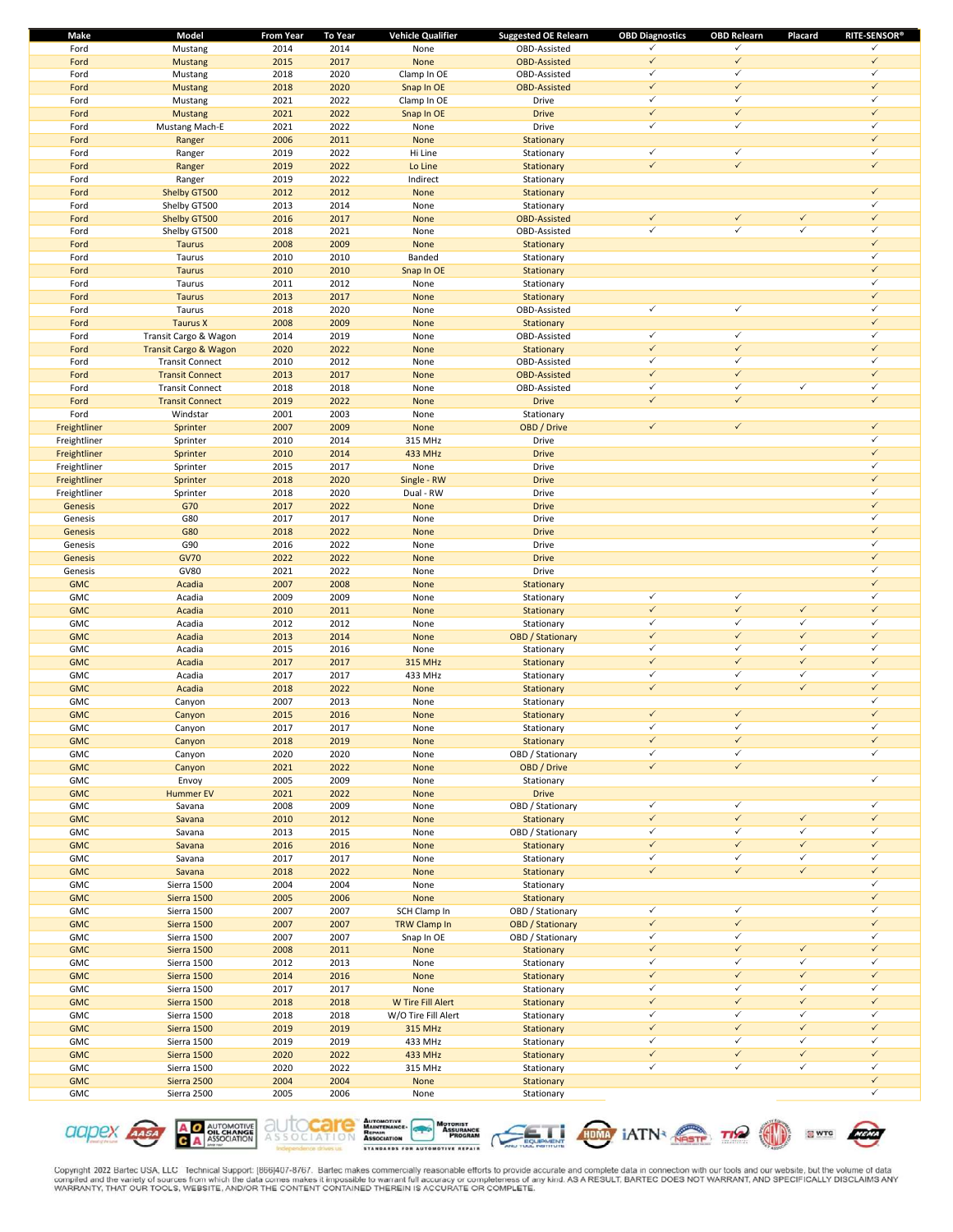| <b>Make</b>  | Model                  | <b>From Year</b> | <b>To Year</b> | <b>Vehicle Qualifier</b> | <b>Suggested OE Relearn</b> | <b>OBD Diagnostics</b> | <b>OBD Relearn</b> | Placard      | <b>RITE-SENSOR®</b>          |
|--------------|------------------------|------------------|----------------|--------------------------|-----------------------------|------------------------|--------------------|--------------|------------------------------|
| Ford         | Mustang                | 2014             | 2014           | None                     | OBD-Assisted                | ✓                      | $\checkmark$       |              | ✓                            |
| Ford         | <b>Mustang</b>         | 2015             | 2017           | None                     | <b>OBD-Assisted</b>         | $\checkmark$           | $\checkmark$       |              | $\checkmark$                 |
| Ford         | Mustang                | 2018             | 2020           | Clamp In OE              | OBD-Assisted                | $\checkmark$           | $\checkmark$       |              | $\checkmark$                 |
| Ford         | <b>Mustang</b>         | 2018             | 2020           | Snap In OE               | <b>OBD-Assisted</b>         | $\checkmark$           | $\checkmark$       |              | $\checkmark$                 |
| Ford         | Mustang                | 2021             | 2022           | Clamp In OE              | Drive                       | $\checkmark$           | $\checkmark$       |              | $\checkmark$                 |
| Ford         | Mustang                | 2021             | 2022           | Snap In OE               | <b>Drive</b>                | $\checkmark$           | $\checkmark$       |              | $\checkmark$                 |
| Ford         | <b>Mustang Mach-E</b>  | 2021             | 2022           | None                     | Drive                       | $\checkmark$           | $\checkmark$       |              | $\checkmark$                 |
| Ford         | Ranger                 | 2006             | 2011           | None                     | Stationary                  |                        |                    |              | $\checkmark$                 |
| Ford         | Ranger                 | 2019             | 2022           | Hi Line                  | Stationary                  | $\checkmark$           | $\checkmark$       |              | $\checkmark$                 |
| Ford         | Ranger                 | 2019             | 2022           | Lo Line                  | Stationary                  | $\checkmark$           | $\checkmark$       |              | $\checkmark$                 |
| Ford         | Ranger                 | 2019             | 2022           | Indirect                 | Stationary                  |                        |                    |              |                              |
| Ford         | Shelby GT500           | 2012             | 2012           | None                     | Stationary                  |                        |                    |              | $\checkmark$                 |
| Ford         | Shelby GT500           | 2013             | 2014           | None                     | Stationary                  |                        |                    |              | $\checkmark$                 |
| Ford         | Shelby GT500           | 2016             | 2017           | None                     | <b>OBD-Assisted</b>         | $\checkmark$           | $\checkmark$       | $\checkmark$ | $\checkmark$                 |
| Ford         | Shelby GT500           | 2018             | 2021           | None                     | OBD-Assisted                | $\checkmark$           | $\checkmark$       | $\checkmark$ | $\checkmark$                 |
| Ford         | <b>Taurus</b>          | 2008             | 2009           | None                     | Stationary                  |                        |                    |              | $\checkmark$                 |
| Ford         | Taurus                 | 2010             | 2010           | Banded                   | Stationary                  |                        |                    |              | $\checkmark$                 |
| Ford         | <b>Taurus</b>          | 2010             | 2010           | Snap In OE               | Stationary                  |                        |                    |              | $\checkmark$                 |
| Ford         | Taurus                 | 2011             | 2012           | None                     | Stationary                  |                        |                    |              | $\checkmark$                 |
| Ford         | <b>Taurus</b>          | 2013             | 2017           | None                     | Stationary                  |                        |                    |              | $\checkmark$                 |
| Ford         | Taurus                 | 2018             | 2020           | None                     | OBD-Assisted                | $\checkmark$           | $\checkmark$       |              | $\checkmark$                 |
| Ford         | <b>Taurus X</b>        | 2008             | 2009           | None                     | Stationary                  |                        |                    |              | $\checkmark$                 |
| Ford         | Transit Cargo & Wagon  | 2014             | 2019           | None                     | OBD-Assisted                | $\checkmark$           | $\checkmark$       |              | $\checkmark$                 |
| Ford         | Transit Cargo & Wagon  | 2020             | 2022           | None                     | Stationary                  | $\checkmark$           | $\checkmark$       |              | $\checkmark$                 |
| Ford         | <b>Transit Connect</b> | 2010             | 2012           | None                     | OBD-Assisted                | $\checkmark$           | $\checkmark$       |              | $\checkmark$                 |
| Ford         | <b>Transit Connect</b> | 2013             | 2017           | None                     | <b>OBD-Assisted</b>         | $\checkmark$           | $\checkmark$       |              | $\checkmark$                 |
| Ford         | <b>Transit Connect</b> | 2018             | 2018           | None                     | OBD-Assisted                | $\checkmark$           | $\checkmark$       | $\checkmark$ | $\checkmark$                 |
| Ford         | <b>Transit Connect</b> | 2019             | 2022           | None                     | <b>Drive</b>                | $\checkmark$           | $\checkmark$       |              | $\checkmark$                 |
| Ford         | Windstar               | 2001             | 2003           | None                     | Stationary                  |                        |                    |              |                              |
| Freightliner | Sprinter               | 2007             | 2009           | None                     | OBD / Drive                 | $\checkmark$           | $\checkmark$       |              | $\checkmark$                 |
| Freightliner | Sprinter               | 2010             | 2014           | 315 MHz                  | Drive                       |                        |                    |              | $\checkmark$                 |
| Freightliner | Sprinter               | 2010             | 2014           | 433 MHz                  | <b>Drive</b>                |                        |                    |              | $\checkmark$                 |
| Freightliner | Sprinter               | 2015             | 2017           | None                     | Drive                       |                        |                    |              | $\checkmark$                 |
| Freightliner | Sprinter               | 2018             | 2020           | Single - RW              | <b>Drive</b>                |                        |                    |              | $\checkmark$                 |
| Freightliner | Sprinter               | 2018             | 2020           | Dual - RW                | Drive                       |                        |                    |              | $\checkmark$                 |
| Genesis      | G70                    | 2017             | 2022           | None                     | <b>Drive</b>                |                        |                    |              | $\checkmark$                 |
| Genesis      | G80                    | 2017             | 2017           | None                     | Drive                       |                        |                    |              | $\checkmark$                 |
| Genesis      | G80                    | 2018             | 2022           | None                     | <b>Drive</b>                |                        |                    |              | $\checkmark$                 |
| Genesis      | G90                    | 2016             | 2022           | None                     | Drive                       |                        |                    |              | $\checkmark$                 |
| Genesis      | <b>GV70</b>            | 2022             | 2022           | None                     | <b>Drive</b>                |                        |                    |              | $\checkmark$                 |
| Genesis      | <b>GV80</b>            | 2021             | 2022           | None                     | Drive                       |                        |                    |              | $\checkmark$                 |
| <b>GMC</b>   | Acadia                 | 2007             | 2008           | None                     | Stationary                  |                        |                    |              | $\checkmark$                 |
| GMC          | Acadia                 | 2009             | 2009           | None                     | Stationary                  | $\checkmark$           | $\checkmark$       |              | $\checkmark$                 |
| <b>GMC</b>   | Acadia                 | 2010             | 2011           | None                     | Stationary                  | $\checkmark$           | $\checkmark$       | $\checkmark$ | $\checkmark$                 |
| GMC          | Acadia                 | 2012             | 2012           | None                     | Stationary                  | $\checkmark$           | $\checkmark$       | $\checkmark$ | $\checkmark$                 |
| <b>GMC</b>   | Acadia                 | 2013             | 2014           | None                     | <b>OBD</b> / Stationary     | $\checkmark$           | $\checkmark$       | $\checkmark$ | $\checkmark$                 |
| <b>GMC</b>   | Acadia                 | 2015             | 2016           | None                     | Stationary                  | $\checkmark$           | $\checkmark$       | $\checkmark$ | $\checkmark$                 |
| <b>GMC</b>   | Acadia                 | 2017             | 2017           | 315 MHz                  | Stationary                  | $\checkmark$           | $\checkmark$       | $\checkmark$ | $\checkmark$                 |
| <b>GMC</b>   | Acadia                 | 2017             | 2017           | 433 MHz                  | Stationary                  | $\checkmark$           | $\checkmark$       | $\checkmark$ | $\checkmark$                 |
| <b>GMC</b>   | Acadia                 | 2018             | 2022           | None                     | Stationary                  | $\checkmark$           | $\checkmark$       | $\checkmark$ | $\checkmark$                 |
| <b>GMC</b>   | Canyon                 | 2007             | 2013           | None                     | Stationary                  |                        |                    |              | $\checkmark$                 |
| <b>GMC</b>   | Canyon                 | 2015             | 2016           | None                     | Stationary                  | $\checkmark$           | $\checkmark$       |              | $\checkmark$                 |
| <b>GMC</b>   | Canyon                 | 2017             | 2017           | None                     | Stationary                  | ✓                      | ✓                  |              | ✓                            |
| <b>GMC</b>   | Canyon                 | 2018             | 2019           | None                     | Stationary                  | $\checkmark$           | $\checkmark$       |              | $\checkmark$                 |
| GMC          | Canyon                 | 2020             | 2020           | None                     | OBD / Stationary            | $\checkmark$           | $\checkmark$       |              | $\checkmark$                 |
| <b>GMC</b>   | Canyon                 | 2021             | 2022           | None                     | OBD / Drive                 | $\checkmark$           | $\checkmark$       |              |                              |
| GMC          | Envoy                  | 2005             | 2009           | None                     | Stationary                  |                        |                    |              | $\checkmark$                 |
| <b>GMC</b>   | <b>Hummer EV</b>       | 2021             | 2022           | None                     | <b>Drive</b>                |                        |                    |              |                              |
| GMC          | Savana                 | 2008             | 2009           | None                     | OBD / Stationary            | $\checkmark$           | $\checkmark$       |              | $\checkmark$                 |
| <b>GMC</b>   | Savana                 | 2010             | 2012           | None                     | Stationary                  | $\checkmark$           | $\checkmark$       | $\checkmark$ | $\checkmark$                 |
| GMC          | Savana                 | 2013             | 2015           | None                     | OBD / Stationary            | $\checkmark$           | $\checkmark$       | $\checkmark$ | $\checkmark$                 |
| <b>GMC</b>   | Savana                 | 2016             | 2016           | None                     | Stationary                  | $\checkmark$           | $\checkmark$       | $\checkmark$ | $\checkmark$                 |
| GMC          | Savana                 | 2017             | 2017           | None                     | Stationary                  | $\checkmark$           | $\checkmark$       | $\checkmark$ | $\checkmark$                 |
| <b>GMC</b>   | Savana                 | 2018             | 2022           | None                     | Stationary                  | $\checkmark$           | $\checkmark$       | $\checkmark$ | $\checkmark$                 |
| GMC          | Sierra 1500            | 2004             | 2004           | None                     | Stationary                  |                        |                    |              | $\checkmark$                 |
| <b>GMC</b>   | Sierra 1500            | 2005             | 2006           | None                     | Stationary                  |                        |                    |              | $\checkmark$                 |
| GMC          | Sierra 1500            | 2007             | 2007           | SCH Clamp In             | OBD / Stationary            | $\checkmark$           | $\checkmark$       |              | $\checkmark$                 |
| <b>GMC</b>   | Sierra 1500            | 2007             | 2007           | TRW Clamp In             | <b>OBD</b> / Stationary     | $\checkmark$           | $\checkmark$       |              | $\checkmark$                 |
| GMC          | Sierra 1500            | 2007             | 2007           | Snap In OE               | OBD / Stationary            | $\checkmark$           | $\checkmark$       |              | $\checkmark$                 |
| <b>GMC</b>   |                        | 2008             | 2011           |                          |                             | $\checkmark$           | $\checkmark$       | $\checkmark$ | $\checkmark$                 |
| GMC          | Sierra 1500            |                  |                | None                     | Stationary                  | $\checkmark$           | $\checkmark$       | $\checkmark$ | $\checkmark$                 |
|              | Sierra 1500            | 2012             | 2013           | None                     | Stationary                  | $\checkmark$           | $\checkmark$       | $\checkmark$ | $\checkmark$                 |
| <b>GMC</b>   | Sierra 1500            | 2014             | 2016           | None                     | Stationary                  | $\checkmark$           | $\checkmark$       | $\checkmark$ | $\checkmark$                 |
| GMC          | Sierra 1500            | 2017             | 2017           | None                     | Stationary                  |                        | $\checkmark$       | $\checkmark$ | $\checkmark$                 |
| <b>GMC</b>   | Sierra 1500            | 2018             | 2018           | W Tire Fill Alert        | Stationary                  | $\checkmark$           | $\checkmark$       | $\checkmark$ |                              |
| GMC          | Sierra 1500            | 2018             | 2018           | W/O Tire Fill Alert      | Stationary                  | $\checkmark$           |                    |              | $\checkmark$<br>$\checkmark$ |
| <b>GMC</b>   | Sierra 1500            | 2019             | 2019           | 315 MHz                  | Stationary                  | $\checkmark$           | $\checkmark$       | $\checkmark$ |                              |
| GMC          | Sierra 1500            | 2019             | 2019           | 433 MHz                  | Stationary                  | $\checkmark$           | $\checkmark$       | $\checkmark$ | $\checkmark$                 |
| <b>GMC</b>   | Sierra 1500            | 2020             | 2022           | 433 MHz                  | Stationary                  | $\checkmark$           | $\checkmark$       | $\checkmark$ | $\checkmark$                 |
| GMC          | Sierra 1500            | 2020             | 2022           | 315 MHz                  | Stationary                  | $\checkmark$           | $\checkmark$       | $\checkmark$ | $\checkmark$                 |
| <b>GMC</b>   | Sierra 2500            | 2004             | 2004           | None                     | Stationary                  |                        |                    |              | $\checkmark$                 |
| GMC          | Sierra 2500            | 2005             | 2006           | None                     | Stationary                  |                        |                    |              | $\checkmark$                 |











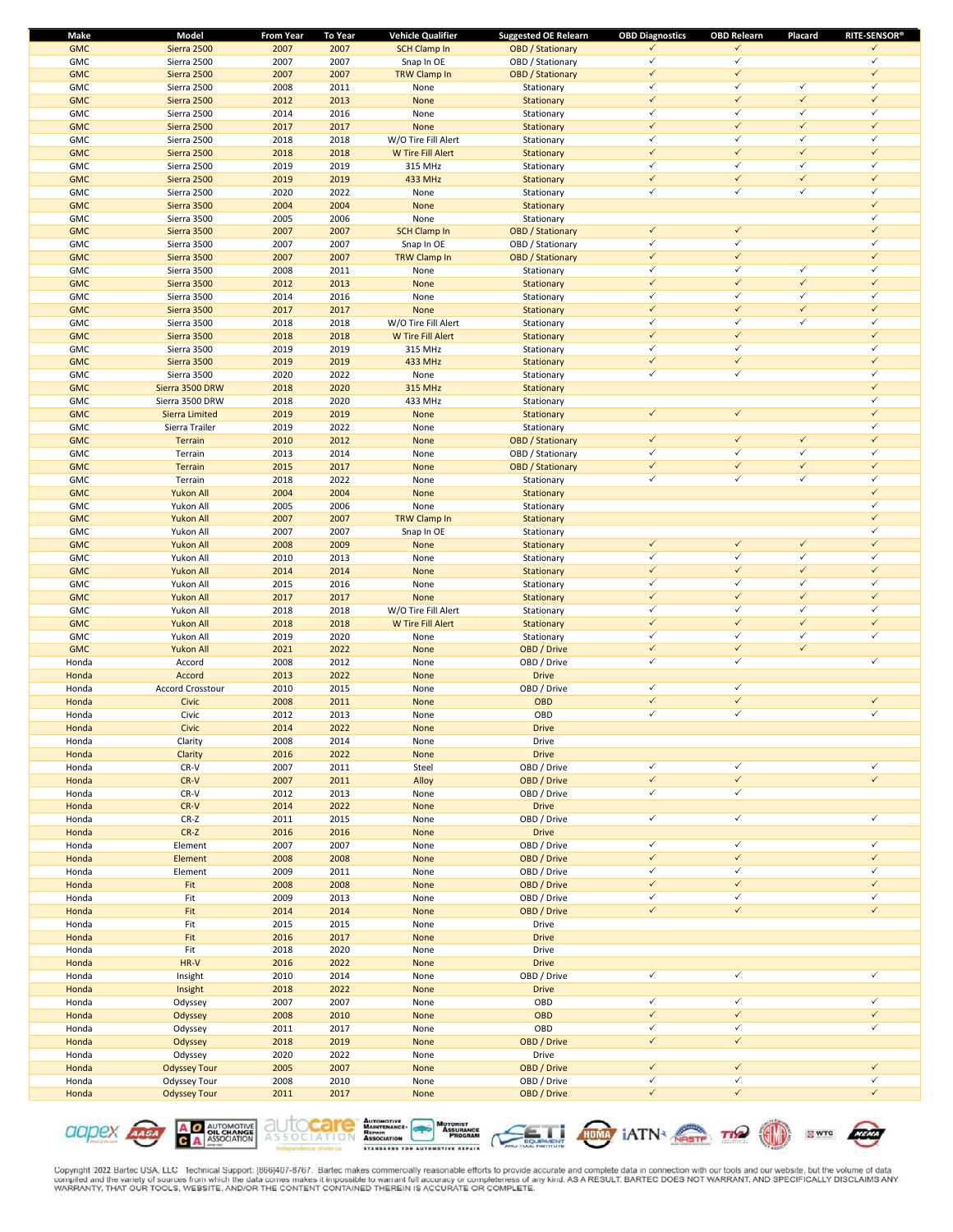| Make       | Model               | <b>From Year</b> | To Year | <b>Vehicle Qualifier</b> | <b>Suggested OE Relearn</b> | <b>OBD Diagnostics</b> | <b>OBD Relearn</b> | Placard      | <b>RITE-SENSOR®</b> |
|------------|---------------------|------------------|---------|--------------------------|-----------------------------|------------------------|--------------------|--------------|---------------------|
| <b>GMC</b> | Sierra 2500         | 2007             | 2007    | <b>SCH Clamp In</b>      | <b>OBD</b> / Stationary     | $\checkmark$           | $\checkmark$       |              | $\checkmark$        |
| <b>GMC</b> | Sierra 2500         | 2007             | 2007    | Snap In OE               | OBD / Stationary            | $\checkmark$           | $\checkmark$       |              | $\checkmark$        |
| <b>GMC</b> | Sierra 2500         | 2007             | 2007    | <b>TRW Clamp In</b>      | <b>OBD</b> / Stationary     | $\checkmark$           | $\checkmark$       |              | $\checkmark$        |
| <b>GMC</b> | Sierra 2500         | 2008             | 2011    | None                     | Stationary                  | $\checkmark$           | $\checkmark$       | $\checkmark$ | $\checkmark$        |
| <b>GMC</b> | Sierra 2500         | 2012             | 2013    | None                     | Stationary                  | $\checkmark$           | $\checkmark$       | $\checkmark$ | $\checkmark$        |
| <b>GMC</b> | Sierra 2500         | 2014             | 2016    | None                     | Stationary                  | $\checkmark$           | $\checkmark$       | $\checkmark$ | $\checkmark$        |
|            |                     |                  |         |                          |                             | $\checkmark$           | $\checkmark$       | $\checkmark$ | $\checkmark$        |
| <b>GMC</b> | Sierra 2500         | 2017             | 2017    | None                     | Stationary                  |                        |                    |              |                     |
| <b>GMC</b> | Sierra 2500         | 2018             | 2018    | W/O Tire Fill Alert      | Stationary                  | $\checkmark$           | $\checkmark$       | $\checkmark$ | $\checkmark$        |
| <b>GMC</b> | Sierra 2500         | 2018             | 2018    | W Tire Fill Alert        | Stationary                  | $\checkmark$           | $\checkmark$       | $\checkmark$ | $\checkmark$        |
| <b>GMC</b> | Sierra 2500         | 2019             | 2019    | 315 MHz                  | Stationary                  | $\checkmark$           | $\checkmark$       | $\checkmark$ | $\checkmark$        |
| <b>GMC</b> | Sierra 2500         | 2019             | 2019    | 433 MHz                  | Stationary                  | $\checkmark$           | $\checkmark$       | $\checkmark$ | $\checkmark$        |
| <b>GMC</b> | Sierra 2500         | 2020             | 2022    | None                     | Stationary                  | $\checkmark$           | $\checkmark$       | $\checkmark$ | $\checkmark$        |
| <b>GMC</b> | Sierra 3500         | 2004             | 2004    | None                     | Stationary                  |                        |                    |              | $\checkmark$        |
| <b>GMC</b> | Sierra 3500         | 2005             | 2006    | None                     | Stationary                  |                        |                    |              | $\checkmark$        |
|            |                     |                  |         |                          |                             | $\checkmark$           | $\checkmark$       |              | $\checkmark$        |
| <b>GMC</b> | Sierra 3500         | 2007             | 2007    | <b>SCH Clamp In</b>      | <b>OBD</b> / Stationary     |                        |                    |              |                     |
| <b>GMC</b> | Sierra 3500         | 2007             | 2007    | Snap In OE               | OBD / Stationary            | $\checkmark$           | $\checkmark$       |              | $\checkmark$        |
| <b>GMC</b> | Sierra 3500         | 2007             | 2007    | <b>TRW Clamp In</b>      | <b>OBD</b> / Stationary     | $\checkmark$           | $\checkmark$       |              | $\checkmark$        |
| <b>GMC</b> | Sierra 3500         | 2008             | 2011    | None                     | Stationary                  | $\checkmark$           | $\checkmark$       | $\checkmark$ | $\checkmark$        |
| <b>GMC</b> | Sierra 3500         | 2012             | 2013    | None                     | Stationary                  | $\checkmark$           | $\checkmark$       | $\checkmark$ | $\checkmark$        |
| <b>GMC</b> | Sierra 3500         | 2014             | 2016    | None                     | Stationary                  | $\checkmark$           | $\checkmark$       | $\checkmark$ | $\checkmark$        |
| <b>GMC</b> | Sierra 3500         | 2017             | 2017    | None                     | Stationary                  | $\checkmark$           | $\checkmark$       | $\checkmark$ | $\checkmark$        |
|            |                     | 2018             |         | W/O Tire Fill Alert      |                             | $\checkmark$           | $\checkmark$       | $\checkmark$ | $\checkmark$        |
| <b>GMC</b> | Sierra 3500         |                  | 2018    |                          | Stationary                  |                        |                    |              |                     |
| <b>GMC</b> | Sierra 3500         | 2018             | 2018    | <b>W Tire Fill Alert</b> | Stationary                  | $\checkmark$           | $\checkmark$       |              | $\checkmark$        |
| <b>GMC</b> | Sierra 3500         | 2019             | 2019    | 315 MHz                  | Stationary                  | $\checkmark$           | $\checkmark$       |              | $\checkmark$        |
| <b>GMC</b> | Sierra 3500         | 2019             | 2019    | 433 MHz                  | Stationary                  | $\checkmark$           | $\checkmark$       |              | $\checkmark$        |
| <b>GMC</b> | Sierra 3500         | 2020             | 2022    | None                     | Stationary                  | $\checkmark$           | $\checkmark$       |              | $\checkmark$        |
| <b>GMC</b> | Sierra 3500 DRW     | 2018             | 2020    | 315 MHz                  | Stationary                  |                        |                    |              | $\checkmark$        |
| <b>GMC</b> | Sierra 3500 DRW     | 2018             | 2020    | 433 MHz                  | Stationary                  |                        |                    |              | $\checkmark$        |
| <b>GMC</b> |                     | 2019             | 2019    |                          |                             | $\checkmark$           | $\checkmark$       |              | $\checkmark$        |
|            | Sierra Limited      |                  |         | None                     | Stationary                  |                        |                    |              | $\checkmark$        |
| <b>GMC</b> | Sierra Trailer      | 2019             | 2022    | None                     | Stationary                  |                        |                    |              |                     |
| <b>GMC</b> | <b>Terrain</b>      | 2010             | 2012    | None                     | <b>OBD</b> / Stationary     | $\checkmark$           | $\checkmark$       | $\checkmark$ | $\checkmark$        |
| <b>GMC</b> | Terrain             | 2013             | 2014    | None                     | OBD / Stationary            | $\checkmark$           | $\checkmark$       | $\checkmark$ | $\checkmark$        |
| <b>GMC</b> | Terrain             | 2015             | 2017    | <b>None</b>              | <b>OBD</b> / Stationary     | $\checkmark$           | $\checkmark$       | $\checkmark$ | $\checkmark$        |
| <b>GMC</b> | Terrain             | 2018             | 2022    | None                     | Stationary                  | $\checkmark$           | $\checkmark$       | $\checkmark$ | $\checkmark$        |
| <b>GMC</b> | Yukon All           | 2004             | 2004    | None                     | Stationary                  |                        |                    |              | $\checkmark$        |
| <b>GMC</b> | Yukon All           | 2005             | 2006    | None                     | Stationary                  |                        |                    |              | $\checkmark$        |
| <b>GMC</b> | Yukon All           | 2007             | 2007    |                          |                             |                        |                    |              | $\checkmark$        |
|            |                     |                  |         | <b>TRW Clamp In</b>      | Stationary                  |                        |                    |              |                     |
| <b>GMC</b> | Yukon All           | 2007             | 2007    | Snap In OE               | Stationary                  |                        |                    |              | $\checkmark$        |
| <b>GMC</b> | Yukon All           | 2008             | 2009    | None                     | Stationary                  | $\checkmark$           | $\checkmark$       | $\checkmark$ | $\checkmark$        |
| <b>GMC</b> | Yukon All           | 2010             | 2013    | None                     | Stationary                  | $\checkmark$           | $\checkmark$       | $\checkmark$ | $\checkmark$        |
| <b>GMC</b> | Yukon All           | 2014             | 2014    | None                     | Stationary                  | $\checkmark$           | $\checkmark$       | $\checkmark$ | $\checkmark$        |
| <b>GMC</b> | Yukon All           | 2015             | 2016    | None                     | Stationary                  | $\checkmark$           | $\checkmark$       | $\checkmark$ | $\checkmark$        |
| <b>GMC</b> | <b>Yukon All</b>    | 2017             | 2017    | <b>None</b>              | Stationary                  | $\checkmark$           | $\checkmark$       | $\checkmark$ | $\checkmark$        |
| <b>GMC</b> | Yukon All           | 2018             | 2018    | W/O Tire Fill Alert      | Stationary                  | $\checkmark$           | $\checkmark$       | $\checkmark$ | $\checkmark$        |
|            |                     |                  |         |                          |                             | $\checkmark$           | $\checkmark$       | $\checkmark$ | $\checkmark$        |
| <b>GMC</b> | <b>Yukon All</b>    | 2018             | 2018    | W Tire Fill Alert        | Stationary                  | $\checkmark$           | $\checkmark$       |              | $\checkmark$        |
| <b>GMC</b> | Yukon All           | 2019             | 2020    | None                     | Stationary                  |                        |                    | $\checkmark$ |                     |
| <b>GMC</b> | <b>Yukon All</b>    | 2021             | 2022    | None                     | OBD / Drive                 | $\checkmark$           | $\checkmark$       | $\checkmark$ |                     |
| Honda      | Accord              | 2008             | 2012    | None                     | OBD / Drive                 | $\checkmark$           | $\checkmark$       |              | $\checkmark$        |
| Honda      | Accord              | 2013             | 2022    | None                     | <b>Drive</b>                |                        |                    |              |                     |
| Honda      | Accord Crosstour    | 2010             | 2015    | None                     | OBD / Drive                 | $\checkmark$           | $\checkmark$       |              |                     |
| Honda      | <b>Civic</b>        | 2008             | 2011    | None                     | OBD                         | $\checkmark$           | $\checkmark$       |              | $\checkmark$        |
| Honda      | Civic               | 2012             | 2013    | None                     | OBD                         | $\checkmark$           | $\checkmark$       |              | $\checkmark$        |
|            |                     |                  |         |                          |                             |                        |                    |              |                     |
| Honda      | Civic               | 2014             | 2022    | <b>None</b>              | <b>Drive</b>                |                        |                    |              |                     |
| Honda      | Clarity             | 2008             | 2014    | None                     | Drive                       |                        |                    |              |                     |
| Honda      | Clarity             | 2016             | 2022    | None                     | <b>Drive</b>                |                        |                    |              |                     |
| Honda      | CR-V                | 2007             | 2011    | Steel                    | OBD / Drive                 | $\checkmark$           | $\checkmark$       |              | $\checkmark$        |
| Honda      | $CR-V$              | 2007             | 2011    | Alloy                    | OBD / Drive                 | $\checkmark$           | $\checkmark$       |              | $\sqrt{2}$          |
| Honda      | $CR-V$              | 2012             | 2013    | None                     | OBD / Drive                 | $\checkmark$           | $\checkmark$       |              |                     |
| Honda      | $CR-V$              | 2014             | 2022    | None                     | <b>Drive</b>                |                        |                    |              |                     |
| Honda      | $CR-Z$              | 2011             | 2015    | None                     | OBD / Drive                 | $\checkmark$           | $\checkmark$       |              | $\checkmark$        |
|            |                     |                  |         |                          |                             |                        |                    |              |                     |
| Honda      | $CR-Z$              | 2016             | 2016    | None                     | <b>Drive</b>                |                        |                    |              |                     |
| Honda      | Element             | 2007             | 2007    | None                     | OBD / Drive                 | $\checkmark$           | $\checkmark$       |              | $\checkmark$        |
| Honda      | Element             | 2008             | 2008    | None                     | OBD / Drive                 | $\checkmark$           | $\checkmark$       |              | $\checkmark$        |
| Honda      | Element             | 2009             | 2011    | None                     | OBD / Drive                 | $\checkmark$           | $\checkmark$       |              | $\checkmark$        |
| Honda      | Fit                 | 2008             | 2008    | None                     | OBD / Drive                 | $\checkmark$           | $\checkmark$       |              | $\checkmark$        |
| Honda      | Fit                 | 2009             | 2013    | None                     | OBD / Drive                 | $\checkmark$           | $\checkmark$       |              | $\checkmark$        |
| Honda      | Fit                 | 2014             | 2014    | None                     | OBD / Drive                 | $\checkmark$           | $\checkmark$       |              | $\checkmark$        |
| Honda      | Fit                 | 2015             | 2015    | None                     | Drive                       |                        |                    |              |                     |
|            |                     |                  |         |                          |                             |                        |                    |              |                     |
| Honda      | Fit                 | 2016             | 2017    | None                     | <b>Drive</b>                |                        |                    |              |                     |
| Honda      | Fit                 | 2018             | 2020    | None                     | Drive                       |                        |                    |              |                     |
| Honda      | HR-V                | 2016             | 2022    | None                     | <b>Drive</b>                |                        |                    |              |                     |
| Honda      | Insight             | 2010             | 2014    | None                     | OBD / Drive                 | $\checkmark$           | $\checkmark$       |              | $\checkmark$        |
| Honda      | Insight             | 2018             | 2022    | None                     | <b>Drive</b>                |                        |                    |              |                     |
| Honda      | Odyssey             | 2007             | 2007    | None                     | OBD                         | $\checkmark$           | $\checkmark$       |              | $\checkmark$        |
| Honda      | Odyssey             | 2008             | 2010    | None                     | <b>OBD</b>                  | $\checkmark$           | $\checkmark$       |              | $\checkmark$        |
| Honda      |                     | 2011             | 2017    |                          | OBD                         | $\checkmark$           | $\checkmark$       |              | $\checkmark$        |
|            | Odyssey             |                  |         | None                     |                             |                        | $\checkmark$       |              |                     |
| Honda      | Odyssey             | 2018             | 2019    | None                     | OBD / Drive                 | $\checkmark$           |                    |              |                     |
| Honda      | Odyssey             | 2020             | 2022    | None                     | Drive                       |                        |                    |              |                     |
| Honda      | <b>Odyssey Tour</b> | 2005             | 2007    | None                     | OBD / Drive                 | $\checkmark$           | $\checkmark$       |              | $\checkmark$        |
| Honda      | Odyssey Tour        | 2008             | 2010    | None                     | OBD / Drive                 | $\checkmark$           | $\checkmark$       |              | $\checkmark$        |
| Honda      | <b>Odyssey Tour</b> | 2011             | 2017    | None                     | OBD / Drive                 | $\checkmark$           | $\checkmark$       |              | $\checkmark$        |
|            |                     |                  |         |                          |                             |                        |                    |              |                     |











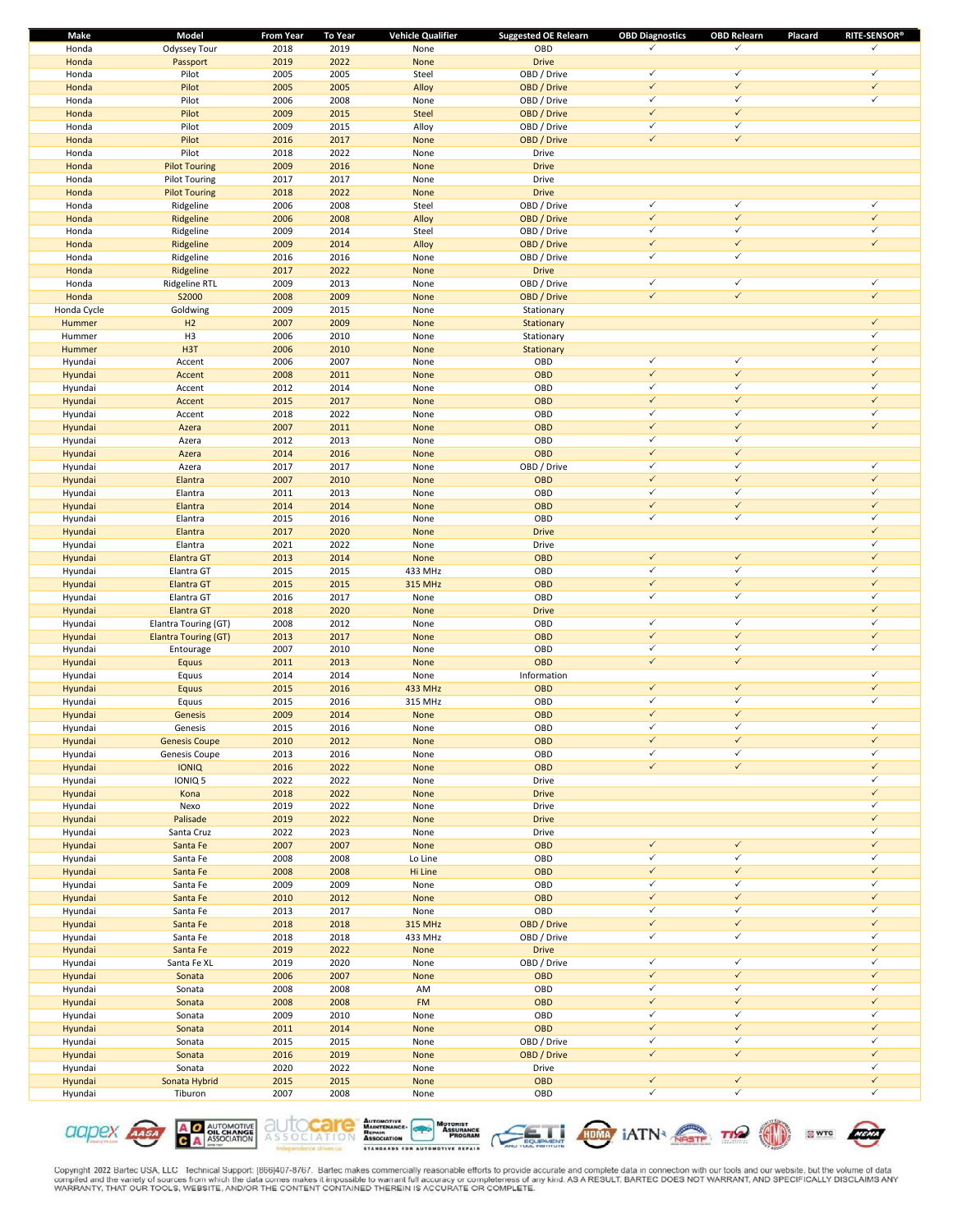| Make               | Model                       | <b>From Year</b> | <b>To Year</b> | <b>Vehicle Qualifier</b> | <b>Suggested OE Relearn</b> | <b>OBD Diagnostics</b> | <b>OBD Relearn</b> | <b>RITE-SENSOR®</b><br>Placard |
|--------------------|-----------------------------|------------------|----------------|--------------------------|-----------------------------|------------------------|--------------------|--------------------------------|
| Honda              | Odyssey Tour                | 2018             | 2019           | None                     | OBD                         | ✓                      | $\checkmark$       | ✓                              |
| Honda              | Passport                    | 2019             | 2022           | None                     | <b>Drive</b>                |                        |                    |                                |
| Honda              | Pilot                       | 2005             | 2005           | Steel                    | OBD / Drive                 | $\checkmark$           | $\checkmark$       | $\checkmark$                   |
| Honda              | Pilot                       | 2005             | 2005           | Alloy                    | OBD / Drive                 | $\checkmark$           | $\checkmark$       | $\checkmark$                   |
| Honda              | Pilot                       | 2006             | 2008           | None                     | OBD / Drive                 | $\checkmark$           | $\checkmark$       | $\checkmark$                   |
| Honda              | Pilot                       | 2009             | 2015           | Steel                    | OBD / Drive                 | $\checkmark$           | $\checkmark$       |                                |
| Honda              | Pilot                       | 2009             | 2015           | Alloy                    | OBD / Drive                 | $\checkmark$           | $\checkmark$       |                                |
| Honda              | Pilot                       | 2016             | 2017           | None                     | OBD / Drive                 | $\checkmark$           | $\checkmark$       |                                |
| Honda              | Pilot                       | 2018             | 2022           | None                     | Drive                       |                        |                    |                                |
| Honda              |                             | 2009             | 2016           | None                     | <b>Drive</b>                |                        |                    |                                |
|                    | <b>Pilot Touring</b>        |                  |                |                          |                             |                        |                    |                                |
| Honda              | <b>Pilot Touring</b>        | 2017             | 2017           | None                     | Drive                       |                        |                    |                                |
| Honda              | <b>Pilot Touring</b>        | 2018             | 2022           | None                     | <b>Drive</b>                |                        |                    |                                |
| Honda              | Ridgeline                   | 2006             | 2008           | Steel                    | OBD / Drive                 | $\checkmark$           | $\checkmark$       | $\checkmark$                   |
| Honda              | Ridgeline                   | 2006             | 2008           | Alloy                    | OBD / Drive                 | $\checkmark$           | $\checkmark$       | $\checkmark$                   |
| Honda              | Ridgeline                   | 2009             | 2014           | Steel                    | OBD / Drive                 | $\checkmark$           | $\checkmark$       | $\checkmark$                   |
| Honda              | Ridgeline                   | 2009             | 2014           | Alloy                    | OBD / Drive                 | $\checkmark$           | $\checkmark$       | $\checkmark$                   |
| Honda              | Ridgeline                   | 2016             | 2016           | None                     | OBD / Drive                 | $\checkmark$           | $\checkmark$       |                                |
| Honda              | Ridgeline                   | 2017             | 2022           | None                     | <b>Drive</b>                |                        |                    |                                |
| Honda              | Ridgeline RTL               | 2009             | 2013           | None                     | OBD / Drive                 | $\checkmark$           | $\checkmark$       | $\checkmark$                   |
| Honda              | S2000                       | 2008             | 2009           | None                     | OBD / Drive                 | $\checkmark$           | $\checkmark$       | $\checkmark$                   |
| Honda Cycle        | Goldwing                    | 2009             | 2015           | None                     | Stationary                  |                        |                    |                                |
| Hummer             | H2                          | 2007             | 2009           | None                     | Stationary                  |                        |                    | $\checkmark$                   |
| Hummer             | H <sub>3</sub>              | 2006             | 2010           | None                     | Stationary                  |                        |                    | $\checkmark$                   |
| Hummer             | H <sub>3</sub> T            | 2006             | 2010           | None                     | Stationary                  |                        |                    | $\checkmark$                   |
|                    |                             | 2006             | 2007           | None                     | OBD                         | $\checkmark$           | $\checkmark$       | $\checkmark$                   |
| Hyundai<br>Hyundai | Accent                      | 2008             | 2011           |                          | OBD                         | $\checkmark$           | $\checkmark$       | $\checkmark$                   |
|                    | Accent                      |                  |                | None                     |                             | $\checkmark$           | $\checkmark$       | $\checkmark$                   |
| Hyundai            | Accent                      | 2012             | 2014           | None                     | OBD                         |                        |                    |                                |
| Hyundai            | Accent                      | 2015             | 2017           | None                     | OBD                         | $\checkmark$           | $\checkmark$       | $\checkmark$                   |
| Hyundai            | Accent                      | 2018             | 2022           | None                     | OBD                         | $\checkmark$           | $\checkmark$       | $\checkmark$                   |
| Hyundai            | Azera                       | 2007             | 2011           | None                     | OBD                         | $\checkmark$           | $\checkmark$       | $\checkmark$                   |
| Hyundai            | Azera                       | 2012             | 2013           | None                     | OBD                         | $\checkmark$           | $\checkmark$       |                                |
| Hyundai            | Azera                       | 2014             | 2016           | None                     | OBD                         | $\checkmark$           | $\checkmark$       |                                |
| Hyundai            | Azera                       | 2017             | 2017           | None                     | OBD / Drive                 | $\checkmark$           | $\checkmark$       | $\checkmark$                   |
| Hyundai            | Elantra                     | 2007             | 2010           | None                     | OBD                         | $\checkmark$           | $\checkmark$       | $\checkmark$                   |
| Hyundai            | Elantra                     | 2011             | 2013           | None                     | OBD                         | $\checkmark$           | $\checkmark$       | $\checkmark$                   |
| Hyundai            | Elantra                     | 2014             | 2014           | None                     | OBD                         | $\checkmark$           | $\checkmark$       | $\checkmark$                   |
| Hyundai            | Elantra                     | 2015             | 2016           | None                     | OBD                         | $\checkmark$           | $\checkmark$       | $\checkmark$                   |
| Hyundai            | Elantra                     | 2017             | 2020           | None                     | <b>Drive</b>                |                        |                    | $\checkmark$                   |
| Hyundai            | Elantra                     | 2021             | 2022           | None                     | Drive                       |                        |                    | $\checkmark$                   |
|                    | <b>Elantra GT</b>           | 2013             | 2014           | None                     | OBD                         | $\checkmark$           | $\checkmark$       | $\checkmark$                   |
| Hyundai            |                             | 2015             | 2015           |                          | OBD                         | $\checkmark$           | $\checkmark$       | $\checkmark$                   |
| Hyundai            | Elantra GT                  |                  |                | 433 MHz                  |                             | $\checkmark$           | $\checkmark$       | $\checkmark$                   |
| Hyundai            | <b>Elantra GT</b>           | 2015             | 2015           | <b>315 MHz</b>           | OBD                         |                        | $\checkmark$       | $\checkmark$                   |
| Hyundai            | Elantra GT                  | 2016             | 2017           | None                     | OBD                         | $\checkmark$           |                    |                                |
| Hyundai            | <b>Elantra GT</b>           | 2018             | 2020           | None                     | <b>Drive</b>                |                        |                    | $\checkmark$                   |
| Hyundai            | Elantra Touring (GT)        | 2008             | 2012           | None                     | OBD                         | $\checkmark$           | $\checkmark$       | $\checkmark$                   |
| Hyundai            | <b>Elantra Touring (GT)</b> | 2013             | 2017           | None                     | OBD                         | $\checkmark$           | $\checkmark$       | $\checkmark$                   |
| Hyundai            | Entourage                   | 2007             | 2010           | None                     | OBD                         | $\checkmark$           | $\checkmark$       | $\checkmark$                   |
| Hyundai            | Equus                       | 2011             | 2013           | None                     | <b>OBD</b>                  | $\checkmark$           | $\checkmark$       |                                |
| Hyundai            | Equus                       | 2014             | 2014           | None                     | Information                 |                        |                    | $\checkmark$                   |
| Hyundai            | Equus                       | 2015             | 2016           | 433 MHz                  | OBD                         | $\checkmark$           | $\checkmark$       | $\checkmark$                   |
| Hyundai            | Equus                       | 2015             | 2016           | 315 MHz                  | OBD                         | $\checkmark$           | $\checkmark$       | ✓                              |
| Hyundai            | Genesis                     | 2009             | 2014           | None                     | OBD                         | $\checkmark$           | $\checkmark$       |                                |
| Hyundai            | Genesis                     | 2015             | 2016           | None                     | OBD                         | ✓                      | ✓                  | ✓                              |
| Hyundai            | <b>Genesis Coupe</b>        | 2010             | 2012           | None                     | <b>OBD</b>                  | $\checkmark$           | $\checkmark$       | $\checkmark$                   |
| Hyundai            | Genesis Coupe               | 2013             | 2016           | None                     | OBD                         | $\checkmark$           | $\checkmark$       | $\checkmark$                   |
| Hyundai            | <b>IONIQ</b>                | 2016             | 2022           | None                     | <b>OBD</b>                  | $\checkmark$           | $\checkmark$       | $\checkmark$                   |
| Hyundai            | IONIQ 5                     | 2022             | 2022           | None                     | Drive                       |                        |                    | $\checkmark$                   |
|                    | Kona                        | 2018             |                | None                     | <b>Drive</b>                |                        |                    | $\checkmark$                   |
| Hyundai            |                             |                  | 2022           |                          |                             |                        |                    | $\checkmark$                   |
| Hyundai            | Nexo                        | 2019             | 2022           | None                     | Drive                       |                        |                    | $\checkmark$                   |
| Hyundai            | Palisade                    | 2019             | 2022           | None                     | <b>Drive</b>                |                        |                    | $\checkmark$                   |
| Hyundai            | Santa Cruz                  | 2022             | 2023           | None                     | Drive                       |                        |                    |                                |
| Hyundai            | Santa Fe                    | 2007             | 2007           | None                     | <b>OBD</b>                  | $\checkmark$           | $\checkmark$       | $\checkmark$                   |
| Hyundai            | Santa Fe                    | 2008             | 2008           | Lo Line                  | OBD                         | $\checkmark$           | $\checkmark$       | $\checkmark$                   |
| Hyundai            | Santa Fe                    | 2008             | 2008           | Hi Line                  | <b>OBD</b>                  | $\checkmark$           | $\checkmark$       | $\checkmark$                   |
| Hyundai            | Santa Fe                    | 2009             | 2009           | None                     | OBD                         | $\checkmark$           | $\checkmark$       | $\checkmark$                   |
| Hyundai            | Santa Fe                    | 2010             | 2012           | None                     | <b>OBD</b>                  | $\checkmark$           | $\checkmark$       | $\checkmark$                   |
| Hyundai            | Santa Fe                    | 2013             | 2017           | None                     | OBD                         | $\checkmark$           | $\checkmark$       | $\checkmark$                   |
| Hyundai            | Santa Fe                    | 2018             | 2018           | 315 MHz                  | OBD / Drive                 | $\checkmark$           | $\checkmark$       | $\checkmark$                   |
| Hyundai            | Santa Fe                    | 2018             | 2018           | 433 MHz                  | OBD / Drive                 | $\checkmark$           | $\checkmark$       | $\checkmark$                   |
| Hyundai            | Santa Fe                    | 2019             | 2022           | None                     | <b>Drive</b>                |                        |                    | $\checkmark$                   |
| Hyundai            | Santa Fe XL                 | 2019             | 2020           | None                     | OBD / Drive                 | $\checkmark$           | $\checkmark$       | $\checkmark$                   |
| Hyundai            | Sonata                      | 2006             | 2007           | None                     | OBD                         | $\checkmark$           | $\checkmark$       | $\checkmark$                   |
| Hyundai            | Sonata                      | 2008             | 2008           | AM                       | OBD                         | $\checkmark$           | $\checkmark$       | $\checkmark$                   |
| Hyundai            | Sonata                      | 2008             | 2008           | <b>FM</b>                | <b>OBD</b>                  | $\checkmark$           | $\checkmark$       | $\checkmark$                   |
| Hyundai            | Sonata                      | 2009             | 2010           | None                     | OBD                         | $\checkmark$           | $\checkmark$       | $\checkmark$                   |
|                    |                             | 2011             | 2014           |                          | <b>OBD</b>                  | $\checkmark$           | $\checkmark$       | $\checkmark$                   |
| Hyundai            | Sonata                      |                  |                | None                     |                             |                        | $\checkmark$       | $\checkmark$                   |
| Hyundai            | Sonata                      | 2015             | 2015           | None                     | OBD / Drive                 | $\checkmark$           |                    |                                |
| Hyundai            | Sonata                      | 2016             | 2019           | None                     | OBD / Drive                 | $\checkmark$           | $\checkmark$       | $\checkmark$                   |
| Hyundai            | Sonata                      | 2020             | 2022           | None                     | Drive                       |                        |                    | $\checkmark$                   |
| Hyundai            | Sonata Hybrid               | 2015             | 2015           | None                     | <b>OBD</b>                  | $\checkmark$           | $\checkmark$       | $\checkmark$                   |
| Hyundai            | Tiburon                     | 2007             | 2008           | None                     | OBD                         | $\checkmark$           | $\checkmark$       | $\checkmark$                   |











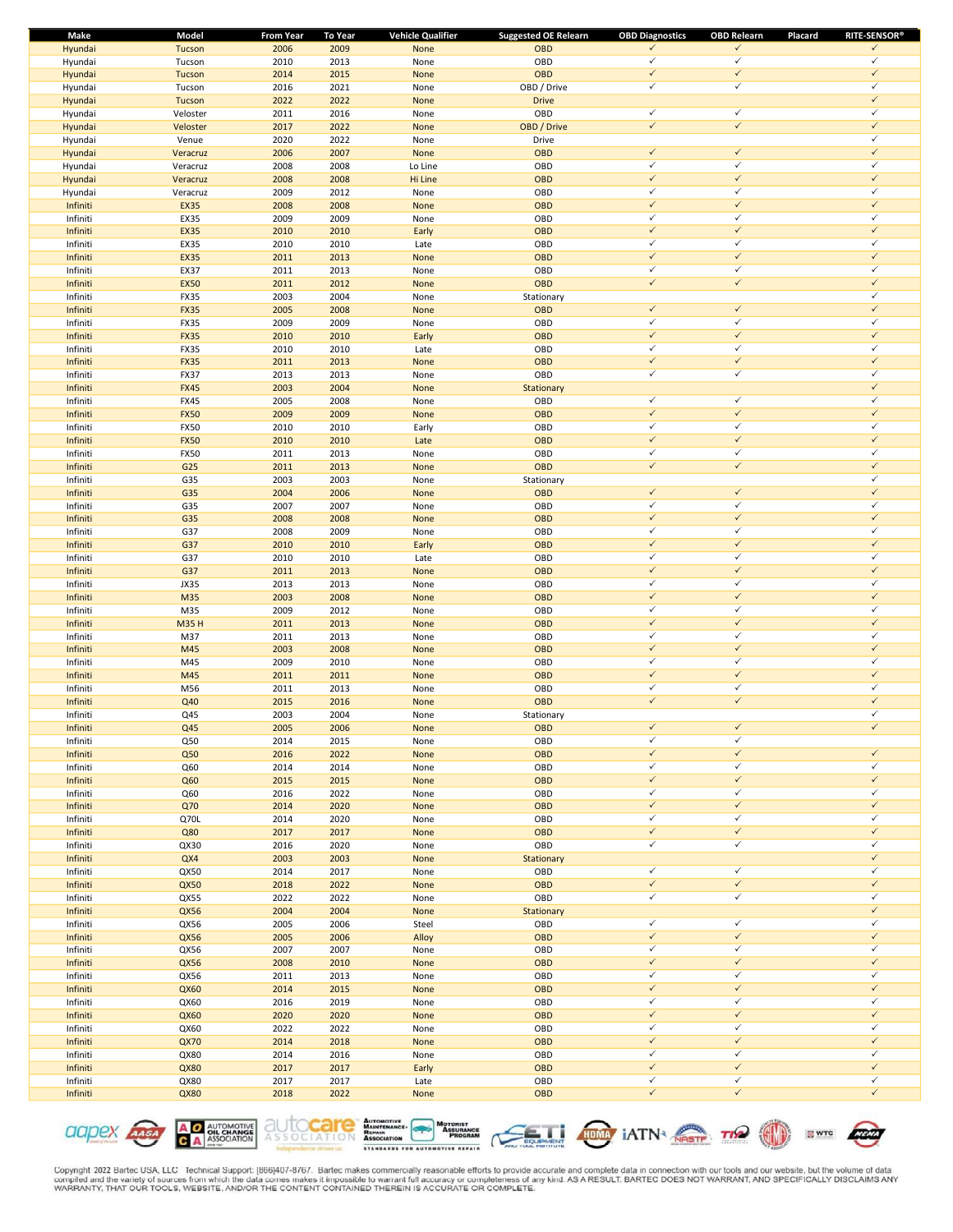| Make     | Model       | <b>From Year</b> | To Year | <b>Vehicle Qualifier</b> | <b>Suggested OE Relearn</b> | <b>OBD Diagnostics</b> | <b>OBD Relearn</b> | <b>RITE-SENSOR®</b><br>Placard |
|----------|-------------|------------------|---------|--------------------------|-----------------------------|------------------------|--------------------|--------------------------------|
| Hyundai  | Tucson      | 2006             | 2009    | None                     | OBD                         | $\checkmark$           | $\checkmark$       | $\checkmark$                   |
| Hyundai  | Tucson      | 2010             | 2013    | None                     | OBD                         | $\checkmark$           | $\checkmark$       | $\checkmark$                   |
| Hyundai  | Tucson      | 2014             | 2015    | None                     | OBD                         | $\checkmark$           | $\checkmark$       | $\checkmark$                   |
| Hyundai  | Tucson      | 2016             | 2021    | None                     | OBD / Drive                 | $\checkmark$           | $\checkmark$       | $\checkmark$                   |
| Hyundai  | Tucson      | 2022             | 2022    | None                     | <b>Drive</b>                |                        |                    | $\checkmark$                   |
| Hyundai  | Veloster    | 2011             | 2016    | None                     | OBD                         | $\checkmark$           | $\checkmark$       | $\checkmark$                   |
| Hyundai  | Veloster    | 2017             | 2022    | None                     | OBD / Drive                 | $\checkmark$           | $\checkmark$       | $\checkmark$                   |
| Hyundai  | Venue       | 2020             | 2022    | None                     | Drive                       |                        |                    | $\checkmark$                   |
| Hyundai  | Veracruz    | 2006             | 2007    | None                     | OBD                         | $\checkmark$           | $\checkmark$       | $\checkmark$                   |
| Hyundai  | Veracruz    | 2008             | 2008    | Lo Line                  | OBD                         | $\checkmark$           | $\checkmark$       | $\checkmark$                   |
| Hyundai  | Veracruz    | 2008             | 2008    | Hi Line                  | OBD                         | $\checkmark$           | $\checkmark$       | $\checkmark$                   |
| Hyundai  | Veracruz    | 2009             | 2012    | None                     | OBD                         | $\checkmark$           | $\checkmark$       | $\checkmark$                   |
| Infiniti | <b>EX35</b> | 2008             | 2008    | None                     | <b>OBD</b>                  | $\checkmark$           | $\checkmark$       | $\checkmark$                   |
| Infiniti | EX35        | 2009             | 2009    | None                     | OBD                         | $\checkmark$           | $\checkmark$       | $\checkmark$                   |
| Infiniti | <b>EX35</b> | 2010             | 2010    | Early                    | OBD                         | $\checkmark$           | $\checkmark$       | $\checkmark$                   |
| Infiniti | EX35        | 2010             | 2010    | Late                     | OBD                         | $\checkmark$           | $\checkmark$       | $\checkmark$                   |
| Infiniti | <b>EX35</b> | 2011             | 2013    | None                     | OBD                         | $\checkmark$           | $\checkmark$       | $\checkmark$                   |
| Infiniti | <b>EX37</b> | 2011             | 2013    | None                     | OBD                         | $\checkmark$           | $\checkmark$       | $\checkmark$                   |
| Infiniti | <b>EX50</b> | 2011             | 2012    | None                     | OBD                         | $\checkmark$           | $\checkmark$       | $\checkmark$                   |
| Infiniti | <b>FX35</b> | 2003             | 2004    | None                     | Stationary                  |                        |                    | $\checkmark$                   |
| Infiniti | <b>FX35</b> | 2005             | 2008    | None                     | OBD                         | $\checkmark$           | $\checkmark$       | $\checkmark$                   |
|          |             |                  |         |                          |                             | $\checkmark$           | $\checkmark$       | $\checkmark$                   |
| Infiniti | FX35        | 2009             | 2009    | None                     | OBD                         |                        | $\checkmark$       | $\checkmark$                   |
| Infiniti | <b>FX35</b> | 2010             | 2010    | Early                    | <b>OBD</b>                  | $\checkmark$           |                    |                                |
| Infiniti | FX35        | 2010             | 2010    | Late                     | OBD                         | $\checkmark$           | $\checkmark$       | $\checkmark$                   |
| Infiniti | <b>FX35</b> | 2011             | 2013    | None                     | <b>OBD</b>                  | $\checkmark$           | $\checkmark$       | $\checkmark$                   |
| Infiniti | <b>FX37</b> | 2013             | 2013    | None                     | OBD                         | $\checkmark$           | $\checkmark$       | $\checkmark$                   |
| Infiniti | <b>FX45</b> | 2003             | 2004    | None                     | Stationary                  |                        |                    | $\checkmark$                   |
| Infiniti | <b>FX45</b> | 2005             | 2008    | None                     | OBD                         | $\checkmark$           | $\checkmark$       | $\checkmark$                   |
| Infiniti | <b>FX50</b> | 2009             | 2009    | None                     | OBD                         | $\checkmark$           | $\checkmark$       | $\checkmark$                   |
| Infiniti | <b>FX50</b> | 2010             | 2010    | Early                    | OBD                         | $\checkmark$           | $\checkmark$       | $\checkmark$                   |
| Infiniti | <b>FX50</b> | 2010             | 2010    | Late                     | OBD                         | $\checkmark$           | $\checkmark$       | $\checkmark$                   |
| Infiniti | <b>FX50</b> | 2011             | 2013    | None                     | OBD                         | $\checkmark$           | $\checkmark$       | $\checkmark$                   |
| Infiniti | G25         | 2011             | 2013    | None                     | OBD                         | $\checkmark$           | $\checkmark$       | $\checkmark$                   |
| Infiniti | G35         | 2003             | 2003    | None                     | Stationary                  |                        |                    | $\checkmark$                   |
| Infiniti | G35         | 2004             | 2006    | None                     | <b>OBD</b>                  | $\checkmark$           | $\checkmark$       | $\checkmark$                   |
| Infiniti | G35         | 2007             | 2007    | None                     | OBD                         | $\checkmark$           | $\checkmark$       | $\checkmark$                   |
| Infiniti | G35         | 2008             | 2008    | None                     | OBD                         | $\checkmark$           | $\checkmark$       | $\checkmark$                   |
|          | G37         | 2008             | 2009    |                          | OBD                         | $\checkmark$           | $\checkmark$       | $\checkmark$                   |
| Infiniti |             |                  |         | None                     |                             | $\checkmark$           | $\checkmark$       | $\checkmark$                   |
| Infiniti | G37         | 2010             | 2010    | Early                    | OBD                         |                        | $\checkmark$       | $\checkmark$                   |
| Infiniti | G37         | 2010             | 2010    | Late                     | OBD                         | $\checkmark$           |                    |                                |
| Infiniti | G37         | 2011             | 2013    | None                     | OBD                         | $\checkmark$           | $\checkmark$       | $\checkmark$                   |
| Infiniti | JX35        | 2013             | 2013    | None                     | OBD                         | $\checkmark$           | $\checkmark$       | $\checkmark$                   |
| Infiniti | M35         | 2003             | 2008    | None                     | <b>OBD</b>                  | $\checkmark$           | $\checkmark$       | $\checkmark$                   |
| Infiniti | M35         | 2009             | 2012    | None                     | OBD                         | $\checkmark$           | $\checkmark$       | $\checkmark$                   |
| Infiniti | <b>M35H</b> | 2011             | 2013    | None                     | <b>OBD</b>                  | $\checkmark$           | $\checkmark$       | $\checkmark$                   |
| Infiniti | M37         | 2011             | 2013    | None                     | OBD                         | $\checkmark$           | $\checkmark$       | $\checkmark$                   |
| Infiniti | M45         | 2003             | 2008    | None                     | OBD                         | $\checkmark$           | $\checkmark$       | $\checkmark$                   |
| Infiniti | M45         | 2009             | 2010    | None                     | OBD                         | $\checkmark$           | $\checkmark$       | $\checkmark$                   |
| Infiniti | M45         | 2011             | 2011    | None                     | OBD                         | $\checkmark$           | $\checkmark$       | $\checkmark$                   |
| Infiniti | M56         | 2011             | 2013    | None                     | OBD                         | $\checkmark$           | $\checkmark$       | $\checkmark$                   |
| Infiniti | Q40         | 2015             | 2016    | None                     | OBD                         | $\checkmark$           | $\checkmark$       | $\checkmark$                   |
| Infiniti | Q45         | 2003             | 2004    | None                     | Stationary                  |                        |                    | $\checkmark$                   |
| Infiniti | Q45         | 2005             | 2006    | <b>None</b>              | <b>OBD</b>                  | $\checkmark$           | $\checkmark$       | $\checkmark$                   |
| Infiniti | Q50         | 2014             | 2015    | None                     | OBD                         | $\checkmark$           | $\checkmark$       |                                |
| Infiniti | Q50         | 2016             | 2022    | None                     | OBD                         | $\checkmark$           | $\checkmark$       | $\checkmark$                   |
| Infiniti | Q60         | 2014             | 2014    | None                     | OBD                         | $\checkmark$           | $\checkmark$       | $\checkmark$                   |
| Infiniti | Q60         | 2015             | 2015    | None                     | OBD                         | $\checkmark$           | $\checkmark$       | $\checkmark$                   |
| Infiniti | Q60         | 2016             | 2022    | None                     | OBD                         | $\checkmark$           | $\checkmark$       | $\checkmark$                   |
| Infiniti | Q70         | 2014             | 2020    | None                     | OBD                         | $\checkmark$           | $\checkmark$       | $\checkmark$                   |
| Infiniti | Q70L        | 2014             | 2020    | None                     | OBD                         | $\checkmark$           | $\checkmark$       | $\checkmark$                   |
| Infiniti | Q80         | 2017             | 2017    | None                     | OBD                         | $\checkmark$           | $\checkmark$       | $\checkmark$                   |
|          | QX30        | 2016             | 2020    |                          | OBD                         | $\checkmark$           | $\checkmark$       | $\checkmark$                   |
| Infiniti |             |                  |         | None                     |                             |                        |                    | $\checkmark$                   |
| Infiniti | QX4         | 2003             | 2003    | None                     | Stationary                  | $\checkmark$           | $\checkmark$       | $\checkmark$                   |
| Infiniti | QX50        | 2014             | 2017    | None                     | OBD                         |                        |                    |                                |
| Infiniti | QX50        | 2018             | 2022    | None                     | OBD                         | $\checkmark$           | $\checkmark$       | $\checkmark$                   |
| Infiniti | QX55        | 2022             | 2022    | None                     | OBD                         | $\checkmark$           | $\checkmark$       | $\checkmark$                   |
| Infiniti | QX56        | 2004             | 2004    | None                     | Stationary                  |                        |                    | $\checkmark$                   |
| Infiniti | QX56        | 2005             | 2006    | Steel                    | OBD                         | $\checkmark$           | $\checkmark$       | $\checkmark$                   |
| Infiniti | QX56        | 2005             | 2006    | Alloy                    | OBD                         | $\checkmark$           | $\checkmark$       | $\checkmark$                   |
| Infiniti | QX56        | 2007             | 2007    | None                     | OBD                         | $\checkmark$           | $\checkmark$       | $\checkmark$                   |
| Infiniti | QX56        | 2008             | 2010    | None                     | OBD                         | $\checkmark$           | $\checkmark$       | $\checkmark$                   |
| Infiniti | QX56        | 2011             | 2013    | None                     | OBD                         | $\checkmark$           | $\checkmark$       | $\checkmark$                   |
| Infiniti | QX60        | 2014             | 2015    | None                     | OBD                         | $\checkmark$           | $\checkmark$       | $\checkmark$                   |
| Infiniti | QX60        | 2016             | 2019    | None                     | OBD                         | $\checkmark$           | $\checkmark$       | $\checkmark$                   |
| Infiniti | QX60        | 2020             | 2020    | None                     | OBD                         | $\checkmark$           | $\checkmark$       | $\checkmark$                   |
| Infiniti | QX60        | 2022             | 2022    | None                     | OBD                         | $\checkmark$           | $\checkmark$       | $\checkmark$                   |
| Infiniti | <b>QX70</b> | 2014             | 2018    | None                     | OBD                         | $\checkmark$           | $\checkmark$       | $\checkmark$                   |
| Infiniti | QX80        | 2014             | 2016    | None                     | OBD                         | $\checkmark$           | $\checkmark$       | $\checkmark$                   |
| Infiniti | QX80        | 2017             | 2017    | Early                    | OBD                         | $\checkmark$           | $\checkmark$       | $\checkmark$                   |
| Infiniti | QX80        | 2017             | 2017    | Late                     | OBD                         | $\checkmark$           | $\checkmark$       | $\checkmark$                   |
| Infiniti | QX80        | 2018             | 2022    | None                     | OBD                         | $\checkmark$           | $\checkmark$       | $\checkmark$                   |
|          |             |                  |         |                          |                             |                        |                    |                                |











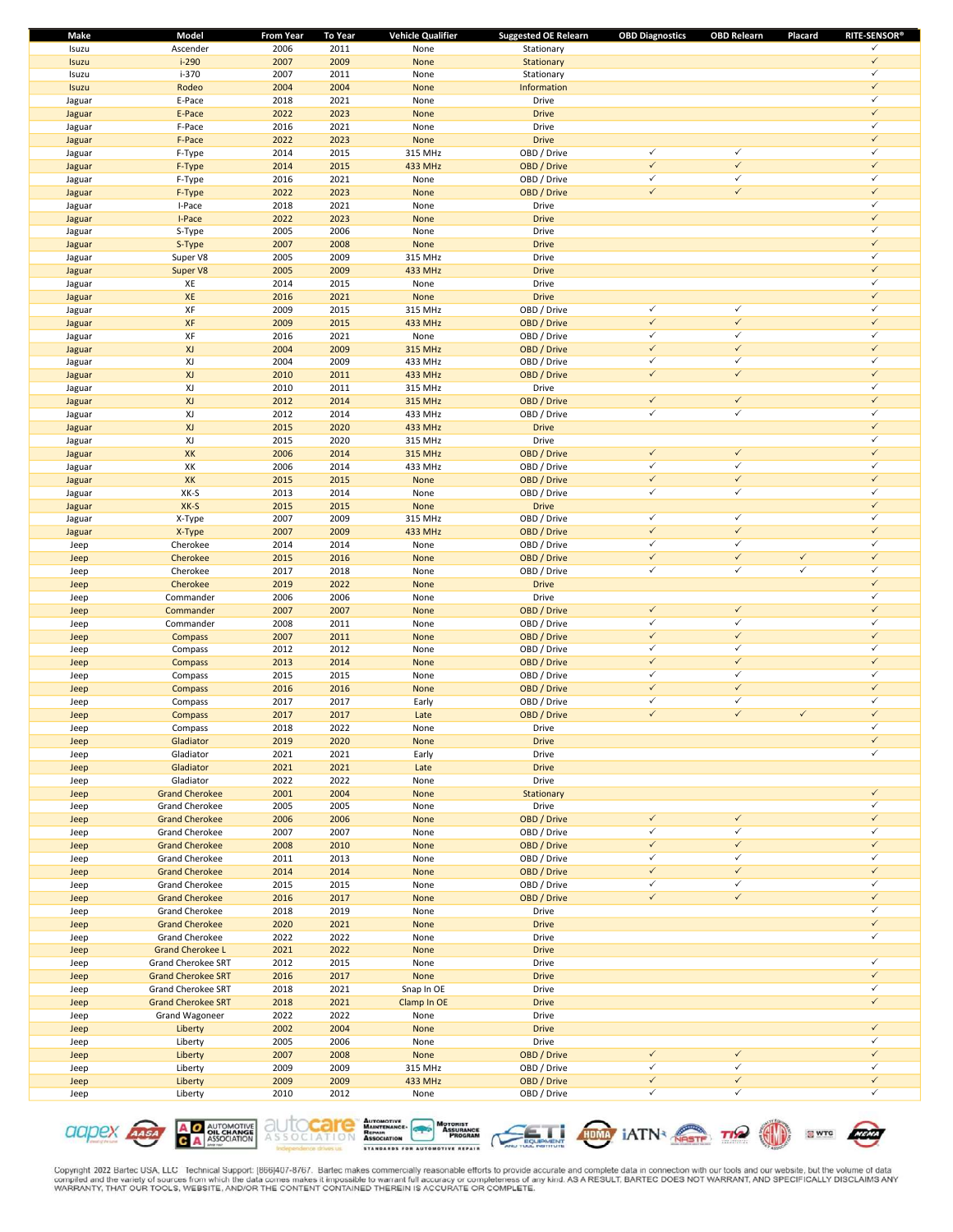| <b>Make</b> | Model                     | <b>From Year</b> | <b>To Year</b> | <b>Vehicle Qualifier</b> | <b>Suggested OE Relearn</b> | <b>OBD Diagnostics</b> | <b>OBD Relearn</b> | Placard      | <b>RITE-SENSOR®</b> |
|-------------|---------------------------|------------------|----------------|--------------------------|-----------------------------|------------------------|--------------------|--------------|---------------------|
| Isuzu       | Ascender                  | 2006             | 2011           | None                     | Stationary                  |                        |                    |              | ✓                   |
| Isuzu       | $i-290$                   | 2007             | 2009           | None                     | Stationary                  |                        |                    |              | $\checkmark$        |
| Isuzu       | i-370                     | 2007             | 2011           | None                     | Stationary                  |                        |                    |              | $\checkmark$        |
| Isuzu       | Rodeo                     | 2004             | 2004           | None                     | Information                 |                        |                    |              | $\checkmark$        |
| Jaguar      | E-Pace                    | 2018             | 2021           | None                     | Drive                       |                        |                    |              | $\checkmark$        |
| Jaguar      | E-Pace                    | 2022             | 2023           | None                     | <b>Drive</b>                |                        |                    |              | $\checkmark$        |
| Jaguar      | F-Pace                    | 2016             | 2021           | None                     | Drive                       |                        |                    |              | $\checkmark$        |
| Jaguar      | F-Pace                    | 2022             | 2023           | None                     | <b>Drive</b>                |                        |                    |              | $\checkmark$        |
|             |                           | 2014             | 2015           |                          | OBD / Drive                 | $\checkmark$           | $\checkmark$       |              | $\checkmark$        |
| Jaguar      | F-Type                    |                  |                | 315 MHz                  |                             | $\checkmark$           | $\checkmark$       |              | $\checkmark$        |
| Jaguar      | F-Type                    | 2014             | 2015           | 433 MHz                  | OBD / Drive                 |                        |                    |              |                     |
| Jaguar      | F-Type                    | 2016             | 2021           | None                     | OBD / Drive                 | $\checkmark$           | $\checkmark$       |              | $\checkmark$        |
| Jaguar      | F-Type                    | 2022             | 2023           | None                     | OBD / Drive                 | $\checkmark$           | $\checkmark$       |              | $\checkmark$        |
| Jaguar      | I-Pace                    | 2018             | 2021           | None                     | Drive                       |                        |                    |              | $\checkmark$        |
| Jaguar      | I-Pace                    | 2022             | 2023           | None                     | <b>Drive</b>                |                        |                    |              | $\checkmark$        |
| Jaguar      | S-Type                    | 2005             | 2006           | None                     | Drive                       |                        |                    |              | $\checkmark$        |
| Jaguar      | S-Type                    | 2007             | 2008           | None                     | <b>Drive</b>                |                        |                    |              | $\checkmark$        |
| Jaguar      | Super V8                  | 2005             | 2009           | 315 MHz                  | Drive                       |                        |                    |              | $\checkmark$        |
| Jaguar      | Super V8                  | 2005             | 2009           | 433 MHz                  | <b>Drive</b>                |                        |                    |              | $\checkmark$        |
| Jaguar      | XE                        | 2014             | 2015           | None                     | Drive                       |                        |                    |              | $\checkmark$        |
| Jaguar      | XE                        | 2016             | 2021           | None                     | <b>Drive</b>                |                        |                    |              | $\checkmark$        |
|             | XF                        |                  | 2015           |                          | OBD / Drive                 | $\checkmark$           | $\checkmark$       |              | ✓                   |
| Jaguar      |                           | 2009             |                | 315 MHz                  |                             | $\checkmark$           | $\checkmark$       |              | $\checkmark$        |
| Jaguar      | XF                        | 2009             | 2015           | 433 MHz                  | OBD / Drive                 |                        |                    |              |                     |
| Jaguar      | XF                        | 2016             | 2021           | None                     | OBD / Drive                 | $\checkmark$           | $\checkmark$       |              | $\checkmark$        |
| Jaguar      | XJ                        | 2004             | 2009           | <b>315 MHz</b>           | OBD / Drive                 | $\checkmark$           | $\checkmark$       |              | $\checkmark$        |
| Jaguar      | XJ                        | 2004             | 2009           | 433 MHz                  | OBD / Drive                 | $\checkmark$           | $\checkmark$       |              | $\checkmark$        |
| Jaguar      | XJ                        | 2010             | 2011           | 433 MHz                  | OBD / Drive                 | $\checkmark$           | $\checkmark$       |              | $\checkmark$        |
| Jaguar      | XJ                        | 2010             | 2011           | 315 MHz                  | Drive                       |                        |                    |              | $\checkmark$        |
| Jaguar      | XJ                        | 2012             | 2014           | <b>315 MHz</b>           | OBD / Drive                 | $\checkmark$           | $\checkmark$       |              | $\checkmark$        |
| Jaguar      | XJ                        | 2012             | 2014           | 433 MHz                  | OBD / Drive                 | $\checkmark$           | $\checkmark$       |              | $\checkmark$        |
| Jaguar      | XJ                        | 2015             | 2020           | 433 MHz                  | <b>Drive</b>                |                        |                    |              | $\checkmark$        |
| Jaguar      | XJ                        | 2015             | 2020           | 315 MHz                  | Drive                       |                        |                    |              | ✓                   |
|             |                           |                  |                |                          |                             | $\checkmark$           | $\checkmark$       |              | $\checkmark$        |
| Jaguar      | XK                        | 2006             | 2014           | <b>315 MHz</b>           | OBD / Drive                 |                        |                    |              |                     |
| Jaguar      | XK                        | 2006             | 2014           | 433 MHz                  | OBD / Drive                 | $\checkmark$           | $\checkmark$       |              | $\checkmark$        |
| Jaguar      | XK                        | 2015             | 2015           | None                     | OBD / Drive                 | $\checkmark$           | $\checkmark$       |              | $\checkmark$        |
| Jaguar      | XK-S                      | 2013             | 2014           | None                     | OBD / Drive                 | $\checkmark$           | $\checkmark$       |              | $\checkmark$        |
| Jaguar      | XK-S                      | 2015             | 2015           | None                     | <b>Drive</b>                |                        |                    |              | $\checkmark$        |
| Jaguar      | X-Type                    | 2007             | 2009           | 315 MHz                  | OBD / Drive                 | $\checkmark$           | $\checkmark$       |              | $\checkmark$        |
| Jaguar      | X-Type                    | 2007             | 2009           | 433 MHz                  | OBD / Drive                 | $\checkmark$           | $\checkmark$       |              | $\checkmark$        |
| Jeep        | Cherokee                  | 2014             | 2014           | None                     | OBD / Drive                 | $\checkmark$           | $\checkmark$       |              | $\checkmark$        |
| Jeep        | Cherokee                  | 2015             | 2016           | None                     | OBD / Drive                 | $\checkmark$           | $\checkmark$       | $\checkmark$ | $\checkmark$        |
| Jeep        | Cherokee                  | 2017             | 2018           | None                     | OBD / Drive                 | $\checkmark$           | $\checkmark$       | $\checkmark$ | $\checkmark$        |
| Jeep        | Cherokee                  | 2019             | 2022           | None                     | <b>Drive</b>                |                        |                    |              | $\checkmark$        |
|             | Commander                 | 2006             | 2006           | None                     | Drive                       |                        |                    |              | $\checkmark$        |
| Jeep        |                           | 2007             | 2007           |                          | OBD / Drive                 | $\checkmark$           | $\checkmark$       |              | $\checkmark$        |
| Jeep        | Commander                 |                  |                | None                     |                             |                        | $\checkmark$       |              | $\checkmark$        |
| Jeep        | Commander                 | 2008             | 2011           | None                     | OBD / Drive                 | $\checkmark$           |                    |              |                     |
| Jeep        | Compass                   | 2007             | 2011           | None                     | OBD / Drive                 | $\checkmark$           | $\checkmark$       |              | $\checkmark$        |
| Jeep        | Compass                   | 2012             | 2012           | None                     | OBD / Drive                 | $\checkmark$           | $\checkmark$       |              | $\checkmark$        |
| Jeep        | Compass                   | 2013             | 2014           | None                     | OBD / Drive                 | $\checkmark$           | $\checkmark$       |              | $\checkmark$        |
| Jeep        | Compass                   | 2015             | 2015           | None                     | OBD / Drive                 | $\checkmark$           | $\checkmark$       |              | $\checkmark$        |
| Jeep        | Compass                   | 2016             | 2016           | None                     | OBD / Drive                 | $\checkmark$           | $\checkmark$       |              | $\checkmark$        |
| Jeep        | Compass                   | 2017             | 2017           | Early                    | OBD / Drive                 | $\checkmark$           | $\checkmark$       |              | ✓                   |
| Jeep        | Compass                   | 2017             | 2017           | Late                     | OBD / Drive                 | $\checkmark$           | $\checkmark$       | $\checkmark$ | $\checkmark$        |
| Jeep        | Compass                   | 2018             | 2022           | None                     | Drive                       |                        |                    |              | ✓                   |
| Jeep        | Gladiator                 | 2019             | 2020           | None                     | <b>Drive</b>                |                        |                    |              | $\checkmark$        |
| Jeep        | Gladiator                 | 2021             | 2021           | Early                    | Drive                       |                        |                    |              | $\checkmark$        |
|             |                           |                  |                |                          |                             |                        |                    |              |                     |
| Jeep        | Gladiator                 | 2021<br>2022     | 2021<br>2022   | Late                     | <b>Drive</b><br>Drive       |                        |                    |              |                     |
| Jeep        | Gladiator                 |                  |                | None                     |                             |                        |                    |              | $\checkmark$        |
| Jeep        | <b>Grand Cherokee</b>     | 2001             | 2004           | None                     | Stationary                  |                        |                    |              |                     |
| Jeep        | Grand Cherokee            | 2005             | 2005           | None                     | Drive                       |                        |                    |              | $\checkmark$        |
| Jeep        | <b>Grand Cherokee</b>     | 2006             | 2006           | None                     | OBD / Drive                 | $\checkmark$           | $\checkmark$       |              | $\checkmark$        |
| Jeep        | Grand Cherokee            | 2007             | 2007           | None                     | OBD / Drive                 | $\checkmark$           | $\checkmark$       |              | $\checkmark$        |
| Jeep        | <b>Grand Cherokee</b>     | 2008             | 2010           | None                     | OBD / Drive                 | $\checkmark$           | $\checkmark$       |              | $\checkmark$        |
| Jeep        | Grand Cherokee            | 2011             | 2013           | None                     | OBD / Drive                 | $\checkmark$           | $\checkmark$       |              | $\checkmark$        |
| Jeep        | <b>Grand Cherokee</b>     | 2014             | 2014           | None                     | OBD / Drive                 | $\checkmark$           | $\checkmark$       |              | $\checkmark$        |
| Jeep        | Grand Cherokee            | 2015             | 2015           | None                     | OBD / Drive                 | $\checkmark$           | $\checkmark$       |              | $\checkmark$        |
| Jeep        | <b>Grand Cherokee</b>     | 2016             | 2017           | None                     | OBD / Drive                 | $\checkmark$           | $\checkmark$       |              | $\checkmark$        |
| Jeep        | Grand Cherokee            | 2018             | 2019           | None                     | Drive                       |                        |                    |              | $\checkmark$        |
| Jeep        | <b>Grand Cherokee</b>     | 2020             | 2021           | None                     | <b>Drive</b>                |                        |                    |              | $\checkmark$        |
| Jeep        | Grand Cherokee            | 2022             | 2022           | None                     | Drive                       |                        |                    |              | $\checkmark$        |
|             |                           |                  |                |                          |                             |                        |                    |              |                     |
| Jeep        | <b>Grand Cherokee L</b>   | 2021             | 2022           | None                     | <b>Drive</b>                |                        |                    |              | $\checkmark$        |
| Jeep        | Grand Cherokee SRT        | 2012             | 2015           | None                     | Drive                       |                        |                    |              |                     |
| Jeep        | <b>Grand Cherokee SRT</b> | 2016             | 2017           | None                     | <b>Drive</b>                |                        |                    |              | $\checkmark$        |
| Jeep        | Grand Cherokee SRT        | 2018             | 2021           | Snap In OE               | Drive                       |                        |                    |              | $\checkmark$        |
| Jeep        | <b>Grand Cherokee SRT</b> | 2018             | 2021           | Clamp In OE              | <b>Drive</b>                |                        |                    |              | $\checkmark$        |
| Jeep        | Grand Wagoneer            | 2022             | 2022           | None                     | Drive                       |                        |                    |              |                     |
| Jeep        | Liberty                   | 2002             | 2004           | None                     | <b>Drive</b>                |                        |                    |              | $\checkmark$        |
| Jeep        | Liberty                   | 2005             | 2006           | None                     | Drive                       |                        |                    |              | $\checkmark$        |
| Jeep        | Liberty                   | 2007             | 2008           | None                     | OBD / Drive                 | $\checkmark$           | $\checkmark$       |              | $\checkmark$        |
| Jeep        | Liberty                   | 2009             | 2009           | 315 MHz                  | OBD / Drive                 | $\checkmark$           | $\checkmark$       |              | $\checkmark$        |
| Jeep        | Liberty                   | 2009             | 2009           | 433 MHz                  | OBD / Drive                 | $\checkmark$           | $\checkmark$       |              | $\checkmark$        |
| Jeep        | Liberty                   | 2010             | 2012           | None                     | OBD / Drive                 | $\checkmark$           | $\checkmark$       |              | $\checkmark$        |
|             |                           |                  |                |                          |                             |                        |                    |              |                     |











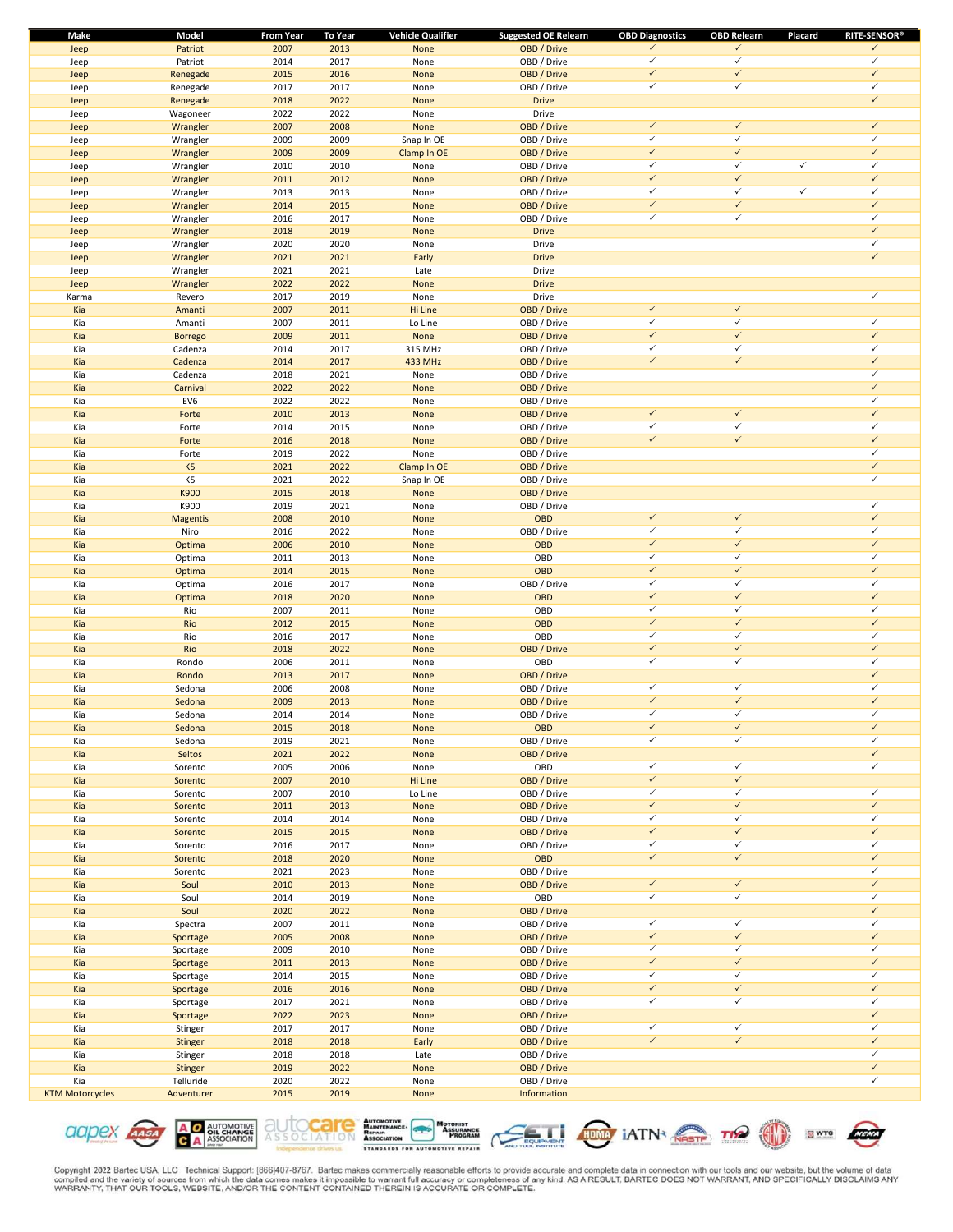| Make                   | Model           | <b>From Year</b> | <b>To Year</b> | <b>Vehicle Qualifier</b> | <b>Suggested OE Relearn</b> | <b>OBD Diagnostics</b>       | <b>OBD Relearn</b>           | Placard      | <b>RITE-SENSOR®</b>          |
|------------------------|-----------------|------------------|----------------|--------------------------|-----------------------------|------------------------------|------------------------------|--------------|------------------------------|
| Jeep                   | Patriot         | 2007             | 2013           | None                     | OBD / Drive                 | ✓                            | $\checkmark$                 |              | $\checkmark$                 |
| Jeep                   | Patriot         | 2014             | 2017           | None                     | OBD / Drive                 | $\checkmark$                 | $\checkmark$                 |              | $\checkmark$                 |
| Jeep                   | Renegade        | 2015             | 2016           | None                     | OBD / Drive                 | $\checkmark$                 | $\checkmark$                 |              | $\checkmark$                 |
| Jeep                   | Renegade        | 2017             | 2017           | None                     | OBD / Drive                 | $\checkmark$                 | $\checkmark$                 |              | $\checkmark$                 |
| Jeep                   | Renegade        | 2018             | 2022           | None                     | <b>Drive</b>                |                              |                              |              | $\checkmark$                 |
| Jeep                   | Wagoneer        | 2022             | 2022           | None                     | Drive                       |                              |                              |              |                              |
| Jeep                   | Wrangler        | 2007             | 2008           | None                     | OBD / Drive                 | $\checkmark$                 | $\checkmark$                 |              | $\checkmark$                 |
| Jeep                   | Wrangler        | 2009             | 2009           | Snap In OE               | OBD / Drive                 | $\checkmark$                 | $\checkmark$                 |              | $\checkmark$                 |
| Jeep                   | Wrangler        | 2009             | 2009           | Clamp In OE              | OBD / Drive                 | $\checkmark$                 | $\checkmark$                 |              | $\checkmark$                 |
| Jeep                   | Wrangler        | 2010             | 2010           | None                     | OBD / Drive                 | $\checkmark$                 | $\checkmark$                 | $\checkmark$ | $\checkmark$                 |
| Jeep                   | Wrangler        | 2011             | 2012           | None                     | OBD / Drive                 | $\checkmark$                 | $\checkmark$                 |              | $\checkmark$                 |
| Jeep                   | Wrangler        | 2013             | 2013           | None                     | OBD / Drive                 | $\checkmark$                 | $\checkmark$                 | $\checkmark$ | $\checkmark$                 |
| Jeep                   | Wrangler        | 2014             | 2015           | None                     | OBD / Drive                 | $\checkmark$                 | $\checkmark$                 |              | $\checkmark$                 |
| Jeep                   | Wrangler        | 2016             | 2017           | None                     | OBD / Drive                 | $\checkmark$                 | $\checkmark$                 |              | $\checkmark$                 |
| Jeep                   | Wrangler        | 2018             | 2019           | None                     | <b>Drive</b>                |                              |                              |              | $\checkmark$                 |
| Jeep                   | Wrangler        | 2020             | 2020           | None                     | Drive                       |                              |                              |              | $\checkmark$                 |
| Jeep                   | Wrangler        | 2021             | 2021           | Early                    | <b>Drive</b>                |                              |                              |              | $\checkmark$                 |
| Jeep                   | Wrangler        | 2021             | 2021           | Late                     | Drive                       |                              |                              |              |                              |
| Jeep                   | Wrangler        | 2022             | 2022           | None                     | <b>Drive</b>                |                              |                              |              |                              |
| Karma                  | Revero          | 2017             | 2019           | None                     | Drive                       |                              |                              |              | $\checkmark$                 |
| Kia                    | Amanti          | 2007             | 2011           | Hi Line                  | OBD / Drive                 | $\checkmark$                 | $\checkmark$                 |              |                              |
| Kia                    | Amanti          | 2007             | 2011           | Lo Line                  | OBD / Drive                 | $\checkmark$                 | $\checkmark$                 |              | $\checkmark$                 |
| Kia                    | <b>Borrego</b>  | 2009             | 2011           | None                     | OBD / Drive                 | $\checkmark$                 | $\checkmark$                 |              | $\checkmark$                 |
| Kia                    | Cadenza         | 2014             | 2017           | 315 MHz                  | OBD / Drive                 | $\checkmark$                 | $\checkmark$                 |              | $\checkmark$                 |
| Kia                    | Cadenza         | 2014             | 2017           | 433 MHz                  | OBD / Drive                 | $\checkmark$                 | $\checkmark$                 |              | $\checkmark$                 |
| Kia                    | Cadenza         | 2018             | 2021           | None                     | OBD / Drive                 |                              |                              |              | $\checkmark$                 |
| Kia                    | Carnival        | 2022             | 2022           | None                     | OBD / Drive                 |                              |                              |              | $\checkmark$                 |
| Kia                    | EV6             | 2022             | 2022           | None                     | OBD / Drive                 |                              |                              |              | $\checkmark$                 |
| Kia                    | Forte           | 2010             | 2013           | None                     | OBD / Drive                 | $\checkmark$                 | $\checkmark$                 |              | $\checkmark$                 |
| Kia                    | Forte           | 2014             | 2015           | None                     | OBD / Drive                 | $\checkmark$                 | $\checkmark$                 |              | $\checkmark$                 |
| Kia                    | Forte           | 2016             | 2018           | None                     | OBD / Drive                 | $\checkmark$                 | $\checkmark$                 |              | $\checkmark$                 |
| Kia                    | Forte           | 2019             | 2022           | None                     | OBD / Drive                 |                              |                              |              | $\checkmark$                 |
| Kia                    | K <sub>5</sub>  | 2021             | 2022           | Clamp In OE              | OBD / Drive                 |                              |                              |              | $\checkmark$                 |
| Kia                    | K5              | 2021             | 2022           | Snap In OE               | OBD / Drive                 |                              |                              |              | $\checkmark$                 |
| Kia                    | K900            | 2015             | 2018           | None                     | OBD / Drive                 |                              |                              |              |                              |
| Kia                    | K900            | 2019             | 2021           | None                     | OBD / Drive                 |                              |                              |              | $\checkmark$                 |
| Kia                    | <b>Magentis</b> | 2008             | 2010           | None                     | <b>OBD</b>                  | $\checkmark$                 | $\checkmark$                 |              | $\checkmark$                 |
| Kia                    | Niro            | 2016             | 2022           | None                     | OBD / Drive                 | $\checkmark$                 | $\checkmark$                 |              | $\checkmark$                 |
| Kia                    | Optima          | 2006             | 2010           | None                     | OBD                         | $\checkmark$                 | $\checkmark$                 |              | $\checkmark$                 |
| Kia                    | Optima          | 2011             | 2013           | None                     | OBD                         | $\checkmark$                 | $\checkmark$                 |              | $\checkmark$                 |
| Kia                    | Optima          | 2014             | 2015           | None                     | <b>OBD</b>                  | $\checkmark$                 | $\checkmark$                 |              | $\checkmark$                 |
| Kia                    | Optima          | 2016             | 2017           | None                     | OBD / Drive                 | $\checkmark$                 | $\checkmark$                 |              | $\checkmark$                 |
| Kia                    | Optima          | 2018             | 2020           | None                     | <b>OBD</b>                  | $\checkmark$                 | $\checkmark$                 |              | $\checkmark$                 |
| Kia                    | Rio             | 2007             | 2011           | None                     | OBD                         | $\checkmark$                 | $\checkmark$                 |              | $\checkmark$                 |
| Kia                    | Rio             | 2012             | 2015           |                          | OBD                         | $\checkmark$                 | $\checkmark$                 |              | $\checkmark$                 |
|                        | Rio             | 2016             | 2017           | None                     | OBD                         | $\checkmark$                 | $\checkmark$                 |              | $\checkmark$                 |
| Kia<br>Kia             | Rio             | 2018             | 2022           | None<br>None             | OBD / Drive                 | $\checkmark$                 | $\checkmark$                 |              | $\checkmark$                 |
|                        | Rondo           | 2006             | 2011           |                          | OBD                         | $\checkmark$                 | $\checkmark$                 |              | $\checkmark$                 |
| Kia<br>Kia             | Rondo           | 2013             | 2017           | None<br>None             | OBD / Drive                 |                              |                              |              | $\checkmark$                 |
|                        |                 |                  |                |                          | OBD / Drive                 | $\checkmark$                 | $\checkmark$                 |              | $\checkmark$                 |
| Kia<br>Kia             | Sedona          | 2006             | 2008           | None                     |                             | $\checkmark$                 | $\checkmark$                 |              | $\checkmark$                 |
|                        | Sedona          | 2009             | 2013<br>2014   | None                     | OBD / Drive                 | $\checkmark$                 | $\checkmark$                 |              | $\checkmark$                 |
| Kia                    | Sedona          | 2014             |                | None                     | OBD / Drive                 | $\checkmark$                 | $\checkmark$                 |              | $\checkmark$                 |
| Kia                    | Sedona          | 2015             | 2018           | None                     | OBD                         | $\checkmark$                 | $\checkmark$                 |              | $\checkmark$                 |
| Kia                    | Sedona          | 2019             | 2021           | None                     | OBD / Drive                 |                              |                              |              | $\checkmark$                 |
| Kia                    | Seltos          | 2021             | 2022           | None                     | OBD / Drive                 |                              |                              |              |                              |
| Kia                    | Sorento         | 2005             | 2006           | None                     | OBD                         | $\checkmark$<br>$\checkmark$ | $\checkmark$<br>$\checkmark$ |              | $\checkmark$                 |
| Kia                    | Sorento         | 2007             | 2010           | Hi Line                  | OBD / Drive                 |                              | $\checkmark$                 |              |                              |
| Kia                    | Sorento         | 2007             | 2010           | Lo Line                  | OBD / Drive                 | $\checkmark$<br>$\checkmark$ | $\checkmark$                 |              | $\checkmark$<br>$\checkmark$ |
| Kia                    | Sorento         | 2011             | 2013           | None                     | OBD / Drive                 |                              | $\checkmark$                 |              | $\checkmark$                 |
| Kia                    | Sorento         | 2014             | 2014           | None                     | OBD / Drive                 | $\checkmark$                 |                              |              |                              |
| Kia                    | Sorento         | 2015             | 2015           | None                     | OBD / Drive                 | $\checkmark$                 | $\checkmark$                 |              | $\checkmark$<br>$\checkmark$ |
| Kia                    | Sorento         | 2016             | 2017           | None                     | OBD / Drive                 | $\checkmark$                 | $\checkmark$                 |              | $\checkmark$                 |
| Kia                    | Sorento         | 2018             | 2020           | None                     | OBD                         | $\checkmark$                 | $\checkmark$                 |              |                              |
| Kia                    | Sorento         | 2021             | 2023           | None                     | OBD / Drive                 |                              |                              |              | $\checkmark$                 |
| Kia                    | Soul            | 2010             | 2013           | None                     | OBD / Drive                 | $\checkmark$                 | $\checkmark$                 |              | $\checkmark$                 |
| Kia                    | Soul            | 2014             | 2019           | None                     | OBD                         | $\checkmark$                 | $\checkmark$                 |              | $\checkmark$<br>$\checkmark$ |
| Kia                    | Soul            | 2020             | 2022           | None                     | OBD / Drive                 |                              |                              |              |                              |
| Kia                    | Spectra         | 2007             | 2011           | None                     | OBD / Drive                 | $\checkmark$                 | $\checkmark$<br>$\checkmark$ |              | $\checkmark$<br>$\checkmark$ |
| Kia                    | Sportage        | 2005             | 2008           | None                     | OBD / Drive                 | $\checkmark$                 |                              |              |                              |
| Kia                    | Sportage        | 2009             | 2010           | None                     | OBD / Drive                 | $\checkmark$                 | $\checkmark$                 |              | $\checkmark$                 |
| Kia                    | Sportage        | 2011             | 2013           | None                     | OBD / Drive                 | $\checkmark$                 | $\checkmark$                 |              | $\checkmark$                 |
| Kia                    | Sportage        | 2014             | 2015           | None                     | OBD / Drive                 | $\checkmark$                 | $\checkmark$                 |              | $\checkmark$                 |
| Kia                    | Sportage        | 2016             | 2016           | None                     | OBD / Drive                 | $\checkmark$                 | $\checkmark$                 |              | $\checkmark$                 |
| Kia                    | Sportage        | 2017             | 2021           | None                     | OBD / Drive                 | $\checkmark$                 | $\checkmark$                 |              | $\checkmark$                 |
| Kia                    | Sportage        | 2022             | 2023           | None                     | OBD / Drive                 |                              |                              |              | $\checkmark$                 |
| Kia                    | Stinger         | 2017             | 2017           | None                     | OBD / Drive                 | $\checkmark$                 | $\checkmark$                 |              | $\checkmark$                 |
| Kia                    | Stinger         | 2018             | 2018           | Early                    | OBD / Drive                 | $\checkmark$                 | $\checkmark$                 |              | $\checkmark$                 |
| Kia                    | Stinger         | 2018             | 2018           | Late                     | OBD / Drive                 |                              |                              |              | $\checkmark$                 |
| Kia                    | Stinger         | 2019             | 2022           | None                     | OBD / Drive                 |                              |                              |              | $\checkmark$                 |
| Kia                    | Telluride       | 2020             | 2022           | None                     | OBD / Drive                 |                              |                              |              | $\checkmark$                 |
| <b>KTM Motorcycles</b> | Adventurer      | 2015             | 2019           | None                     | Information                 |                              |                              |              |                              |

**A O AUTOMOTIVE**<br>**C A** ASSOCIATION aapex Assa







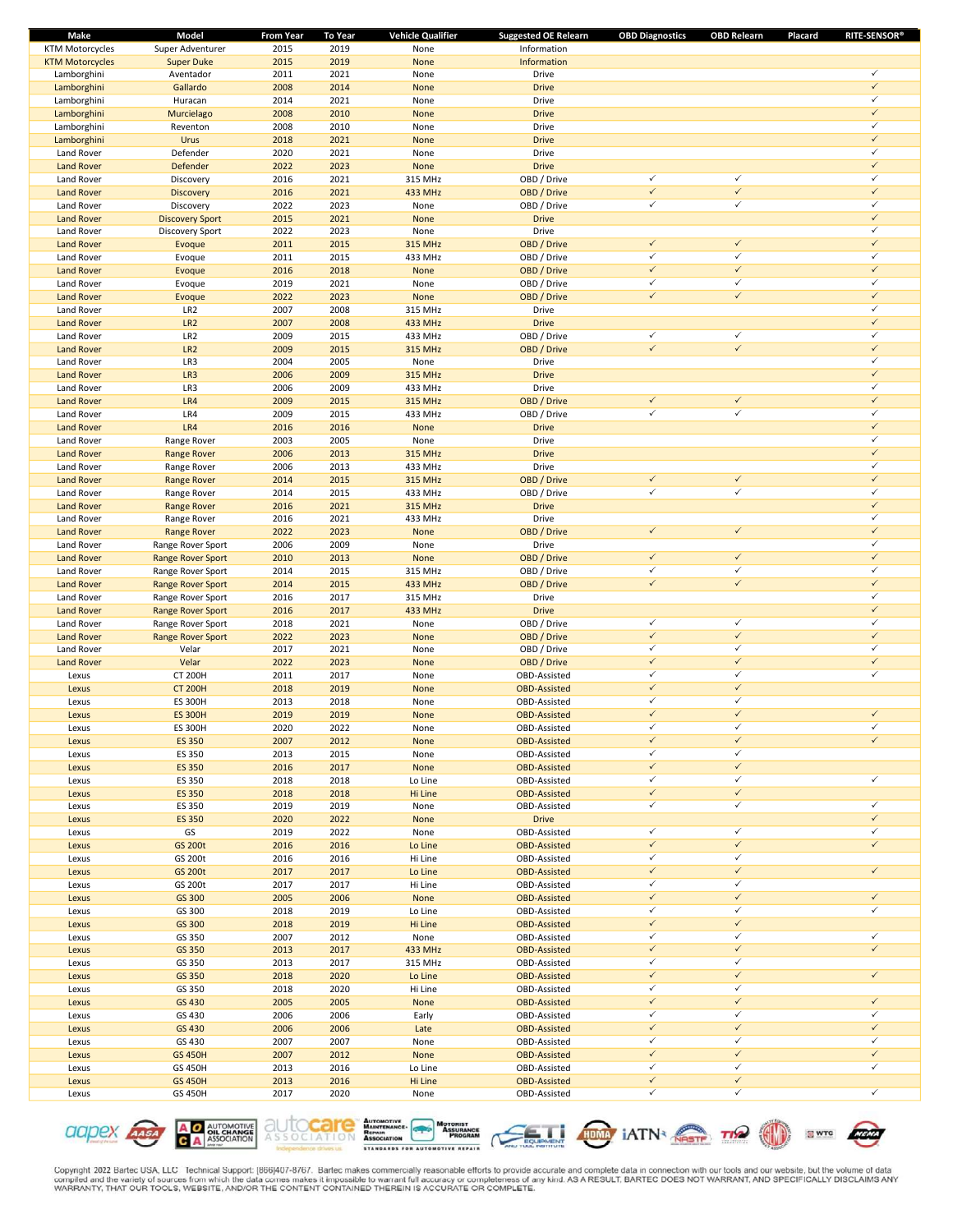| Make                   | Model                    | <b>From Year</b> | <b>To Year</b> | <b>Vehicle Qualifier</b> | <b>Suggested OE Relearn</b> | <b>OBD Diagnostics</b> | <b>OBD Relearn</b> | <b>RITE-SENSOR®</b><br>Placard |
|------------------------|--------------------------|------------------|----------------|--------------------------|-----------------------------|------------------------|--------------------|--------------------------------|
| <b>KTM Motorcycles</b> | Super Adventurer         | 2015             | 2019           | None                     | Information                 |                        |                    |                                |
| <b>KTM Motorcycles</b> | <b>Super Duke</b>        | 2015             | 2019           | None                     | Information                 |                        |                    |                                |
| Lamborghini            | Aventador                | 2011             | 2021           | None                     | Drive                       |                        |                    | $\checkmark$                   |
| Lamborghini            | Gallardo                 | 2008             | 2014           | None                     | <b>Drive</b>                |                        |                    | $\checkmark$                   |
| Lamborghini            | Huracan                  | 2014             | 2021           | None                     | Drive                       |                        |                    | $\checkmark$                   |
| Lamborghini            | Murcielago               | 2008             | 2010           | None                     | <b>Drive</b>                |                        |                    | $\checkmark$                   |
| Lamborghini            | Reventon                 | 2008             | 2010           | None                     | Drive                       |                        |                    | $\checkmark$                   |
| Lamborghini            | Urus                     | 2018             | 2021           | None                     | <b>Drive</b>                |                        |                    | $\checkmark$                   |
| Land Rover             | Defender                 | 2020             | 2021           | None                     | Drive                       |                        |                    | $\checkmark$                   |
|                        |                          |                  |                |                          |                             |                        |                    | $\checkmark$                   |
| <b>Land Rover</b>      | Defender                 | 2022             | 2023           | None                     | <b>Drive</b>                |                        |                    | $\checkmark$                   |
| Land Rover             | Discovery                | 2016             | 2021           | 315 MHz                  | OBD / Drive                 | $\checkmark$           | $\checkmark$       |                                |
| <b>Land Rover</b>      | <b>Discovery</b>         | 2016             | 2021           | 433 MHz                  | OBD / Drive                 | $\checkmark$           | $\checkmark$       | $\checkmark$                   |
| Land Rover             | Discovery                | 2022             | 2023           | None                     | OBD / Drive                 | $\checkmark$           | $\checkmark$       | $\checkmark$                   |
| <b>Land Rover</b>      | <b>Discovery Sport</b>   | 2015             | 2021           | None                     | <b>Drive</b>                |                        |                    | $\checkmark$                   |
| Land Rover             | Discovery Sport          | 2022             | 2023           | None                     | Drive                       |                        |                    | $\checkmark$                   |
| <b>Land Rover</b>      | Evoque                   | 2011             | 2015           | <b>315 MHz</b>           | OBD / Drive                 | $\checkmark$           | $\checkmark$       | $\checkmark$                   |
| Land Rover             | Evoque                   | 2011             | 2015           | 433 MHz                  | OBD / Drive                 | $\checkmark$           | $\checkmark$       | $\checkmark$                   |
| <b>Land Rover</b>      | Evoque                   | 2016             | 2018           | None                     | OBD / Drive                 | $\checkmark$           | $\checkmark$       | $\checkmark$                   |
| Land Rover             | Evoque                   | 2019             | 2021           | None                     | OBD / Drive                 | $\checkmark$           | $\checkmark$       | $\checkmark$                   |
| <b>Land Rover</b>      | Evoque                   | 2022             | 2023           | None                     | OBD / Drive                 | $\checkmark$           | $\checkmark$       | $\checkmark$                   |
| Land Rover             | LR <sub>2</sub>          | 2007             | 2008           | 315 MHz                  | Drive                       |                        |                    | $\checkmark$                   |
|                        |                          |                  |                |                          |                             |                        |                    | $\checkmark$                   |
| <b>Land Rover</b>      | LR <sub>2</sub>          | 2007             | 2008           | 433 MHz                  | <b>Drive</b>                |                        |                    |                                |
| Land Rover             | LR <sub>2</sub>          | 2009             | 2015           | 433 MHz                  | OBD / Drive                 | $\checkmark$           | $\checkmark$       | $\checkmark$                   |
| <b>Land Rover</b>      | LR <sub>2</sub>          | 2009             | 2015           | <b>315 MHz</b>           | OBD / Drive                 | $\checkmark$           | $\checkmark$       | $\checkmark$                   |
| Land Rover             | LR3                      | 2004             | 2005           | None                     | Drive                       |                        |                    | $\checkmark$                   |
| <b>Land Rover</b>      | LR3                      | 2006             | 2009           | <b>315 MHz</b>           | <b>Drive</b>                |                        |                    | $\checkmark$                   |
| Land Rover             | LR3                      | 2006             | 2009           | 433 MHz                  | Drive                       |                        |                    | $\checkmark$                   |
| <b>Land Rover</b>      | LR4                      | 2009             | 2015           | <b>315 MHz</b>           | OBD / Drive                 | $\checkmark$           | $\checkmark$       | $\checkmark$                   |
| Land Rover             | LR4                      | 2009             | 2015           | 433 MHz                  | OBD / Drive                 | ✓                      | $\checkmark$       | $\checkmark$                   |
| <b>Land Rover</b>      | LR4                      | 2016             | 2016           | None                     | <b>Drive</b>                |                        |                    | $\checkmark$                   |
| Land Rover             | Range Rover              | 2003             | 2005           | None                     | Drive                       |                        |                    | $\checkmark$                   |
| <b>Land Rover</b>      | <b>Range Rover</b>       | 2006             | 2013           | <b>315 MHz</b>           | <b>Drive</b>                |                        |                    | $\checkmark$                   |
| Land Rover             |                          |                  | 2013           |                          | Drive                       |                        |                    | $\checkmark$                   |
|                        | Range Rover              | 2006             |                | 433 MHz                  |                             | $\checkmark$           | $\checkmark$       | $\checkmark$                   |
| <b>Land Rover</b>      | <b>Range Rover</b>       | 2014             | 2015           | <b>315 MHz</b>           | OBD / Drive                 |                        |                    |                                |
| Land Rover             | Range Rover              | 2014             | 2015           | 433 MHz                  | OBD / Drive                 | $\checkmark$           | $\checkmark$       | $\checkmark$                   |
| <b>Land Rover</b>      | <b>Range Rover</b>       | 2016             | 2021           | <b>315 MHz</b>           | <b>Drive</b>                |                        |                    | $\checkmark$                   |
| Land Rover             | Range Rover              | 2016             | 2021           | 433 MHz                  | Drive                       |                        |                    | $\checkmark$                   |
| <b>Land Rover</b>      | <b>Range Rover</b>       | 2022             | 2023           | None                     | OBD / Drive                 | $\checkmark$           | $\checkmark$       | $\checkmark$                   |
| Land Rover             | Range Rover Sport        | 2006             | 2009           | None                     | Drive                       |                        |                    | $\checkmark$                   |
| <b>Land Rover</b>      | <b>Range Rover Sport</b> | 2010             | 2013           | None                     | OBD / Drive                 | $\checkmark$           | $\checkmark$       | $\checkmark$                   |
| Land Rover             | Range Rover Sport        | 2014             | 2015           | 315 MHz                  | OBD / Drive                 | $\checkmark$           | $\checkmark$       | $\checkmark$                   |
| <b>Land Rover</b>      | <b>Range Rover Sport</b> | 2014             | 2015           | 433 MHz                  | OBD / Drive                 | $\checkmark$           | $\checkmark$       | $\checkmark$                   |
| Land Rover             | Range Rover Sport        | 2016             | 2017           | 315 MHz                  | Drive                       |                        |                    | $\checkmark$                   |
| <b>Land Rover</b>      | <b>Range Rover Sport</b> | 2016             | 2017           | 433 MHz                  | <b>Drive</b>                |                        |                    | $\checkmark$                   |
| Land Rover             | Range Rover Sport        | 2018             | 2021           | None                     | OBD / Drive                 | $\checkmark$           | $\checkmark$       | $\checkmark$                   |
|                        |                          | 2022             | 2023           |                          |                             | $\checkmark$           | $\checkmark$       | $\checkmark$                   |
| <b>Land Rover</b>      | <b>Range Rover Sport</b> |                  |                | None                     | OBD / Drive                 | $\checkmark$           | $\checkmark$       | $\checkmark$                   |
| Land Rover             | Velar                    | 2017             | 2021           | None                     | OBD / Drive                 |                        |                    |                                |
| <b>Land Rover</b>      | Velar                    | 2022             | 2023           | None                     | OBD / Drive                 | $\checkmark$           | $\checkmark$       | $\checkmark$                   |
| Lexus                  | <b>CT 200H</b>           | 2011             | 2017           | None                     | OBD-Assisted                | $\checkmark$           | $\checkmark$       | $\checkmark$                   |
| Lexus                  | <b>CT 200H</b>           | 2018             | 2019           | None                     | <b>OBD-Assisted</b>         | $\checkmark$           | $\checkmark$       |                                |
| Lexus                  | <b>ES 300H</b>           | 2013             | 2018           | None                     | OBD-Assisted                | $\checkmark$           | $\checkmark$       |                                |
| Lexus                  | <b>ES 300H</b>           | 2019             | 2019           | None                     | <b>OBD-Assisted</b>         | $\checkmark$           | $\checkmark$       | $\checkmark$                   |
| Lexus                  | <b>ES 300H</b>           | 2020             | 2022           | None                     | OBD-Assisted                | ✓                      | ✓                  | ✓                              |
| Lexus                  | <b>ES 350</b>            | 2007             | 2012           | None                     | <b>OBD-Assisted</b>         | $\checkmark$           | $\checkmark$       | $\checkmark$                   |
| Lexus                  | ES 350                   | 2013             | 2015           | None                     | OBD-Assisted                | $\checkmark$           | $\checkmark$       |                                |
| Lexus                  | <b>ES 350</b>            | 2016             | 2017           | None                     | <b>OBD-Assisted</b>         | $\checkmark$           | $\checkmark$       |                                |
| Lexus                  | ES 350                   | 2018             | 2018           | Lo Line                  | OBD-Assisted                | $\checkmark$           | $\checkmark$       | ✓                              |
| Lexus                  | <b>ES 350</b>            | 2018             | 2018           | Hi Line                  | <b>OBD-Assisted</b>         | $\checkmark$           | $\checkmark$       |                                |
| Lexus                  | ES 350                   | 2019             | 2019           | None                     | OBD-Assisted                | $\checkmark$           | $\checkmark$       | ✓                              |
|                        |                          |                  |                |                          |                             |                        |                    | $\checkmark$                   |
| Lexus                  | <b>ES 350</b>            | 2020             | 2022           | None                     | <b>Drive</b>                |                        |                    |                                |
| Lexus                  | GS                       | 2019             | 2022           | None                     | OBD-Assisted                | $\checkmark$           | $\checkmark$       | $\checkmark$                   |
| Lexus                  | <b>GS 200t</b>           | 2016             | 2016           | Lo Line                  | <b>OBD-Assisted</b>         | $\checkmark$           | $\checkmark$       | $\checkmark$                   |
| Lexus                  | GS 200t                  | 2016             | 2016           | Hi Line                  | OBD-Assisted                | $\checkmark$           | $\checkmark$       |                                |
| Lexus                  | <b>GS 200t</b>           | 2017             | 2017           | Lo Line                  | <b>OBD-Assisted</b>         | $\checkmark$           | $\checkmark$       | $\checkmark$                   |
| Lexus                  | GS 200t                  | 2017             | 2017           | Hi Line                  | OBD-Assisted                | $\checkmark$           | $\checkmark$       |                                |
| Lexus                  | GS 300                   | 2005             | 2006           | None                     | <b>OBD-Assisted</b>         | $\checkmark$           | $\checkmark$       | $\checkmark$                   |
| Lexus                  | GS 300                   | 2018             | 2019           | Lo Line                  | OBD-Assisted                | $\checkmark$           | $\checkmark$       | $\checkmark$                   |
| Lexus                  | GS 300                   | 2018             | 2019           | Hi Line                  | <b>OBD-Assisted</b>         | $\checkmark$           | $\checkmark$       |                                |
| Lexus                  | GS 350                   | 2007             | 2012           | None                     | OBD-Assisted                | $\checkmark$           | $\checkmark$       | $\checkmark$                   |
| Lexus                  | GS 350                   | 2013             | 2017           | 433 MHz                  | <b>OBD-Assisted</b>         | $\checkmark$           | $\checkmark$       | $\checkmark$                   |
| Lexus                  | GS 350                   | 2013             | 2017           | 315 MHz                  | OBD-Assisted                | $\checkmark$           | $\checkmark$       |                                |
| Lexus                  | GS 350                   | 2018             | 2020           |                          | <b>OBD-Assisted</b>         | $\checkmark$           | $\checkmark$       | $\checkmark$                   |
|                        |                          |                  |                | Lo Line                  |                             | $\checkmark$           | $\checkmark$       |                                |
| Lexus                  | GS 350                   | 2018             | 2020           | Hi Line                  | OBD-Assisted                |                        |                    |                                |
| Lexus                  | GS 430                   | 2005             | 2005           | None                     | <b>OBD-Assisted</b>         | $\checkmark$           | $\checkmark$       | $\checkmark$                   |
| Lexus                  | GS 430                   | 2006             | 2006           | Early                    | OBD-Assisted                | $\checkmark$           | $\checkmark$       | ✓                              |
| Lexus                  | GS 430                   | 2006             | 2006           | Late                     | <b>OBD-Assisted</b>         | $\checkmark$           | $\checkmark$       | $\checkmark$                   |
| Lexus                  | GS 430                   | 2007             | 2007           | None                     | OBD-Assisted                | $\checkmark$           | $\checkmark$       | ✓                              |
| Lexus                  | <b>GS 450H</b>           | 2007             | 2012           | None                     | <b>OBD-Assisted</b>         | $\checkmark$           | $\checkmark$       | $\checkmark$                   |
| Lexus                  | GS 450H                  | 2013             | 2016           | Lo Line                  | OBD-Assisted                | $\checkmark$           | $\checkmark$       | $\checkmark$                   |
| Lexus                  | <b>GS 450H</b>           | 2013             | 2016           | Hi Line                  | <b>OBD-Assisted</b>         | $\checkmark$           | $\checkmark$       |                                |
| Lexus                  | GS 450H                  | 2017             | 2020           | None                     | OBD-Assisted                | $\checkmark$           | $\checkmark$       | $\checkmark$                   |
|                        |                          |                  |                |                          |                             |                        |                    |                                |











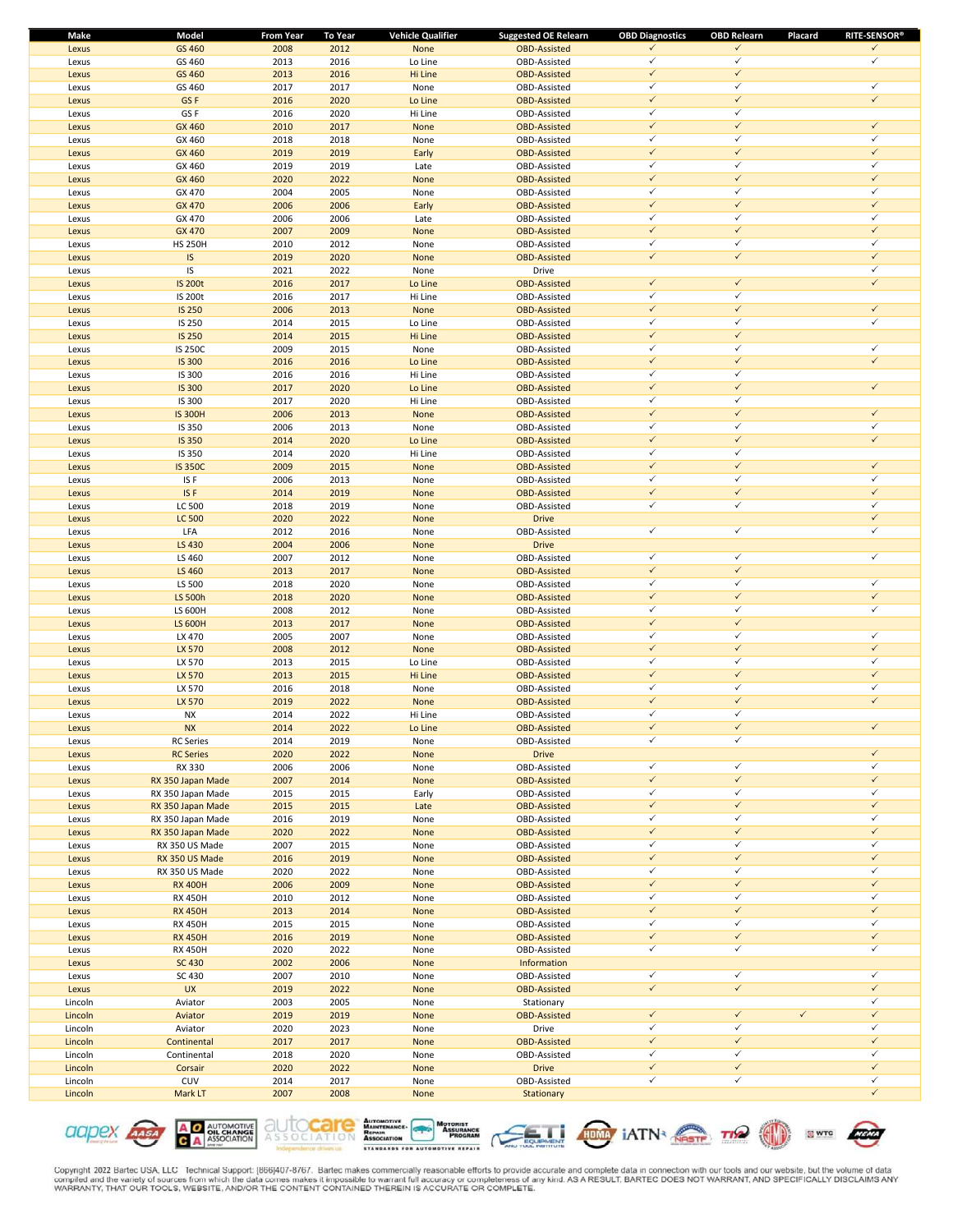| Make    | Model             | <b>From Year</b> | <b>To Year</b> | <b>Vehicle Qualifier</b> | <b>Suggested OE Relearn</b> | <b>OBD Diagnostics</b> | <b>OBD Relearn</b> | Placard      | <b>RITE-SENSOR®</b> |
|---------|-------------------|------------------|----------------|--------------------------|-----------------------------|------------------------|--------------------|--------------|---------------------|
| Lexus   | GS 460            | 2008             | 2012           | None                     | <b>OBD-Assisted</b>         | ✓                      | $\checkmark$       |              | $\checkmark$        |
| Lexus   | GS 460            | 2013             | 2016           | Lo Line                  | OBD-Assisted                | ✓                      | $\checkmark$       |              | ✓                   |
| Lexus   | GS 460            | 2013             | 2016           | Hi Line                  | <b>OBD-Assisted</b>         | $\checkmark$           | $\checkmark$       |              |                     |
| Lexus   | GS 460            | 2017             | 2017           | None                     | OBD-Assisted                | ✓                      | $\checkmark$       |              | $\checkmark$        |
| Lexus   | GS <sub>F</sub>   | 2016             | 2020           | Lo Line                  | <b>OBD-Assisted</b>         | $\checkmark$           | $\checkmark$       |              | $\checkmark$        |
| Lexus   | GS F              | 2016             | 2020           | Hi Line                  | OBD-Assisted                | ✓                      | $\checkmark$       |              |                     |
| Lexus   | GX 460            | 2010             | 2017           | None                     | <b>OBD-Assisted</b>         | $\checkmark$           | $\checkmark$       |              | $\checkmark$        |
| Lexus   | GX 460            | 2018             | 2018           | None                     | OBD-Assisted                | ✓                      | $\checkmark$       |              | $\checkmark$        |
| Lexus   | GX 460            | 2019             | 2019           | Early                    | <b>OBD-Assisted</b>         | $\checkmark$           | $\checkmark$       |              | $\checkmark$        |
| Lexus   | GX 460            | 2019             | 2019           | Late                     | OBD-Assisted                | $\checkmark$           | $\checkmark$       |              | ✓                   |
| Lexus   | GX 460            | 2020             | 2022           | None                     | <b>OBD-Assisted</b>         | $\checkmark$           | $\checkmark$       |              | $\checkmark$        |
|         |                   |                  | 2005           |                          |                             | $\checkmark$           | $\checkmark$       |              | $\checkmark$        |
| Lexus   | GX 470            | 2004             |                | None                     | OBD-Assisted                |                        | $\checkmark$       |              | $\checkmark$        |
| Lexus   | GX 470            | 2006             | 2006           | Early                    | <b>OBD-Assisted</b>         | $\checkmark$           |                    |              |                     |
| Lexus   | GX 470            | 2006             | 2006           | Late                     | OBD-Assisted                | ✓                      | $\checkmark$       |              | ✓                   |
| Lexus   | <b>GX 470</b>     | 2007             | 2009           | None                     | <b>OBD-Assisted</b>         | $\checkmark$           | $\checkmark$       |              | $\checkmark$        |
| Lexus   | <b>HS 250H</b>    | 2010             | 2012           | None                     | OBD-Assisted                | ✓                      | $\checkmark$       |              | ✓                   |
| Lexus   | IS                | 2019             | 2020           | None                     | <b>OBD-Assisted</b>         | $\checkmark$           | $\checkmark$       |              | $\checkmark$        |
| Lexus   | IS                | 2021             | 2022           | None                     | Drive                       |                        |                    |              | $\checkmark$        |
| Lexus   | <b>IS 200t</b>    | 2016             | 2017           | Lo Line                  | <b>OBD-Assisted</b>         | $\checkmark$           | $\checkmark$       |              | $\checkmark$        |
| Lexus   | <b>IS 200t</b>    | 2016             | 2017           | Hi Line                  | OBD-Assisted                | $\checkmark$           | $\checkmark$       |              |                     |
| Lexus   | <b>IS 250</b>     | 2006             | 2013           | None                     | <b>OBD-Assisted</b>         | $\checkmark$           | $\checkmark$       |              | $\checkmark$        |
| Lexus   | IS 250            | 2014             | 2015           | Lo Line                  | OBD-Assisted                | ✓                      | $\checkmark$       |              | $\checkmark$        |
| Lexus   | <b>IS 250</b>     | 2014             | 2015           | Hi Line                  | <b>OBD-Assisted</b>         | $\checkmark$           | $\checkmark$       |              |                     |
| Lexus   | <b>IS 250C</b>    | 2009             | 2015           | None                     | OBD-Assisted                | ✓                      | $\checkmark$       |              | $\checkmark$        |
| Lexus   | <b>IS 300</b>     | 2016             | 2016           | Lo Line                  | <b>OBD-Assisted</b>         | $\checkmark$           | $\checkmark$       |              | $\checkmark$        |
|         | IS 300            | 2016             | 2016           | Hi Line                  | OBD-Assisted                | ✓                      | $\checkmark$       |              |                     |
| Lexus   |                   | 2017             | 2020           |                          |                             | $\checkmark$           | $\checkmark$       |              | $\checkmark$        |
| Lexus   | <b>IS 300</b>     |                  |                | Lo Line                  | <b>OBD-Assisted</b>         |                        | $\checkmark$       |              |                     |
| Lexus   | IS 300            | 2017             | 2020           | Hi Line                  | OBD-Assisted                | ✓                      |                    |              |                     |
| Lexus   | <b>IS 300H</b>    | 2006             | 2013           | None                     | <b>OBD-Assisted</b>         | $\checkmark$           | $\checkmark$       |              | $\checkmark$        |
| Lexus   | IS 350            | 2006             | 2013           | None                     | OBD-Assisted                | $\checkmark$           | $\checkmark$       |              | $\checkmark$        |
| Lexus   | <b>IS 350</b>     | 2014             | 2020           | Lo Line                  | <b>OBD-Assisted</b>         | $\checkmark$           | $\checkmark$       |              | $\checkmark$        |
| Lexus   | IS 350            | 2014             | 2020           | Hi Line                  | OBD-Assisted                | ✓                      | $\checkmark$       |              |                     |
| Lexus   | <b>IS 350C</b>    | 2009             | 2015           | None                     | <b>OBD-Assisted</b>         | $\checkmark$           | $\checkmark$       |              | $\checkmark$        |
| Lexus   | IS F              | 2006             | 2013           | None                     | OBD-Assisted                | ✓                      | $\checkmark$       |              | ✓                   |
| Lexus   | ISF               | 2014             | 2019           | None                     | <b>OBD-Assisted</b>         | $\checkmark$           | $\checkmark$       |              | $\checkmark$        |
| Lexus   | LC 500            | 2018             | 2019           | None                     | OBD-Assisted                | $\checkmark$           | $\checkmark$       |              | ✓                   |
| Lexus   | <b>LC 500</b>     | 2020             | 2022           | None                     | <b>Drive</b>                |                        |                    |              | $\checkmark$        |
| Lexus   | LFA               | 2012             | 2016           | None                     | OBD-Assisted                | $\checkmark$           | $\checkmark$       |              | ✓                   |
| Lexus   | LS 430            | 2004             | 2006           | None                     | <b>Drive</b>                |                        |                    |              |                     |
| Lexus   | LS 460            | 2007             | 2012           | None                     | OBD-Assisted                | $\checkmark$           | $\checkmark$       |              | $\checkmark$        |
| Lexus   | LS 460            | 2013             | 2017           | None                     | <b>OBD-Assisted</b>         | $\checkmark$           | $\checkmark$       |              |                     |
| Lexus   | LS 500            | 2018             | 2020           | None                     | OBD-Assisted                | $\checkmark$           | $\checkmark$       |              | $\checkmark$        |
| Lexus   | LS 500h           | 2018             | 2020           | None                     | <b>OBD-Assisted</b>         | $\checkmark$           | $\checkmark$       |              | $\checkmark$        |
|         |                   |                  |                |                          |                             | ✓                      | $\checkmark$       |              | ✓                   |
| Lexus   | LS 600H           | 2008             | 2012           | None                     | OBD-Assisted                |                        | $\checkmark$       |              |                     |
| Lexus   | <b>LS 600H</b>    | 2013             | 2017           | None                     | <b>OBD-Assisted</b>         | $\checkmark$           |                    |              |                     |
| Lexus   | LX 470            | 2005             | 2007           | None                     | OBD-Assisted                | ✓                      | $\checkmark$       |              | $\checkmark$        |
| Lexus   | LX 570            | 2008             | 2012           | None                     | <b>OBD-Assisted</b>         | $\checkmark$           | $\checkmark$       |              | $\checkmark$        |
| Lexus   | LX 570            | 2013             | 2015           | Lo Line                  | OBD-Assisted                | ✓                      | $\checkmark$       |              | $\checkmark$        |
| Lexus   | LX 570            | 2013             | 2015           | Hi Line                  | <b>OBD-Assisted</b>         | $\checkmark$           | $\checkmark$       |              | $\checkmark$        |
| Lexus   | LX 570            | 2016             | 2018           | None                     | OBD-Assisted                | $\checkmark$           | $\checkmark$       |              | $\checkmark$        |
| Lexus   | LX 570            | 2019             | 2022           | None                     | <b>OBD-Assisted</b>         | $\checkmark$           | $\checkmark$       |              | $\checkmark$        |
| Lexus   | <b>NX</b>         | 2014             | 2022           | Hi Line                  | OBD-Assisted                | ✓                      | $\checkmark$       |              |                     |
| Lexus   | <b>NX</b>         | 2014             | 2022           | Lo Line                  | <b>OBD-Assisted</b>         |                        | ✓                  |              | $\checkmark$        |
| Lexus   | <b>RC</b> Series  | 2014             | 2019           | None                     | OBD-Assisted                | $\checkmark$           | $\checkmark$       |              |                     |
| Lexus   | <b>RC Series</b>  | 2020             | 2022           | None                     | <b>Drive</b>                |                        |                    |              | $\checkmark$        |
| Lexus   | RX 330            | 2006             | 2006           | None                     | OBD-Assisted                | $\checkmark$           | $\checkmark$       |              | $\checkmark$        |
| Lexus   | RX 350 Japan Made | 2007             | 2014           | None                     | <b>OBD-Assisted</b>         | $\checkmark$           | $\checkmark$       |              | $\checkmark$        |
| Lexus   | RX 350 Japan Made | 2015             | 2015           | Early                    | OBD-Assisted                | ✓                      | $\checkmark$       |              | $\checkmark$        |
| Lexus   | RX 350 Japan Made | 2015             | 2015           | Late                     | <b>OBD-Assisted</b>         | $\checkmark$           | $\checkmark$       |              | $\checkmark$        |
| Lexus   | RX 350 Japan Made | 2016             | 2019           | None                     | OBD-Assisted                | $\checkmark$           | $\checkmark$       |              | $\checkmark$        |
| Lexus   | RX 350 Japan Made |                  |                |                          | <b>OBD-Assisted</b>         | $\checkmark$           | $\checkmark$       |              | $\checkmark$        |
|         |                   | 2020             | 2022           | None                     | OBD-Assisted                | $\checkmark$           | $\checkmark$       |              | $\checkmark$        |
| Lexus   | RX 350 US Made    | 2007             | 2015           | None                     |                             |                        | $\checkmark$       |              | $\checkmark$        |
| Lexus   | RX 350 US Made    | 2016             | 2019           | None                     | <b>OBD-Assisted</b>         | $\checkmark$           |                    |              |                     |
| Lexus   | RX 350 US Made    | 2020             | 2022           | None                     | OBD-Assisted                | ✓                      | $\checkmark$       |              | $\checkmark$        |
| Lexus   | <b>RX 400H</b>    | 2006             | 2009           | None                     | <b>OBD-Assisted</b>         | $\checkmark$           | $\checkmark$       |              | $\checkmark$        |
| Lexus   | <b>RX 450H</b>    | 2010             | 2012           | None                     | OBD-Assisted                | ✓                      | $\checkmark$       |              | $\checkmark$        |
| Lexus   | <b>RX 450H</b>    | 2013             | 2014           | None                     | <b>OBD-Assisted</b>         | $\checkmark$           | $\checkmark$       |              | $\checkmark$        |
| Lexus   | <b>RX 450H</b>    | 2015             | 2015           | None                     | OBD-Assisted                | ✓                      | $\checkmark$       |              | $\checkmark$        |
| Lexus   | <b>RX 450H</b>    | 2016             | 2019           | None                     | <b>OBD-Assisted</b>         | $\checkmark$           | $\checkmark$       |              | $\checkmark$        |
| Lexus   | <b>RX 450H</b>    | 2020             | 2022           | None                     | OBD-Assisted                | $\checkmark$           | $\checkmark$       |              | $\checkmark$        |
| Lexus   | <b>SC 430</b>     | 2002             | 2006           | None                     | Information                 |                        |                    |              |                     |
| Lexus   | SC 430            | 2007             | 2010           | None                     | OBD-Assisted                | $\checkmark$           | $\checkmark$       |              | $\checkmark$        |
| Lexus   | <b>UX</b>         | 2019             | 2022           | None                     | <b>OBD-Assisted</b>         | $\checkmark$           | $\checkmark$       |              | $\checkmark$        |
| Lincoln | Aviator           | 2003             | 2005           | None                     | Stationary                  |                        |                    |              | $\checkmark$        |
| Lincoln | Aviator           | 2019             | 2019           | None                     | <b>OBD-Assisted</b>         | $\checkmark$           | $\checkmark$       | $\checkmark$ | $\checkmark$        |
| Lincoln | Aviator           | 2020             | 2023           | None                     | Drive                       | ✓                      | $\checkmark$       |              | $\checkmark$        |
| Lincoln | Continental       | 2017             | 2017           | None                     | <b>OBD-Assisted</b>         | $\checkmark$           | $\checkmark$       |              | $\checkmark$        |
| Lincoln | Continental       | 2018             | 2020           | None                     | OBD-Assisted                | ✓                      | $\checkmark$       |              | $\checkmark$        |
| Lincoln | Corsair           | 2020             | 2022           | None                     | <b>Drive</b>                | $\checkmark$           | $\checkmark$       |              | $\checkmark$        |
|         | CUV               |                  |                |                          |                             | $\checkmark$           | $\checkmark$       |              | $\checkmark$        |
| Lincoln |                   | 2014             | 2017           | None                     | OBD-Assisted                |                        |                    |              | $\checkmark$        |
| Lincoln | Mark LT           | 2007             | 2008           | None                     | Stationary                  |                        |                    |              |                     |

**A O AUTOMOTIVE**<br>**C A** ASSOCIATION **CICIDEX AASA** 









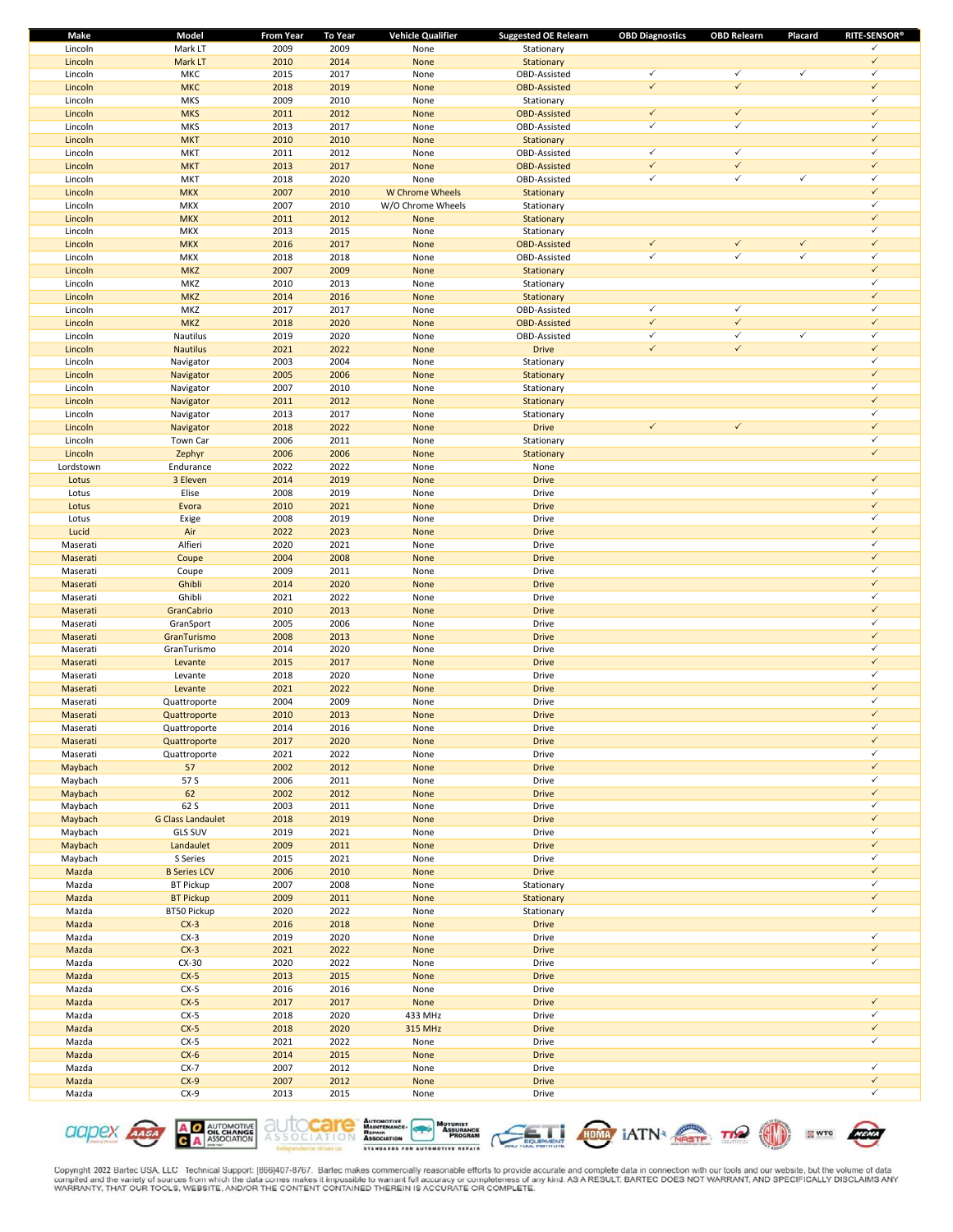| Make      | Model                    | <b>From Year</b> | <b>To Year</b> | <b>Vehicle Qualifier</b> | <b>Suggested OE Relearn</b> | <b>OBD Diagnostics</b> | <b>OBD Relearn</b> | Placard      | <b>RITE-SENSOR®</b> |
|-----------|--------------------------|------------------|----------------|--------------------------|-----------------------------|------------------------|--------------------|--------------|---------------------|
| Lincoln   | Mark LT                  | 2009             | 2009           | None                     | Stationary                  |                        |                    |              | $\checkmark$        |
| Lincoln   | Mark LT                  | 2010             | 2014           | None                     | Stationary                  |                        |                    |              | $\checkmark$        |
| Lincoln   | MKC                      | 2015             | 2017           | None                     | OBD-Assisted                | $\checkmark$           | $\checkmark$       | $\checkmark$ | $\checkmark$        |
| Lincoln   | <b>MKC</b>               | 2018             | 2019           | None                     | <b>OBD-Assisted</b>         | $\checkmark$           | $\checkmark$       |              | $\checkmark$        |
| Lincoln   | <b>MKS</b>               | 2009             | 2010           | None                     | Stationary                  |                        |                    |              | $\checkmark$        |
| Lincoln   | <b>MKS</b>               | 2011             | 2012           | None                     | <b>OBD-Assisted</b>         | $\checkmark$           | $\checkmark$       |              | $\checkmark$        |
| Lincoln   | <b>MKS</b>               | 2013             | 2017           | None                     | OBD-Assisted                | $\checkmark$           | $\checkmark$       |              | $\checkmark$        |
| Lincoln   | <b>MKT</b>               | 2010             | 2010           | None                     | Stationary                  |                        |                    |              | $\checkmark$        |
| Lincoln   | <b>MKT</b>               | 2011             | 2012           | None                     | OBD-Assisted                | $\checkmark$           | $\checkmark$       |              | $\checkmark$        |
| Lincoln   | <b>MKT</b>               | 2013             | 2017           | None                     | <b>OBD-Assisted</b>         | $\checkmark$           | $\checkmark$       |              | $\checkmark$        |
| Lincoln   | <b>MKT</b>               | 2018             | 2020           | None                     | OBD-Assisted                | $\checkmark$           | $\checkmark$       | $\checkmark$ | $\checkmark$        |
| Lincoln   | <b>MKX</b>               | 2007             | 2010           | W Chrome Wheels          | Stationary                  |                        |                    |              | $\checkmark$        |
| Lincoln   | <b>MKX</b>               | 2007             | 2010           | W/O Chrome Wheels        | Stationary                  |                        |                    |              | $\checkmark$        |
| Lincoln   | <b>MKX</b>               | 2011             | 2012           | None                     | Stationary                  |                        |                    |              | $\checkmark$        |
| Lincoln   | <b>MKX</b>               | 2013             | 2015           | None                     | Stationary                  |                        |                    |              | $\checkmark$        |
| Lincoln   | <b>MKX</b>               | 2016             | 2017           | None                     | <b>OBD-Assisted</b>         | $\checkmark$           | $\checkmark$       | $\checkmark$ | $\checkmark$        |
| Lincoln   | MKX                      | 2018             | 2018           | None                     | OBD-Assisted                | $\checkmark$           | $\checkmark$       | $\checkmark$ | $\checkmark$        |
| Lincoln   | <b>MKZ</b>               | 2007             | 2009           | None                     | Stationary                  |                        |                    |              | $\checkmark$        |
|           | MKZ                      | 2010             | 2013           |                          |                             |                        |                    |              | $\checkmark$        |
| Lincoln   |                          |                  |                | None                     | Stationary                  |                        |                    |              | $\checkmark$        |
| Lincoln   | <b>MKZ</b>               | 2014             | 2016           | None                     | Stationary                  |                        |                    |              | $\checkmark$        |
| Lincoln   | MKZ                      | 2017             | 2017           | None                     | OBD-Assisted                | $\checkmark$           | $\checkmark$       |              |                     |
| Lincoln   | <b>MKZ</b>               | 2018             | 2020           | None                     | <b>OBD-Assisted</b>         | $\checkmark$           | $\checkmark$       |              | $\checkmark$        |
| Lincoln   | Nautilus                 | 2019             | 2020           | None                     | OBD-Assisted                | $\checkmark$           | $\checkmark$       | $\checkmark$ | $\checkmark$        |
| Lincoln   | <b>Nautilus</b>          | 2021             | 2022           | None                     | <b>Drive</b>                | $\checkmark$           | $\checkmark$       |              | $\checkmark$        |
| Lincoln   | Navigator                | 2003             | 2004           | None                     | Stationary                  |                        |                    |              | $\checkmark$        |
| Lincoln   | Navigator                | 2005             | 2006           | None                     | Stationary                  |                        |                    |              | $\checkmark$        |
| Lincoln   | Navigator                | 2007             | 2010           | None                     | Stationary                  |                        |                    |              | $\checkmark$        |
| Lincoln   | Navigator                | 2011             | 2012           | None                     | Stationary                  |                        |                    |              | $\checkmark$        |
| Lincoln   | Navigator                | 2013             | 2017           | None                     | Stationary                  |                        |                    |              | $\checkmark$        |
| Lincoln   | Navigator                | 2018             | 2022           | None                     | <b>Drive</b>                | $\checkmark$           | $\checkmark$       |              | $\checkmark$        |
| Lincoln   | Town Car                 | 2006             | 2011           | None                     | Stationary                  |                        |                    |              | $\checkmark$        |
| Lincoln   | Zephyr                   | 2006             | 2006           | None                     | Stationary                  |                        |                    |              | $\checkmark$        |
| Lordstown | Endurance                | 2022             | 2022           | None                     | None                        |                        |                    |              |                     |
| Lotus     | 3 Eleven                 | 2014             | 2019           | None                     | <b>Drive</b>                |                        |                    |              | $\checkmark$        |
| Lotus     | Elise                    | 2008             | 2019           | None                     | Drive                       |                        |                    |              | $\checkmark$        |
| Lotus     | Evora                    | 2010             | 2021           | None                     | <b>Drive</b>                |                        |                    |              | $\checkmark$        |
|           |                          |                  |                |                          |                             |                        |                    |              | $\checkmark$        |
| Lotus     | Exige                    | 2008             | 2019           | None                     | Drive                       |                        |                    |              |                     |
| Lucid     | Air                      | 2022             | 2023           | None                     | <b>Drive</b>                |                        |                    |              | $\checkmark$        |
| Maserati  | Alfieri                  | 2020             | 2021           | None                     | Drive                       |                        |                    |              | $\checkmark$        |
| Maserati  | Coupe                    | 2004             | 2008           | None                     | <b>Drive</b>                |                        |                    |              | $\checkmark$        |
| Maserati  | Coupe                    | 2009             | 2011           | None                     | Drive                       |                        |                    |              | $\checkmark$        |
| Maserati  | Ghibli                   | 2014             | 2020           | None                     | <b>Drive</b>                |                        |                    |              | $\checkmark$        |
| Maserati  | Ghibli                   | 2021             | 2022           | None                     | Drive                       |                        |                    |              | $\checkmark$        |
| Maserati  | GranCabrio               | 2010             | 2013           | None                     | <b>Drive</b>                |                        |                    |              | $\checkmark$        |
| Maserati  | GranSport                | 2005             | 2006           | None                     | Drive                       |                        |                    |              | $\checkmark$        |
| Maserati  | GranTurismo              | 2008             | 2013           | None                     | <b>Drive</b>                |                        |                    |              | $\checkmark$        |
| Maserati  | GranTurismo              | 2014             | 2020           | None                     | Drive                       |                        |                    |              | $\checkmark$        |
| Maserati  | Levante                  | 2015             | 2017           | None                     | <b>Drive</b>                |                        |                    |              | $\checkmark$        |
| Maserati  | Levante                  | 2018             | 2020           | None                     | Drive                       |                        |                    |              | $\checkmark$        |
| Maserati  | Levante                  | 2021             | 2022           | None                     | <b>Drive</b>                |                        |                    |              | $\checkmark$        |
| Maserati  | Quattroporte             | 2004             | 2009           | None                     | Drive                       |                        |                    |              | $\checkmark$        |
| Maserati  | Quattroporte             | 2010             | 2013           | None                     | <b>Drive</b>                |                        |                    |              | $\checkmark$        |
|           |                          |                  |                |                          |                             |                        |                    |              | ✓                   |
| Maserati  | Quattroporte             | 2014             | 2016           | None                     | Drive                       |                        |                    |              | $\checkmark$        |
| Maserati  | Quattroporte             | 2017             | 2020           | None                     | <b>Drive</b>                |                        |                    |              |                     |
| Maserati  | Quattroporte             | 2021             | 2022           | None                     | Drive                       |                        |                    |              | $\checkmark$        |
| Maybach   | 57                       | 2002             | 2012           | None                     | <b>Drive</b>                |                        |                    |              | $\checkmark$        |
| Maybach   | 57 S                     | 2006             | 2011           | None                     | Drive                       |                        |                    |              | $\checkmark$        |
| Maybach   | 62                       | 2002             | 2012           | None                     | <b>Drive</b>                |                        |                    |              | $\checkmark$        |
| Maybach   | 62 S                     | 2003             | 2011           | None                     | Drive                       |                        |                    |              | $\checkmark$        |
| Maybach   | <b>G Class Landaulet</b> | 2018             | 2019           | None                     | <b>Drive</b>                |                        |                    |              | $\checkmark$        |
| Maybach   | <b>GLS SUV</b>           | 2019             | 2021           | None                     | Drive                       |                        |                    |              | $\checkmark$        |
| Maybach   | Landaulet                | 2009             | 2011           | None                     | <b>Drive</b>                |                        |                    |              | $\checkmark$        |
| Maybach   | S Series                 | 2015             | 2021           | None                     | Drive                       |                        |                    |              | $\checkmark$        |
| Mazda     | <b>B Series LCV</b>      | 2006             | 2010           | None                     | <b>Drive</b>                |                        |                    |              | $\checkmark$        |
| Mazda     | <b>BT Pickup</b>         | 2007             | 2008           | None                     | Stationary                  |                        |                    |              | $\checkmark$        |
| Mazda     | <b>BT Pickup</b>         | 2009             | 2011           | None                     | Stationary                  |                        |                    |              | $\checkmark$        |
| Mazda     | BT50 Pickup              | 2020             | 2022           | None                     | Stationary                  |                        |                    |              | $\checkmark$        |
| Mazda     | $CX-3$                   | 2016             | 2018           | None                     | <b>Drive</b>                |                        |                    |              |                     |
| Mazda     | $CX-3$                   | 2019             | 2020           | None                     | Drive                       |                        |                    |              | $\checkmark$        |
| Mazda     | $CX-3$                   | 2021             | 2022           | None                     | <b>Drive</b>                |                        |                    |              | $\checkmark$        |
| Mazda     | $CX-30$                  | 2020             | 2022           | None                     | Drive                       |                        |                    |              | $\checkmark$        |
|           |                          |                  |                |                          |                             |                        |                    |              |                     |
| Mazda     | $CX-5$                   | 2013             | 2015           | None                     | <b>Drive</b>                |                        |                    |              |                     |
| Mazda     | $CX-5$                   | 2016             | 2016           | None                     | Drive                       |                        |                    |              |                     |
| Mazda     | $CX-5$                   | 2017             | 2017           | None                     | <b>Drive</b>                |                        |                    |              | $\checkmark$        |
| Mazda     | $CX-5$                   | 2018             | 2020           | 433 MHz                  | Drive                       |                        |                    |              | $\checkmark$        |
| Mazda     | $CX-5$                   | 2018             | 2020           | 315 MHz                  | <b>Drive</b>                |                        |                    |              | $\checkmark$        |
| Mazda     | $CX-5$                   | 2021             | 2022           | None                     | Drive                       |                        |                    |              | $\checkmark$        |
| Mazda     | $CX-6$                   | 2014             | 2015           | None                     | <b>Drive</b>                |                        |                    |              |                     |
| Mazda     | $CX-7$                   | 2007             | 2012           | None                     | Drive                       |                        |                    |              | $\checkmark$        |
| Mazda     | $CX-9$                   | 2007             | 2012           | None                     | <b>Drive</b>                |                        |                    |              | $\checkmark$        |
| Mazda     | $CX-9$                   | 2013             | 2015           | None                     | Drive                       |                        |                    |              | $\checkmark$        |
|           |                          |                  |                |                          |                             |                        |                    |              |                     |











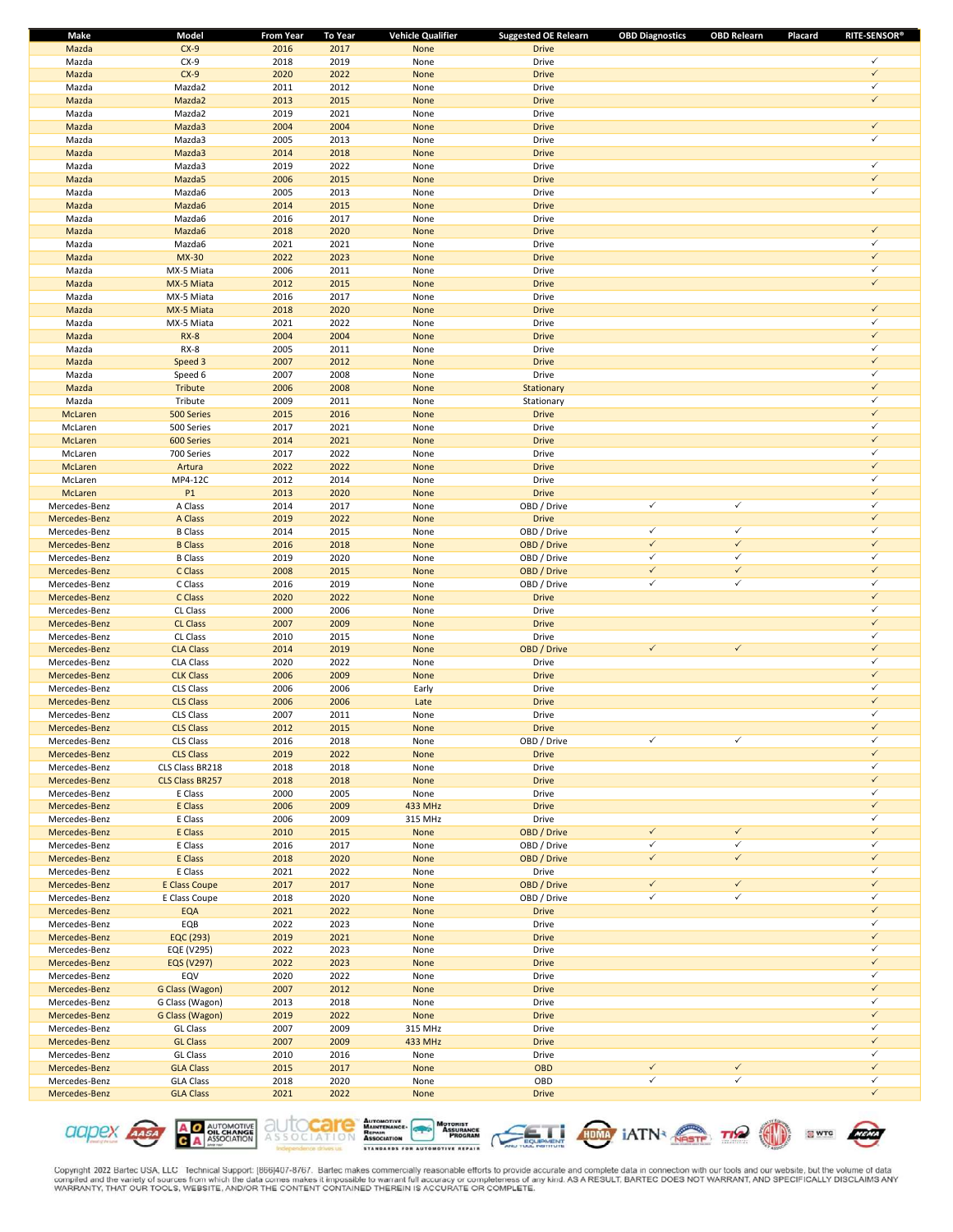| Make          | Model                  | From Year | To Year      | <b>Vehicle Qualifier</b> | <b>Suggested OE Relearn</b> | <b>OBD Diagnostics</b> | <b>OBD Relearn</b> | <b>RITE-SENSOR®</b><br>Placard |
|---------------|------------------------|-----------|--------------|--------------------------|-----------------------------|------------------------|--------------------|--------------------------------|
| Mazda         | $CX-9$                 | 2016      | 2017         | None                     | <b>Drive</b>                |                        |                    |                                |
| Mazda         | $CX-9$                 | 2018      | 2019         | None                     | Drive                       |                        |                    | ✓                              |
| Mazda         | $CX-9$                 | 2020      | 2022         | None                     | <b>Drive</b>                |                        |                    | $\checkmark$                   |
| Mazda         | Mazda2                 | 2011      | 2012         | None                     | Drive                       |                        |                    | ✓                              |
| Mazda         | Mazda2                 | 2013      | 2015         | None                     | <b>Drive</b>                |                        |                    | $\checkmark$                   |
| Mazda         | Mazda2                 | 2019      | 2021         | None                     | Drive                       |                        |                    |                                |
| Mazda         | Mazda3                 | 2004      | 2004         | None                     | <b>Drive</b>                |                        |                    | $\checkmark$                   |
| Mazda         | Mazda3                 | 2005      | 2013         | None                     | Drive                       |                        |                    | ✓                              |
| Mazda         | Mazda3                 | 2014      | 2018         | None                     | <b>Drive</b>                |                        |                    |                                |
| Mazda         | Mazda3                 | 2019      | 2022         | None                     | Drive                       |                        |                    | ✓                              |
| Mazda         | Mazda5                 | 2006      | 2015         | None                     | <b>Drive</b>                |                        |                    | $\checkmark$                   |
| Mazda         |                        |           |              |                          | Drive                       |                        |                    | ✓                              |
|               | Mazda6                 | 2005      | 2013         | None                     |                             |                        |                    |                                |
| Mazda         | Mazda6                 | 2014      | 2015         | None                     | <b>Drive</b>                |                        |                    |                                |
| Mazda         | Mazda6                 | 2016      | 2017         | None                     | Drive                       |                        |                    |                                |
| Mazda         | Mazda6                 | 2018      | 2020         | None                     | <b>Drive</b>                |                        |                    | $\checkmark$                   |
| Mazda         | Mazda6                 | 2021      | 2021         | None                     | Drive                       |                        |                    | ✓                              |
| Mazda         | <b>MX-30</b>           | 2022      | 2023         | None                     | <b>Drive</b>                |                        |                    | $\checkmark$                   |
| Mazda         | MX-5 Miata             | 2006      | 2011         | None                     | Drive                       |                        |                    | ✓                              |
| Mazda         | MX-5 Miata             | 2012      | 2015         | None                     | <b>Drive</b>                |                        |                    | $\checkmark$                   |
| Mazda         | MX-5 Miata             | 2016      | 2017         | None                     | Drive                       |                        |                    |                                |
| Mazda         | MX-5 Miata             | 2018      | 2020         | None                     | <b>Drive</b>                |                        |                    | $\checkmark$                   |
| Mazda         | MX-5 Miata             | 2021      | 2022         | None                     | Drive                       |                        |                    | ✓                              |
| Mazda         | $RX-8$                 | 2004      | 2004         | None                     | <b>Drive</b>                |                        |                    | $\checkmark$                   |
| Mazda         | $RX-8$                 | 2005      | 2011         | None                     | Drive                       |                        |                    | ✓                              |
| Mazda         | Speed 3                | 2007      | 2012         | None                     | <b>Drive</b>                |                        |                    | $\checkmark$                   |
| Mazda         | Speed 6                | 2007      | 2008         | None                     | Drive                       |                        |                    | ✓                              |
| Mazda         | <b>Tribute</b>         | 2006      | 2008         | None                     | Stationary                  |                        |                    | $\checkmark$                   |
| Mazda         | Tribute                | 2009      | 2011         | None                     | Stationary                  |                        |                    | ✓                              |
| McLaren       | 500 Series             | 2015      | 2016         | None                     | <b>Drive</b>                |                        |                    | $\checkmark$                   |
| McLaren       | 500 Series             | 2017      | 2021         | None                     | Drive                       |                        |                    | ✓                              |
| McLaren       | 600 Series             | 2014      | 2021         | None                     | <b>Drive</b>                |                        |                    | $\checkmark$                   |
| McLaren       | 700 Series             | 2017      | 2022         |                          | Drive                       |                        |                    | ✓                              |
|               |                        |           |              | None                     |                             |                        |                    | $\checkmark$                   |
| McLaren       | Artura                 | 2022      | 2022         | None                     | <b>Drive</b>                |                        |                    | ✓                              |
| McLaren       | MP4-12C                | 2012      | 2014         | None                     | Drive                       |                        |                    |                                |
| McLaren       | P <sub>1</sub>         | 2013      | 2020         | None                     | <b>Drive</b>                |                        |                    | $\checkmark$                   |
| Mercedes-Benz | A Class                | 2014      | 2017         | None                     | OBD / Drive                 | ✓                      | $\checkmark$       | ✓                              |
| Mercedes-Benz | A Class                | 2019      | 2022         | None                     | <b>Drive</b>                |                        |                    | $\checkmark$                   |
| Mercedes-Benz | <b>B</b> Class         | 2014      | 2015         | None                     | OBD / Drive                 | $\checkmark$           | $\checkmark$       | ✓                              |
| Mercedes-Benz | <b>B</b> Class         | 2016      | 2018         | None                     | OBD / Drive                 | $\checkmark$           | $\checkmark$       | $\checkmark$                   |
| Mercedes-Benz | <b>B</b> Class         | 2019      | 2020         | None                     | OBD / Drive                 | $\checkmark$           | $\checkmark$       | ✓                              |
| Mercedes-Benz | C Class                | 2008      | 2015         | None                     | OBD / Drive                 | $\checkmark$           | $\checkmark$       | $\checkmark$                   |
| Mercedes-Benz | C Class                | 2016      | 2019         | None                     | OBD / Drive                 | ✓                      | $\checkmark$       | ✓                              |
| Mercedes-Benz | C Class                | 2020      | 2022         | None                     | <b>Drive</b>                |                        |                    | $\checkmark$                   |
| Mercedes-Benz | CL Class               | 2000      | 2006         | None                     | Drive                       |                        |                    | $\checkmark$                   |
| Mercedes-Benz | <b>CL Class</b>        | 2007      | 2009         | None                     | <b>Drive</b>                |                        |                    | $\checkmark$                   |
| Mercedes-Benz | CL Class               | 2010      | 2015         | None                     | Drive                       |                        |                    | ✓                              |
| Mercedes-Benz | <b>CLA Class</b>       | 2014      | 2019         | None                     | OBD / Drive                 | $\checkmark$           | $\checkmark$       | $\checkmark$                   |
| Mercedes-Benz | <b>CLA Class</b>       | 2020      | 2022         | None                     | Drive                       |                        |                    | ✓                              |
| Mercedes-Benz | <b>CLK Class</b>       | 2006      | 2009         | None                     | <b>Drive</b>                |                        |                    | $\checkmark$                   |
| Mercedes-Benz | CLS Class              | 2006      | 2006         | Early                    | Drive                       |                        |                    | ✓                              |
| Mercedes-Benz | <b>CLS Class</b>       | 2006      | 2006         | Late                     | <b>Drive</b>                |                        |                    | $\checkmark$                   |
| Mercedes-Benz | CLS Class              | 2007      | 2011         | None                     | Drive                       |                        |                    | ✓                              |
| Mercedes-Benz | <b>CLS Class</b>       | 2012      | 2015         | None                     | <b>Drive</b>                |                        |                    | $\checkmark$                   |
| Mercedes-Benz | CLS Class              | 2016      | 2018         | None                     | OBD / Drive                 | $\checkmark$           | $\checkmark$       | ✓                              |
| Mercedes-Benz | <b>CLS Class</b>       | 2019      | 2022         | None                     | <b>Drive</b>                |                        |                    | $\checkmark$                   |
| Mercedes-Benz | CLS Class BR218        | 2018      | 2018         | None                     | Drive                       |                        |                    | ✓                              |
| Mercedes-Benz | <b>CLS Class BR257</b> |           |              |                          | <b>Drive</b>                |                        |                    | $\checkmark$                   |
|               |                        | 2018      | 2018<br>2005 | None                     |                             |                        |                    | ✓                              |
| Mercedes-Benz | E Class                | 2000      |              | None                     | Drive                       |                        |                    | $\checkmark$                   |
| Mercedes-Benz | E Class                | 2006      | 2009         | 433 MHz                  | <b>Drive</b>                |                        |                    | ✓                              |
| Mercedes-Benz | E Class                | 2006      | 2009         | 315 MHz                  | Drive                       |                        |                    |                                |
| Mercedes-Benz | E Class                | 2010      | 2015         | None                     | OBD / Drive                 | $\checkmark$           | $\checkmark$       | $\checkmark$                   |
| Mercedes-Benz | E Class                | 2016      | 2017         | None                     | OBD / Drive                 | $\checkmark$           | $\checkmark$       | ✓                              |
| Mercedes-Benz | E Class                | 2018      | 2020         | None                     | OBD / Drive                 | $\checkmark$           | $\checkmark$       | $\checkmark$                   |
| Mercedes-Benz | E Class                | 2021      | 2022         | None                     | Drive                       |                        |                    | $\checkmark$                   |
| Mercedes-Benz | <b>E Class Coupe</b>   | 2017      | 2017         | None                     | OBD / Drive                 | $\checkmark$           | $\checkmark$       | $\checkmark$                   |
| Mercedes-Benz | E Class Coupe          | 2018      | 2020         | None                     | OBD / Drive                 | $\checkmark$           | $\checkmark$       | ✓                              |
| Mercedes-Benz | EQA                    | 2021      | 2022         | None                     | <b>Drive</b>                |                        |                    | $\checkmark$                   |
| Mercedes-Benz | EQB                    | 2022      | 2023         | None                     | Drive                       |                        |                    | ✓                              |
| Mercedes-Benz | EQC (293)              | 2019      | 2021         | None                     | <b>Drive</b>                |                        |                    | $\checkmark$                   |
| Mercedes-Benz | EQE (V295)             | 2022      | 2023         | None                     | Drive                       |                        |                    | ✓                              |
| Mercedes-Benz | EQS (V297)             | 2022      | 2023         | None                     | <b>Drive</b>                |                        |                    | $\checkmark$                   |
| Mercedes-Benz | EQV                    | 2020      | 2022         | None                     | Drive                       |                        |                    | ✓                              |
| Mercedes-Benz | G Class (Wagon)        | 2007      | 2012         | None                     | <b>Drive</b>                |                        |                    | $\checkmark$                   |
| Mercedes-Benz | G Class (Wagon)        | 2013      | 2018         | None                     | Drive                       |                        |                    | $\checkmark$                   |
| Mercedes-Benz | G Class (Wagon)        | 2019      | 2022         | None                     | <b>Drive</b>                |                        |                    | $\checkmark$                   |
| Mercedes-Benz | <b>GL Class</b>        | 2007      | 2009         | 315 MHz                  | Drive                       |                        |                    | ✓                              |
| Mercedes-Benz | <b>GL Class</b>        | 2007      | 2009         | 433 MHz                  | <b>Drive</b>                |                        |                    | $\checkmark$                   |
| Mercedes-Benz | <b>GL Class</b>        | 2010      | 2016         | None                     | Drive                       |                        |                    | ✓                              |
| Mercedes-Benz | <b>GLA Class</b>       | 2015      | 2017         | None                     | <b>OBD</b>                  | $\checkmark$           | $\checkmark$       | $\checkmark$                   |
| Mercedes-Benz | <b>GLA Class</b>       | 2018      | 2020         | None                     | OBD                         | $\checkmark$           | $\checkmark$       | ✓                              |
| Mercedes-Benz | <b>GLA Class</b>       | 2021      | 2022         | None                     | <b>Drive</b>                |                        |                    | $\checkmark$                   |
|               |                        |           |              |                          |                             |                        |                    |                                |

**A O AUTOMOTIVE**<br>**C** A ASSOCIATION aapex Assa



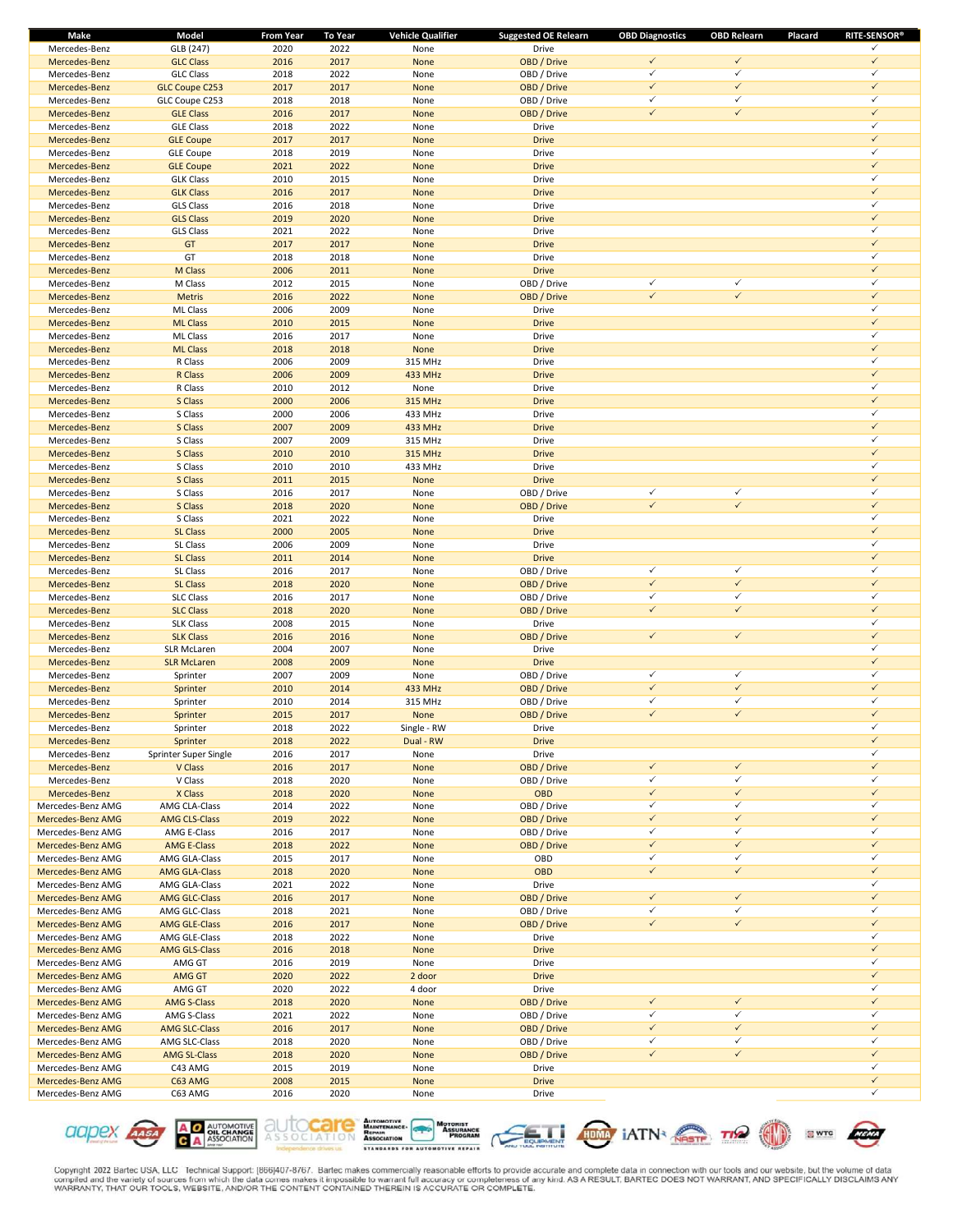| Make              | Model                 | <b>From Year</b> | To Year | <b>Vehicle Qualifier</b> | <b>Suggested OE Relearn</b> | <b>OBD Diagnostics</b> | <b>OBD Relearn</b> | <b>RITE-SENSOR®</b><br>Placard |
|-------------------|-----------------------|------------------|---------|--------------------------|-----------------------------|------------------------|--------------------|--------------------------------|
| Mercedes-Benz     | GLB (247)             | 2020             | 2022    | None                     | Drive                       |                        |                    | ✓                              |
| Mercedes-Benz     | <b>GLC Class</b>      | 2016             | 2017    | None                     | OBD / Drive                 | $\checkmark$           | $\checkmark$       | $\checkmark$                   |
| Mercedes-Benz     | <b>GLC Class</b>      | 2018             | 2022    | None                     | OBD / Drive                 | $\checkmark$           | $\checkmark$       | $\checkmark$                   |
| Mercedes-Benz     | <b>GLC Coupe C253</b> | 2017             | 2017    | None                     | OBD / Drive                 | $\checkmark$           | $\checkmark$       | $\checkmark$                   |
| Mercedes-Benz     | GLC Coupe C253        | 2018             | 2018    | None                     | OBD / Drive                 | $\checkmark$           | $\checkmark$       | $\checkmark$                   |
| Mercedes-Benz     | <b>GLE Class</b>      | 2016             | 2017    | None                     | OBD / Drive                 | $\checkmark$           | $\checkmark$       | $\checkmark$                   |
| Mercedes-Benz     | <b>GLE Class</b>      | 2018             | 2022    | None                     | Drive                       |                        |                    | $\checkmark$                   |
| Mercedes-Benz     | <b>GLE Coupe</b>      | 2017             | 2017    | None                     | <b>Drive</b>                |                        |                    | $\checkmark$                   |
| Mercedes-Benz     | <b>GLE Coupe</b>      | 2018             | 2019    | None                     | Drive                       |                        |                    | $\checkmark$                   |
| Mercedes-Benz     | <b>GLE Coupe</b>      | 2021             | 2022    | None                     | <b>Drive</b>                |                        |                    | $\checkmark$                   |
| Mercedes-Benz     | <b>GLK Class</b>      | 2010             | 2015    | None                     | Drive                       |                        |                    | $\checkmark$                   |
| Mercedes-Benz     | <b>GLK Class</b>      | 2016             | 2017    | None                     | <b>Drive</b>                |                        |                    | $\checkmark$                   |
| Mercedes-Benz     | <b>GLS Class</b>      | 2016             | 2018    | None                     | Drive                       |                        |                    | $\checkmark$                   |
| Mercedes-Benz     | <b>GLS Class</b>      | 2019             | 2020    | None                     | <b>Drive</b>                |                        |                    | $\checkmark$                   |
| Mercedes-Benz     | <b>GLS Class</b>      | 2021             | 2022    | None                     | Drive                       |                        |                    | $\checkmark$                   |
| Mercedes-Benz     | GT                    | 2017             | 2017    | None                     | <b>Drive</b>                |                        |                    | $\checkmark$                   |
|                   | GT                    | 2018             | 2018    |                          | Drive                       |                        |                    | $\checkmark$                   |
| Mercedes-Benz     |                       |                  |         | None                     |                             |                        |                    | $\checkmark$                   |
| Mercedes-Benz     | M Class               | 2006             | 2011    | None                     | <b>Drive</b>                | $\checkmark$           | $\checkmark$       | $\checkmark$                   |
| Mercedes-Benz     | M Class               | 2012             | 2015    | None                     | OBD / Drive                 |                        |                    |                                |
| Mercedes-Benz     | <b>Metris</b>         | 2016             | 2022    | None                     | OBD / Drive                 | $\checkmark$           | $\checkmark$       | $\checkmark$                   |
| Mercedes-Benz     | ML Class              | 2006             | 2009    | None                     | Drive                       |                        |                    | $\checkmark$                   |
| Mercedes-Benz     | <b>ML Class</b>       | 2010             | 2015    | None                     | <b>Drive</b>                |                        |                    | $\checkmark$                   |
| Mercedes-Benz     | ML Class              | 2016             | 2017    | None                     | Drive                       |                        |                    | $\checkmark$                   |
| Mercedes-Benz     | <b>ML Class</b>       | 2018             | 2018    | None                     | <b>Drive</b>                |                        |                    | $\checkmark$                   |
| Mercedes-Benz     | R Class               | 2006             | 2009    | 315 MHz                  | Drive                       |                        |                    | $\checkmark$                   |
| Mercedes-Benz     | R Class               | 2006             | 2009    | 433 MHz                  | <b>Drive</b>                |                        |                    | $\checkmark$                   |
| Mercedes-Benz     | R Class               | 2010             | 2012    | None                     | Drive                       |                        |                    | $\checkmark$                   |
| Mercedes-Benz     | S Class               | 2000             | 2006    | 315 MHz                  | <b>Drive</b>                |                        |                    | $\checkmark$                   |
| Mercedes-Benz     | S Class               | 2000             | 2006    | 433 MHz                  | Drive                       |                        |                    | $\checkmark$                   |
| Mercedes-Benz     | S Class               | 2007             | 2009    | 433 MHz                  | <b>Drive</b>                |                        |                    | $\checkmark$                   |
| Mercedes-Benz     | S Class               | 2007             | 2009    | 315 MHz                  | Drive                       |                        |                    | $\checkmark$                   |
| Mercedes-Benz     | S Class               | 2010             | 2010    | <b>315 MHz</b>           | <b>Drive</b>                |                        |                    | $\checkmark$                   |
| Mercedes-Benz     | S Class               | 2010             | 2010    | 433 MHz                  | Drive                       |                        |                    | $\checkmark$                   |
| Mercedes-Benz     | S Class               | 2011             | 2015    | None                     | <b>Drive</b>                |                        |                    | $\checkmark$                   |
|                   | S Class               | 2016             | 2017    |                          | OBD / Drive                 | $\checkmark$           | $\checkmark$       | $\checkmark$                   |
| Mercedes-Benz     |                       |                  |         | None                     |                             | $\checkmark$           | $\checkmark$       | $\checkmark$                   |
| Mercedes-Benz     | S Class               | 2018             | 2020    | None                     | OBD / Drive                 |                        |                    | $\checkmark$                   |
| Mercedes-Benz     | S Class               | 2021             | 2022    | None                     | Drive                       |                        |                    |                                |
| Mercedes-Benz     | <b>SL Class</b>       | 2000             | 2005    | None                     | <b>Drive</b>                |                        |                    | $\checkmark$                   |
| Mercedes-Benz     | SL Class              | 2006             | 2009    | None                     | Drive                       |                        |                    | $\checkmark$                   |
| Mercedes-Benz     | <b>SL Class</b>       | 2011             | 2014    | None                     | <b>Drive</b>                |                        |                    | $\checkmark$                   |
| Mercedes-Benz     | SL Class              | 2016             | 2017    | None                     | OBD / Drive                 | $\checkmark$           | $\checkmark$       | $\checkmark$                   |
| Mercedes-Benz     | <b>SL Class</b>       | 2018             | 2020    | None                     | OBD / Drive                 | $\checkmark$           | $\checkmark$       | $\checkmark$                   |
| Mercedes-Benz     | <b>SLC Class</b>      | 2016             | 2017    | None                     | OBD / Drive                 | $\checkmark$           | $\checkmark$       | $\checkmark$                   |
| Mercedes-Benz     | <b>SLC Class</b>      | 2018             | 2020    | None                     | OBD / Drive                 | $\checkmark$           | $\checkmark$       | $\checkmark$                   |
| Mercedes-Benz     | SLK Class             | 2008             | 2015    | None                     | Drive                       |                        |                    | $\checkmark$                   |
| Mercedes-Benz     | <b>SLK Class</b>      | 2016             | 2016    | None                     | OBD / Drive                 | $\checkmark$           | $\checkmark$       | $\checkmark$                   |
| Mercedes-Benz     | SLR McLaren           | 2004             | 2007    | None                     | Drive                       |                        |                    | $\checkmark$                   |
| Mercedes-Benz     | <b>SLR McLaren</b>    | 2008             | 2009    | None                     | <b>Drive</b>                |                        |                    | $\checkmark$                   |
| Mercedes-Benz     | Sprinter              | 2007             | 2009    | None                     | OBD / Drive                 | $\checkmark$           | $\checkmark$       | $\checkmark$                   |
| Mercedes-Benz     | Sprinter              | 2010             | 2014    | 433 MHz                  | OBD / Drive                 | $\checkmark$           | $\checkmark$       | $\checkmark$                   |
| Mercedes-Benz     | Sprinter              | 2010             | 2014    | 315 MHz                  | OBD / Drive                 | $\checkmark$           | $\checkmark$       | $\checkmark$                   |
| Mercedes-Benz     | Sprinter              | 2015             | 2017    | None                     | OBD / Drive                 | $\checkmark$           | $\checkmark$       | $\checkmark$                   |
| Mercedes-Benz     | Sprinter              | 2018             | 2022    | Single - RW              | Drive                       |                        |                    | ✓                              |
| Mercedes-Benz     | Sprinter              | 2018             | 2022    | Dual - RW                | <b>Drive</b>                |                        |                    | $\checkmark$                   |
| Mercedes-Benz     | Sprinter Super Single | 2016             | 2017    | None                     | Drive                       |                        |                    | ✓                              |
| Mercedes-Benz     | V Class               | 2016             | 2017    | None                     | OBD / Drive                 | $\checkmark$           | $\checkmark$       | $\checkmark$                   |
| Mercedes-Benz     |                       | 2018             | 2020    |                          | OBD / Drive                 | $\checkmark$           | $\checkmark$       | $\checkmark$                   |
| Mercedes-Benz     | V Class<br>X Class    | 2018             | 2020    | None<br>None             | OBD                         | $\checkmark$           | $\checkmark$       | $\checkmark$                   |
| Mercedes-Benz AMG |                       |                  |         |                          |                             | $\checkmark$           | $\checkmark$       | $\checkmark$                   |
|                   | AMG CLA-Class         | 2014             | 2022    | None                     | OBD / Drive                 |                        | $\checkmark$       | $\checkmark$                   |
| Mercedes-Benz AMG | <b>AMG CLS-Class</b>  | 2019             | 2022    | None                     | OBD / Drive                 | $\checkmark$           | $\checkmark$       | $\checkmark$                   |
| Mercedes-Benz AMG | AMG E-Class           | 2016             | 2017    | None                     | OBD / Drive                 | $\checkmark$           |                    |                                |
| Mercedes-Benz AMG | AMG E-Class           | 2018             | 2022    | None                     | OBD / Drive                 | $\checkmark$           | $\checkmark$       | $\checkmark$                   |
| Mercedes-Benz AMG | AMG GLA-Class         | 2015             | 2017    | None                     | OBD                         | $\checkmark$           | $\checkmark$       | $\checkmark$                   |
| Mercedes-Benz AMG | <b>AMG GLA-Class</b>  | 2018             | 2020    | None                     | OBD                         | $\checkmark$           | $\checkmark$       | $\checkmark$                   |
| Mercedes-Benz AMG | AMG GLA-Class         | 2021             | 2022    | None                     | Drive                       |                        |                    | $\checkmark$                   |
| Mercedes-Benz AMG | AMG GLC-Class         | 2016             | 2017    | None                     | OBD / Drive                 | $\checkmark$           | $\checkmark$       | $\checkmark$                   |
| Mercedes-Benz AMG | AMG GLC-Class         | 2018             | 2021    | None                     | OBD / Drive                 | $\checkmark$           | $\checkmark$       | $\checkmark$                   |
| Mercedes-Benz AMG | <b>AMG GLE-Class</b>  | 2016             | 2017    | None                     | OBD / Drive                 | $\checkmark$           | $\checkmark$       | $\checkmark$                   |
| Mercedes-Benz AMG | AMG GLE-Class         | 2018             | 2022    | None                     | Drive                       |                        |                    | ✓                              |
| Mercedes-Benz AMG | <b>AMG GLS-Class</b>  | 2016             | 2018    | None                     | <b>Drive</b>                |                        |                    | $\checkmark$                   |
| Mercedes-Benz AMG | AMG GT                | 2016             | 2019    | None                     | Drive                       |                        |                    | $\checkmark$                   |
| Mercedes-Benz AMG | AMG GT                | 2020             | 2022    | 2 door                   | <b>Drive</b>                |                        |                    | $\checkmark$                   |
| Mercedes-Benz AMG | AMG GT                | 2020             | 2022    | 4 door                   | Drive                       |                        |                    | ✓                              |
| Mercedes-Benz AMG | <b>AMG S-Class</b>    | 2018             | 2020    | None                     | OBD / Drive                 | $\checkmark$           | $\checkmark$       | $\checkmark$                   |
| Mercedes-Benz AMG | AMG S-Class           | 2021             | 2022    | None                     | OBD / Drive                 | $\checkmark$           | $\checkmark$       | $\checkmark$                   |
| Mercedes-Benz AMG | <b>AMG SLC-Class</b>  | 2016             | 2017    | None                     | OBD / Drive                 | $\checkmark$           | $\checkmark$       | $\checkmark$                   |
| Mercedes-Benz AMG | AMG SLC-Class         | 2018             | 2020    | None                     | OBD / Drive                 | $\checkmark$           | $\checkmark$       | $\checkmark$                   |
| Mercedes-Benz AMG | <b>AMG SL-Class</b>   | 2018             | 2020    | None                     | OBD / Drive                 | $\checkmark$           | $\checkmark$       | $\checkmark$                   |
| Mercedes-Benz AMG | C43 AMG               |                  | 2019    | None                     | Drive                       |                        |                    | ✓                              |
|                   |                       | 2015             |         |                          |                             |                        |                    | $\checkmark$                   |
| Mercedes-Benz AMG | C63 AMG               | 2008             | 2015    | None                     | <b>Drive</b>                |                        |                    | $\checkmark$                   |
| Mercedes-Benz AMG | C63 AMG               | 2016             | 2020    | None                     | Drive                       |                        |                    |                                |











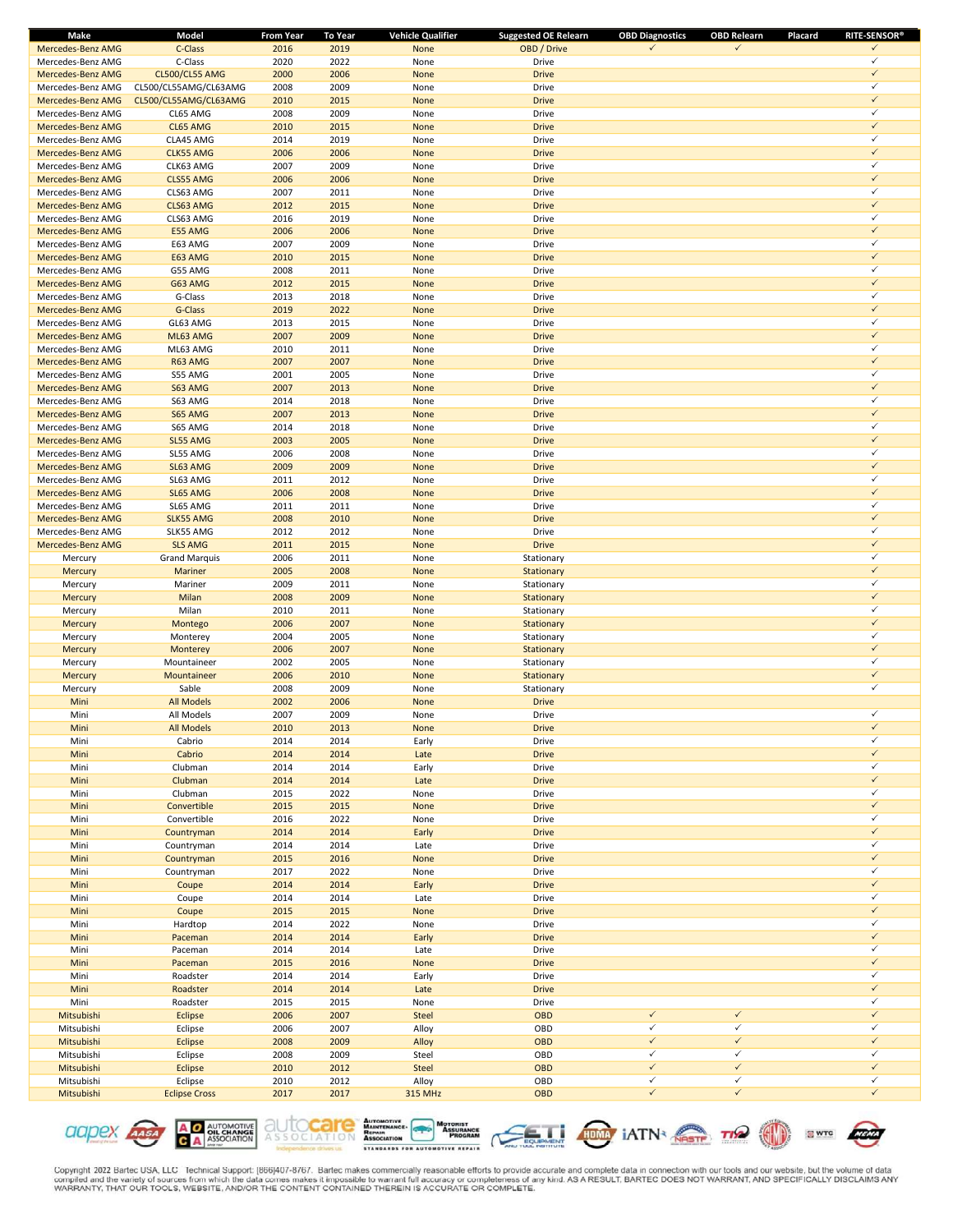| Make                     | Model                 | From Year | <b>To Year</b> | <b>Vehicle Qualifier</b> | <b>Suggested OE Relearn</b> | <b>OBD Diagnostics</b> | <b>OBD Relearn</b> | Placard | <b>RITE-SENSOR®</b> |
|--------------------------|-----------------------|-----------|----------------|--------------------------|-----------------------------|------------------------|--------------------|---------|---------------------|
| Mercedes-Benz AMG        | C-Class               | 2016      | 2019           | None                     | OBD / Drive                 | ✓                      | $\checkmark$       |         | $\checkmark$        |
| Mercedes-Benz AMG        | C-Class               | 2020      | 2022           | None                     | Drive                       |                        |                    |         | $\checkmark$        |
| Mercedes-Benz AMG        | CL500/CL55 AMG        | 2000      | 2006           | None                     | <b>Drive</b>                |                        |                    |         | $\checkmark$        |
| Mercedes-Benz AMG        | CL500/CL55AMG/CL63AMG | 2008      | 2009           | None                     | Drive                       |                        |                    |         | ✓                   |
| Mercedes-Benz AMG        | CL500/CL55AMG/CL63AMG | 2010      | 2015           | None                     | <b>Drive</b>                |                        |                    |         | $\checkmark$        |
| Mercedes-Benz AMG        | CL65 AMG              | 2008      | 2009           | None                     | Drive                       |                        |                    |         | ✓                   |
| <b>Mercedes-Benz AMG</b> | CL65 AMG              | 2010      | 2015           | None                     | <b>Drive</b>                |                        |                    |         | $\checkmark$        |
| Mercedes-Benz AMG        | CLA45 AMG             | 2014      | 2019           | None                     | Drive                       |                        |                    |         | $\checkmark$        |
| Mercedes-Benz AMG        | <b>CLK55 AMG</b>      | 2006      | 2006           | None                     | <b>Drive</b>                |                        |                    |         | $\checkmark$        |
| Mercedes-Benz AMG        | CLK63 AMG             | 2007      | 2009           | None                     | Drive                       |                        |                    |         | ✓                   |
| Mercedes-Benz AMG        | CLS55 AMG             | 2006      | 2006           | None                     | <b>Drive</b>                |                        |                    |         | $\checkmark$        |
| Mercedes-Benz AMG        | CLS63 AMG             | 2007      | 2011           | None                     | Drive                       |                        |                    |         | ✓                   |
| Mercedes-Benz AMG        | CLS63 AMG             | 2012      | 2015           | None                     | <b>Drive</b>                |                        |                    |         | $\checkmark$        |
| Mercedes-Benz AMG        | CLS63 AMG             | 2016      | 2019           | None                     | Drive                       |                        |                    |         | ✓                   |
| Mercedes-Benz AMG        | E55 AMG               | 2006      | 2006           | None                     | <b>Drive</b>                |                        |                    |         | $\checkmark$        |
| Mercedes-Benz AMG        | E63 AMG               | 2007      | 2009           | None                     | Drive                       |                        |                    |         | ✓                   |
| <b>Mercedes-Benz AMG</b> | E63 AMG               | 2010      | 2015           | None                     | <b>Drive</b>                |                        |                    |         | $\checkmark$        |
| Mercedes-Benz AMG        | G55 AMG               | 2008      | 2011           | None                     | Drive                       |                        |                    |         | ✓                   |
| Mercedes-Benz AMG        | G63 AMG               | 2012      | 2015           | None                     | <b>Drive</b>                |                        |                    |         | $\checkmark$        |
|                          |                       |           | 2018           |                          |                             |                        |                    |         | ✓                   |
| Mercedes-Benz AMG        | G-Class               | 2013      |                | None                     | Drive                       |                        |                    |         | $\checkmark$        |
| Mercedes-Benz AMG        | G-Class               | 2019      | 2022           | None                     | <b>Drive</b>                |                        |                    |         | ✓                   |
| Mercedes-Benz AMG        | GL63 AMG              | 2013      | 2015           | None                     | Drive                       |                        |                    |         |                     |
| Mercedes-Benz AMG        | ML63 AMG              | 2007      | 2009           | None                     | <b>Drive</b>                |                        |                    |         | $\checkmark$        |
| Mercedes-Benz AMG        | ML63 AMG              | 2010      | 2011           | None                     | Drive                       |                        |                    |         | ✓                   |
| <b>Mercedes-Benz AMG</b> | R63 AMG               | 2007      | 2007           | None                     | <b>Drive</b>                |                        |                    |         | $\checkmark$        |
| Mercedes-Benz AMG        | S55 AMG               | 2001      | 2005           | None                     | Drive                       |                        |                    |         | ✓                   |
| <b>Mercedes-Benz AMG</b> | S63 AMG               | 2007      | 2013           | None                     | <b>Drive</b>                |                        |                    |         | $\checkmark$        |
| Mercedes-Benz AMG        | S63 AMG               | 2014      | 2018           | None                     | Drive                       |                        |                    |         | ✓                   |
| Mercedes-Benz AMG        | S65 AMG               | 2007      | 2013           | None                     | <b>Drive</b>                |                        |                    |         | $\checkmark$        |
| Mercedes-Benz AMG        | S65 AMG               | 2014      | 2018           | None                     | Drive                       |                        |                    |         | ✓                   |
| Mercedes-Benz AMG        | SL55 AMG              | 2003      | 2005           | None                     | <b>Drive</b>                |                        |                    |         | $\checkmark$        |
| Mercedes-Benz AMG        | SL55 AMG              | 2006      | 2008           | None                     | Drive                       |                        |                    |         | ✓                   |
| Mercedes-Benz AMG        | SL63 AMG              | 2009      | 2009           | None                     | <b>Drive</b>                |                        |                    |         | $\checkmark$        |
| Mercedes-Benz AMG        | SL63 AMG              | 2011      | 2012           | None                     | Drive                       |                        |                    |         | ✓                   |
| Mercedes-Benz AMG        | SL65 AMG              | 2006      | 2008           | None                     | <b>Drive</b>                |                        |                    |         | $\checkmark$        |
| Mercedes-Benz AMG        | SL65 AMG              | 2011      | 2011           | None                     | Drive                       |                        |                    |         | ✓                   |
| Mercedes-Benz AMG        | <b>SLK55 AMG</b>      | 2008      | 2010           | None                     | <b>Drive</b>                |                        |                    |         | $\checkmark$        |
|                          |                       |           |                |                          |                             |                        |                    |         | ✓                   |
| Mercedes-Benz AMG        | SLK55 AMG             | 2012      | 2012           | None                     | Drive                       |                        |                    |         | $\checkmark$        |
| Mercedes-Benz AMG        | <b>SLS AMG</b>        | 2011      | 2015           | None                     | <b>Drive</b>                |                        |                    |         |                     |
| Mercury                  | <b>Grand Marquis</b>  | 2006      | 2011           | None                     | Stationary                  |                        |                    |         | ✓                   |
| Mercury                  | <b>Mariner</b>        | 2005      | 2008           | None                     | Stationary                  |                        |                    |         | $\checkmark$        |
| Mercury                  | Mariner               | 2009      | 2011           | None                     | Stationary                  |                        |                    |         | ✓                   |
| Mercury                  | Milan                 | 2008      | 2009           | None                     | Stationary                  |                        |                    |         | $\checkmark$        |
| Mercury                  | Milan                 | 2010      | 2011           | None                     | Stationary                  |                        |                    |         | ✓                   |
| Mercury                  | Montego               | 2006      | 2007           | None                     | Stationary                  |                        |                    |         | $\checkmark$        |
| Mercury                  | Monterey              | 2004      | 2005           | None                     | Stationary                  |                        |                    |         | ✓                   |
| Mercury                  | Monterey              | 2006      | 2007           | None                     | Stationary                  |                        |                    |         | $\checkmark$        |
| Mercury                  | Mountaineer           | 2002      | 2005           | None                     | Stationary                  |                        |                    |         | ✓                   |
| Mercury                  | Mountaineer           | 2006      | 2010           | None                     | Stationary                  |                        |                    |         | $\checkmark$        |
| Mercury                  | Sable                 | 2008      | 2009           | None                     | Stationary                  |                        |                    |         | $\checkmark$        |
| Mini                     | <b>All Models</b>     | 2002      | 2006           | None                     | <b>Drive</b>                |                        |                    |         |                     |
| Mini                     | All Models            | 2007      | 2009           | None                     | Drive                       |                        |                    |         | ✓                   |
| Mini                     | <b>All Models</b>     | 2010      | 2013           | <b>None</b>              | <b>Drive</b>                |                        |                    |         | $\checkmark$        |
| Mini                     | Cabrio                | 2014      | 2014           | Early                    | Drive                       |                        |                    |         | $\checkmark$        |
| Mini                     | Cabrio                | 2014      | 2014           | Late                     | <b>Drive</b>                |                        |                    |         | $\checkmark$        |
| Mini                     | Clubman               | 2014      | 2014           | Early                    | Drive                       |                        |                    |         | ✓                   |
| Mini                     | Clubman               | 2014      | 2014           | Late                     | <b>Drive</b>                |                        |                    |         | $\checkmark$        |
| Mini                     | Clubman               | 2015      | 2022           | None                     | Drive                       |                        |                    |         | $\checkmark$        |
| Mini                     | Convertible           | 2015      | 2015           | None                     | <b>Drive</b>                |                        |                    |         | $\checkmark$        |
|                          |                       | 2016      | 2022           |                          |                             |                        |                    |         | $\checkmark$        |
| Mini                     | Convertible           |           | 2014           | None                     | Drive<br><b>Drive</b>       |                        |                    |         | $\checkmark$        |
| Mini                     | Countryman            | 2014      |                | Early                    |                             |                        |                    |         | $\checkmark$        |
| Mini                     | Countryman            | 2014      | 2014           | Late                     | Drive                       |                        |                    |         | $\checkmark$        |
| Mini                     | Countryman            | 2015      | 2016           | None                     | <b>Drive</b>                |                        |                    |         |                     |
| Mini                     | Countryman            | 2017      | 2022           | None                     | Drive                       |                        |                    |         | $\checkmark$        |
| Mini                     | Coupe                 | 2014      | 2014           | Early                    | <b>Drive</b>                |                        |                    |         | $\checkmark$        |
| Mini                     | Coupe                 | 2014      | 2014           | Late                     | Drive                       |                        |                    |         | ✓                   |
| Mini                     | Coupe                 | 2015      | 2015           | None                     | <b>Drive</b>                |                        |                    |         | $\checkmark$        |
| Mini                     | Hardtop               | 2014      | 2022           | None                     | Drive                       |                        |                    |         | $\checkmark$        |
| Mini                     | Paceman               | 2014      | 2014           | Early                    | <b>Drive</b>                |                        |                    |         | $\checkmark$        |
| Mini                     | Paceman               | 2014      | 2014           | Late                     | Drive                       |                        |                    |         | $\checkmark$        |
| Mini                     | Paceman               | 2015      | 2016           | None                     | <b>Drive</b>                |                        |                    |         | $\checkmark$        |
| Mini                     | Roadster              | 2014      | 2014           | Early                    | Drive                       |                        |                    |         | $\checkmark$        |
| Mini                     | Roadster              | 2014      | 2014           | Late                     | <b>Drive</b>                |                        |                    |         | $\checkmark$        |
| Mini                     | Roadster              | 2015      | 2015           | None                     | Drive                       |                        |                    |         | $\checkmark$        |
| Mitsubishi               | Eclipse               | 2006      | 2007           | Steel                    | OBD                         | $\checkmark$           | $\checkmark$       |         | $\checkmark$        |
| Mitsubishi               | Eclipse               | 2006      | 2007           | Alloy                    | OBD                         | $\checkmark$           | $\checkmark$       |         | $\checkmark$        |
| Mitsubishi               | <b>Eclipse</b>        | 2008      | 2009           | Alloy                    | OBD                         | $\checkmark$           | $\checkmark$       |         | $\checkmark$        |
| Mitsubishi               | Eclipse               | 2008      | 2009           | Steel                    | OBD                         | $\checkmark$           | $\checkmark$       |         | $\checkmark$        |
| Mitsubishi               | <b>Eclipse</b>        | 2010      | 2012           | Steel                    | OBD                         | $\checkmark$           | $\checkmark$       |         | $\checkmark$        |
| Mitsubishi               | Eclipse               | 2010      | 2012           | Alloy                    | OBD                         | $\checkmark$           | $\checkmark$       |         | $\checkmark$        |
|                          |                       |           |                |                          | OBD                         | $\checkmark$           | $\checkmark$       |         | $\checkmark$        |
| Mitsubishi               | <b>Eclipse Cross</b>  | 2017      | 2017           | 315 MHz                  |                             |                        |                    |         |                     |











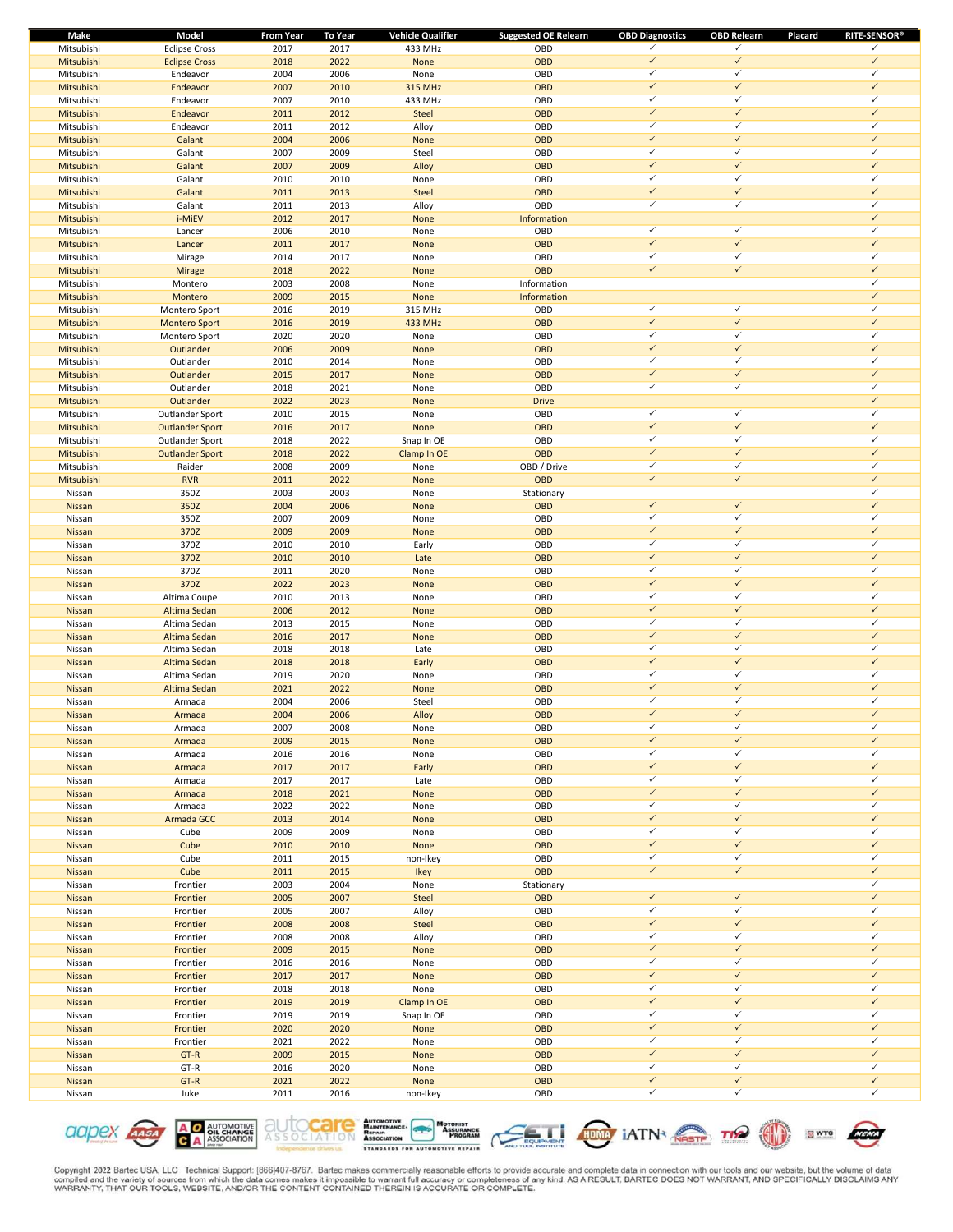| Make       | Model                  | <b>From Year</b> | To Year | <b>Vehicle Qualifier</b> | <b>Suggested OE Relearn</b> | <b>OBD Diagnostics</b> | <b>OBD Relearn</b> | <b>RITE-SENSOR®</b><br>Placard |
|------------|------------------------|------------------|---------|--------------------------|-----------------------------|------------------------|--------------------|--------------------------------|
| Mitsubishi | <b>Eclipse Cross</b>   | 2017             | 2017    | 433 MHz                  | OBD                         | ✓                      | $\checkmark$       | $\checkmark$                   |
| Mitsubishi | <b>Eclipse Cross</b>   | 2018             | 2022    | None                     | <b>OBD</b>                  | $\checkmark$           | $\checkmark$       | $\checkmark$                   |
| Mitsubishi | Endeavor               | 2004             | 2006    | None                     | OBD                         | $\checkmark$           | $\checkmark$       | $\checkmark$                   |
| Mitsubishi | Endeavor               | 2007             | 2010    | 315 MHz                  | OBD                         | $\checkmark$           | $\checkmark$       | $\checkmark$                   |
| Mitsubishi | Endeavor               | 2007             | 2010    | 433 MHz                  | OBD                         | $\checkmark$           | $\checkmark$       | $\checkmark$                   |
| Mitsubishi | Endeavor               | 2011             | 2012    | Steel                    | <b>OBD</b>                  | $\checkmark$           | $\checkmark$       | $\checkmark$                   |
| Mitsubishi | Endeavor               | 2011             | 2012    | Alloy                    | OBD                         | $\checkmark$           | $\checkmark$       | ✓                              |
| Mitsubishi | Galant                 | 2004             | 2006    | None                     | <b>OBD</b>                  | $\checkmark$           | $\checkmark$       | $\checkmark$                   |
|            |                        | 2007             | 2009    |                          | OBD                         | $\checkmark$           | $\checkmark$       | $\checkmark$                   |
| Mitsubishi | Galant                 |                  |         | Steel                    |                             |                        | $\checkmark$       | $\checkmark$                   |
| Mitsubishi | Galant                 | 2007             | 2009    | Alloy                    | <b>OBD</b>                  | $\checkmark$           |                    |                                |
| Mitsubishi | Galant                 | 2010             | 2010    | None                     | OBD                         | $\checkmark$           | $\checkmark$       | $\checkmark$                   |
| Mitsubishi | Galant                 | 2011             | 2013    | <b>Steel</b>             | <b>OBD</b>                  | $\checkmark$           | $\checkmark$       | $\checkmark$                   |
| Mitsubishi | Galant                 | 2011             | 2013    | Alloy                    | OBD                         | ✓                      | $\checkmark$       | $\checkmark$                   |
| Mitsubishi | i-MiEV                 | 2012             | 2017    | None                     | Information                 |                        |                    | $\checkmark$                   |
| Mitsubishi | Lancer                 | 2006             | 2010    | None                     | OBD                         | $\checkmark$           | $\checkmark$       | $\checkmark$                   |
| Mitsubishi | Lancer                 | 2011             | 2017    | None                     | <b>OBD</b>                  | $\checkmark$           | $\checkmark$       | $\checkmark$                   |
| Mitsubishi | Mirage                 | 2014             | 2017    | None                     | OBD                         | $\checkmark$           | $\checkmark$       | ✓                              |
| Mitsubishi | Mirage                 | 2018             | 2022    | None                     | <b>OBD</b>                  | $\checkmark$           | $\checkmark$       | $\checkmark$                   |
| Mitsubishi | Montero                | 2003             | 2008    | None                     | Information                 |                        |                    | $\checkmark$                   |
| Mitsubishi | Montero                | 2009             | 2015    | None                     | Information                 |                        |                    | $\checkmark$                   |
|            |                        |                  |         |                          |                             | $\checkmark$           | $\checkmark$       | $\checkmark$                   |
| Mitsubishi | Montero Sport          | 2016             | 2019    | 315 MHz                  | OBD                         |                        | $\checkmark$       | $\checkmark$                   |
| Mitsubishi | <b>Montero Sport</b>   | 2016             | 2019    | 433 MHz                  | <b>OBD</b>                  | $\checkmark$           |                    |                                |
| Mitsubishi | Montero Sport          | 2020             | 2020    | None                     | OBD                         | $\checkmark$           | $\checkmark$       | $\checkmark$                   |
| Mitsubishi | Outlander              | 2006             | 2009    | None                     | <b>OBD</b>                  | $\checkmark$           | $\checkmark$       | $\checkmark$                   |
| Mitsubishi | Outlander              | 2010             | 2014    | None                     | OBD                         | $\checkmark$           | $\checkmark$       | $\checkmark$                   |
| Mitsubishi | Outlander              | 2015             | 2017    | None                     | <b>OBD</b>                  | $\checkmark$           | $\checkmark$       | $\checkmark$                   |
| Mitsubishi | Outlander              | 2018             | 2021    | None                     | OBD                         | $\checkmark$           | $\checkmark$       | ✓                              |
| Mitsubishi | Outlander              | 2022             | 2023    | None                     | <b>Drive</b>                |                        |                    | $\checkmark$                   |
| Mitsubishi | Outlander Sport        | 2010             | 2015    | None                     | OBD                         | $\checkmark$           | $\checkmark$       | $\checkmark$                   |
| Mitsubishi | <b>Outlander Sport</b> | 2016             | 2017    | None                     | <b>OBD</b>                  | $\checkmark$           | $\checkmark$       | $\checkmark$                   |
|            |                        |                  |         | Snap In OE               | OBD                         | $\checkmark$           | $\checkmark$       | $\checkmark$                   |
| Mitsubishi | Outlander Sport        | 2018             | 2022    |                          |                             | $\checkmark$           | $\checkmark$       | $\checkmark$                   |
| Mitsubishi | <b>Outlander Sport</b> | 2018             | 2022    | Clamp In OE              | <b>OBD</b>                  |                        |                    |                                |
| Mitsubishi | Raider                 | 2008             | 2009    | None                     | OBD / Drive                 | ✓                      | $\checkmark$       | $\checkmark$                   |
| Mitsubishi | <b>RVR</b>             | 2011             | 2022    | None                     | OBD                         | $\checkmark$           | $\checkmark$       | $\checkmark$                   |
| Nissan     | 350Z                   | 2003             | 2003    | None                     | Stationary                  |                        |                    | $\checkmark$                   |
| Nissan     | 350Z                   | 2004             | 2006    | None                     | OBD                         | $\checkmark$           | $\checkmark$       | $\checkmark$                   |
| Nissan     | 350Z                   | 2007             | 2009    | None                     | OBD                         | $\checkmark$           | $\checkmark$       | $\checkmark$                   |
| Nissan     | 370Z                   | 2009             | 2009    | None                     | <b>OBD</b>                  | $\checkmark$           | $\checkmark$       | $\checkmark$                   |
| Nissan     | 370Z                   | 2010             | 2010    | Early                    | OBD                         | $\checkmark$           | $\checkmark$       | $\checkmark$                   |
| Nissan     | 370Z                   | 2010             | 2010    | Late                     | <b>OBD</b>                  | $\checkmark$           | $\checkmark$       | $\checkmark$                   |
| Nissan     | 370Z                   | 2011             | 2020    | None                     | OBD                         | $\checkmark$           | $\checkmark$       | $\checkmark$                   |
| Nissan     | 370Z                   | 2022             | 2023    | None                     | <b>OBD</b>                  | $\checkmark$           | $\checkmark$       | $\checkmark$                   |
|            |                        |                  |         |                          |                             | $\checkmark$           | $\checkmark$       | $\checkmark$                   |
| Nissan     | Altima Coupe           | 2010             | 2013    | None                     | OBD                         |                        | $\checkmark$       | $\checkmark$                   |
| Nissan     | Altima Sedan           | 2006             | 2012    | None                     | <b>OBD</b>                  | $\checkmark$           |                    |                                |
| Nissan     | Altima Sedan           | 2013             | 2015    | None                     | OBD                         | $\checkmark$           | $\checkmark$       | $\checkmark$                   |
| Nissan     | Altima Sedan           | 2016             | 2017    | None                     | <b>OBD</b>                  | $\checkmark$           | $\checkmark$       | $\checkmark$                   |
| Nissan     | Altima Sedan           | 2018             | 2018    | Late                     | OBD                         | $\checkmark$           | $\checkmark$       | ✓                              |
| Nissan     | Altima Sedan           | 2018             | 2018    | Early                    | <b>OBD</b>                  | $\checkmark$           | $\checkmark$       | $\checkmark$                   |
| Nissan     | Altima Sedan           | 2019             | 2020    | None                     | OBD                         | $\checkmark$           | $\checkmark$       | $\checkmark$                   |
| Nissan     | Altima Sedan           | 2021             | 2022    | None                     | <b>OBD</b>                  | $\checkmark$           | $\checkmark$       | $\checkmark$                   |
| Nissan     | Armada                 | 2004             | 2006    | Steel                    | OBD                         | $\checkmark$           | $\checkmark$       | $\checkmark$                   |
| Nissan     | Armada                 | 2004             | 2006    | Alloy                    | <b>OBD</b>                  | $\checkmark$           | $\checkmark$       | $\checkmark$                   |
| Nissan     | Armada                 | 2007             | 2008    | None                     | OBD                         | ✓                      | $\checkmark$       | ✓                              |
| Nissan     | Armada                 | 2009             | 2015    | None                     | OBD                         | $\checkmark$           | $\checkmark$       | $\checkmark$                   |
|            |                        |                  |         |                          |                             | $\checkmark$           | $\checkmark$       | $\checkmark$                   |
| Nissan     | Armada                 | 2016             | 2016    | None                     | OBD                         |                        |                    | $\checkmark$                   |
| Nissan     | Armada                 | 2017             | 2017    | Early                    | OBD                         | $\checkmark$           | $\checkmark$       |                                |
| Nissan     | Armada                 | 2017             | 2017    | Late                     | OBD                         | $\checkmark$           | $\checkmark$       | $\checkmark$                   |
| Nissan     | Armada                 | 2018             | 2021    | None                     | OBD                         | $\checkmark$           | $\checkmark$       | $\checkmark$                   |
| Nissan     | Armada                 | 2022             | 2022    | None                     | OBD                         | $\checkmark$           | $\checkmark$       | $\checkmark$                   |
| Nissan     | Armada GCC             | 2013             | 2014    | None                     | OBD                         | $\checkmark$           | $\checkmark$       | $\checkmark$                   |
| Nissan     | Cube                   | 2009             | 2009    | None                     | OBD                         | $\checkmark$           | $\checkmark$       | $\checkmark$                   |
| Nissan     | Cube                   | 2010             | 2010    | None                     | OBD                         | $\checkmark$           | $\checkmark$       | $\checkmark$                   |
| Nissan     | Cube                   | 2011             | 2015    | non-Ikey                 | OBD                         | $\checkmark$           | $\checkmark$       | $\checkmark$                   |
| Nissan     | Cube                   | 2011             | 2015    | Ikey                     | OBD                         | $\checkmark$           | $\checkmark$       | $\checkmark$                   |
| Nissan     | Frontier               | 2003             | 2004    | None                     | Stationary                  |                        |                    | $\checkmark$                   |
| Nissan     | Frontier               | 2005             | 2007    | Steel                    | <b>OBD</b>                  | $\checkmark$           | $\checkmark$       | $\checkmark$                   |
| Nissan     | Frontier               | 2005             | 2007    | Alloy                    | OBD                         | $\checkmark$           | $\checkmark$       | $\checkmark$                   |
|            |                        |                  |         |                          |                             | $\checkmark$           | $\checkmark$       | $\checkmark$                   |
| Nissan     | Frontier               | 2008             | 2008    | Steel                    | <b>OBD</b>                  |                        |                    |                                |
| Nissan     | Frontier               | 2008             | 2008    | Alloy                    | OBD                         | $\checkmark$           | $\checkmark$       | $\checkmark$                   |
| Nissan     | Frontier               | 2009             | 2015    | None                     | OBD                         | $\checkmark$           | $\checkmark$       | $\checkmark$                   |
| Nissan     | Frontier               | 2016             | 2016    | None                     | OBD                         | $\checkmark$           | $\checkmark$       | $\checkmark$                   |
| Nissan     | Frontier               | 2017             | 2017    | None                     | OBD                         | $\checkmark$           | $\checkmark$       | $\checkmark$                   |
| Nissan     | Frontier               | 2018             | 2018    | None                     | OBD                         | $\checkmark$           | $\checkmark$       | $\checkmark$                   |
| Nissan     | Frontier               | 2019             | 2019    | Clamp In OE              | OBD                         | $\checkmark$           | $\checkmark$       | $\checkmark$                   |
| Nissan     | Frontier               | 2019             | 2019    | Snap In OE               | OBD                         | $\checkmark$           | $\checkmark$       | $\checkmark$                   |
| Nissan     | Frontier               | 2020             | 2020    | None                     | OBD                         | $\checkmark$           | $\checkmark$       | $\checkmark$                   |
| Nissan     | Frontier               | 2021             | 2022    | None                     | OBD                         | $\checkmark$           | $\checkmark$       | $\checkmark$                   |
|            | GT-R                   |                  |         |                          | OBD                         | $\checkmark$           | $\checkmark$       | $\checkmark$                   |
| Nissan     |                        | 2009             | 2015    | None                     |                             |                        | $\checkmark$       | $\checkmark$                   |
| Nissan     | GT-R                   | 2016             | 2020    | None                     | OBD                         | $\checkmark$           |                    |                                |
| Nissan     | GT-R                   | 2021             | 2022    | None                     | OBD                         | $\checkmark$           | $\checkmark$       | $\checkmark$                   |
| Nissan     | Juke                   | 2011             | 2016    | non-Ikey                 | OBD                         | $\checkmark$           | $\checkmark$       | $\checkmark$                   |







**SWTC** 

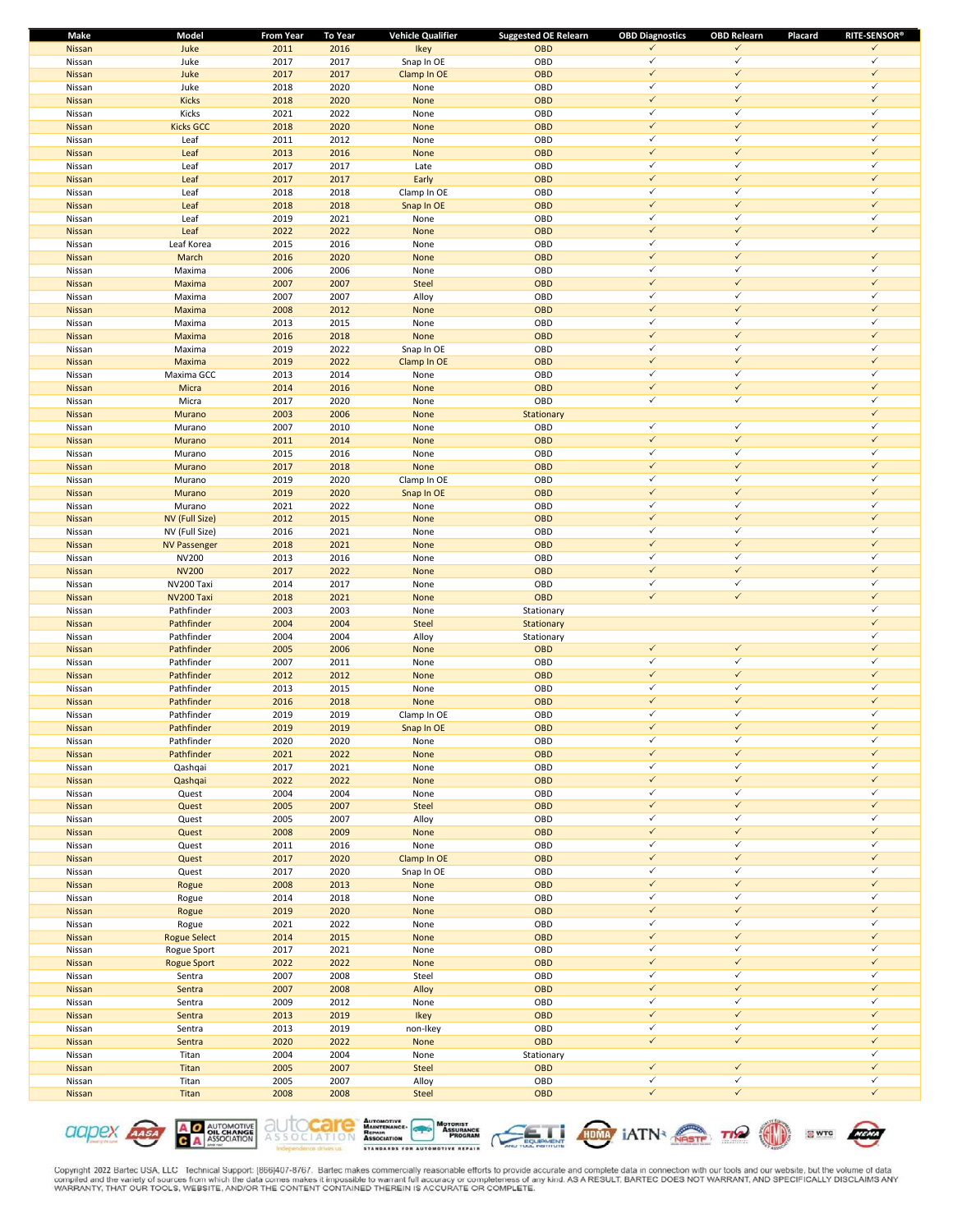| Make          | Model               | <b>From Year</b> | To Year | <b>Vehicle Qualifier</b> | <b>Suggested OE Relearn</b> | <b>OBD Diagnostics</b> | <b>OBD Relearn</b> | <b>RITE-SENSOR®</b><br>Placard |
|---------------|---------------------|------------------|---------|--------------------------|-----------------------------|------------------------|--------------------|--------------------------------|
| Nissan        | Juke                | 2011             | 2016    | Ikey                     | <b>OBD</b>                  | ✓                      | ✓                  | $\checkmark$                   |
| Nissan        | Juke                | 2017             | 2017    | Snap In OE               | OBD                         | $\checkmark$           | $\checkmark$       | $\checkmark$                   |
| Nissan        | Juke                | 2017             | 2017    | Clamp In OE              | <b>OBD</b>                  | $\checkmark$           | $\checkmark$       | $\checkmark$                   |
| Nissan        | Juke                | 2018             | 2020    | None                     | OBD                         | ✓                      | $\checkmark$       | $\checkmark$                   |
| Nissan        | <b>Kicks</b>        | 2018             | 2020    | None                     | OBD                         | $\checkmark$           | $\checkmark$       | $\checkmark$                   |
| Nissan        | Kicks               | 2021             | 2022    | None                     | OBD                         | ✓                      | $\checkmark$       | $\checkmark$                   |
| Nissan        | <b>Kicks GCC</b>    | 2018             | 2020    | None                     | <b>OBD</b>                  | $\checkmark$           | $\checkmark$       | $\checkmark$                   |
| Nissan        | Leaf                | 2011             | 2012    | None                     | OBD                         | ✓                      | $\checkmark$       | $\checkmark$                   |
| Nissan        | Leaf                | 2013             | 2016    | None                     | OBD                         | $\checkmark$           | $\checkmark$       | $\checkmark$                   |
|               |                     |                  |         |                          |                             | ✓                      | $\checkmark$       | $\checkmark$                   |
| Nissan        | Leaf                | 2017             | 2017    | Late                     | OBD                         |                        |                    |                                |
| Nissan        | Leaf                | 2017             | 2017    | Early                    | <b>OBD</b>                  | $\checkmark$           | $\checkmark$       | $\checkmark$                   |
| Nissan        | Leaf                | 2018             | 2018    | Clamp In OE              | OBD                         | $\checkmark$           | $\checkmark$       | $\checkmark$                   |
| Nissan        | Leaf                | 2018             | 2018    | Snap In OE               | <b>OBD</b>                  | $\checkmark$           | $\checkmark$       | $\checkmark$                   |
| Nissan        | Leaf                | 2019             | 2021    | None                     | OBD                         | ✓                      | $\checkmark$       | $\checkmark$                   |
| Nissan        | Leaf                | 2022             | 2022    | None                     | <b>OBD</b>                  | $\checkmark$           | $\checkmark$       | $\checkmark$                   |
| Nissan        | Leaf Korea          | 2015             | 2016    | None                     | OBD                         | ✓                      | $\checkmark$       |                                |
| Nissan        | March               | 2016             | 2020    | None                     | OBD                         | $\checkmark$           | $\checkmark$       | $\checkmark$                   |
| Nissan        | Maxima              | 2006             | 2006    | None                     | OBD                         | ✓                      | $\checkmark$       | $\checkmark$                   |
| Nissan        | Maxima              | 2007             | 2007    | Steel                    | OBD                         | $\checkmark$           | $\checkmark$       | $\checkmark$                   |
| Nissan        | Maxima              | 2007             | 2007    | Alloy                    | OBD                         | ✓                      | $\checkmark$       | $\checkmark$                   |
| Nissan        | Maxima              | 2008             | 2012    | None                     | <b>OBD</b>                  | $\checkmark$           | $\checkmark$       | $\checkmark$                   |
|               |                     |                  |         |                          |                             | $\checkmark$           | $\checkmark$       | $\checkmark$                   |
| Nissan        | Maxima              | 2013             | 2015    | None                     | OBD                         |                        |                    |                                |
| Nissan        | Maxima              | 2016             | 2018    | None                     | <b>OBD</b>                  | $\checkmark$           | $\checkmark$       | $\checkmark$                   |
| Nissan        | Maxima              | 2019             | 2022    | Snap In OE               | OBD                         | ✓                      | $\checkmark$       | $\checkmark$                   |
| Nissan        | Maxima              | 2019             | 2022    | Clamp In OE              | <b>OBD</b>                  | $\checkmark$           | $\checkmark$       | $\checkmark$                   |
| Nissan        | Maxima GCC          | 2013             | 2014    | None                     | OBD                         | ✓                      | $\checkmark$       | $\checkmark$                   |
| Nissan        | Micra               | 2014             | 2016    | None                     | OBD                         | $\checkmark$           | $\checkmark$       | $\checkmark$                   |
| Nissan        | Micra               | 2017             | 2020    | None                     | OBD                         | ✓                      | $\checkmark$       | $\checkmark$                   |
| Nissan        | Murano              | 2003             | 2006    | None                     | Stationary                  |                        |                    | $\checkmark$                   |
| Nissan        | Murano              | 2007             | 2010    | None                     | OBD                         | $\checkmark$           | $\checkmark$       | $\checkmark$                   |
| Nissan        | Murano              | 2011             | 2014    | None                     | <b>OBD</b>                  | $\checkmark$           | $\checkmark$       | $\checkmark$                   |
| Nissan        | Murano              | 2015             | 2016    | None                     | OBD                         | $\checkmark$           | $\checkmark$       | $\checkmark$                   |
|               |                     |                  |         |                          |                             | $\checkmark$           | $\checkmark$       | $\checkmark$                   |
| Nissan        | Murano              | 2017             | 2018    | None                     | <b>OBD</b>                  |                        |                    |                                |
| Nissan        | Murano              | 2019             | 2020    | Clamp In OE              | OBD                         | ✓                      | $\checkmark$       | $\checkmark$                   |
| Nissan        | Murano              | 2019             | 2020    | Snap In OE               | <b>OBD</b>                  | $\checkmark$           | $\checkmark$       | $\checkmark$                   |
| Nissan        | Murano              | 2021             | 2022    | None                     | OBD                         | ✓                      | ✓                  | $\checkmark$                   |
| Nissan        | NV (Full Size)      | 2012             | 2015    | None                     | <b>OBD</b>                  | $\checkmark$           | $\checkmark$       | $\checkmark$                   |
| Nissan        | NV (Full Size)      | 2016             | 2021    | None                     | OBD                         | ✓                      | $\checkmark$       | $\checkmark$                   |
| Nissan        | <b>NV Passenger</b> | 2018             | 2021    | None                     | OBD                         | $\checkmark$           | $\checkmark$       | $\checkmark$                   |
| Nissan        | <b>NV200</b>        | 2013             | 2016    | None                     | OBD                         | ✓                      | $\checkmark$       | $\checkmark$                   |
| Nissan        | <b>NV200</b>        | 2017             | 2022    | None                     | OBD                         | $\checkmark$           | $\checkmark$       | $\checkmark$                   |
| Nissan        | NV200 Taxi          | 2014             | 2017    | None                     | OBD                         | $\checkmark$           | $\checkmark$       | $\checkmark$                   |
| Nissan        | NV200 Taxi          | 2018             | 2021    | None                     | <b>OBD</b>                  | $\checkmark$           | $\checkmark$       | $\checkmark$                   |
| Nissan        | Pathfinder          | 2003             | 2003    | None                     | Stationary                  |                        |                    | ✓                              |
|               |                     |                  |         |                          |                             |                        |                    | $\checkmark$                   |
| Nissan        | Pathfinder          | 2004             | 2004    | <b>Steel</b>             | Stationary                  |                        |                    | ✓                              |
| Nissan        | Pathfinder          | 2004             | 2004    | Alloy                    | Stationary                  |                        |                    |                                |
| Nissan        | Pathfinder          | 2005             | 2006    | None                     | OBD                         | $\checkmark$           | $\checkmark$       | $\checkmark$                   |
| Nissan        | Pathfinder          | 2007             | 2011    | None                     | OBD                         | ✓                      | $\checkmark$       | $\checkmark$                   |
| Nissan        | Pathfinder          | 2012             | 2012    | None                     | OBD                         | $\checkmark$           | $\checkmark$       | $\checkmark$                   |
| Nissan        | Pathfinder          | 2013             | 2015    | None                     | OBD                         | ✓                      | $\checkmark$       | $\checkmark$                   |
| <b>Nissan</b> | Pathfinder          | 2016             | 2018    | None                     | OBD                         | $\checkmark$           | $\checkmark$       | $\checkmark$                   |
| Nissan        | Pathfinder          | 2019             | 2019    | Clamp In OE              | OBD                         | ✓                      | $\checkmark$       | $\checkmark$                   |
| Nissan        | Pathfinder          | 2019             | 2019    | Snap In OE               | OBD                         | $\checkmark$           | ✓                  | $\checkmark$                   |
| Nissan        | Pathfinder          | 2020             | 2020    | None                     | OBD                         | ✓                      | $\checkmark$       | $\checkmark$                   |
| Nissan        | Pathfinder          | 2021             | 2022    | None                     | OBD                         | $\checkmark$           | $\checkmark$       | $\checkmark$                   |
| Nissan        | Qashqai             | 2017             | 2021    | None                     | OBD                         | ✓                      | $\checkmark$       | $\checkmark$                   |
| Nissan        | Qashqai             | 2022             | 2022    | None                     | OBD                         | $\checkmark$           | $\checkmark$       | $\checkmark$                   |
|               |                     |                  |         |                          |                             | ✓                      | $\checkmark$       | $\checkmark$                   |
| Nissan        | Quest               | 2004             | 2004    | None                     | OBD                         |                        |                    | $\checkmark$                   |
| Nissan        | Quest               | 2005             | 2007    | Steel                    | OBD                         | $\checkmark$           | $\checkmark$       |                                |
| Nissan        | Quest               | 2005             | 2007    | Alloy                    | OBD                         | ✓                      | $\checkmark$       | $\checkmark$                   |
| Nissan        | Quest               | 2008             | 2009    | None                     | OBD                         | $\checkmark$           | $\checkmark$       | $\checkmark$                   |
| Nissan        | Quest               | 2011             | 2016    | None                     | OBD                         | $\checkmark$           | $\checkmark$       | $\checkmark$                   |
| Nissan        | Quest               | 2017             | 2020    | Clamp In OE              | OBD                         | $\checkmark$           | $\checkmark$       | $\checkmark$                   |
| Nissan        | Quest               | 2017             | 2020    | Snap In OE               | OBD                         | ✓                      | $\checkmark$       | $\checkmark$                   |
| Nissan        | Rogue               | 2008             | 2013    | None                     | OBD                         | $\checkmark$           | $\checkmark$       | $\checkmark$                   |
| Nissan        | Rogue               | 2014             | 2018    | None                     | OBD                         | ✓                      | $\checkmark$       | $\checkmark$                   |
| Nissan        | Rogue               | 2019             | 2020    | None                     | OBD                         | $\checkmark$           | $\checkmark$       | $\checkmark$                   |
| Nissan        | Rogue               | 2021             | 2022    | None                     | OBD                         | ✓                      | $\checkmark$       | $\checkmark$                   |
| Nissan        | <b>Rogue Select</b> | 2014             | 2015    | None                     | OBD                         | $\checkmark$           | $\checkmark$       | $\checkmark$                   |
|               |                     |                  |         |                          |                             | ✓                      | $\checkmark$       | $\checkmark$                   |
| Nissan        | Rogue Sport         | 2017             | 2021    | None                     | OBD                         | $\checkmark$           | $\checkmark$       | $\checkmark$                   |
| Nissan        | <b>Rogue Sport</b>  | 2022             | 2022    | None                     | OBD                         |                        |                    |                                |
| Nissan        | Sentra              | 2007             | 2008    | Steel                    | OBD                         | $\checkmark$           | $\checkmark$       | $\checkmark$                   |
| Nissan        | Sentra              | 2007             | 2008    | Alloy                    | OBD                         | $\checkmark$           | $\checkmark$       | $\checkmark$                   |
| Nissan        | Sentra              | 2009             | 2012    | None                     | OBD                         | ✓                      | $\checkmark$       | $\checkmark$                   |
| Nissan        | Sentra              | 2013             | 2019    | Ikey                     | OBD                         | $\checkmark$           | $\checkmark$       | $\checkmark$                   |
| Nissan        | Sentra              | 2013             | 2019    | non-Ikey                 | OBD                         | ✓                      | $\checkmark$       | $\checkmark$                   |
| Nissan        | Sentra              | 2020             | 2022    | None                     | OBD                         | $\checkmark$           | $\checkmark$       | $\checkmark$                   |
| Nissan        | Titan               | 2004             | 2004    | None                     | Stationary                  |                        |                    | $\checkmark$                   |
| Nissan        | Titan               | 2005             | 2007    | Steel                    | <b>OBD</b>                  | $\checkmark$           | $\checkmark$       | $\checkmark$                   |
| Nissan        | Titan               | 2005             | 2007    | Alloy                    | OBD                         | ✓                      | $\checkmark$       | $\checkmark$                   |
| Nissan        | Titan               | 2008             | 2008    | Steel                    | OBD                         | $\checkmark$           | $\checkmark$       | $\checkmark$                   |
|               |                     |                  |         |                          |                             |                        |                    |                                |

**A O AUTOMOTIVE**<br>**C A** ASSOCIATION **CICIDEX AASA** 









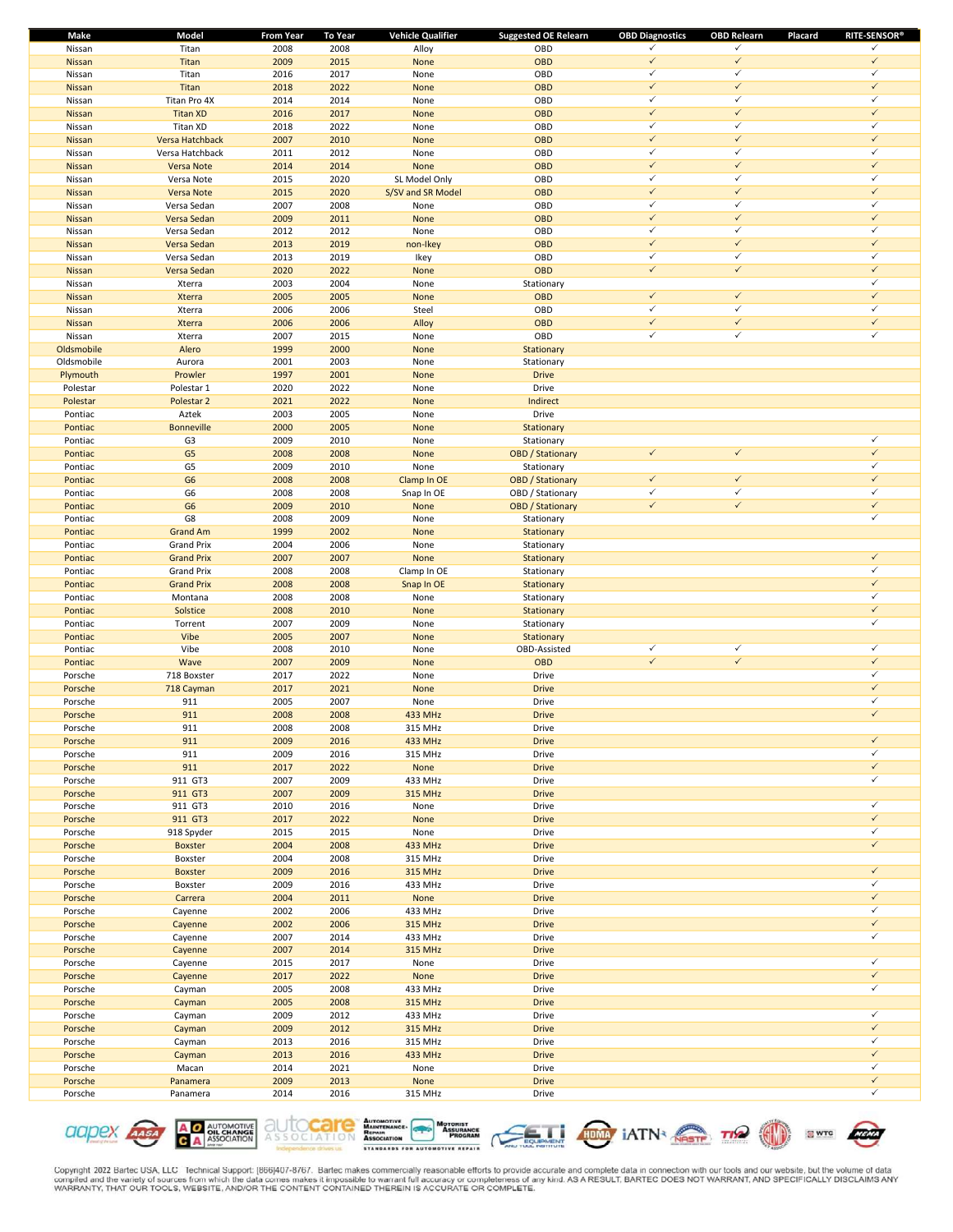| Make       | Model                 | <b>From Year</b> | To Year | <b>Vehicle Qualifier</b> | <b>Suggested OE Relearn</b> | <b>OBD Diagnostics</b> | <b>OBD Relearn</b> | <b>RITE-SENSOR®</b><br>Placard |
|------------|-----------------------|------------------|---------|--------------------------|-----------------------------|------------------------|--------------------|--------------------------------|
| Nissan     | Titan                 | 2008             | 2008    | Alloy                    | OBD                         | $\checkmark$           | $\checkmark$       | $\checkmark$                   |
| Nissan     | Titan                 | 2009             | 2015    | None                     | <b>OBD</b>                  | $\checkmark$           | $\checkmark$       | $\checkmark$                   |
| Nissan     | Titan                 | 2016             | 2017    | None                     | OBD                         | $\checkmark$           | $\checkmark$       | $\checkmark$                   |
| Nissan     | Titan                 | 2018             | 2022    | None                     | <b>OBD</b>                  | $\checkmark$           | $\checkmark$       | $\checkmark$                   |
| Nissan     | Titan Pro 4X          | 2014             | 2014    | None                     | OBD                         | $\checkmark$           | $\checkmark$       | $\checkmark$                   |
| Nissan     | <b>Titan XD</b>       | 2016             | 2017    | None                     | <b>OBD</b>                  | $\checkmark$           | $\checkmark$       | $\checkmark$                   |
| Nissan     | Titan XD              | 2018             | 2022    | None                     | OBD                         | $\checkmark$           | $\checkmark$       | $\checkmark$                   |
| Nissan     | Versa Hatchback       | 2007             | 2010    | None                     | <b>OBD</b>                  | $\checkmark$           | $\checkmark$       | $\checkmark$                   |
| Nissan     | Versa Hatchback       | 2011             | 2012    | None                     | OBD                         | $\checkmark$           | $\checkmark$       | $\checkmark$                   |
|            |                       | 2014             | 2014    | None                     | OBD                         | $\checkmark$           | $\checkmark$       | $\checkmark$                   |
| Nissan     | Versa Note            |                  |         |                          |                             | $\checkmark$           | $\checkmark$       | $\checkmark$                   |
| Nissan     | Versa Note            | 2015             | 2020    | SL Model Only            | OBD                         |                        |                    |                                |
| Nissan     | <b>Versa Note</b>     | 2015             | 2020    | S/SV and SR Model        | OBD                         | $\checkmark$           | $\checkmark$       | $\checkmark$                   |
| Nissan     | Versa Sedan           | 2007             | 2008    | None                     | OBD                         | $\checkmark$           | $\checkmark$       | $\checkmark$                   |
| Nissan     | Versa Sedan           | 2009             | 2011    | None                     | <b>OBD</b>                  | $\checkmark$           | $\checkmark$       | $\checkmark$                   |
| Nissan     | Versa Sedan           | 2012             | 2012    | None                     | OBD                         | $\checkmark$           | $\checkmark$       | $\checkmark$                   |
| Nissan     | Versa Sedan           | 2013             | 2019    | non-Ikey                 | <b>OBD</b>                  | $\checkmark$           | $\checkmark$       | $\checkmark$                   |
| Nissan     | Versa Sedan           | 2013             | 2019    | Ikey                     | OBD                         | $\checkmark$           | $\checkmark$       | $\checkmark$                   |
| Nissan     | Versa Sedan           | 2020             | 2022    | None                     | <b>OBD</b>                  | $\checkmark$           | $\checkmark$       | $\checkmark$                   |
| Nissan     | Xterra                | 2003             | 2004    | None                     | Stationary                  |                        |                    | $\checkmark$                   |
| Nissan     | <b>Xterra</b>         | 2005             | 2005    | None                     | OBD                         | $\checkmark$           | $\checkmark$       | $\checkmark$                   |
| Nissan     | Xterra                | 2006             | 2006    | Steel                    | OBD                         | $\checkmark$           | $\checkmark$       | $\checkmark$                   |
| Nissan     | <b>Xterra</b>         | 2006             | 2006    | Alloy                    | OBD                         | $\checkmark$           | $\checkmark$       | $\checkmark$                   |
| Nissan     | Xterra                | 2007             | 2015    | None                     | OBD                         | $\checkmark$           | $\checkmark$       | $\checkmark$                   |
| Oldsmobile | Alero                 | 1999             | 2000    | None                     | Stationary                  |                        |                    |                                |
| Oldsmobile | Aurora                | 2001             | 2003    | None                     |                             |                        |                    |                                |
|            |                       |                  |         |                          | Stationary                  |                        |                    |                                |
| Plymouth   | Prowler               | 1997             | 2001    | None                     | <b>Drive</b>                |                        |                    |                                |
| Polestar   | Polestar 1            | 2020             | 2022    | None                     | Drive                       |                        |                    |                                |
| Polestar   | Polestar <sub>2</sub> | 2021             | 2022    | None                     | Indirect                    |                        |                    |                                |
| Pontiac    | Aztek                 | 2003             | 2005    | None                     | Drive                       |                        |                    |                                |
| Pontiac    | <b>Bonneville</b>     | 2000             | 2005    | None                     | Stationary                  |                        |                    |                                |
| Pontiac    | G <sub>3</sub>        | 2009             | 2010    | None                     | Stationary                  |                        |                    | $\checkmark$                   |
| Pontiac    | G <sub>5</sub>        | 2008             | 2008    | None                     | <b>OBD</b> / Stationary     | $\checkmark$           | $\checkmark$       | $\checkmark$                   |
| Pontiac    | G5                    | 2009             | 2010    | None                     | Stationary                  |                        |                    | $\checkmark$                   |
| Pontiac    | G <sub>6</sub>        | 2008             | 2008    | Clamp In OE              | <b>OBD</b> / Stationary     | $\checkmark$           | $\checkmark$       | $\checkmark$                   |
| Pontiac    | G <sub>6</sub>        | 2008             | 2008    | Snap In OE               | OBD / Stationary            | $\checkmark$           | $\checkmark$       | $\checkmark$                   |
| Pontiac    | G <sub>6</sub>        | 2009             | 2010    | None                     | <b>OBD</b> / Stationary     | $\checkmark$           | $\checkmark$       | $\checkmark$                   |
| Pontiac    | G8                    | 2008             | 2009    | None                     | Stationary                  |                        |                    | $\checkmark$                   |
| Pontiac    | <b>Grand Am</b>       | 1999             | 2002    | None                     | Stationary                  |                        |                    |                                |
| Pontiac    | <b>Grand Prix</b>     | 2004             | 2006    | None                     | Stationary                  |                        |                    |                                |
|            | <b>Grand Prix</b>     | 2007             | 2007    | None                     |                             |                        |                    | $\checkmark$                   |
| Pontiac    |                       |                  |         |                          | Stationary                  |                        |                    | $\checkmark$                   |
| Pontiac    | <b>Grand Prix</b>     | 2008             | 2008    | Clamp In OE              | Stationary                  |                        |                    | $\checkmark$                   |
| Pontiac    | <b>Grand Prix</b>     | 2008             | 2008    | Snap In OE               | Stationary                  |                        |                    |                                |
| Pontiac    | Montana               | 2008             | 2008    | None                     | Stationary                  |                        |                    | $\checkmark$                   |
| Pontiac    | Solstice              | 2008             | 2010    | None                     | Stationary                  |                        |                    | $\checkmark$                   |
| Pontiac    | Torrent               | 2007             | 2009    | None                     | Stationary                  |                        |                    | ✓                              |
| Pontiac    | Vibe                  | 2005             | 2007    | None                     | Stationary                  |                        |                    |                                |
| Pontiac    | Vibe                  | 2008             | 2010    | None                     | OBD-Assisted                | $\checkmark$           | $\checkmark$       | $\checkmark$                   |
| Pontiac    | Wave                  | 2007             | 2009    | None                     | <b>OBD</b>                  | $\checkmark$           | $\checkmark$       | $\checkmark$                   |
| Porsche    | 718 Boxster           | 2017             | 2022    | None                     | Drive                       |                        |                    | $\checkmark$                   |
| Porsche    | 718 Cayman            | 2017             | 2021    | None                     | <b>Drive</b>                |                        |                    | $\checkmark$                   |
| Porsche    | 911                   | 2005             | 2007    | None                     | Drive                       |                        |                    | $\checkmark$                   |
| Porsche    | 911                   | 2008             | 2008    | 433 MHz                  | <b>Drive</b>                |                        |                    | $\checkmark$                   |
| Porsche    | 911                   | 2008             | 2008    | 315 MHz                  | Drive                       |                        |                    |                                |
| Porsche    | 911                   | 2009             | 2016    | 433 MHz                  | <b>Drive</b>                |                        |                    | $\checkmark$                   |
| Porsche    | 911                   | 2009             | 2016    | 315 MHz                  | Drive                       |                        |                    | $\checkmark$                   |
| Porsche    | 911                   | 2017             | 2022    | None                     | <b>Drive</b>                |                        |                    | $\checkmark$                   |
| Porsche    | 911 GT3               | 2007             | 2009    | 433 MHz                  | Drive                       |                        |                    | $\checkmark$                   |
| Porsche    | 911 GT3               | 2007             | 2009    | 315 MHz                  | <b>Drive</b>                |                        |                    |                                |
| Porsche    | 911 GT3               | 2010             | 2016    | None                     | Drive                       |                        |                    | $\checkmark$                   |
| Porsche    | 911 GT3               | 2017             | 2022    | None                     | <b>Drive</b>                |                        |                    | $\checkmark$                   |
| Porsche    | 918 Spyder            | 2015             | 2015    | None                     | Drive                       |                        |                    | $\checkmark$                   |
|            |                       | 2004             |         |                          | <b>Drive</b>                |                        |                    | $\checkmark$                   |
| Porsche    | <b>Boxster</b>        |                  | 2008    | 433 MHz                  |                             |                        |                    |                                |
| Porsche    | Boxster               | 2004             | 2008    | 315 MHz                  | Drive                       |                        |                    | $\checkmark$                   |
| Porsche    | <b>Boxster</b>        | 2009             | 2016    | 315 MHz                  | <b>Drive</b>                |                        |                    |                                |
| Porsche    | Boxster               | 2009             | 2016    | 433 MHz                  | Drive                       |                        |                    | $\checkmark$                   |
| Porsche    | Carrera               | 2004             | 2011    | None                     | <b>Drive</b>                |                        |                    | $\checkmark$                   |
| Porsche    | Cayenne               | 2002             | 2006    | 433 MHz                  | Drive                       |                        |                    | $\checkmark$                   |
| Porsche    | Cayenne               | 2002             | 2006    | 315 MHz                  | <b>Drive</b>                |                        |                    | $\checkmark$                   |
| Porsche    | Cayenne               | 2007             | 2014    | 433 MHz                  | Drive                       |                        |                    | $\checkmark$                   |
| Porsche    | Cayenne               | 2007             | 2014    | 315 MHz                  | <b>Drive</b>                |                        |                    |                                |
| Porsche    | Cayenne               | 2015             | 2017    | None                     | Drive                       |                        |                    | $\checkmark$                   |
| Porsche    | Cayenne               | 2017             | 2022    | None                     | <b>Drive</b>                |                        |                    | $\checkmark$                   |
| Porsche    | Cayman                | 2005             | 2008    | 433 MHz                  | Drive                       |                        |                    | $\checkmark$                   |
| Porsche    | Cayman                | 2005             | 2008    | 315 MHz                  | <b>Drive</b>                |                        |                    |                                |
| Porsche    | Cayman                | 2009             | 2012    | 433 MHz                  | Drive                       |                        |                    | $\checkmark$                   |
| Porsche    | Cayman                | 2009             | 2012    | 315 MHz                  | <b>Drive</b>                |                        |                    | $\checkmark$                   |
| Porsche    | Cayman                | 2013             | 2016    | 315 MHz                  | Drive                       |                        |                    | $\checkmark$                   |
| Porsche    | Cayman                | 2013             | 2016    | 433 MHz                  | <b>Drive</b>                |                        |                    | $\checkmark$                   |
| Porsche    | Macan                 | 2014             | 2021    | None                     | Drive                       |                        |                    | $\checkmark$                   |
|            |                       |                  |         |                          |                             |                        |                    | $\checkmark$                   |
| Porsche    | Panamera              | 2009             | 2013    | None                     | <b>Drive</b>                |                        |                    | $\checkmark$                   |
| Porsche    | Panamera              | 2014             | 2016    | 315 MHz                  | Drive                       |                        |                    |                                |













**SWTC**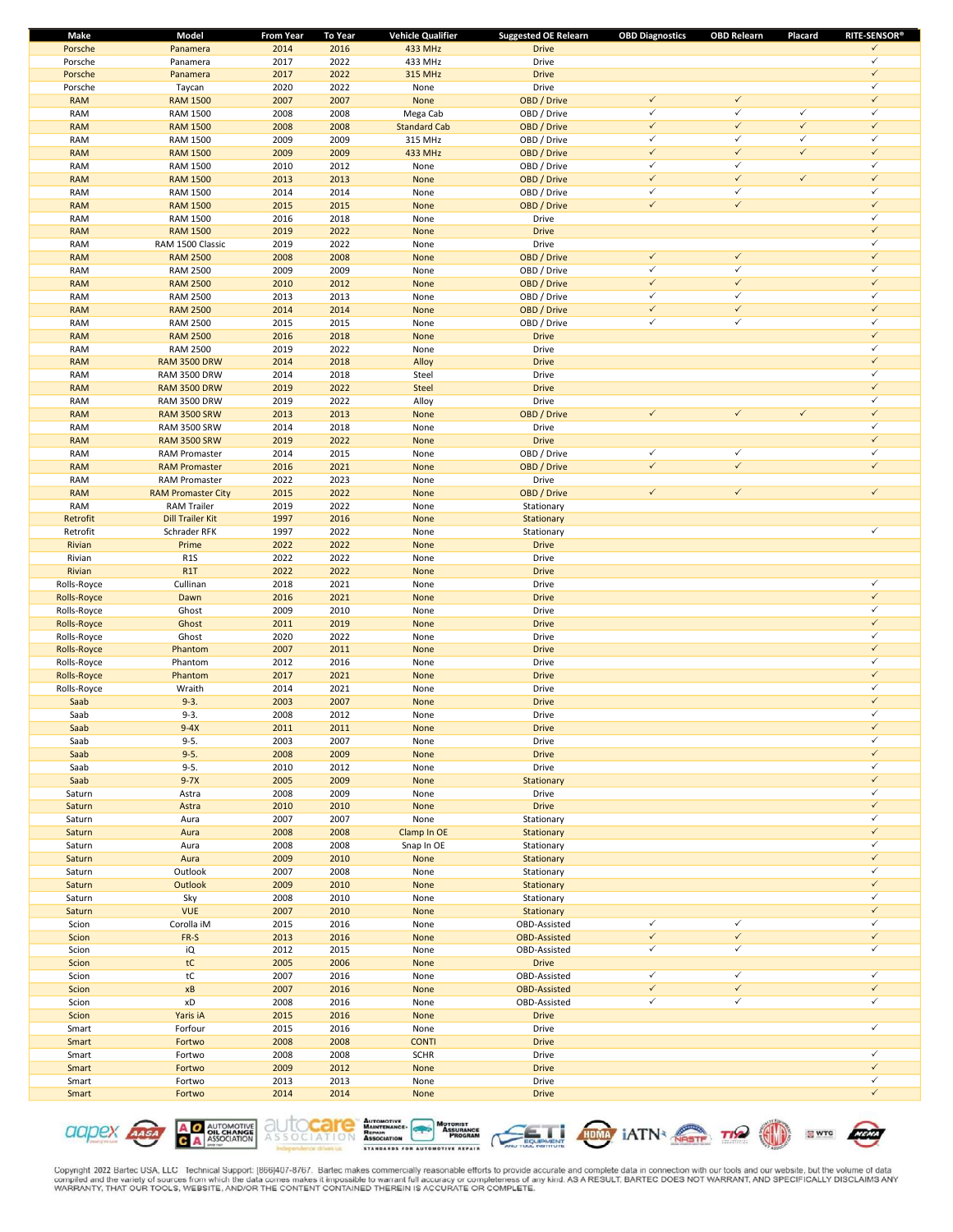| Make               | Model                              | <b>From Year</b> | <b>To Year</b> | <b>Vehicle Qualifier</b>       | <b>Suggested OE Relearn</b> | <b>OBD Diagnostics</b>       | <b>OBD Relearn</b>           | Placard      | <b>RITE-SENSOR®</b>          |
|--------------------|------------------------------------|------------------|----------------|--------------------------------|-----------------------------|------------------------------|------------------------------|--------------|------------------------------|
| Porsche            | Panamera                           | 2014             | 2016           | 433 MHz                        | <b>Drive</b>                |                              |                              |              | $\checkmark$                 |
| Porsche            | Panamera                           | 2017             | 2022           | 433 MHz                        | Drive                       |                              |                              |              | $\checkmark$                 |
| Porsche            | Panamera                           | 2017             | 2022           | <b>315 MHz</b>                 | <b>Drive</b>                |                              |                              |              | $\checkmark$                 |
| Porsche            | Taycan                             | 2020             | 2022           | None                           | Drive                       |                              |                              |              | $\checkmark$<br>$\checkmark$ |
| <b>RAM</b>         | <b>RAM 1500</b><br><b>RAM 1500</b> | 2007             | 2007           | None                           | OBD / Drive                 | $\checkmark$<br>$\checkmark$ | $\checkmark$<br>$\checkmark$ | $\checkmark$ | $\checkmark$                 |
| RAM<br><b>RAM</b>  |                                    | 2008<br>2008     | 2008<br>2008   | Mega Cab                       | OBD / Drive                 | $\checkmark$                 | $\checkmark$                 | $\checkmark$ | $\checkmark$                 |
| <b>RAM</b>         | <b>RAM 1500</b><br><b>RAM 1500</b> | 2009             | 2009           | <b>Standard Cab</b><br>315 MHz | OBD / Drive<br>OBD / Drive  | $\checkmark$                 | $\checkmark$                 | $\checkmark$ | $\checkmark$                 |
| <b>RAM</b>         | <b>RAM 1500</b>                    | 2009             | 2009           | 433 MHz                        | OBD / Drive                 | $\checkmark$                 | $\checkmark$                 | $\checkmark$ | $\checkmark$                 |
| RAM                | RAM 1500                           | 2010             | 2012           | None                           | OBD / Drive                 | $\checkmark$                 | ✓                            |              | $\checkmark$                 |
| <b>RAM</b>         | <b>RAM 1500</b>                    | 2013             | 2013           | None                           | OBD / Drive                 | $\checkmark$                 | $\checkmark$                 | $\checkmark$ | $\checkmark$                 |
| <b>RAM</b>         | <b>RAM 1500</b>                    | 2014             | 2014           | None                           | OBD / Drive                 | $\checkmark$                 | $\checkmark$                 |              | $\checkmark$                 |
| <b>RAM</b>         | <b>RAM 1500</b>                    | 2015             | 2015           | None                           | OBD / Drive                 | $\checkmark$                 | $\checkmark$                 |              | $\checkmark$                 |
| <b>RAM</b>         | <b>RAM 1500</b>                    | 2016             | 2018           | None                           | Drive                       |                              |                              |              | $\checkmark$                 |
| <b>RAM</b>         | <b>RAM 1500</b>                    | 2019             | 2022           | None                           | <b>Drive</b>                |                              |                              |              | $\checkmark$                 |
| RAM                | RAM 1500 Classic                   | 2019             | 2022           | None                           | Drive                       |                              |                              |              | $\checkmark$                 |
| <b>RAM</b>         | <b>RAM 2500</b>                    | 2008             | 2008           | None                           | OBD / Drive                 | $\checkmark$                 | $\checkmark$                 |              | $\checkmark$                 |
| <b>RAM</b>         | <b>RAM 2500</b>                    | 2009             | 2009           | None                           | OBD / Drive                 | $\checkmark$                 | $\checkmark$                 |              | $\checkmark$                 |
| <b>RAM</b>         | <b>RAM 2500</b>                    | 2010             | 2012           | None                           | OBD / Drive                 | $\checkmark$                 | $\checkmark$                 |              | $\checkmark$                 |
| RAM                | <b>RAM 2500</b>                    | 2013             | 2013           | None                           | OBD / Drive                 | $\checkmark$                 | $\checkmark$                 |              | $\checkmark$                 |
| <b>RAM</b>         | <b>RAM 2500</b>                    | 2014             | 2014           | None                           | OBD / Drive                 | $\checkmark$                 | $\checkmark$                 |              | $\checkmark$                 |
| RAM                | <b>RAM 2500</b>                    | 2015             | 2015           | None                           | OBD / Drive                 | $\checkmark$                 | $\checkmark$                 |              | $\checkmark$                 |
| <b>RAM</b>         | <b>RAM 2500</b>                    | 2016             | 2018           | None                           | <b>Drive</b>                |                              |                              |              | $\checkmark$                 |
| RAM                | <b>RAM 2500</b>                    | 2019             | 2022           | None                           | Drive                       |                              |                              |              | $\checkmark$                 |
| <b>RAM</b>         | <b>RAM 3500 DRW</b>                | 2014             | 2018           | Alloy                          | <b>Drive</b>                |                              |                              |              | $\checkmark$                 |
| RAM                | <b>RAM 3500 DRW</b>                | 2014             | 2018           | Steel                          | Drive                       |                              |                              |              | $\checkmark$                 |
| <b>RAM</b>         | <b>RAM 3500 DRW</b>                | 2019             | 2022           | Steel                          | <b>Drive</b>                |                              |                              |              | $\checkmark$                 |
| <b>RAM</b>         | <b>RAM 3500 DRW</b>                | 2019             | 2022           | Alloy                          | Drive                       |                              |                              |              | $\checkmark$                 |
| <b>RAM</b>         | <b>RAM 3500 SRW</b>                | 2013             | 2013           | None                           | OBD / Drive                 | $\checkmark$                 | $\checkmark$                 | $\checkmark$ | $\checkmark$                 |
| RAM                | <b>RAM 3500 SRW</b>                | 2014             | 2018           | None                           | Drive                       |                              |                              |              | $\checkmark$                 |
| <b>RAM</b>         | <b>RAM 3500 SRW</b>                | 2019             | 2022           | None                           | <b>Drive</b>                |                              |                              |              | $\checkmark$                 |
| RAM                | <b>RAM Promaster</b>               | 2014             | 2015           | None                           | OBD / Drive                 | $\checkmark$                 | $\checkmark$                 |              | $\checkmark$                 |
| <b>RAM</b>         | <b>RAM Promaster</b>               | 2016             | 2021           | None                           | OBD / Drive                 | $\checkmark$                 | $\checkmark$                 |              | $\checkmark$                 |
| RAM                | <b>RAM Promaster</b>               | 2022             | 2023           | None                           | Drive                       |                              |                              |              |                              |
| <b>RAM</b>         | <b>RAM Promaster City</b>          | 2015             | 2022           | None                           | OBD / Drive                 | $\checkmark$                 | $\checkmark$                 |              | $\checkmark$                 |
| <b>RAM</b>         | <b>RAM Trailer</b>                 | 2019             | 2022           | None                           | Stationary                  |                              |                              |              |                              |
| Retrofit           | <b>Dill Trailer Kit</b>            | 1997             | 2016           | None                           | Stationary                  |                              |                              |              |                              |
| Retrofit           | Schrader RFK                       | 1997             | 2022           | None                           | Stationary                  |                              |                              |              | $\checkmark$                 |
| Rivian             | Prime                              | 2022             | 2022           | None                           | <b>Drive</b>                |                              |                              |              |                              |
| Rivian             | R <sub>1</sub> S                   | 2022             | 2022           | None                           | Drive                       |                              |                              |              |                              |
| Rivian             | R <sub>1</sub> T                   | 2022             | 2022           | None                           | <b>Drive</b>                |                              |                              |              |                              |
| Rolls-Royce        | Cullinan                           | 2018             | 2021           | None                           | Drive                       |                              |                              |              | $\checkmark$                 |
| <b>Rolls-Royce</b> | Dawn                               | 2016             | 2021           | None                           | <b>Drive</b>                |                              |                              |              | $\checkmark$                 |
| Rolls-Royce        | Ghost                              | 2009             | 2010           | None                           | Drive                       |                              |                              |              | $\checkmark$                 |
| <b>Rolls-Royce</b> | Ghost                              | 2011             | 2019           | None                           | <b>Drive</b>                |                              |                              |              | $\checkmark$                 |
| Rolls-Royce        | Ghost                              | 2020             | 2022           | None                           | Drive                       |                              |                              |              | $\checkmark$                 |
| <b>Rolls-Royce</b> | Phantom                            | 2007             | 2011           | None                           | <b>Drive</b>                |                              |                              |              | $\checkmark$                 |
| Rolls-Royce        | Phantom                            | 2012             | 2016           | None                           | Drive                       |                              |                              |              | $\checkmark$                 |
| <b>Rolls-Royce</b> | Phantom                            | 2017             | 2021           | None                           | <b>Drive</b>                |                              |                              |              | $\checkmark$                 |
| Rolls-Royce        | Wraith                             | 2014             | 2021           | None                           | Drive                       |                              |                              |              | ✓                            |
| Saab               | $9 - 3.$                           | 2003             | 2007           | None                           | <b>Drive</b>                |                              |                              |              | $\checkmark$                 |
| Saab               | $9 - 3.$                           | 2008             | 2012           | None                           | Drive                       |                              |                              |              | $\checkmark$                 |
| Saab               | $9-4X$                             | 2011             | 2011           | None                           | <b>Drive</b>                |                              |                              |              | $\checkmark$                 |
| Saab               | $9 - 5.$                           | 2003             | 2007           | None                           | Drive                       |                              |                              |              | $\checkmark$                 |
| Saab               | $9 - 5.$                           | 2008             | 2009           | None                           | <b>Drive</b>                |                              |                              |              | $\checkmark$                 |
| Saab               | $9 - 5.$                           | 2010             | 2012           | None                           | Drive                       |                              |                              |              | $\checkmark$                 |
| Saab               | $9-7X$                             | 2005             | 2009           | None                           | Stationary                  |                              |                              |              | $\checkmark$                 |
| Saturn             | Astra                              | 2008             | 2009           | None                           | Drive                       |                              |                              |              | $\checkmark$                 |
| Saturn             | Astra                              | 2010             | 2010           | None                           | <b>Drive</b>                |                              |                              |              | $\checkmark$                 |
| Saturn             | Aura                               | 2007             | 2007           | None                           | Stationary                  |                              |                              |              | ✓                            |
| Saturn             | Aura                               | 2008             | 2008           | Clamp In OE                    | Stationary                  |                              |                              |              | $\checkmark$                 |
| Saturn             | Aura                               | 2008             | 2008           | Snap In OE                     | Stationary                  |                              |                              |              | $\checkmark$                 |
| Saturn             | Aura                               | 2009             | 2010           | None                           | Stationary                  |                              |                              |              | $\checkmark$                 |
| Saturn             | Outlook                            | 2007             | 2008           | None                           | Stationary                  |                              |                              |              | $\checkmark$                 |
| Saturn             | Outlook                            | 2009             | 2010           | None                           | Stationary                  |                              |                              |              | $\checkmark$                 |
| Saturn             | Sky                                | 2008             | 2010           | None                           | Stationary                  |                              |                              |              | $\checkmark$                 |
| Saturn             | <b>VUE</b>                         | 2007             | 2010           | None                           | Stationary                  |                              |                              |              | $\checkmark$                 |
| Scion              | Corolla iM                         | 2015             | 2016           | None                           | OBD-Assisted                | $\checkmark$                 | $\checkmark$                 |              | $\checkmark$                 |
| Scion              | $FR-S$                             | 2013             | 2016           | None                           | <b>OBD-Assisted</b>         | $\checkmark$                 | $\checkmark$                 |              | $\checkmark$                 |
| Scion              | iQ                                 | 2012             | 2015           | None                           | OBD-Assisted                | $\checkmark$                 | $\checkmark$                 |              | ✓                            |
| Scion              | tc                                 | 2005             | 2006           | None                           | <b>Drive</b>                |                              |                              |              |                              |
| Scion              | $\mathsf{t}\mathsf{C}$             | 2007             | 2016           | None                           | OBD-Assisted                | $\checkmark$                 | $\checkmark$                 |              | $\checkmark$                 |
| Scion              | xB                                 | 2007             | 2016           | None                           | <b>OBD-Assisted</b>         | $\checkmark$                 | $\checkmark$                 |              | $\checkmark$                 |
| Scion              | xD                                 | 2008             | 2016           | None                           | OBD-Assisted                | $\checkmark$                 | $\checkmark$                 |              | $\checkmark$                 |
| Scion              | Yaris iA                           | 2015             | 2016           | None                           | <b>Drive</b>                |                              |                              |              |                              |
| Smart              | Forfour                            | 2015             | 2016           | None                           | Drive                       |                              |                              |              | $\checkmark$                 |
| Smart              | Fortwo                             | 2008             | 2008           | <b>CONTI</b>                   | <b>Drive</b>                |                              |                              |              |                              |
| Smart              | Fortwo                             | 2008             | 2008           | SCHR                           | Drive                       |                              |                              |              | $\checkmark$                 |
| Smart              | Fortwo                             | 2009             | 2012           | None                           | <b>Drive</b>                |                              |                              |              | $\checkmark$                 |
| Smart              | Fortwo                             | 2013             | 2013           | None                           | Drive                       |                              |                              |              | $\checkmark$                 |
| Smart              | Fortwo                             | 2014             | 2014           | None                           | <b>Drive</b>                |                              |                              |              | $\checkmark$                 |

**A O AUTOMOTIVE**<br>**C A** ASSOCIATION aapex Assa





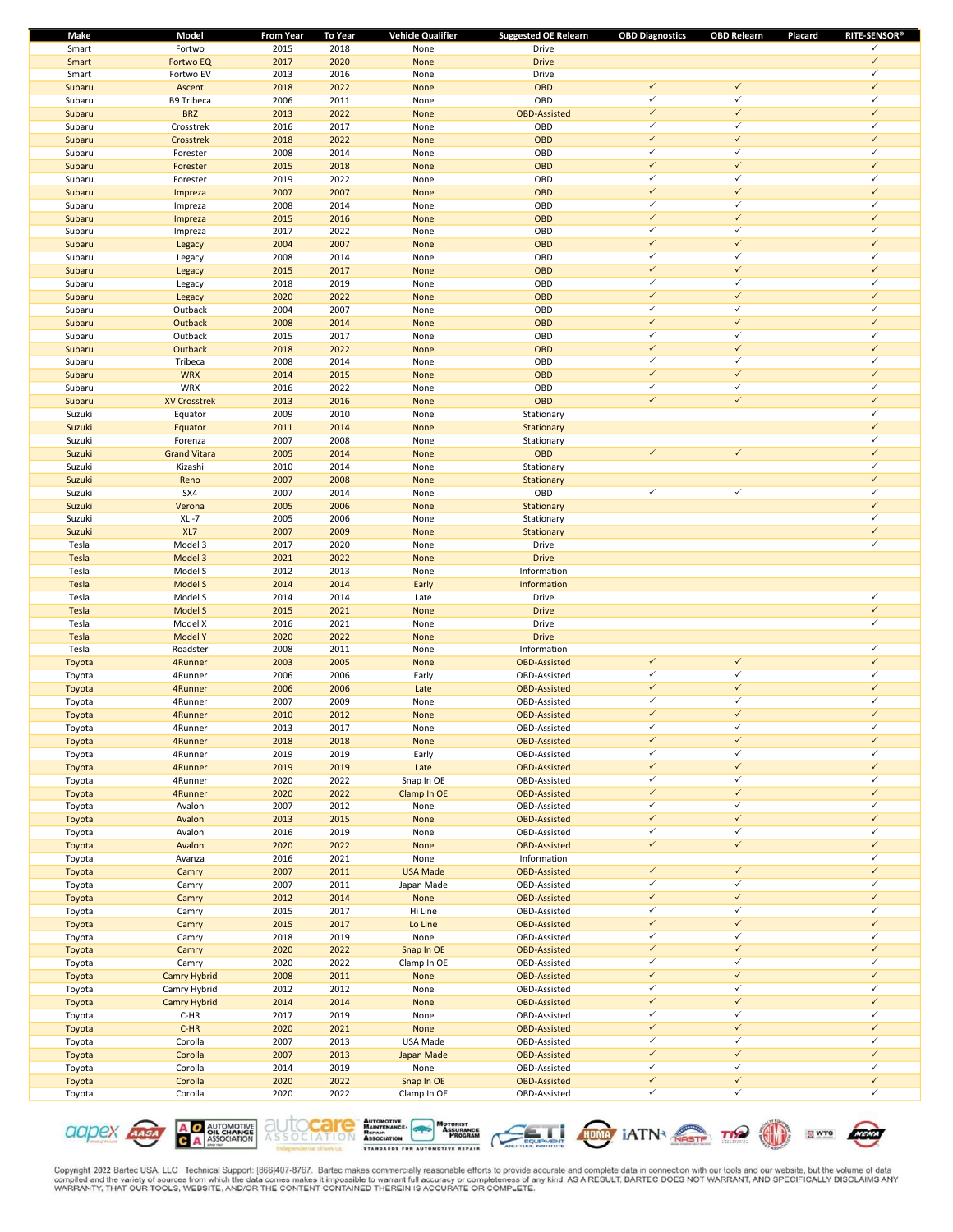| Make   | Model               | <b>From Year</b> | <b>To Year</b> | <b>Vehicle Qualifier</b> | <b>Suggested OE Relearn</b> | <b>OBD Diagnostics</b> | <b>OBD Relearn</b> | <b>RITE-SENSOR®</b><br>Placard |
|--------|---------------------|------------------|----------------|--------------------------|-----------------------------|------------------------|--------------------|--------------------------------|
| Smart  | Fortwo              | 2015             | 2018           | None                     | Drive                       |                        |                    | ✓                              |
| Smart  | <b>Fortwo EQ</b>    | 2017             | 2020           | None                     | <b>Drive</b>                |                        |                    | $\checkmark$                   |
| Smart  | Fortwo EV           | 2013             | 2016           | None                     | Drive                       |                        |                    | $\checkmark$                   |
| Subaru | Ascent              | 2018             | 2022           | None                     | OBD                         | $\checkmark$           | $\checkmark$       | $\checkmark$                   |
| Subaru | <b>B9 Tribeca</b>   | 2006             | 2011           | None                     | OBD                         | ✓                      | $\checkmark$       | ✓                              |
| Subaru | <b>BRZ</b>          | 2013             | 2022           | None                     | <b>OBD-Assisted</b>         | $\checkmark$           | $\checkmark$       | $\checkmark$                   |
| Subaru | Crosstrek           | 2016             | 2017           | None                     | OBD                         | $\checkmark$           | $\checkmark$       | $\checkmark$                   |
| Subaru | Crosstrek           | 2018             | 2022           | None                     | OBD                         | $\checkmark$           | $\checkmark$       | $\checkmark$                   |
| Subaru | Forester            | 2008             | 2014           | None                     | OBD                         | $\checkmark$           | $\checkmark$       | $\checkmark$                   |
| Subaru | Forester            | 2015             | 2018           | None                     | OBD                         | $\checkmark$           | $\checkmark$       | $\checkmark$                   |
| Subaru | Forester            | 2019             | 2022           | None                     | OBD                         | $\checkmark$           | $\checkmark$       | $\checkmark$                   |
| Subaru | Impreza             | 2007             | 2007           | None                     | OBD                         | $\checkmark$           | $\checkmark$       | $\checkmark$                   |
| Subaru | Impreza             | 2008             | 2014           | None                     | OBD                         | $\checkmark$           | $\checkmark$       | $\checkmark$                   |
| Subaru | Impreza             | 2015             | 2016           | None                     | OBD                         | $\checkmark$           | $\checkmark$       | $\checkmark$                   |
| Subaru | Impreza             | 2017             | 2022           | None                     | OBD                         | $\checkmark$           | $\checkmark$       | ✓                              |
| Subaru | Legacy              | 2004             | 2007           | None                     | OBD                         | $\checkmark$           | $\checkmark$       | $\checkmark$                   |
| Subaru | Legacy              | 2008             | 2014           | None                     | OBD                         | $\checkmark$           | $\checkmark$       | $\checkmark$                   |
| Subaru | Legacy              | 2015             | 2017           | None                     | OBD                         | $\checkmark$           | $\checkmark$       | $\checkmark$                   |
| Subaru | Legacy              | 2018             | 2019           | None                     | OBD                         | $\checkmark$           | $\checkmark$       | $\checkmark$                   |
| Subaru | Legacy              | 2020             | 2022           | None                     | OBD                         | $\checkmark$           | $\checkmark$       | $\checkmark$                   |
| Subaru | Outback             | 2004             | 2007           | None                     | OBD                         | $\checkmark$           | $\checkmark$       | $\checkmark$                   |
| Subaru | Outback             | 2008             | 2014           | None                     | OBD                         | $\checkmark$           | $\checkmark$       | $\checkmark$                   |
| Subaru | Outback             | 2015             | 2017           | None                     | OBD                         | $\checkmark$           | $\checkmark$       | $\checkmark$                   |
| Subaru | Outback             | 2018             | 2022           | None                     | OBD                         | $\checkmark$           | $\checkmark$       | $\checkmark$                   |
| Subaru | Tribeca             | 2008             | 2014           | None                     | OBD                         | $\checkmark$           | $\checkmark$       | ✓                              |
| Subaru | <b>WRX</b>          | 2014             | 2015           | None                     | OBD                         | $\checkmark$           | $\checkmark$       | $\checkmark$                   |
| Subaru | WRX                 | 2016             | 2022           | None                     | OBD                         | $\checkmark$           | $\checkmark$       | ✓                              |
| Subaru | <b>XV Crosstrek</b> | 2013             | 2016           | None                     | OBD                         | $\checkmark$           | $\checkmark$       | $\checkmark$                   |
| Suzuki | Equator             | 2009             | 2010           | None                     | Stationary                  |                        |                    | $\checkmark$                   |
| Suzuki | Equator             | 2011             | 2014           | None                     | Stationary                  |                        |                    | $\checkmark$                   |
| Suzuki | Forenza             | 2007             | 2008           | None                     | Stationary                  |                        |                    | $\checkmark$                   |
| Suzuki | <b>Grand Vitara</b> | 2005             | 2014           | None                     | <b>OBD</b>                  | $\checkmark$           | $\checkmark$       | $\checkmark$                   |
| Suzuki | Kizashi             | 2010             | 2014           | None                     | Stationary                  |                        |                    | $\checkmark$                   |
| Suzuki | Reno                | 2007             | 2008           | None                     | Stationary                  |                        |                    | $\checkmark$                   |
| Suzuki | SX4                 | 2007             | 2014           | None                     | OBD                         | $\checkmark$           | $\checkmark$       | ✓                              |
| Suzuki | Verona              | 2005             | 2006           | None                     | Stationary                  |                        |                    | $\checkmark$                   |
| Suzuki | $XL - 7$            | 2005             | 2006           | None                     | Stationary                  |                        |                    | ✓                              |
| Suzuki | XL7                 | 2007             | 2009           | None                     | Stationary                  |                        |                    | $\checkmark$                   |
| Tesla  | Model 3             | 2017             | 2020           | None                     | Drive                       |                        |                    | $\checkmark$                   |
| Tesla  | Model 3             | 2021             | 2022           | None                     | <b>Drive</b>                |                        |                    |                                |
| Tesla  | Model S             | 2012             | 2013           | None                     | Information                 |                        |                    |                                |
| Tesla  | Model S             | 2014             | 2014           | Early                    | Information                 |                        |                    |                                |
| Tesla  | Model S             | 2014             | 2014           | Late                     | Drive                       |                        |                    | $\checkmark$                   |
| Tesla  | Model S             | 2015             | 2021           | None                     | <b>Drive</b>                |                        |                    | $\checkmark$                   |
| Tesla  | Model X             | 2016             | 2021           | None                     | Drive                       |                        |                    | ✓                              |
| Tesla  | Model Y             | 2020             | 2022           | None                     | <b>Drive</b>                |                        |                    |                                |
| Tesla  | Roadster            | 2008             | 2011           | None                     | Information                 |                        |                    | $\checkmark$                   |
| Toyota | 4Runner             | 2003             | 2005           | None                     | <b>OBD-Assisted</b>         | $\checkmark$           | $\checkmark$       | $\checkmark$                   |
| Toyota | 4Runner             | 2006             | 2006           | Early                    | OBD-Assisted                | ✓                      | $\checkmark$       | $\checkmark$                   |
| Toyota | 4Runner             | 2006             | 2006           | Late                     | <b>OBD-Assisted</b>         | $\checkmark$           | $\checkmark$       | $\checkmark$                   |
| Toyota | 4Runner             | 2007             | 2009           | None                     | OBD-Assisted                | $\checkmark$           | $\checkmark$       | $\checkmark$                   |
| Toyota | 4Runner             | 2010             | 2012           | None                     | <b>OBD-Assisted</b>         | $\checkmark$           | $\checkmark$       | $\checkmark$                   |
| Toyota | 4Runner             | 2013             | 2017           | None                     | OBD-Assisted                | ✓                      | ✓                  | ✓                              |
| Toyota | 4Runner             | 2018             | 2018           | None                     | <b>OBD-Assisted</b>         | $\checkmark$           | $\checkmark$       | $\checkmark$                   |
| Toyota | 4Runner             | 2019             | 2019           | Early                    | OBD-Assisted                | ✓                      | $\checkmark$       | ✓                              |
| Toyota | 4Runner             | 2019             | 2019           | Late                     | <b>OBD-Assisted</b>         | $\checkmark$           | $\checkmark$       | $\checkmark$                   |
| Toyota | 4Runner             | 2020             | 2022           | Snap In OE               | OBD-Assisted                | $\checkmark$           | $\checkmark$       | $\checkmark$                   |
| Toyota | 4Runner             | 2020             | 2022           | Clamp In OE              | <b>OBD-Assisted</b>         | $\checkmark$           | $\checkmark$       | $\checkmark$                   |
| Toyota | Avalon              | 2007             | 2012           | None                     | OBD-Assisted                | $\checkmark$           | $\checkmark$       | $\checkmark$                   |
| Toyota | Avalon              | 2013             | 2015           | None                     | <b>OBD-Assisted</b>         | $\checkmark$           | $\checkmark$       | $\checkmark$                   |
| Toyota | Avalon              | 2016             | 2019           | None                     | OBD-Assisted                | $\checkmark$           | $\checkmark$       | $\checkmark$                   |
| Toyota | Avalon              | 2020             | 2022           | None                     | <b>OBD-Assisted</b>         | $\checkmark$           | $\checkmark$       | $\checkmark$                   |
| Toyota | Avanza              | 2016             | 2021           | None                     | Information                 |                        |                    | $\checkmark$                   |
| Toyota | Camry               | 2007             | 2011           | <b>USA Made</b>          | <b>OBD-Assisted</b>         | $\checkmark$           | $\checkmark$       | $\checkmark$                   |
| Toyota | Camry               | 2007             | 2011           | Japan Made               | OBD-Assisted                | ✓                      | $\checkmark$       | ✓                              |
| Toyota | Camry               | 2012             | 2014           | None                     | <b>OBD-Assisted</b>         | $\checkmark$           | $\checkmark$       | $\checkmark$                   |
| Toyota | Camry               | 2015             | 2017           | Hi Line                  | OBD-Assisted                | $\checkmark$           | $\checkmark$       | $\checkmark$                   |
| Toyota | Camry               | 2015             | 2017           | Lo Line                  | <b>OBD-Assisted</b>         | $\checkmark$           | $\checkmark$       | $\checkmark$                   |
| Toyota | Camry               | 2018             | 2019           | None                     | OBD-Assisted                | $\checkmark$           | $\checkmark$       | $\checkmark$                   |
| Toyota | Camry               | 2020             | 2022           | Snap In OE               | <b>OBD-Assisted</b>         | $\checkmark$           | $\checkmark$       | $\checkmark$                   |
| Toyota | Camry               | 2020             | 2022           | Clamp In OE              | OBD-Assisted                | $\checkmark$           | $\checkmark$       | $\checkmark$                   |
| Toyota | Camry Hybrid        | 2008             | 2011           | None                     | <b>OBD-Assisted</b>         | $\checkmark$           | $\checkmark$       | $\checkmark$                   |
| Toyota | Camry Hybrid        | 2012             | 2012           | None                     | OBD-Assisted                | $\checkmark$           | $\checkmark$       | $\checkmark$                   |
| Toyota | Camry Hybrid        | 2014             | 2014           | None                     | <b>OBD-Assisted</b>         | $\checkmark$           | $\checkmark$       | $\checkmark$                   |
| Toyota | $C-HR$              | 2017             | 2019           | None                     | OBD-Assisted                | ✓                      | $\checkmark$       | ✓                              |
| Toyota | $C-HR$              | 2020             | 2021           | None                     | <b>OBD-Assisted</b>         | $\checkmark$           | $\checkmark$       | $\checkmark$                   |
| Toyota | Corolla             | 2007             | 2013           | USA Made                 | OBD-Assisted                | $\checkmark$           | $\checkmark$       | $\checkmark$                   |
| Toyota | Corolla             | 2007             | 2013           | Japan Made               | <b>OBD-Assisted</b>         | $\checkmark$           | $\checkmark$       | $\checkmark$                   |
| Toyota | Corolla             | 2014             | 2019           | None                     | OBD-Assisted                | $\checkmark$           | $\checkmark$       | $\checkmark$                   |
| Toyota | Corolla             | 2020             | 2022           | Snap In OE               | <b>OBD-Assisted</b>         | $\checkmark$           | $\checkmark$       | $\checkmark$                   |
| Toyota | Corolla             | 2020             | 2022           | Clamp In OE              | OBD-Assisted                | $\checkmark$           | $\checkmark$       | $\checkmark$                   |
|        |                     |                  |                |                          |                             |                        |                    |                                |











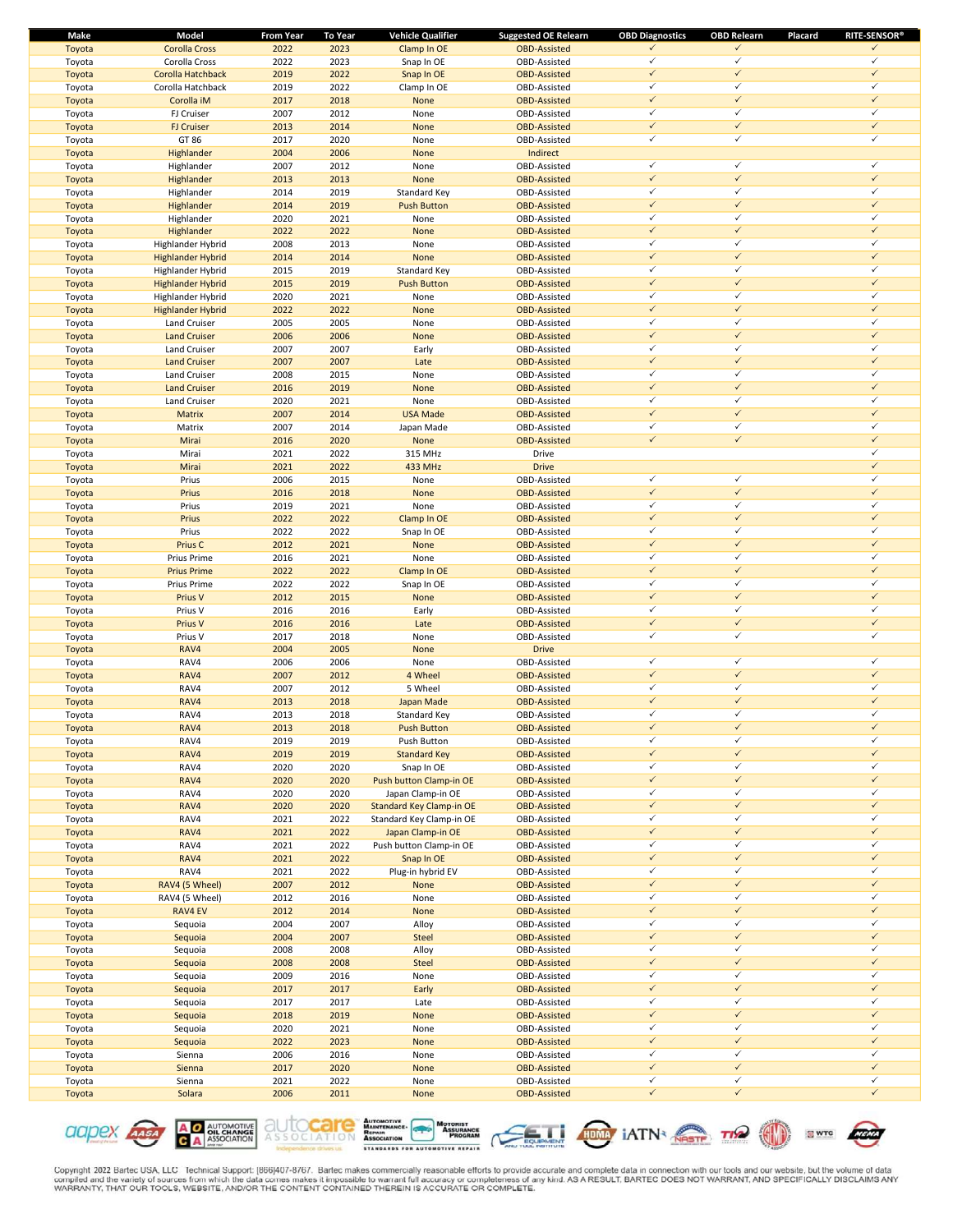| Make   | Model                    | <b>From Year</b> | <b>To Year</b> | <b>Vehicle Qualifier</b>        | <b>Suggested OE Relearn</b> | <b>OBD Diagnostics</b> | <b>OBD Relearn</b> | <b>RITE-SENSOR®</b><br>Placard |
|--------|--------------------------|------------------|----------------|---------------------------------|-----------------------------|------------------------|--------------------|--------------------------------|
| Toyota | <b>Corolla Cross</b>     | 2022             | 2023           | Clamp In OE                     | <b>OBD-Assisted</b>         | ✓                      | $\checkmark$       | ✓                              |
| Toyota | Corolla Cross            | 2022             | 2023           | Snap In OE                      | OBD-Assisted                | $\checkmark$           | $\checkmark$       | ✓                              |
| Toyota | Corolla Hatchback        | 2019             | 2022           | Snap In OE                      | <b>OBD-Assisted</b>         | $\checkmark$           | $\checkmark$       | $\checkmark$                   |
| Toyota | Corolla Hatchback        | 2019             | 2022           | Clamp In OE                     | OBD-Assisted                | ✓                      | $\checkmark$       | $\checkmark$                   |
| Toyota | Corolla iM               | 2017             | 2018           | None                            | <b>OBD-Assisted</b>         | $\checkmark$           | $\checkmark$       | $\checkmark$                   |
| Toyota | FJ Cruiser               | 2007             | 2012           | None                            | OBD-Assisted                | $\checkmark$           | ✓                  | ✓                              |
| Toyota | <b>FJ Cruiser</b>        | 2013             | 2014           | None                            | <b>OBD-Assisted</b>         | $\checkmark$           | $\checkmark$       | $\checkmark$                   |
|        | GT 86                    | 2017             | 2020           |                                 |                             | $\checkmark$           | $\checkmark$       | $\checkmark$                   |
| Toyota |                          |                  |                | None                            | OBD-Assisted                |                        |                    |                                |
| Toyota | Highlander               | 2004             | 2006           | None                            | Indirect                    |                        |                    |                                |
| Toyota | Highlander               | 2007             | 2012           | None                            | OBD-Assisted                | $\checkmark$           | $\checkmark$       | $\checkmark$                   |
| Toyota | Highlander               | 2013             | 2013           | None                            | <b>OBD-Assisted</b>         | $\checkmark$           | $\checkmark$       | $\checkmark$                   |
| Toyota | Highlander               | 2014             | 2019           | Standard Key                    | OBD-Assisted                | $\checkmark$           | $\checkmark$       | $\checkmark$                   |
| Toyota | Highlander               | 2014             | 2019           | <b>Push Button</b>              | <b>OBD-Assisted</b>         | $\checkmark$           | $\checkmark$       | $\checkmark$                   |
| Toyota | Highlander               | 2020             | 2021           | None                            | OBD-Assisted                | ✓                      | $\checkmark$       | $\checkmark$                   |
| Toyota | Highlander               | 2022             | 2022           | None                            | <b>OBD-Assisted</b>         | $\checkmark$           | $\checkmark$       | $\checkmark$                   |
| Toyota | Highlander Hybrid        | 2008             | 2013           | None                            | OBD-Assisted                | $\checkmark$           | ✓                  | ✓                              |
| Toyota | <b>Highlander Hybrid</b> | 2014             | 2014           | None                            | <b>OBD-Assisted</b>         | $\checkmark$           | $\checkmark$       | $\checkmark$                   |
| Toyota | Highlander Hybrid        | 2015             | 2019           | Standard Key                    | OBD-Assisted                | $\checkmark$           | $\checkmark$       | $\checkmark$                   |
| Toyota | <b>Highlander Hybrid</b> | 2015             | 2019           | <b>Push Button</b>              | <b>OBD-Assisted</b>         | $\checkmark$           | $\checkmark$       | $\checkmark$                   |
|        |                          |                  |                |                                 |                             | $\checkmark$           | $\checkmark$       | ✓                              |
| Toyota | Highlander Hybrid        | 2020             | 2021           | None                            | OBD-Assisted                |                        |                    |                                |
| Toyota | <b>Highlander Hybrid</b> | 2022             | 2022           | None                            | <b>OBD-Assisted</b>         | $\checkmark$           | $\checkmark$       | $\checkmark$                   |
| Toyota | Land Cruiser             | 2005             | 2005           | None                            | OBD-Assisted                | $\checkmark$           | $\checkmark$       | ✓                              |
| Toyota | <b>Land Cruiser</b>      | 2006             | 2006           | None                            | <b>OBD-Assisted</b>         | $\checkmark$           | $\checkmark$       | $\checkmark$                   |
| Toyota | Land Cruiser             | 2007             | 2007           | Early                           | OBD-Assisted                | ✓                      | $\checkmark$       | $\checkmark$                   |
| Toyota | <b>Land Cruiser</b>      | 2007             | 2007           | Late                            | <b>OBD-Assisted</b>         | $\checkmark$           | $\checkmark$       | $\checkmark$                   |
| Toyota | Land Cruiser             | 2008             | 2015           | None                            | OBD-Assisted                | $\checkmark$           | ✓                  | ✓                              |
| Toyota | <b>Land Cruiser</b>      | 2016             | 2019           | None                            | <b>OBD-Assisted</b>         | $\checkmark$           | $\checkmark$       | $\checkmark$                   |
| Toyota | Land Cruiser             | 2020             | 2021           | None                            | OBD-Assisted                | $\checkmark$           | $\checkmark$       | $\checkmark$                   |
| Toyota | <b>Matrix</b>            | 2007             | 2014           | <b>USA Made</b>                 | <b>OBD-Assisted</b>         | $\checkmark$           | $\checkmark$       | $\checkmark$                   |
|        |                          |                  |                |                                 |                             | $\checkmark$           | $\checkmark$       | ✓                              |
| Toyota | Matrix                   | 2007             | 2014           | Japan Made                      | OBD-Assisted                |                        |                    |                                |
| Toyota | Mirai                    | 2016             | 2020           | None                            | <b>OBD-Assisted</b>         | $\checkmark$           | $\checkmark$       | $\checkmark$                   |
| Toyota | Mirai                    | 2021             | 2022           | 315 MHz                         | Drive                       |                        |                    | ✓                              |
| Toyota | Mirai                    | 2021             | 2022           | 433 MHz                         | <b>Drive</b>                |                        |                    | $\checkmark$                   |
| Toyota | Prius                    | 2006             | 2015           | None                            | OBD-Assisted                | $\checkmark$           | $\checkmark$       | $\checkmark$                   |
| Toyota | Prius                    | 2016             | 2018           | None                            | <b>OBD-Assisted</b>         | $\checkmark$           | $\checkmark$       | $\checkmark$                   |
| Toyota | Prius                    | 2019             | 2021           | None                            | OBD-Assisted                | $\checkmark$           | $\checkmark$       | ✓                              |
| Toyota | Prius                    | 2022             | 2022           | Clamp In OE                     | <b>OBD-Assisted</b>         | $\checkmark$           | $\checkmark$       | $\checkmark$                   |
| Toyota | Prius                    | 2022             | 2022           | Snap In OE                      | OBD-Assisted                | $\checkmark$           | $\checkmark$       | $\checkmark$                   |
| Toyota | Prius C                  | 2012             | 2021           | None                            | <b>OBD-Assisted</b>         | $\checkmark$           | $\checkmark$       | $\checkmark$                   |
|        |                          |                  |                |                                 |                             | $\checkmark$           | $\checkmark$       | ✓                              |
| Toyota | Prius Prime              | 2016             | 2021           | None                            | OBD-Assisted                | $\checkmark$           | $\checkmark$       | $\checkmark$                   |
| Toyota | <b>Prius Prime</b>       | 2022             | 2022           | Clamp In OE                     | <b>OBD-Assisted</b>         |                        |                    |                                |
| Toyota | Prius Prime              | 2022             | 2022           | Snap In OE                      | OBD-Assisted                | $\checkmark$           | $\checkmark$       | $\checkmark$                   |
| Toyota | Prius V                  | 2012             | 2015           | None                            | <b>OBD-Assisted</b>         | $\checkmark$           | $\checkmark$       | $\checkmark$                   |
| Toyota | Prius V                  | 2016             | 2016           | Early                           | OBD-Assisted                | $\checkmark$           | $\checkmark$       | $\checkmark$                   |
| Toyota | Prius V                  | 2016             | 2016           | Late                            | <b>OBD-Assisted</b>         | $\checkmark$           | $\checkmark$       | $\checkmark$                   |
| Toyota | Prius V                  | 2017             | 2018           | None                            | OBD-Assisted                | $\checkmark$           | $\checkmark$       | ✓                              |
| Toyota | RAV4                     | 2004             | 2005           | None                            | <b>Drive</b>                |                        |                    |                                |
| Toyota | RAV4                     | 2006             | 2006           | None                            | OBD-Assisted                | $\checkmark$           | $\checkmark$       | $\checkmark$                   |
| Toyota | RAV4                     | 2007             | 2012           | 4 Wheel                         | <b>OBD-Assisted</b>         | $\checkmark$           | $\checkmark$       | $\checkmark$                   |
| Toyota | RAV4                     | 2007             | 2012           | 5 Wheel                         | OBD-Assisted                | $\checkmark$           | $\checkmark$       | ✓                              |
|        |                          |                  |                |                                 |                             | $\checkmark$           | $\checkmark$       | $\checkmark$                   |
| Toyota | RAV4                     | 2013             | 2018           | Japan Made                      | <b>OBD-Assisted</b>         |                        |                    | ✓                              |
| Toyota | RAV4                     | 2013             | 2018           | Standard Key                    | OBD-Assisted                | $\checkmark$           | $\checkmark$       |                                |
| Toyota | RAV4                     | 2013             | 2018           | <b>Push Button</b>              | <b>OBD-Assisted</b>         |                        | $\checkmark$       | ✓                              |
| Toyota | RAV4                     | 2019             | 2019           | Push Button                     | OBD-Assisted                | ✓                      | $\checkmark$       | $\checkmark$                   |
| Toyota | RAV4                     | 2019             | 2019           | <b>Standard Key</b>             | <b>OBD-Assisted</b>         | $\checkmark$           | $\checkmark$       | $\checkmark$                   |
| Toyota | RAV4                     | 2020             | 2020           | Snap In OE                      | OBD-Assisted                | $\checkmark$           | $\checkmark$       | ✓                              |
| Toyota | RAV4                     | 2020             | 2020           | Push button Clamp-in OE         | <b>OBD-Assisted</b>         | $\checkmark$           | $\checkmark$       | $\checkmark$                   |
| Toyota | RAV4                     | 2020             | 2020           | Japan Clamp-in OE               | OBD-Assisted                | $\checkmark$           | $\checkmark$       | $\checkmark$                   |
| Toyota | RAV4                     | 2020             | 2020           | <b>Standard Key Clamp-in OE</b> | <b>OBD-Assisted</b>         | $\checkmark$           | $\checkmark$       | $\checkmark$                   |
| Toyota | RAV4                     | 2021             | 2022           | Standard Key Clamp-in OE        | OBD-Assisted                | $\checkmark$           | $\checkmark$       | ✓                              |
|        |                          |                  | 2022           |                                 |                             | $\checkmark$           | $\checkmark$       | $\checkmark$                   |
| Toyota | RAV4                     | 2021             |                | Japan Clamp-in OE               | <b>OBD-Assisted</b>         | $\checkmark$           | $\checkmark$       | ✓                              |
| Toyota | RAV4                     | 2021             | 2022           | Push button Clamp-in OE         | OBD-Assisted                |                        |                    |                                |
| Toyota | RAV4                     | 2021             | 2022           | Snap In OE                      | <b>OBD-Assisted</b>         | $\checkmark$           | $\checkmark$       | $\checkmark$                   |
| Toyota | RAV4                     | 2021             | 2022           | Plug-in hybrid EV               | OBD-Assisted                | ✓                      | $\checkmark$       | $\checkmark$                   |
| Toyota | RAV4 (5 Wheel)           | 2007             | 2012           | None                            | <b>OBD-Assisted</b>         | $\checkmark$           | $\checkmark$       | $\checkmark$                   |
| Toyota | RAV4 (5 Wheel)           | 2012             | 2016           | None                            | OBD-Assisted                | $\checkmark$           | $\checkmark$       | ✓                              |
| Toyota | RAV4 EV                  | 2012             | 2014           | None                            | <b>OBD-Assisted</b>         | $\checkmark$           | $\checkmark$       | $\checkmark$                   |
| Toyota | Sequoia                  | 2004             | 2007           | Alloy                           | OBD-Assisted                | $\checkmark$           | $\checkmark$       | $\checkmark$                   |
| Toyota | Sequoia                  | 2004             | 2007           | <b>Steel</b>                    | <b>OBD-Assisted</b>         | $\checkmark$           | $\checkmark$       | $\checkmark$                   |
| Toyota | Sequoia                  | 2008             | 2008           | Alloy                           | OBD-Assisted                | $\checkmark$           | $\checkmark$       | ✓                              |
| Toyota | Sequoia                  | 2008             | 2008           | <b>Steel</b>                    | <b>OBD-Assisted</b>         | $\checkmark$           | $\checkmark$       | $\checkmark$                   |
|        |                          | 2009             |                |                                 |                             | $\checkmark$           | $\checkmark$       | ✓                              |
| Toyota | Sequoia                  |                  | 2016           | None                            | OBD-Assisted                |                        | $\checkmark$       | $\checkmark$                   |
| Toyota | Sequoia                  | 2017             | 2017           | Early                           | <b>OBD-Assisted</b>         | $\checkmark$           |                    |                                |
| Toyota | Sequoia                  | 2017             | 2017           | Late                            | OBD-Assisted                | ✓                      | $\checkmark$       | $\checkmark$                   |
| Toyota | Sequoia                  | 2018             | 2019           | None                            | <b>OBD-Assisted</b>         | $\checkmark$           | $\checkmark$       | $\checkmark$                   |
| Toyota | Sequoia                  | 2020             | 2021           | None                            | OBD-Assisted                | $\checkmark$           | $\checkmark$       | ✓                              |
| Toyota | Sequoia                  | 2022             | 2023           | None                            | <b>OBD-Assisted</b>         | $\checkmark$           | $\checkmark$       | $\checkmark$                   |
| Toyota | Sienna                   | 2006             | 2016           | None                            | OBD-Assisted                | $\checkmark$           | $\checkmark$       | $\checkmark$                   |
| Toyota | Sienna                   | 2017             | 2020           | None                            | <b>OBD-Assisted</b>         | $\checkmark$           | $\checkmark$       | $\checkmark$                   |
| Toyota | Sienna                   | 2021             | 2022           | None                            | OBD-Assisted                | $\checkmark$           | $\checkmark$       | $\checkmark$                   |
| Toyota | Solara                   | 2006             | 2011           | None                            | <b>OBD-Assisted</b>         | $\checkmark$           | $\checkmark$       | $\checkmark$                   |
|        |                          |                  |                |                                 |                             |                        |                    |                                |











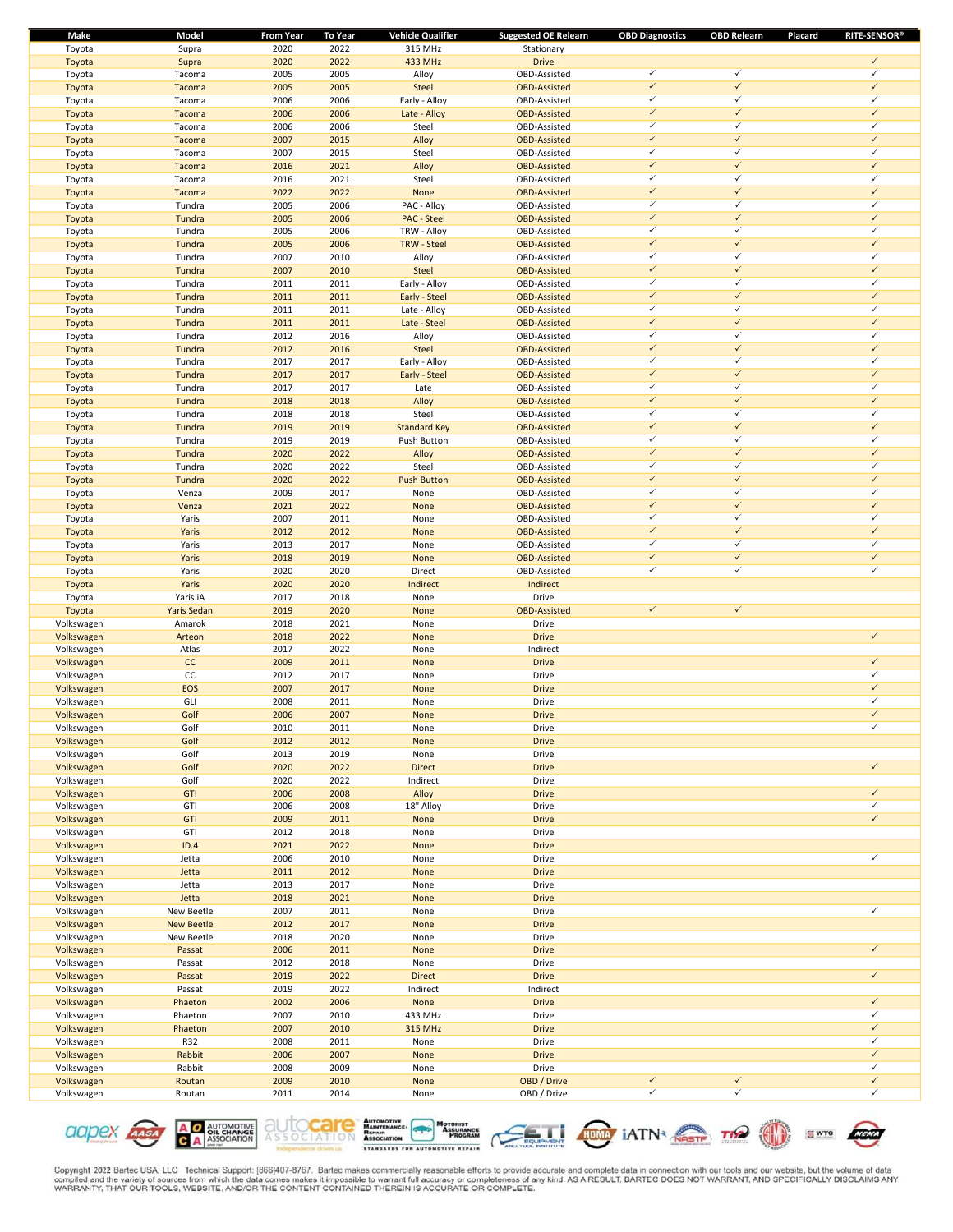| Make                     | Model                | <b>From Year</b> | <b>To Year</b> | <b>Vehicle Qualifier</b> | <b>Suggested OE Relearn</b>         | <b>OBD Diagnostics</b>       | <b>OBD Relearn</b>           | <b>RITE-SENSOR®</b><br>Placard |
|--------------------------|----------------------|------------------|----------------|--------------------------|-------------------------------------|------------------------------|------------------------------|--------------------------------|
| Toyota                   | Supra                | 2020             | 2022           | 315 MHz                  | Stationary                          |                              |                              |                                |
| Toyota                   | Supra                | 2020             | 2022           | 433 MHz                  | <b>Drive</b>                        |                              |                              | $\checkmark$                   |
| Toyota                   | Tacoma               | 2005             | 2005           | Alloy                    | OBD-Assisted                        | ✓                            | $\checkmark$                 | ✓                              |
| Toyota                   | Tacoma               | 2005             | 2005           | Steel                    | <b>OBD-Assisted</b>                 | $\checkmark$                 | $\checkmark$                 | $\checkmark$                   |
| Toyota                   | Tacoma               | 2006             | 2006           | Early - Alloy            | OBD-Assisted                        | ✓                            | $\checkmark$                 | ✓<br>$\checkmark$              |
| Toyota                   | Tacoma               | 2006             | 2006           | Late - Alloy             | <b>OBD-Assisted</b>                 | $\checkmark$<br>$\checkmark$ | $\checkmark$<br>$\checkmark$ | ✓                              |
| Toyota                   | Tacoma               | 2006             | 2006           | Steel                    | OBD-Assisted                        | $\checkmark$                 | $\checkmark$                 | $\checkmark$                   |
| Toyota                   | Tacoma               | 2007<br>2007     | 2015<br>2015   | Alloy<br>Steel           | <b>OBD-Assisted</b><br>OBD-Assisted | ✓                            | $\checkmark$                 | ✓                              |
| Toyota<br>Toyota         | Tacoma<br>Tacoma     | 2016             | 2021           | Alloy                    | <b>OBD-Assisted</b>                 | $\checkmark$                 | $\checkmark$                 | $\checkmark$                   |
| Toyota                   | Tacoma               | 2016             | 2021           | Steel                    | OBD-Assisted                        | ✓                            | $\checkmark$                 | ✓                              |
| Toyota                   | Tacoma               | 2022             | 2022           | None                     | <b>OBD-Assisted</b>                 | $\checkmark$                 | $\checkmark$                 | $\checkmark$                   |
| Toyota                   | Tundra               | 2005             | 2006           | PAC - Alloy              | OBD-Assisted                        | $\checkmark$                 | $\checkmark$                 | ✓                              |
| Toyota                   | Tundra               | 2005             | 2006           | <b>PAC - Steel</b>       | <b>OBD-Assisted</b>                 | $\checkmark$                 | $\checkmark$                 | $\checkmark$                   |
| Toyota                   | Tundra               | 2005             | 2006           | TRW - Alloy              | OBD-Assisted                        | ✓                            | $\checkmark$                 | ✓                              |
| Toyota                   | Tundra               | 2005             | 2006           | <b>TRW - Steel</b>       | <b>OBD-Assisted</b>                 | $\checkmark$                 | $\checkmark$                 | $\checkmark$                   |
| Toyota                   | Tundra               | 2007             | 2010           | Alloy                    | OBD-Assisted                        | $\checkmark$                 | $\checkmark$                 | ✓                              |
| Toyota                   | Tundra               | 2007             | 2010           | Steel                    | <b>OBD-Assisted</b>                 | $\checkmark$                 | $\checkmark$                 | $\checkmark$                   |
| Toyota                   | Tundra               | 2011             | 2011           | Early - Alloy            | OBD-Assisted                        | ✓                            | $\checkmark$                 | ✓                              |
| Toyota                   | Tundra               | 2011             | 2011           | Early - Steel            | <b>OBD-Assisted</b>                 | $\checkmark$                 | $\checkmark$                 | $\checkmark$                   |
| Toyota                   | Tundra               | 2011             | 2011           | Late - Alloy             | OBD-Assisted                        | ✓                            | $\checkmark$                 | ✓                              |
| Toyota                   | Tundra               | 2011             | 2011           | Late - Steel             | <b>OBD-Assisted</b>                 | $\checkmark$                 | $\checkmark$                 | $\checkmark$                   |
| Toyota                   | Tundra               | 2012             | 2016           | Alloy                    | OBD-Assisted                        | $\checkmark$                 | $\checkmark$                 | ✓                              |
| Toyota                   | Tundra               | 2012             | 2016           | Steel                    | <b>OBD-Assisted</b>                 | $\checkmark$                 | $\checkmark$                 | $\checkmark$                   |
| Toyota                   | Tundra               | 2017             | 2017           | Early - Alloy            | OBD-Assisted                        | ✓                            | $\checkmark$                 | ✓                              |
| Toyota                   | Tundra               | 2017             | 2017           | Early - Steel            | <b>OBD-Assisted</b>                 | $\checkmark$                 | $\checkmark$                 | $\checkmark$                   |
| Toyota                   | Tundra               | 2017             | 2017           | Late                     | OBD-Assisted                        | $\checkmark$                 | $\checkmark$                 | ✓                              |
| Toyota                   | Tundra               | 2018             | 2018           | Alloy                    | <b>OBD-Assisted</b>                 | $\checkmark$                 | $\checkmark$                 | $\checkmark$                   |
| Toyota                   | Tundra               | 2018             | 2018           | Steel                    | OBD-Assisted                        | ✓                            | $\checkmark$                 | ✓                              |
| Toyota                   | Tundra               | 2019             | 2019           | <b>Standard Key</b>      | <b>OBD-Assisted</b>                 | $\checkmark$                 | $\checkmark$                 | $\checkmark$                   |
| Toyota                   | Tundra               | 2019             | 2019           | Push Button              | OBD-Assisted                        | ✓                            | $\checkmark$                 | ✓                              |
| Toyota                   | Tundra               | 2020             | 2022           | Alloy                    | <b>OBD-Assisted</b>                 | $\checkmark$                 | $\checkmark$                 | $\checkmark$                   |
| Toyota                   | Tundra               | 2020             | 2022           | Steel                    | OBD-Assisted                        | $\checkmark$                 | $\checkmark$                 | ✓                              |
| Toyota                   | Tundra               | 2020             | 2022           | <b>Push Button</b>       | <b>OBD-Assisted</b>                 | $\checkmark$                 | $\checkmark$                 | $\checkmark$                   |
| Toyota                   | Venza                | 2009             | 2017           | None                     | OBD-Assisted                        | ✓                            | $\checkmark$                 | ✓                              |
| Toyota                   | Venza                | 2021             | 2022           | None                     | <b>OBD-Assisted</b>                 | $\checkmark$                 | $\checkmark$                 | $\checkmark$                   |
| Toyota                   | Yaris                | 2007             | 2011           | None                     | OBD-Assisted                        | $\checkmark$                 | $\checkmark$                 | ✓                              |
| Toyota                   | Yaris                | 2012             | 2012           | None                     | <b>OBD-Assisted</b>                 | $\checkmark$                 | $\checkmark$                 | $\checkmark$                   |
| Toyota                   | Yaris                | 2013             | 2017           | None                     | OBD-Assisted                        | ✓                            | $\checkmark$                 | ✓                              |
| Toyota                   | Yaris                | 2018             | 2019           | None                     | <b>OBD-Assisted</b>                 | $\checkmark$                 | $\checkmark$                 | $\checkmark$                   |
| Toyota                   | Yaris                | 2020             | 2020           | Direct                   | OBD-Assisted                        | ✓                            | $\checkmark$                 | ✓                              |
| Toyota                   | Yaris                | 2020             | 2020           | Indirect                 | Indirect                            |                              |                              |                                |
| Toyota                   | Yaris iA             | 2017             | 2018           | None                     | Drive                               |                              |                              |                                |
| Toyota                   | Yaris Sedan          | 2019             | 2020           | None                     | <b>OBD-Assisted</b>                 | $\checkmark$                 | $\checkmark$                 |                                |
| Volkswagen               | Amarok               | 2018             | 2021           | None                     | Drive                               |                              |                              |                                |
| Volkswagen               | Arteon               | 2018             | 2022           | None                     | <b>Drive</b>                        |                              |                              | $\checkmark$                   |
| Volkswagen               | Atlas                | 2017             | 2022           | None                     | Indirect                            |                              |                              |                                |
| Volkswagen               | cc                   | 2009             | 2011           | None                     | <b>Drive</b>                        |                              |                              | $\checkmark$                   |
| Volkswagen               | CC                   | 2012             | 2017           | None                     | Drive                               |                              |                              | ✓                              |
| Volkswagen               | EOS                  | 2007             | 2017           | None                     | <b>Drive</b>                        |                              |                              | $\checkmark$                   |
| Volkswagen               | GLI                  | 2008             | 2011           | None                     | Drive                               |                              |                              | $\checkmark$                   |
| Volkswagen               | Golf                 | 2006             | 2007           | None                     | <b>Drive</b>                        |                              |                              | $\checkmark$                   |
| Volkswagen               | Golf                 | 2010             | 2011           | None                     | Drive                               |                              |                              | ✓                              |
| Volkswagen               | Golf                 | 2012             | 2012           | None                     | <b>Drive</b>                        |                              |                              |                                |
| Volkswagen               | Golf                 | 2013             | 2019           | None                     | Drive                               |                              |                              |                                |
| Volkswagen               | Golf                 | 2020             | 2022           | <b>Direct</b>            | <b>Drive</b>                        |                              |                              | $\checkmark$                   |
| Volkswagen               | Golf                 | 2020             | 2022           | Indirect                 | Drive                               |                              |                              |                                |
| Volkswagen               | <b>GTI</b>           | 2006             | 2008           | Alloy                    | <b>Drive</b>                        |                              |                              | $\checkmark$                   |
| Volkswagen               | GTI                  | 2006             | 2008           | 18" Alloy                | Drive                               |                              |                              | $\checkmark$                   |
| Volkswagen               | <b>GTI</b>           | 2009             | 2011           | None                     | <b>Drive</b>                        |                              |                              | $\checkmark$                   |
| Volkswagen               | GTI                  | 2012             | 2018           | None                     | Drive                               |                              |                              |                                |
| Volkswagen               | ID.4                 | 2021             | 2022           | None                     | <b>Drive</b>                        |                              |                              |                                |
| Volkswagen               | Jetta                | 2006             | 2010           | None                     | Drive                               |                              |                              | ✓                              |
| Volkswagen               | Jetta                | 2011             | 2012           | None                     | <b>Drive</b>                        |                              |                              |                                |
| Volkswagen               | Jetta                | 2013             | 2017           | None                     | Drive                               |                              |                              |                                |
| Volkswagen<br>Volkswagen | Jetta                | 2018             | 2021           | None                     | <b>Drive</b>                        |                              |                              | ✓                              |
|                          | New Beetle           | 2007             | 2011           | None                     | Drive                               |                              |                              |                                |
| Volkswagen               | <b>New Beetle</b>    | 2012             | 2017<br>2020   | None                     | <b>Drive</b><br>Drive               |                              |                              |                                |
| Volkswagen<br>Volkswagen | New Beetle<br>Passat | 2018<br>2006     | 2011           | None<br>None             | <b>Drive</b>                        |                              |                              | $\checkmark$                   |
| Volkswagen               | Passat               | 2012             | 2018           | None                     | Drive                               |                              |                              |                                |
| Volkswagen               | Passat               | 2019             | 2022           | <b>Direct</b>            | <b>Drive</b>                        |                              |                              | $\checkmark$                   |
| Volkswagen               | Passat               | 2019             | 2022           | Indirect                 | Indirect                            |                              |                              |                                |
| Volkswagen               | Phaeton              | 2002             | 2006           | None                     | <b>Drive</b>                        |                              |                              | $\checkmark$                   |
| Volkswagen               | Phaeton              | 2007             | 2010           | 433 MHz                  | Drive                               |                              |                              | ✓                              |
| Volkswagen               | Phaeton              | 2007             | 2010           | 315 MHz                  | <b>Drive</b>                        |                              |                              | $\checkmark$                   |
| Volkswagen               | <b>R32</b>           | 2008             | 2011           | None                     | Drive                               |                              |                              | ✓                              |
| Volkswagen               | Rabbit               | 2006             | 2007           | None                     | <b>Drive</b>                        |                              |                              | $\checkmark$                   |
| Volkswagen               | Rabbit               | 2008             | 2009           | None                     | Drive                               |                              |                              | ✓                              |
| Volkswagen               | Routan               | 2009             | 2010           | None                     | OBD / Drive                         | $\checkmark$                 | $\checkmark$                 | $\checkmark$                   |
| Volkswagen               | Routan               | 2011             | 2014           | None                     | OBD / Drive                         | ✓                            | $\checkmark$                 | ✓                              |
|                          |                      |                  |                |                          |                                     |                              |                              |                                |